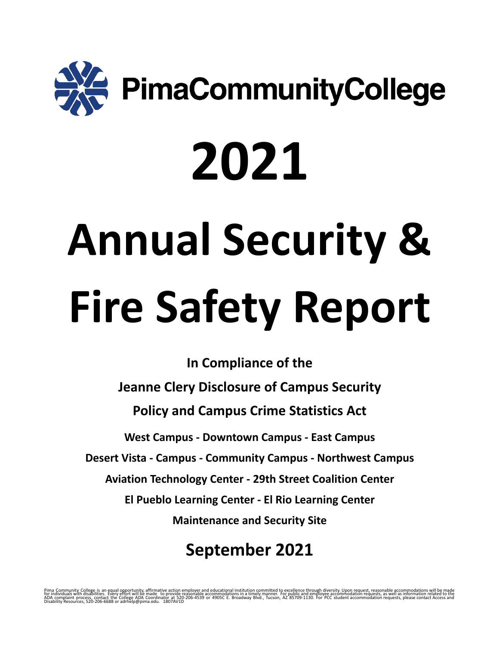

# **2021 Annual Security & Fire Safety Report**

**In Compliance of the Jeanne Clery Disclosure of Campus Security Policy and Campus Crime Statistics Act West Campus - Downtown Campus - East Campus Desert Vista - Campus - Community Campus - Northwest Campus Aviation Technology Center - 29th Street Coalition Center El Pueblo Learning Center - El Rio Learning Center Maintenance and Security Site**

# **September 2021**

Pima Community College is an equal opportunity, affirmative action employer and educational mistuation communited to excellence through diversity. Upon request, we have the included to the included to the commodation reque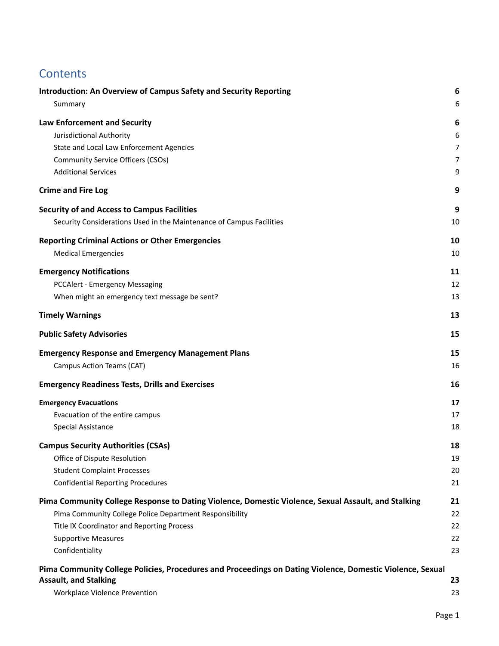# **Contents**

| <b>Introduction: An Overview of Campus Safety and Security Reporting</b><br>Summary                       | 6<br>6         |
|-----------------------------------------------------------------------------------------------------------|----------------|
| Law Enforcement and Security                                                                              | 6              |
| Jurisdictional Authority                                                                                  | 6              |
| State and Local Law Enforcement Agencies                                                                  | $\overline{7}$ |
| <b>Community Service Officers (CSOs)</b>                                                                  | 7              |
| <b>Additional Services</b>                                                                                | 9              |
| <b>Crime and Fire Log</b>                                                                                 | 9              |
| <b>Security of and Access to Campus Facilities</b>                                                        | 9              |
| Security Considerations Used in the Maintenance of Campus Facilities                                      | 10             |
| <b>Reporting Criminal Actions or Other Emergencies</b>                                                    | 10             |
| <b>Medical Emergencies</b>                                                                                | 10             |
| <b>Emergency Notifications</b>                                                                            | 11             |
| <b>PCCAlert - Emergency Messaging</b>                                                                     | 12             |
| When might an emergency text message be sent?                                                             | 13             |
| <b>Timely Warnings</b>                                                                                    | 13             |
| <b>Public Safety Advisories</b>                                                                           | 15             |
| <b>Emergency Response and Emergency Management Plans</b>                                                  | 15             |
| Campus Action Teams (CAT)                                                                                 | 16             |
| <b>Emergency Readiness Tests, Drills and Exercises</b>                                                    | 16             |
| <b>Emergency Evacuations</b>                                                                              | 17             |
| Evacuation of the entire campus                                                                           | 17             |
| <b>Special Assistance</b>                                                                                 | 18             |
| <b>Campus Security Authorities (CSAs)</b>                                                                 | 18             |
| Office of Dispute Resolution                                                                              | 19             |
| <b>Student Complaint Processes</b>                                                                        | 20             |
| <b>Confidential Reporting Procedures</b>                                                                  | 21             |
| Pima Community College Response to Dating Violence, Domestic Violence, Sexual Assault, and Stalking       | 21             |
| Pima Community College Police Department Responsibility                                                   | 22             |
| Title IX Coordinator and Reporting Process                                                                | 22             |
| <b>Supportive Measures</b>                                                                                | 22             |
| Confidentiality                                                                                           | 23             |
| Pima Community College Policies, Procedures and Proceedings on Dating Violence, Domestic Violence, Sexual |                |
| <b>Assault, and Stalking</b>                                                                              | 23             |
| Workplace Violence Prevention                                                                             | 23             |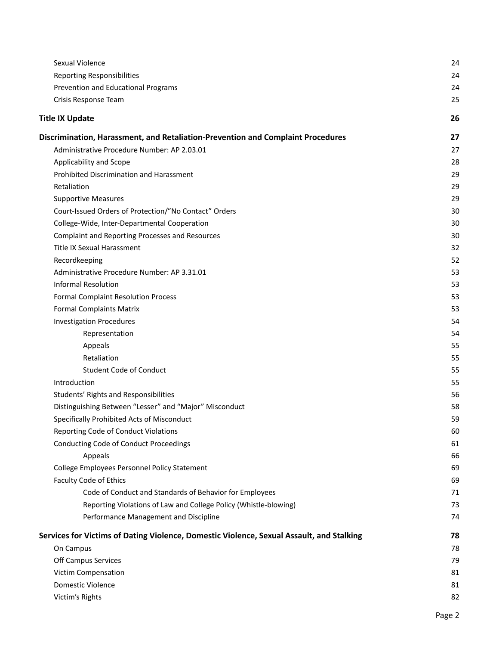| Sexual Violence                                                                          | 24 |
|------------------------------------------------------------------------------------------|----|
| <b>Reporting Responsibilities</b>                                                        | 24 |
| Prevention and Educational Programs                                                      | 24 |
| Crisis Response Team                                                                     | 25 |
| <b>Title IX Update</b>                                                                   | 26 |
| Discrimination, Harassment, and Retaliation-Prevention and Complaint Procedures          | 27 |
| Administrative Procedure Number: AP 2.03.01                                              | 27 |
| Applicability and Scope                                                                  | 28 |
| Prohibited Discrimination and Harassment                                                 | 29 |
| Retaliation                                                                              | 29 |
| <b>Supportive Measures</b>                                                               | 29 |
| Court-Issued Orders of Protection/"No Contact" Orders                                    | 30 |
| College-Wide, Inter-Departmental Cooperation                                             | 30 |
| <b>Complaint and Reporting Processes and Resources</b>                                   | 30 |
| <b>Title IX Sexual Harassment</b>                                                        | 32 |
| Recordkeeping                                                                            | 52 |
| Administrative Procedure Number: AP 3.31.01                                              | 53 |
| <b>Informal Resolution</b>                                                               | 53 |
| <b>Formal Complaint Resolution Process</b>                                               | 53 |
| <b>Formal Complaints Matrix</b>                                                          | 53 |
| <b>Investigation Procedures</b>                                                          | 54 |
| Representation                                                                           | 54 |
| Appeals                                                                                  | 55 |
| Retaliation                                                                              | 55 |
| <b>Student Code of Conduct</b>                                                           | 55 |
| Introduction                                                                             | 55 |
| Students' Rights and Responsibilities                                                    | 56 |
| Distinguishing Between "Lesser" and "Major" Misconduct                                   | 58 |
| Specifically Prohibited Acts of Misconduct                                               | 59 |
| Reporting Code of Conduct Violations                                                     | 60 |
| <b>Conducting Code of Conduct Proceedings</b>                                            | 61 |
| Appeals                                                                                  | 66 |
| College Employees Personnel Policy Statement                                             | 69 |
| Faculty Code of Ethics                                                                   | 69 |
| Code of Conduct and Standards of Behavior for Employees                                  | 71 |
| Reporting Violations of Law and College Policy (Whistle-blowing)                         | 73 |
| Performance Management and Discipline                                                    | 74 |
| Services for Victims of Dating Violence, Domestic Violence, Sexual Assault, and Stalking | 78 |
| On Campus                                                                                | 78 |
| Off Campus Services                                                                      | 79 |
| Victim Compensation                                                                      | 81 |
| Domestic Violence                                                                        | 81 |
| Victim's Rights                                                                          | 82 |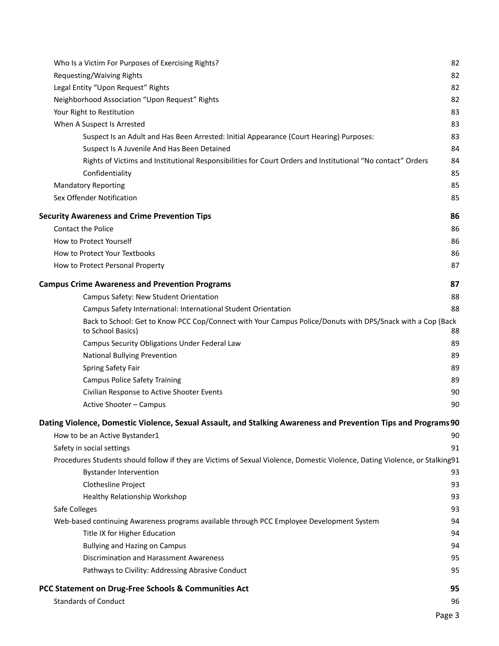| Who Is a Victim For Purposes of Exercising Rights?                                                                              | 82     |
|---------------------------------------------------------------------------------------------------------------------------------|--------|
| Requesting/Waiving Rights                                                                                                       | 82     |
| Legal Entity "Upon Request" Rights                                                                                              | 82     |
| Neighborhood Association "Upon Request" Rights                                                                                  | 82     |
| Your Right to Restitution                                                                                                       | 83     |
| When A Suspect Is Arrested                                                                                                      | 83     |
| Suspect Is an Adult and Has Been Arrested: Initial Appearance (Court Hearing) Purposes:                                         | 83     |
| Suspect Is A Juvenile And Has Been Detained                                                                                     | 84     |
| Rights of Victims and Institutional Responsibilities for Court Orders and Institutional "No contact" Orders                     | 84     |
| Confidentiality                                                                                                                 | 85     |
| <b>Mandatory Reporting</b>                                                                                                      | 85     |
| Sex Offender Notification                                                                                                       | 85     |
| <b>Security Awareness and Crime Prevention Tips</b>                                                                             | 86     |
| Contact the Police                                                                                                              | 86     |
| How to Protect Yourself                                                                                                         | 86     |
| How to Protect Your Textbooks                                                                                                   | 86     |
| How to Protect Personal Property                                                                                                | 87     |
| <b>Campus Crime Awareness and Prevention Programs</b>                                                                           | 87     |
| Campus Safety: New Student Orientation                                                                                          | 88     |
| Campus Safety International: International Student Orientation                                                                  | 88     |
| Back to School: Get to Know PCC Cop/Connect with Your Campus Police/Donuts with DPS/Snack with a Cop (Back<br>to School Basics) | 88     |
| Campus Security Obligations Under Federal Law                                                                                   | 89     |
| National Bullying Prevention                                                                                                    | 89     |
| <b>Spring Safety Fair</b>                                                                                                       | 89     |
| <b>Campus Police Safety Training</b>                                                                                            | 89     |
| Civilian Response to Active Shooter Events                                                                                      | 90     |
| Active Shooter - Campus                                                                                                         | 90     |
| Dating Violence, Domestic Violence, Sexual Assault, and Stalking Awareness and Prevention Tips and Programs 90                  |        |
| How to be an Active Bystander1                                                                                                  | 90     |
| Safety in social settings                                                                                                       | 91     |
| Procedures Students should follow if they are Victims of Sexual Violence, Domestic Violence, Dating Violence, or Stalking91     |        |
| <b>Bystander Intervention</b>                                                                                                   | 93     |
| Clothesline Project                                                                                                             | 93     |
| Healthy Relationship Workshop                                                                                                   | 93     |
| Safe Colleges                                                                                                                   | 93     |
| Web-based continuing Awareness programs available through PCC Employee Development System                                       | 94     |
| Title IX for Higher Education                                                                                                   | 94     |
| <b>Bullying and Hazing on Campus</b>                                                                                            | 94     |
| Discrimination and Harassment Awareness                                                                                         | 95     |
| Pathways to Civility: Addressing Abrasive Conduct                                                                               | 95     |
| PCC Statement on Drug-Free Schools & Communities Act                                                                            | 95     |
| <b>Standards of Conduct</b>                                                                                                     | 96     |
|                                                                                                                                 | Page 3 |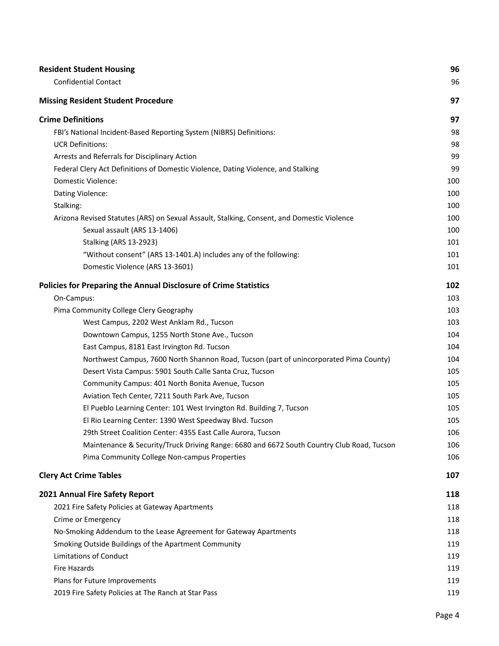| <b>Resident Student Housing</b>                                                            | 96  |
|--------------------------------------------------------------------------------------------|-----|
| <b>Confidential Contact</b>                                                                | 96  |
| <b>Missing Resident Student Procedure</b>                                                  | 97  |
| <b>Crime Definitions</b>                                                                   | 97  |
| FBI's National Incident-Based Reporting System (NIBRS) Definitions:                        | 98  |
| <b>UCR Definitions:</b>                                                                    | 98  |
| Arrests and Referrals for Disciplinary Action                                              | 99  |
| Federal Clery Act Definitions of Domestic Violence, Dating Violence, and Stalking          | 99  |
| Domestic Violence:                                                                         | 100 |
| Dating Violence:                                                                           | 100 |
| Stalking:                                                                                  | 100 |
| Arizona Revised Statutes (ARS) on Sexual Assault, Stalking, Consent, and Domestic Violence | 100 |
| Sexual assault (ARS 13-1406)                                                               | 100 |
| <b>Stalking (ARS 13-2923)</b>                                                              | 101 |
| "Without consent" (ARS 13-1401.A) includes any of the following:                           | 101 |
| Domestic Violence (ARS 13-3601)                                                            | 101 |
| Policies for Preparing the Annual Disclosure of Crime Statistics                           | 102 |
| On-Campus:                                                                                 | 103 |
| Pima Community College Clery Geography                                                     | 103 |
| West Campus, 2202 West Anklam Rd., Tucson                                                  | 103 |
| Downtown Campus, 1255 North Stone Ave., Tucson                                             | 104 |
| East Campus, 8181 East Irvington Rd. Tucson                                                | 104 |
| Northwest Campus, 7600 North Shannon Road, Tucson (part of unincorporated Pima County)     | 104 |
| Desert Vista Campus: 5901 South Calle Santa Cruz, Tucson                                   | 105 |
| Community Campus: 401 North Bonita Avenue, Tucson                                          | 105 |
| Aviation Tech Center, 7211 South Park Ave, Tucson                                          | 105 |
| El Pueblo Learning Center: 101 West Irvington Rd. Building 7, Tucson                       | 105 |
| El Rio Learning Center: 1390 West Speedway Blvd. Tucson                                    | 105 |
| 29th Street Coalition Center: 4355 East Calle Aurora, Tucson                               | 106 |
| Maintenance & Security/Truck Driving Range: 6680 and 6672 South Country Club Road, Tucson  | 106 |
| Pima Community College Non-campus Properties                                               | 106 |
| <b>Clery Act Crime Tables</b>                                                              | 107 |
| 2021 Annual Fire Safety Report                                                             | 118 |
| 2021 Fire Safety Policies at Gateway Apartments                                            | 118 |
| Crime or Emergency                                                                         | 118 |
| No-Smoking Addendum to the Lease Agreement for Gateway Apartments                          | 118 |
| Smoking Outside Buildings of the Apartment Community                                       | 119 |
| <b>Limitations of Conduct</b>                                                              | 119 |
| Fire Hazards                                                                               | 119 |
| Plans for Future Improvements                                                              | 119 |
| 2019 Fire Safety Policies at The Ranch at Star Pass                                        | 119 |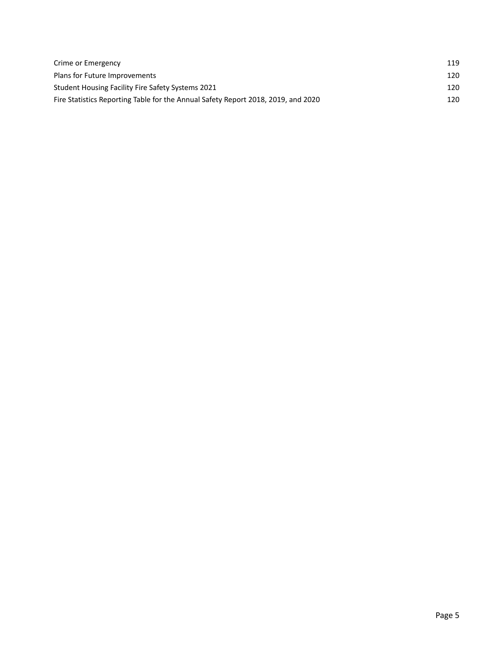| Crime or Emergency                                                                | 119 |
|-----------------------------------------------------------------------------------|-----|
| Plans for Future Improvements                                                     | 120 |
| Student Housing Facility Fire Safety Systems 2021                                 | 120 |
| Fire Statistics Reporting Table for the Annual Safety Report 2018, 2019, and 2020 | 120 |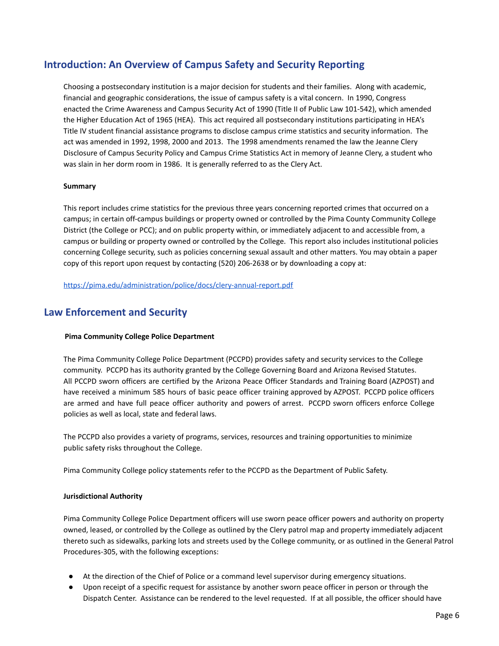# <span id="page-6-0"></span>**Introduction: An Overview of Campus Safety and Security Reporting**

Choosing a postsecondary institution is a major decision for students and their families. Along with academic, financial and geographic considerations, the issue of campus safety is a vital concern. In 1990, Congress enacted the Crime Awareness and Campus Security Act of 1990 (Title II of Public Law 101-542), which amended the Higher Education Act of 1965 (HEA). This act required all postsecondary institutions participating in HEA's Title IV student financial assistance programs to disclose campus crime statistics and security information. The act was amended in 1992, 1998, 2000 and 2013. The 1998 amendments renamed the law the Jeanne Clery Disclosure of Campus Security Policy and Campus Crime Statistics Act in memory of Jeanne Clery, a student who was slain in her dorm room in 1986. It is generally referred to as the Clery Act.

### <span id="page-6-1"></span>**Summary**

This report includes crime statistics for the previous three years concerning reported crimes that occurred on a campus; in certain off-campus buildings or property owned or controlled by the Pima County Community College District (the College or PCC); and on public property within, or immediately adjacent to and accessible from, a campus or building or property owned or controlled by the College. This report also includes institutional policies concerning College security, such as policies concerning sexual assault and other matters. You may obtain a paper copy of this report upon request by contacting (520) 206-2638 or by downloading a copy at:

<https://pima.edu/administration/police/docs/clery-annual-report.pdf>

# <span id="page-6-2"></span>**Law Enforcement and Security**

### **Pima Community College Police Department**

The Pima Community College Police Department (PCCPD) provides safety and security services to the College community. PCCPD has its authority granted by the College Governing Board and Arizona Revised Statutes. All PCCPD sworn officers are certified by the Arizona Peace Officer Standards and Training Board (AZPOST) and have received a minimum 585 hours of basic peace officer training approved by AZPOST. PCCPD police officers are armed and have full peace officer authority and powers of arrest. PCCPD sworn officers enforce College policies as well as local, state and federal laws.

The PCCPD also provides a variety of programs, services, resources and training opportunities to minimize public safety risks throughout the College.

Pima Community College policy statements refer to the PCCPD as the Department of Public Safety.

### <span id="page-6-3"></span>**Jurisdictional Authority**

Pima Community College Police Department officers will use sworn peace officer powers and authority on property owned, leased, or controlled by the College as outlined by the Clery patrol map and property immediately adjacent thereto such as sidewalks, parking lots and streets used by the College community, or as outlined in the General Patrol Procedures-305, with the following exceptions:

- At the direction of the Chief of Police or a command level supervisor during emergency situations.
- Upon receipt of a specific request for assistance by another sworn peace officer in person or through the Dispatch Center. Assistance can be rendered to the level requested. If at all possible, the officer should have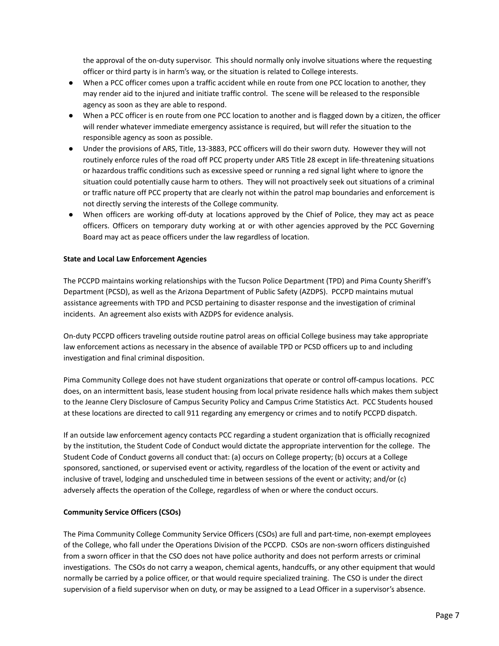the approval of the on-duty supervisor. This should normally only involve situations where the requesting officer or third party is in harm's way, or the situation is related to College interests.

- When a PCC officer comes upon a traffic accident while en route from one PCC location to another, they may render aid to the injured and initiate traffic control. The scene will be released to the responsible agency as soon as they are able to respond.
- When a PCC officer is en route from one PCC location to another and is flagged down by a citizen, the officer will render whatever immediate emergency assistance is required, but will refer the situation to the responsible agency as soon as possible.
- Under the provisions of ARS, Title, 13-3883, PCC officers will do their sworn duty. However they will not routinely enforce rules of the road off PCC property under ARS Title 28 except in life-threatening situations or hazardous traffic conditions such as excessive speed or running a red signal light where to ignore the situation could potentially cause harm to others. They will not proactively seek out situations of a criminal or traffic nature off PCC property that are clearly not within the patrol map boundaries and enforcement is not directly serving the interests of the College community.
- When officers are working off-duty at locations approved by the Chief of Police, they may act as peace officers. Officers on temporary duty working at or with other agencies approved by the PCC Governing Board may act as peace officers under the law regardless of location.

### <span id="page-7-0"></span>**State and Local Law Enforcement Agencies**

The PCCPD maintains working relationships with the Tucson Police Department (TPD) and Pima County Sheriff's Department (PCSD), as well as the Arizona Department of Public Safety (AZDPS). PCCPD maintains mutual assistance agreements with TPD and PCSD pertaining to disaster response and the investigation of criminal incidents. An agreement also exists with AZDPS for evidence analysis.

On-duty PCCPD officers traveling outside routine patrol areas on official College business may take appropriate law enforcement actions as necessary in the absence of available TPD or PCSD officers up to and including investigation and final criminal disposition.

Pima Community College does not have student organizations that operate or control off-campus locations. PCC does, on an intermittent basis, lease student housing from local private residence halls which makes them subject to the Jeanne Clery Disclosure of Campus Security Policy and Campus Crime Statistics Act. PCC Students housed at these locations are directed to call 911 regarding any emergency or crimes and to notify PCCPD dispatch.

If an outside law enforcement agency contacts PCC regarding a student organization that is officially recognized by the institution, the Student Code of Conduct would dictate the appropriate intervention for the college. The Student Code of Conduct governs all conduct that: (a) occurs on College property; (b) occurs at a College sponsored, sanctioned, or supervised event or activity, regardless of the location of the event or activity and inclusive of travel, lodging and unscheduled time in between sessions of the event or activity; and/or (c) adversely affects the operation of the College, regardless of when or where the conduct occurs.

### <span id="page-7-1"></span>**Community Service Officers (CSOs)**

The Pima Community College Community Service Officers (CSOs) are full and part-time, non-exempt employees of the College, who fall under the Operations Division of the PCCPD. CSOs are non-sworn officers distinguished from a sworn officer in that the CSO does not have police authority and does not perform arrests or criminal investigations. The CSOs do not carry a weapon, chemical agents, handcuffs, or any other equipment that would normally be carried by a police officer, or that would require specialized training. The CSO is under the direct supervision of a field supervisor when on duty, or may be assigned to a Lead Officer in a supervisor's absence.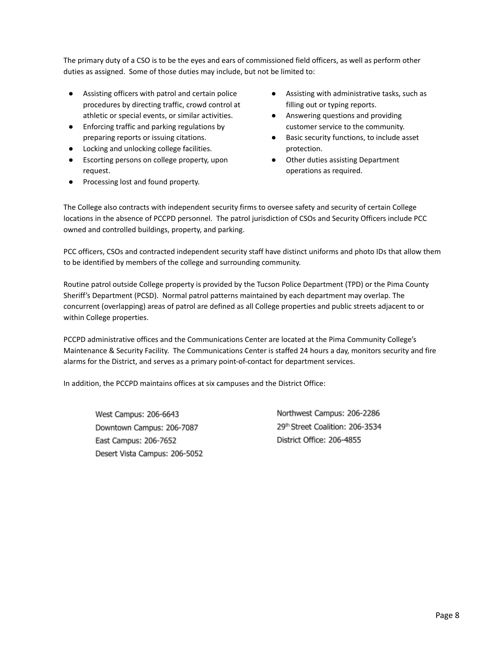The primary duty of a CSO is to be the eyes and ears of commissioned field officers, as well as perform other duties as assigned. Some of those duties may include, but not be limited to:

- Assisting officers with patrol and certain police procedures by directing traffic, crowd control at athletic or special events, or similar activities.
- Enforcing traffic and parking regulations by preparing reports or issuing citations.
- Locking and unlocking college facilities.
- Escorting persons on college property, upon request.
- Processing lost and found property.
- Assisting with administrative tasks, such as filling out or typing reports.
- Answering questions and providing customer service to the community.
- Basic security functions, to include asset protection.
- Other duties assisting Department operations as required.

The College also contracts with independent security firms to oversee safety and security of certain College locations in the absence of PCCPD personnel. The patrol jurisdiction of CSOs and Security Officers include PCC owned and controlled buildings, property, and parking.

PCC officers, CSOs and contracted independent security staff have distinct uniforms and photo IDs that allow them to be identified by members of the college and surrounding community.

Routine patrol outside College property is provided by the Tucson Police Department (TPD) or the Pima County Sheriff's Department (PCSD). Normal patrol patterns maintained by each department may overlap. The concurrent (overlapping) areas of patrol are defined as all College properties and public streets adjacent to or within College properties.

PCCPD administrative offices and the Communications Center are located at the Pima Community College's Maintenance & Security Facility. The Communications Center is staffed 24 hours a day, monitors security and fire alarms for the District, and serves as a primary point-of-contact for department services.

In addition, the PCCPD maintains offices at six campuses and the District Office:

West Campus: 206-6643 Downtown Campus: 206-7087 East Campus: 206-7652 Desert Vista Campus: 206-5052 Northwest Campus: 206-2286 29th Street Coalition: 206-3534 District Office: 206-4855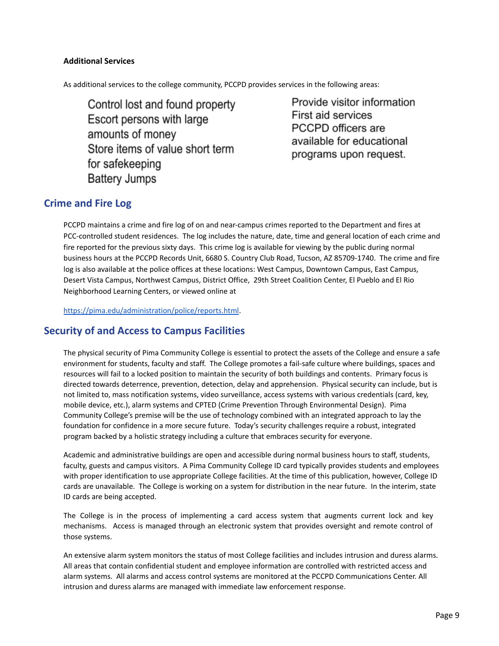### <span id="page-9-0"></span>**Additional Services**

As additional services to the college community, PCCPD provides services in the following areas:

Control lost and found property Escort persons with large amounts of money Store items of value short term for safekeeping **Battery Jumps** 

Provide visitor information First aid services PCCPD officers are available for educational programs upon request.

# <span id="page-9-1"></span>**Crime and Fire Log**

PCCPD maintains a crime and fire log of on and near-campus crimes reported to the Department and fires at PCC-controlled student residences. The log includes the nature, date, time and general location of each crime and fire reported for the previous sixty days. This crime log is available for viewing by the public during normal business hours at the PCCPD Records Unit, 6680 S. Country Club Road, Tucson, AZ 85709-1740. The crime and fire log is also available at the police offices at these locations: West Campus, Downtown Campus, East Campus, Desert Vista Campus, Northwest Campus, District Office, 29th Street Coalition Center, El Pueblo and El Rio Neighborhood Learning Centers, or viewed online at

<https://pima.edu/administration/police/reports.html>.

# <span id="page-9-2"></span>**Security of and Access to Campus Facilities**

The physical security of Pima Community College is essential to protect the assets of the College and ensure a safe environment for students, faculty and staff. The College promotes a fail-safe culture where buildings, spaces and resources will fail to a locked position to maintain the security of both buildings and contents. Primary focus is directed towards deterrence, prevention, detection, delay and apprehension. Physical security can include, but is not limited to, mass notification systems, video surveillance, access systems with various credentials (card, key, mobile device, etc.), alarm systems and CPTED (Crime Prevention Through Environmental Design). Pima Community College's premise will be the use of technology combined with an integrated approach to lay the foundation for confidence in a more secure future. Today's security challenges require a robust, integrated program backed by a holistic strategy including a culture that embraces security for everyone.

Academic and administrative buildings are open and accessible during normal business hours to staff, students, faculty, guests and campus visitors. A Pima Community College ID card typically provides students and employees with proper identification to use appropriate College facilities. At the time of this publication, however, College ID cards are unavailable. The College is working on a system for distribution in the near future. In the interim, state ID cards are being accepted.

The College is in the process of implementing a card access system that augments current lock and key mechanisms. Access is managed through an electronic system that provides oversight and remote control of those systems.

An extensive alarm system monitors the status of most College facilities and includes intrusion and duress alarms. All areas that contain confidential student and employee information are controlled with restricted access and alarm systems. All alarms and access control systems are monitored at the PCCPD Communications Center. All intrusion and duress alarms are managed with immediate law enforcement response.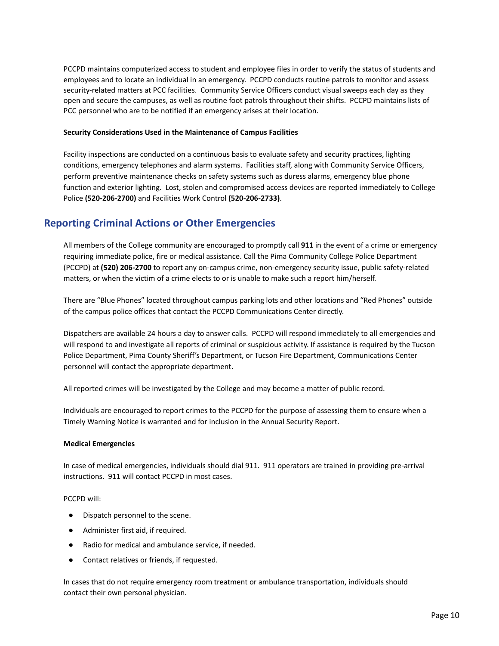PCCPD maintains computerized access to student and employee files in order to verify the status of students and employees and to locate an individual in an emergency. PCCPD conducts routine patrols to monitor and assess security-related matters at PCC facilities. Community Service Officers conduct visual sweeps each day as they open and secure the campuses, as well as routine foot patrols throughout their shifts. PCCPD maintains lists of PCC personnel who are to be notified if an emergency arises at their location.

### <span id="page-10-0"></span>**Security Considerations Used in the Maintenance of Campus Facilities**

Facility inspections are conducted on a continuous basis to evaluate safety and security practices, lighting conditions, emergency telephones and alarm systems. Facilities staff, along with Community Service Officers, perform preventive maintenance checks on safety systems such as duress alarms, emergency blue phone function and exterior lighting. Lost, stolen and compromised access devices are reported immediately to College Police **(520-206-2700)** and Facilities Work Control **(520-206-2733)**.

# <span id="page-10-1"></span>**Reporting Criminal Actions or Other Emergencies**

All members of the College community are encouraged to promptly call **911** in the event of a crime or emergency requiring immediate police, fire or medical assistance. Call the Pima Community College Police Department (PCCPD) at **(520) 206‐2700** to report any on-campus crime, non-emergency security issue, public safety-related matters, or when the victim of a crime elects to or is unable to make such a report him/herself.

There are "Blue Phones" located throughout campus parking lots and other locations and "Red Phones" outside of the campus police offices that contact the PCCPD Communications Center directly.

Dispatchers are available 24 hours a day to answer calls. PCCPD will respond immediately to all emergencies and will respond to and investigate all reports of criminal or suspicious activity. If assistance is required by the Tucson Police Department, Pima County Sheriff's Department, or Tucson Fire Department, Communications Center personnel will contact the appropriate department.

All reported crimes will be investigated by the College and may become a matter of public record.

Individuals are encouraged to report crimes to the PCCPD for the purpose of assessing them to ensure when a Timely Warning Notice is warranted and for inclusion in the Annual Security Report.

### <span id="page-10-2"></span>**Medical Emergencies**

In case of medical emergencies, individuals should dial 911. 911 operators are trained in providing pre-arrival instructions. 911 will contact PCCPD in most cases.

### PCCPD will:

- Dispatch personnel to the scene.
- Administer first aid, if required.
- Radio for medical and ambulance service, if needed.
- Contact relatives or friends, if requested.

In cases that do not require emergency room treatment or ambulance transportation, individuals should contact their own personal physician.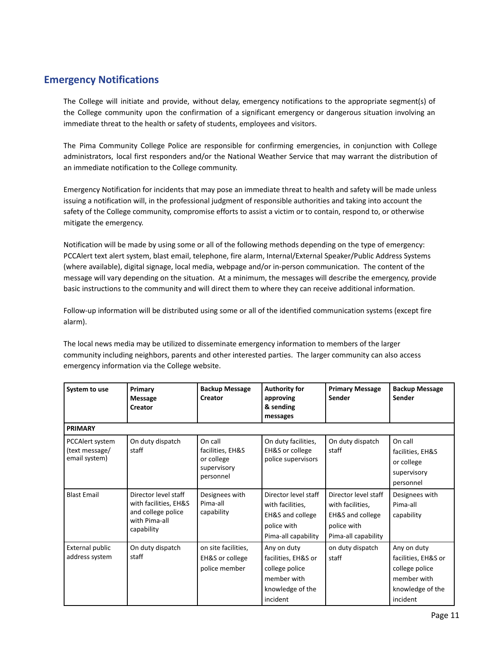# <span id="page-11-0"></span>**Emergency Notifications**

The College will initiate and provide, without delay, emergency notifications to the appropriate segment(s) of the College community upon the confirmation of a significant emergency or dangerous situation involving an immediate threat to the health or safety of students, employees and visitors.

The Pima Community College Police are responsible for confirming emergencies, in conjunction with College administrators, local first responders and/or the National Weather Service that may warrant the distribution of an immediate notification to the College community.

Emergency Notification for incidents that may pose an immediate threat to health and safety will be made unless issuing a notification will, in the professional judgment of responsible authorities and taking into account the safety of the College community, compromise efforts to assist a victim or to contain, respond to, or otherwise mitigate the emergency.

Notification will be made by using some or all of the following methods depending on the type of emergency: PCCAlert text alert system, blast email, telephone, fire alarm, Internal/External Speaker/Public Address Systems (where available), digital signage, local media, webpage and/or in-person communication. The content of the message will vary depending on the situation. At a minimum, the messages will describe the emergency, provide basic instructions to the community and will direct them to where they can receive additional information.

Follow-up information will be distributed using some or all of the identified communication systems (except fire alarm).

The local news media may be utilized to disseminate emergency information to members of the larger community including neighbors, parents and other interested parties. The larger community can also access emergency information via the College website.

| System to use                                      | Primary<br><b>Message</b><br>Creator                                                               | <b>Backup Message</b><br>Creator                                      | <b>Authority for</b><br>approving<br>& sending<br>messages                                                    | <b>Primary Message</b><br>Sender                                                                              | <b>Backup Message</b><br>Sender                                                                     |
|----------------------------------------------------|----------------------------------------------------------------------------------------------------|-----------------------------------------------------------------------|---------------------------------------------------------------------------------------------------------------|---------------------------------------------------------------------------------------------------------------|-----------------------------------------------------------------------------------------------------|
| <b>PRIMARY</b>                                     |                                                                                                    |                                                                       |                                                                                                               |                                                                                                               |                                                                                                     |
| PCCAlert system<br>(text message/<br>email system) | On duty dispatch<br>staff                                                                          | On call<br>facilities, EH&S<br>or college<br>supervisory<br>personnel | On duty facilities,<br>EH&S or college<br>police supervisors                                                  | On duty dispatch<br>staff                                                                                     | On call<br>facilities, EH&S<br>or college<br>supervisory<br>personnel                               |
| <b>Blast Email</b>                                 | Director level staff<br>with facilities, EH&S<br>and college police<br>with Pima-all<br>capability | Designees with<br>Pima-all<br>capability                              | Director level staff<br>with facilities,<br><b>EH&amp;S</b> and college<br>police with<br>Pima-all capability | Director level staff<br>with facilities,<br><b>EH&amp;S</b> and college<br>police with<br>Pima-all capability | Designees with<br>Pima-all<br>capability                                                            |
| <b>External public</b><br>address system           | On duty dispatch<br>staff                                                                          | on site facilities,<br>EH&S or college<br>police member               | Any on duty<br>facilities, EH&S or<br>college police<br>member with<br>knowledge of the<br>incident           | on duty dispatch<br>staff                                                                                     | Any on duty<br>facilities, EH&S or<br>college police<br>member with<br>knowledge of the<br>incident |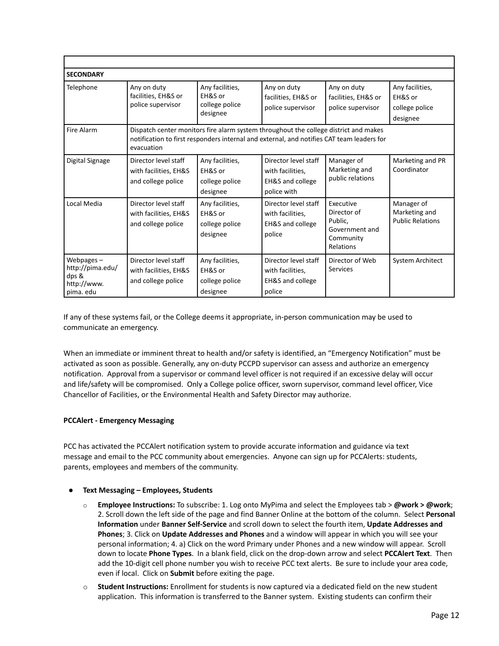| <b>SECONDARY</b>                                                   |                                                                                                                                                                                                 |                                                          |                                                                                        |                                                                                 |                                                          |
|--------------------------------------------------------------------|-------------------------------------------------------------------------------------------------------------------------------------------------------------------------------------------------|----------------------------------------------------------|----------------------------------------------------------------------------------------|---------------------------------------------------------------------------------|----------------------------------------------------------|
| Telephone                                                          | Any on duty<br>facilities, EH&S or<br>police supervisor                                                                                                                                         | Any facilities,<br>EH&S or<br>college police<br>designee | Any on duty<br>facilities, EH&S or<br>police supervisor                                | Any on duty<br>facilities, EH&S or<br>police supervisor                         | Any facilities,<br>EH&S or<br>college police<br>designee |
| Fire Alarm                                                         | Dispatch center monitors fire alarm system throughout the college district and makes<br>notification to first responders internal and external, and notifies CAT team leaders for<br>evacuation |                                                          |                                                                                        |                                                                                 |                                                          |
| Digital Signage                                                    | Director level staff<br>with facilities, EH&S<br>and college police                                                                                                                             | Any facilities,<br>EH&S or<br>college police<br>designee | Director level staff<br>with facilities,<br><b>EH&amp;S and college</b><br>police with | Manager of<br>Marketing and<br>public relations                                 | Marketing and PR<br>Coordinator                          |
| Local Media                                                        | Director level staff<br>with facilities, EH&S<br>and college police                                                                                                                             | Any facilities,<br>EH&S or<br>college police<br>designee | Director level staff<br>with facilities.<br><b>EH&amp;S and college</b><br>police      | Executive<br>Director of<br>Public.<br>Government and<br>Community<br>Relations | Manager of<br>Marketing and<br><b>Public Relations</b>   |
| Webpages-<br>http://pima.edu/<br>dps &<br>http://www.<br>pima. edu | Director level staff<br>with facilities, EH&S<br>and college police                                                                                                                             | Any facilities,<br>EH&S or<br>college police<br>designee | Director level staff<br>with facilities,<br><b>EH&amp;S and college</b><br>police      | Director of Web<br>Services                                                     | <b>System Architect</b>                                  |

If any of these systems fail, or the College deems it appropriate, in-person communication may be used to communicate an emergency.

When an immediate or imminent threat to health and/or safety is identified, an "Emergency Notification" must be activated as soon as possible. Generally, any on-duty PCCPD supervisor can assess and authorize an emergency notification. Approval from a supervisor or command level officer is not required if an excessive delay will occur and life/safety will be compromised. Only a College police officer, sworn supervisor, command level officer, Vice Chancellor of Facilities, or the Environmental Health and Safety Director may authorize.

### <span id="page-12-0"></span>**PCCAlert - Emergency Messaging**

PCC has activated the PCCAlert notification system to provide accurate information and guidance via text message and email to the PCC community about emergencies. Anyone can sign up for PCCAlerts: students, parents, employees and members of the community.

### ● **Text Messaging – Employees, Students**

- o **Employee Instructions:** To subscribe: 1. Log onto MyPima and select the Employees tab > **@work > @work**; 2. Scroll down the left side of the page and find Banner Online at the bottom of the column. Select **Personal Information** under **Banner Self-Service** and scroll down to select the fourth item, **Update Addresses and Phones**; 3. Click on **Update Addresses and Phones** and a window will appear in which you will see your personal information; 4. a) Click on the word Primary under Phones and a new window will appear. Scroll down to locate **Phone Types**. In a blank field, click on the drop-down arrow and select **PCCAlert Text**. Then add the 10-digit cell phone number you wish to receive PCC text alerts. Be sure to include your area code, even if local. Click on **Submit** before exiting the page.
- o **Student Instructions:** Enrollment for students is now captured via a dedicated field on the new student application. This information is transferred to the Banner system. Existing students can confirm their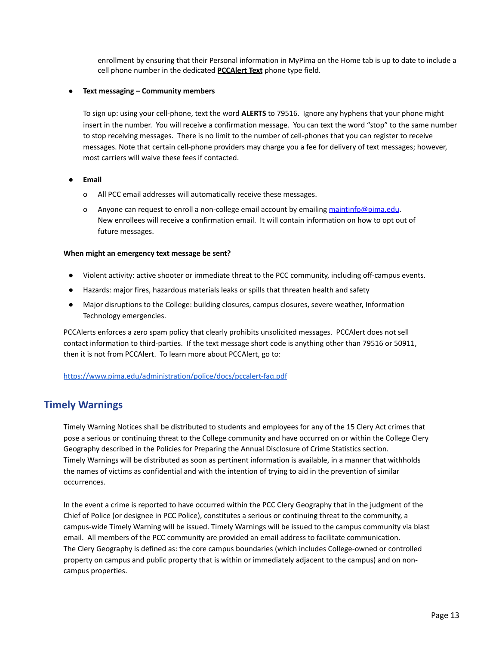enrollment by ensuring that their Personal information in MyPima on the Home tab is up to date to include a cell phone number in the dedicated **PCCAlert Text** phone type field.

### **● Text messaging – Community members**

To sign up: using your cell-phone, text the word **ALERTS** to 79516. Ignore any hyphens that your phone might insert in the number. You will receive a confirmation message. You can text the word "stop" to the same number to stop receiving messages. There is no limit to the number of cell-phones that you can register to receive messages. Note that certain cell-phone providers may charge you a fee for delivery of text messages; however, most carriers will waive these fees if contacted.

### ● **Email**

- o All PCC email addresses will automatically receive these messages.
- o Anyone can request to enroll a non-college email account by emailing [maintinfo@pima.edu](mailto:maintinfo@pima.edu). New enrollees will receive a confirmation email. It will contain information on how to opt out of future messages.

### <span id="page-13-0"></span>**When might an emergency text message be sent?**

- Violent activity: active shooter or immediate threat to the PCC community, including off-campus events.
- Hazards: major fires, hazardous materials leaks or spills that threaten health and safety
- Major disruptions to the College: building closures, campus closures, severe weather, Information Technology emergencies.

PCCAlerts enforces a zero spam policy that clearly prohibits unsolicited messages. PCCAlert does not sell contact information to third-parties. If the text message short code is anything other than 79516 or 50911, then it is not from PCCAlert. To learn more about PCCAlert, go to:

<https://www.pima.edu/administration/police/docs/pccalert-faq.pdf>

# <span id="page-13-1"></span>**Timely Warnings**

Timely Warning Notices shall be distributed to students and employees for any of the 15 Clery Act crimes that pose a serious or continuing threat to the College community and have occurred on or within the College Clery Geography described in the Policies for Preparing the Annual Disclosure of Crime Statistics section. Timely Warnings will be distributed as soon as pertinent information is available, in a manner that withholds the names of victims as confidential and with the intention of trying to aid in the prevention of similar occurrences.

In the event a crime is reported to have occurred within the PCC Clery Geography that in the judgment of the Chief of Police (or designee in PCC Police), constitutes a serious or continuing threat to the community, a campus-wide Timely Warning will be issued. Timely Warnings will be issued to the campus community via blast email. All members of the PCC community are provided an email address to facilitate communication. The Clery Geography is defined as: the core campus boundaries (which includes College-owned or controlled property on campus and public property that is within or immediately adjacent to the campus) and on noncampus properties.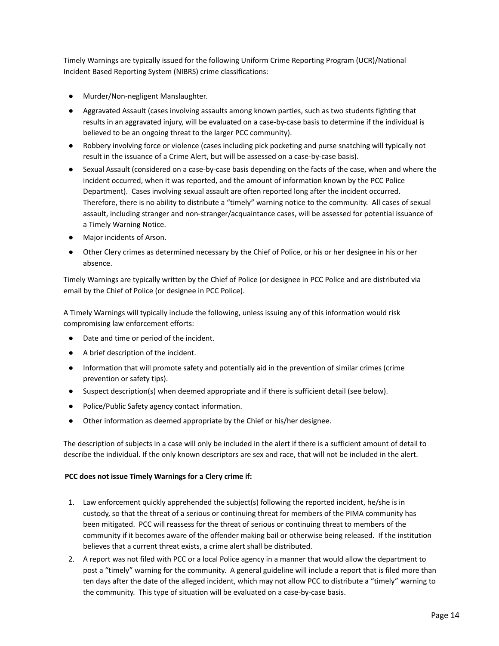Timely Warnings are typically issued for the following Uniform Crime Reporting Program (UCR)/National Incident Based Reporting System (NIBRS) crime classifications:

- Murder/Non-negligent Manslaughter.
- Aggravated Assault (cases involving assaults among known parties, such as two students fighting that results in an aggravated injury, will be evaluated on a case-by-case basis to determine if the individual is believed to be an ongoing threat to the larger PCC community).
- Robbery involving force or violence (cases including pick pocketing and purse snatching will typically not result in the issuance of a Crime Alert, but will be assessed on a case-by-case basis).
- Sexual Assault (considered on a case-by-case basis depending on the facts of the case, when and where the incident occurred, when it was reported, and the amount of information known by the PCC Police Department). Cases involving sexual assault are often reported long after the incident occurred. Therefore, there is no ability to distribute a "timely" warning notice to the community. All cases of sexual assault, including stranger and non-stranger/acquaintance cases, will be assessed for potential issuance of a Timely Warning Notice.
- Major incidents of Arson.
- Other Clery crimes as determined necessary by the Chief of Police, or his or her designee in his or her absence.

Timely Warnings are typically written by the Chief of Police (or designee in PCC Police and are distributed via email by the Chief of Police (or designee in PCC Police).

A Timely Warnings will typically include the following, unless issuing any of this information would risk compromising law enforcement efforts:

- Date and time or period of the incident.
- A brief description of the incident.
- Information that will promote safety and potentially aid in the prevention of similar crimes (crime prevention or safety tips).
- Suspect description(s) when deemed appropriate and if there is sufficient detail (see below).
- Police/Public Safety agency contact information.
- Other information as deemed appropriate by the Chief or his/her designee.

The description of subjects in a case will only be included in the alert if there is a sufficient amount of detail to describe the individual. If the only known descriptors are sex and race, that will not be included in the alert.

### **PCC does not issue Timely Warnings for a Clery crime if:**

- 1. Law enforcement quickly apprehended the subject(s) following the reported incident, he/she is in custody, so that the threat of a serious or continuing threat for members of the PIMA community has been mitigated. PCC will reassess for the threat of serious or continuing threat to members of the community if it becomes aware of the offender making bail or otherwise being released. If the institution believes that a current threat exists, a crime alert shall be distributed.
- 2. A report was not filed with PCC or a local Police agency in a manner that would allow the department to post a "timely" warning for the community. A general guideline will include a report that is filed more than ten days after the date of the alleged incident, which may not allow PCC to distribute a "timely" warning to the community. This type of situation will be evaluated on a case-by-case basis.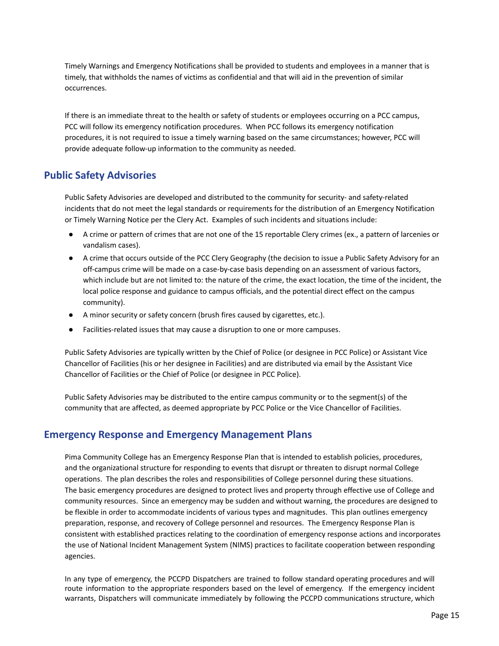Timely Warnings and Emergency Notifications shall be provided to students and employees in a manner that is timely, that withholds the names of victims as confidential and that will aid in the prevention of similar occurrences.

If there is an immediate threat to the health or safety of students or employees occurring on a PCC campus, PCC will follow its emergency notification procedures. When PCC follows its emergency notification procedures, it is not required to issue a timely warning based on the same circumstances; however, PCC will provide adequate follow-up information to the community as needed.

# <span id="page-15-0"></span>**Public Safety Advisories**

Public Safety Advisories are developed and distributed to the community for security- and safety-related incidents that do not meet the legal standards or requirements for the distribution of an Emergency Notification or Timely Warning Notice per the Clery Act. Examples of such incidents and situations include:

- A crime or pattern of crimes that are not one of the 15 reportable Clery crimes (ex., a pattern of larcenies or vandalism cases).
- A crime that occurs outside of the PCC Clery Geography (the decision to issue a Public Safety Advisory for an off-campus crime will be made on a case-by-case basis depending on an assessment of various factors, which include but are not limited to: the nature of the crime, the exact location, the time of the incident, the local police response and guidance to campus officials, and the potential direct effect on the campus community).
- A minor security or safety concern (brush fires caused by cigarettes, etc.).
- Facilities-related issues that may cause a disruption to one or more campuses.

Public Safety Advisories are typically written by the Chief of Police (or designee in PCC Police) or Assistant Vice Chancellor of Facilities (his or her designee in Facilities) and are distributed via email by the Assistant Vice Chancellor of Facilities or the Chief of Police (or designee in PCC Police).

Public Safety Advisories may be distributed to the entire campus community or to the segment(s) of the community that are affected, as deemed appropriate by PCC Police or the Vice Chancellor of Facilities.

# <span id="page-15-1"></span>**Emergency Response and Emergency Management Plans**

Pima Community College has an Emergency Response Plan that is intended to establish policies, procedures, and the organizational structure for responding to events that disrupt or threaten to disrupt normal College operations. The plan describes the roles and responsibilities of College personnel during these situations. The basic emergency procedures are designed to protect lives and property through effective use of College and community resources. Since an emergency may be sudden and without warning, the procedures are designed to be flexible in order to accommodate incidents of various types and magnitudes. This plan outlines emergency preparation, response, and recovery of College personnel and resources. The Emergency Response Plan is consistent with established practices relating to the coordination of emergency response actions and incorporates the use of National Incident Management System (NIMS) practices to facilitate cooperation between responding agencies.

In any type of emergency, the PCCPD Dispatchers are trained to follow standard operating procedures and will route information to the appropriate responders based on the level of emergency. If the emergency incident warrants, Dispatchers will communicate immediately by following the PCCPD communications structure, which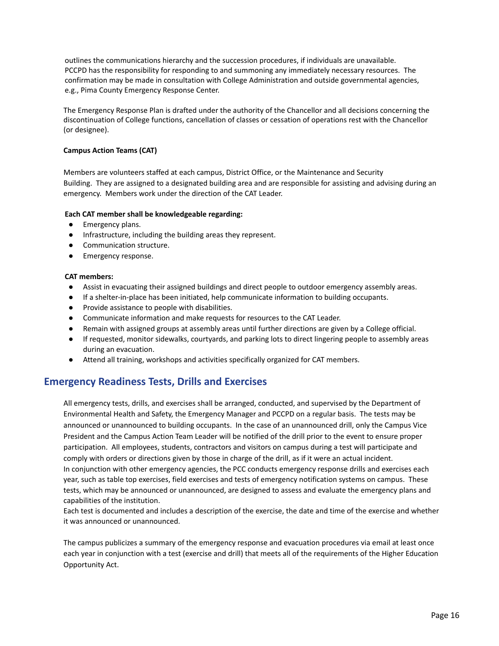outlines the communications hierarchy and the succession procedures, if individuals are unavailable. PCCPD has the responsibility for responding to and summoning any immediately necessary resources. The confirmation may be made in consultation with College Administration and outside governmental agencies, e.g., Pima County Emergency Response Center.

The Emergency Response Plan is drafted under the authority of the Chancellor and all decisions concerning the discontinuation of College functions, cancellation of classes or cessation of operations rest with the Chancellor (or designee).

### <span id="page-16-0"></span>**Campus Action Teams (CAT)**

Members are volunteers staffed at each campus, District Office, or the Maintenance and Security Building. They are assigned to a designated building area and are responsible for assisting and advising during an emergency. Members work under the direction of the CAT Leader.

### **Each CAT member shall be knowledgeable regarding:**

- Emergency plans.
- Infrastructure, including the building areas they represent.
- Communication structure.
- Emergency response.

### **CAT members:**

- Assist in evacuating their assigned buildings and direct people to outdoor emergency assembly areas.
- If a shelter-in-place has been initiated, help communicate information to building occupants.
- Provide assistance to people with disabilities.
- Communicate information and make requests for resources to the CAT Leader.
- Remain with assigned groups at assembly areas until further directions are given by a College official.
- If requested, monitor sidewalks, courtyards, and parking lots to direct lingering people to assembly areas during an evacuation.
- Attend all training, workshops and activities specifically organized for CAT members.

# <span id="page-16-1"></span>**Emergency Readiness Tests, Drills and Exercises**

All emergency tests, drills, and exercises shall be arranged, conducted, and supervised by the Department of Environmental Health and Safety, the Emergency Manager and PCCPD on a regular basis. The tests may be announced or unannounced to building occupants. In the case of an unannounced drill, only the Campus Vice President and the Campus Action Team Leader will be notified of the drill prior to the event to ensure proper participation. All employees, students, contractors and visitors on campus during a test will participate and comply with orders or directions given by those in charge of the drill, as if it were an actual incident. In conjunction with other emergency agencies, the PCC conducts emergency response drills and exercises each year, such as table top exercises, field exercises and tests of emergency notification systems on campus. These tests, which may be announced or unannounced, are designed to assess and evaluate the emergency plans and capabilities of the institution.

Each test is documented and includes a description of the exercise, the date and time of the exercise and whether it was announced or unannounced.

The campus publicizes a summary of the emergency response and evacuation procedures via email at least once each year in conjunction with a test (exercise and drill) that meets all of the requirements of the Higher Education Opportunity Act.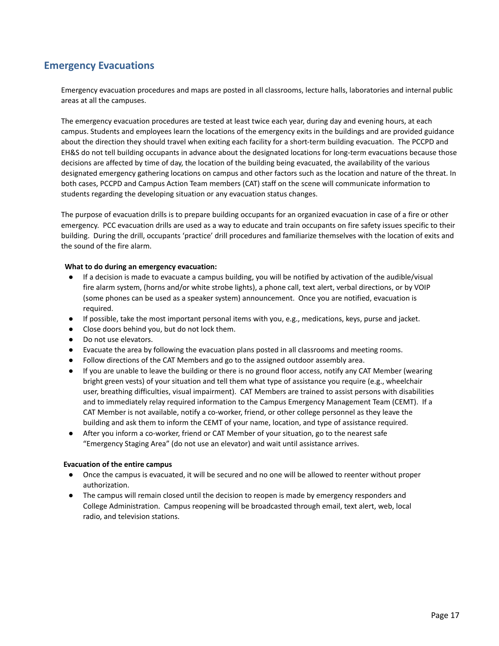# <span id="page-17-0"></span>**Emergency Evacuations**

Emergency evacuation procedures and maps are posted in all classrooms, lecture halls, laboratories and internal public areas at all the campuses.

The emergency evacuation procedures are tested at least twice each year, during day and evening hours, at each campus. Students and employees learn the locations of the emergency exits in the buildings and are provided guidance about the direction they should travel when exiting each facility for a short-term building evacuation. The PCCPD and EH&S do not tell building occupants in advance about the designated locations for long-term evacuations because those decisions are affected by time of day, the location of the building being evacuated, the availability of the various designated emergency gathering locations on campus and other factors such as the location and nature of the threat. In both cases, PCCPD and Campus Action Team members (CAT) staff on the scene will communicate information to students regarding the developing situation or any evacuation status changes.

The purpose of evacuation drills is to prepare building occupants for an organized evacuation in case of a fire or other emergency. PCC evacuation drills are used as a way to educate and train occupants on fire safety issues specific to their building. During the drill, occupants 'practice' drill procedures and familiarize themselves with the location of exits and the sound of the fire alarm.

### **What to do during an emergency evacuation:**

- If a decision is made to evacuate a campus building, you will be notified by activation of the audible/visual fire alarm system, (horns and/or white strobe lights), a phone call, text alert, verbal directions, or by VOIP (some phones can be used as a speaker system) announcement. Once you are notified, evacuation is required.
- If possible, take the most important personal items with you, e.g., medications, keys, purse and jacket.
- Close doors behind you, but do not lock them.
- Do not use elevators.
- Evacuate the area by following the evacuation plans posted in all classrooms and meeting rooms.
- Follow directions of the CAT Members and go to the assigned outdoor assembly area.
- If you are unable to leave the building or there is no ground floor access, notify any CAT Member (wearing bright green vests) of your situation and tell them what type of assistance you require (e.g., wheelchair user, breathing difficulties, visual impairment). CAT Members are trained to assist persons with disabilities and to immediately relay required information to the Campus Emergency Management Team (CEMT). If a CAT Member is not available, notify a co-worker, friend, or other college personnel as they leave the building and ask them to inform the CEMT of your name, location, and type of assistance required.
- After you inform a co-worker, friend or CAT Member of your situation, go to the nearest safe "Emergency Staging Area" (do not use an elevator) and wait until assistance arrives.

### <span id="page-17-1"></span>**Evacuation of the entire campus**

- Once the campus is evacuated, it will be secured and no one will be allowed to reenter without proper authorization.
- The campus will remain closed until the decision to reopen is made by emergency responders and College Administration. Campus reopening will be broadcasted through email, text alert, web, local radio, and television stations.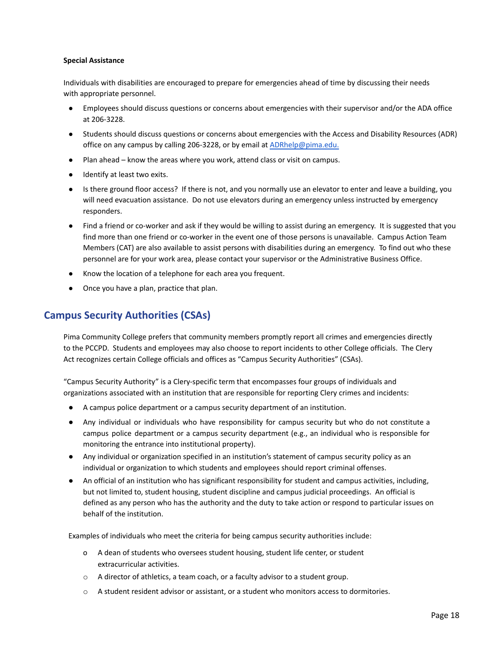### <span id="page-18-0"></span>**Special Assistance**

Individuals with disabilities are encouraged to prepare for emergencies ahead of time by discussing their needs with appropriate personnel.

- Employees should discuss questions or concerns about emergencies with their supervisor and/or the ADA office at 206-3228.
- Students should discuss questions or concerns about emergencies with the Access and Disability Resources (ADR) office on any campus by calling 206-3228, or by email at [ADRhelp@pima.edu.](mailto:ADRhelp@pima.edu)
- Plan ahead know the areas where you work, attend class or visit on campus.
- Identify at least two exits.
- Is there ground floor access? If there is not, and you normally use an elevator to enter and leave a building, you will need evacuation assistance. Do not use elevators during an emergency unless instructed by emergency responders.
- Find a friend or co-worker and ask if they would be willing to assist during an emergency. It is suggested that you find more than one friend or co-worker in the event one of those persons is unavailable. Campus Action Team Members (CAT) are also available to assist persons with disabilities during an emergency. To find out who these personnel are for your work area, please contact your supervisor or the Administrative Business Office.
- Know the location of a telephone for each area you frequent.
- Once you have a plan, practice that plan.

# <span id="page-18-1"></span>**Campus Security Authorities (CSAs)**

Pima Community College prefers that community members promptly report all crimes and emergencies directly to the PCCPD. Students and employees may also choose to report incidents to other College officials. The Clery Act recognizes certain College officials and offices as "Campus Security Authorities" (CSAs).

"Campus Security Authority" is a Clery-specific term that encompasses four groups of individuals and organizations associated with an institution that are responsible for reporting Clery crimes and incidents:

- A campus police department or a campus security department of an institution.
- Any individual or individuals who have responsibility for campus security but who do not constitute a campus police department or a campus security department (e.g., an individual who is responsible for monitoring the entrance into institutional property).
- Any individual or organization specified in an institution's statement of campus security policy as an individual or organization to which students and employees should report criminal offenses.
- An official of an institution who has significant responsibility for student and campus activities, including, but not limited to, student housing, student discipline and campus judicial proceedings. An official is defined as any person who has the authority and the duty to take action or respond to particular issues on behalf of the institution.

Examples of individuals who meet the criteria for being campus security authorities include:

- o A dean of students who oversees student housing, student life center, or student extracurricular activities.
- $\circ$  A director of athletics, a team coach, or a faculty advisor to a student group.
- o A student resident advisor or assistant, or a student who monitors access to dormitories.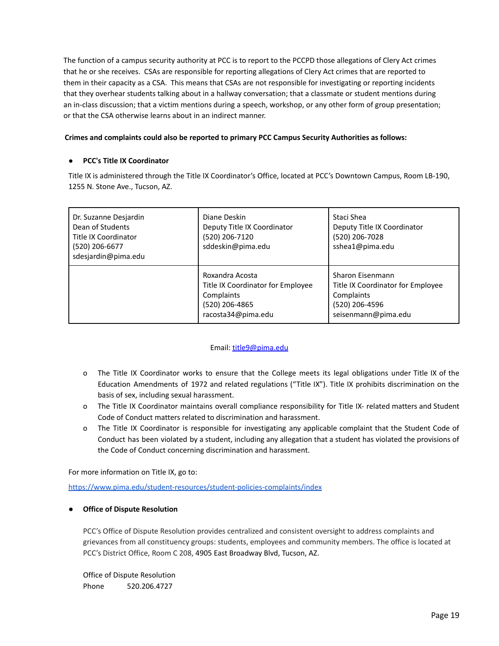The function of a campus security authority at PCC is to report to the PCCPD those allegations of Clery Act crimes that he or she receives. CSAs are responsible for reporting allegations of Clery Act crimes that are reported to them in their capacity as a CSA. This means that CSAs are not responsible for investigating or reporting incidents that they overhear students talking about in a hallway conversation; that a classmate or student mentions during an in-class discussion; that a victim mentions during a speech, workshop, or any other form of group presentation; or that the CSA otherwise learns about in an indirect manner.

### **Crimes and complaints could also be reported to primary PCC Campus Security Authorities as follows:**

### **● PCC's Title IX Coordinator**

Title IX is administered through the Title IX Coordinator's Office, located at PCC's Downtown Campus, Room LB-190, 1255 N. Stone Ave., Tucson, AZ.

| Diane Deskin<br>Dr. Suzanne Desjardin<br>Dean of Students<br>Deputy Title IX Coordinator<br>Title IX Coordinator<br>(520) 206-7120<br>sddeskin@pima.edu<br>(520) 206-6677<br>sdesjardin@pima.edu |                                                                                                            | Staci Shea<br>Deputy Title IX Coordinator<br>(520) 206-7028<br>sshea1@pima.edu                               |
|--------------------------------------------------------------------------------------------------------------------------------------------------------------------------------------------------|------------------------------------------------------------------------------------------------------------|--------------------------------------------------------------------------------------------------------------|
|                                                                                                                                                                                                  | Roxandra Acosta<br>Title IX Coordinator for Employee<br>Complaints<br>(520) 206-4865<br>racosta34@pima.edu | Sharon Eisenmann<br>Title IX Coordinator for Employee<br>Complaints<br>(520) 206-4596<br>seisenmann@pima.edu |

### Email: [title9@pima.edu](mailto:title9@pima.edu)

- o The Title IX Coordinator works to ensure that the College meets its legal obligations under Title IX of the Education Amendments of 1972 and related regulations ("Title IX"). Title IX prohibits discrimination on the basis of sex, including sexual harassment.
- o The Title IX Coordinator maintains overall compliance responsibility for Title IX- related matters and Student Code of Conduct matters related to discrimination and harassment.
- o The Title IX Coordinator is responsible for investigating any applicable complaint that the Student Code of Conduct has been violated by a student, including any allegation that a student has violated the provisions of the Code of Conduct concerning discrimination and harassment.

For more information on Title IX, go to:

<https://www.pima.edu/student-resources/student-policies-complaints/index>

### <span id="page-19-0"></span>**● Office of Dispute Resolution**

PCC's Office of Dispute Resolution provides centralized and consistent oversight to address complaints and grievances from all constituency groups: students, employees and community members. The office is located at PCC's District Office, Room C 208, 4905 East Broadway Blvd, Tucson, AZ.

Office of Dispute Resolution Phone 520.206.4727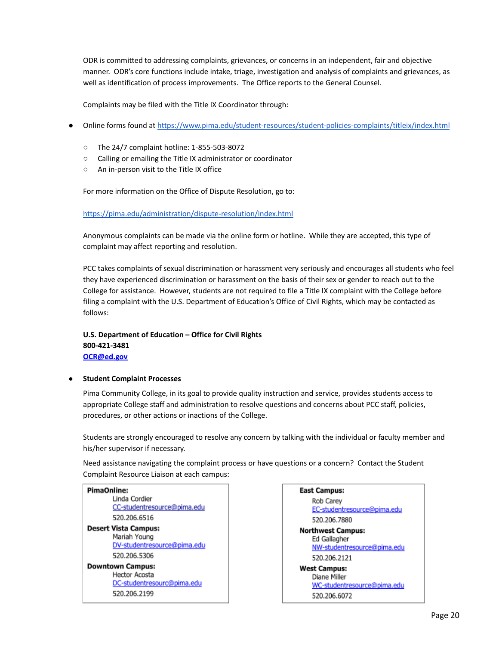ODR is committed to addressing complaints, grievances, or concerns in an independent, fair and objective manner. ODR's core functions include intake, triage, investigation and analysis of complaints and grievances, as well as identification of process improvements. The Office reports to the General Counsel.

Complaints may be filed with the Title IX Coordinator through:

- Online forms found at <https://www.pima.edu/student-resources/student-policies-complaints/titleix/index.html>
	- The 24/7 complaint hotline: 1-855-503-8072
	- Calling or emailing the Title IX administrator or coordinator
	- An in-person visit to the Title IX office

For more information on the Office of Dispute Resolution, go to:

<https://pima.edu/administration/dispute-resolution/index.html>

Anonymous complaints can be made via the online form or hotline. While they are accepted, this type of complaint may affect reporting and resolution.

PCC takes complaints of sexual discrimination or harassment very seriously and encourages all students who feel they have experienced discrimination or harassment on the basis of their sex or gender to reach out to the College for assistance. However, students are not required to file a Title IX complaint with the College before filing a complaint with the U.S. Department of Education's Office of Civil Rights, which may be contacted as follows:

### **U.S. Department of Education – Office for Civil Rights 800-421-3481 [OCR@ed.gov](mailto:OCR@ed.gov)**

### <span id="page-20-0"></span>**● Student Complaint Processes**

Pima Community College, in its goal to provide quality instruction and service, provides students access to appropriate College staff and administration to resolve questions and concerns about PCC staff, policies, procedures, or other actions or inactions of the College.

Students are strongly encouraged to resolve any concern by talking with the individual or faculty member and his/her supervisor if necessary.

Need assistance navigating the complaint process or have questions or a concern? Contact the Student Complaint Resource Liaison at each campus:



### **East Campus:** Rob Carev EC-studentresource@pima.edu 520.206.7880 **Northwest Campus:** Ed Gallagher NW-studentresource@pima.edu 520.206.2121 **West Campus:** Diane Miller WC-studentresource@pima.edu 520.206.6072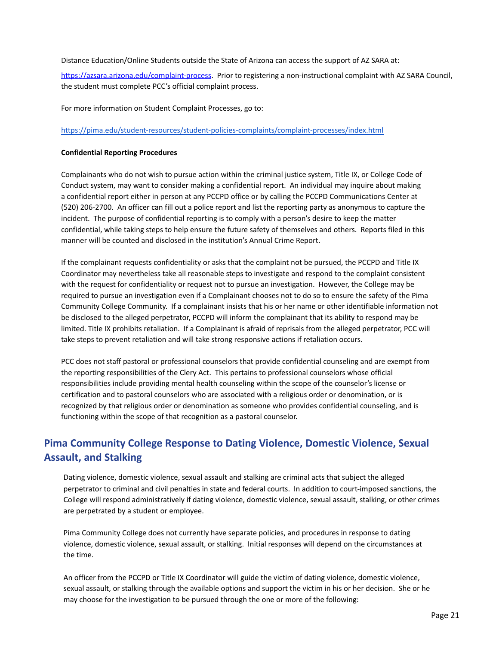Distance Education/Online Students outside the State of Arizona can access the support of AZ SARA at:

<https://azsara.arizona.edu/complaint-process>. Prior to registering a non-instructional complaint with AZ SARA Council, the student must complete PCC's official complaint process.

For more information on Student Complaint Processes, go to:

<https://pima.edu/student-resources/student-policies-complaints/complaint-processes/index.html>

### <span id="page-21-0"></span>**Confidential Reporting Procedures**

Complainants who do not wish to pursue action within the criminal justice system, Title IX, or College Code of Conduct system, may want to consider making a confidential report. An individual may inquire about making a confidential report either in person at any PCCPD office or by calling the PCCPD Communications Center at (520) 206-2700. An officer can fill out a police report and list the reporting party as anonymous to capture the incident. The purpose of confidential reporting is to comply with a person's desire to keep the matter confidential, while taking steps to help ensure the future safety of themselves and others. Reports filed in this manner will be counted and disclosed in the institution's Annual Crime Report.

If the complainant requests confidentiality or asks that the complaint not be pursued, the PCCPD and Title IX Coordinator may nevertheless take all reasonable steps to investigate and respond to the complaint consistent with the request for confidentiality or request not to pursue an investigation. However, the College may be required to pursue an investigation even if a Complainant chooses not to do so to ensure the safety of the Pima Community College Community. If a complainant insists that his or her name or other identifiable information not be disclosed to the alleged perpetrator, PCCPD will inform the complainant that its ability to respond may be limited. Title IX prohibits retaliation. If a Complainant is afraid of reprisals from the alleged perpetrator, PCC will take steps to prevent retaliation and will take strong responsive actions if retaliation occurs.

PCC does not staff pastoral or professional counselors that provide confidential counseling and are exempt from the reporting responsibilities of the Clery Act. This pertains to professional counselors whose official responsibilities include providing mental health counseling within the scope of the counselor's license or certification and to pastoral counselors who are associated with a religious order or denomination, or is recognized by that religious order or denomination as someone who provides confidential counseling, and is functioning within the scope of that recognition as a pastoral counselor.

# <span id="page-21-1"></span>**Pima Community College Response to Dating Violence, Domestic Violence, Sexual Assault, and Stalking**

Dating violence, domestic violence, sexual assault and stalking are criminal acts that subject the alleged perpetrator to criminal and civil penalties in state and federal courts. In addition to court-imposed sanctions, the College will respond administratively if dating violence, domestic violence, sexual assault, stalking, or other crimes are perpetrated by a student or employee.

Pima Community College does not currently have separate policies, and procedures in response to dating violence, domestic violence, sexual assault, or stalking. Initial responses will depend on the circumstances at the time.

An officer from the PCCPD or Title IX Coordinator will guide the victim of dating violence, domestic violence, sexual assault, or stalking through the available options and support the victim in his or her decision. She or he may choose for the investigation to be pursued through the one or more of the following: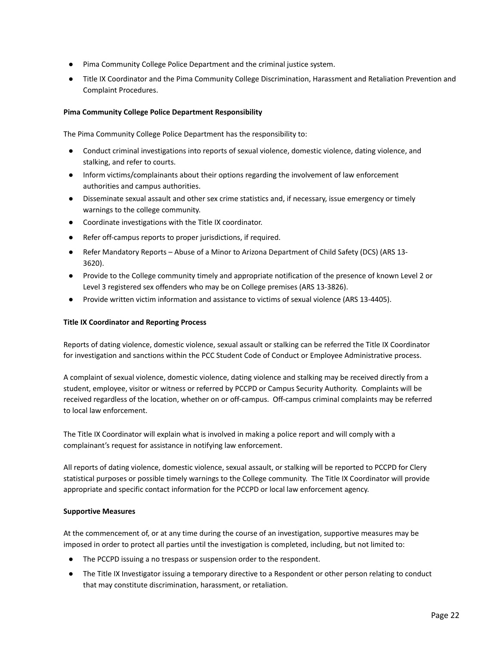- Pima Community College Police Department and the criminal justice system.
- Title IX Coordinator and the Pima Community College Discrimination, Harassment and Retaliation Prevention and Complaint Procedures.

### <span id="page-22-0"></span>**Pima Community College Police Department Responsibility**

The Pima Community College Police Department has the responsibility to:

- Conduct criminal investigations into reports of sexual violence, domestic violence, dating violence, and stalking, and refer to courts.
- Inform victims/complainants about their options regarding the involvement of law enforcement authorities and campus authorities.
- Disseminate sexual assault and other sex crime statistics and, if necessary, issue emergency or timely warnings to the college community.
- Coordinate investigations with the Title IX coordinator.
- Refer off-campus reports to proper jurisdictions, if required.
- Refer Mandatory Reports Abuse of a Minor to Arizona Department of Child Safety (DCS) (ARS 13-3620).
- Provide to the College community timely and appropriate notification of the presence of known Level 2 or Level 3 registered sex offenders who may be on College premises (ARS 13-3826).
- Provide written victim information and assistance to victims of sexual violence (ARS 13-4405).

### <span id="page-22-1"></span>**Title IX Coordinator and Reporting Process**

Reports of dating violence, domestic violence, sexual assault or stalking can be referred the Title IX Coordinator for investigation and sanctions within the PCC Student Code of Conduct or Employee Administrative process.

A complaint of sexual violence, domestic violence, dating violence and stalking may be received directly from a student, employee, visitor or witness or referred by PCCPD or Campus Security Authority. Complaints will be received regardless of the location, whether on or off-campus. Off-campus criminal complaints may be referred to local law enforcement.

The Title IX Coordinator will explain what is involved in making a police report and will comply with a complainant's request for assistance in notifying law enforcement.

All reports of dating violence, domestic violence, sexual assault, or stalking will be reported to PCCPD for Clery statistical purposes or possible timely warnings to the College community. The Title IX Coordinator will provide appropriate and specific contact information for the PCCPD or local law enforcement agency.

### <span id="page-22-2"></span>**Supportive Measures**

At the commencement of, or at any time during the course of an investigation, supportive measures may be imposed in order to protect all parties until the investigation is completed, including, but not limited to:

- The PCCPD issuing a no trespass or suspension order to the respondent.
- The Title IX Investigator issuing a temporary directive to a Respondent or other person relating to conduct that may constitute discrimination, harassment, or retaliation.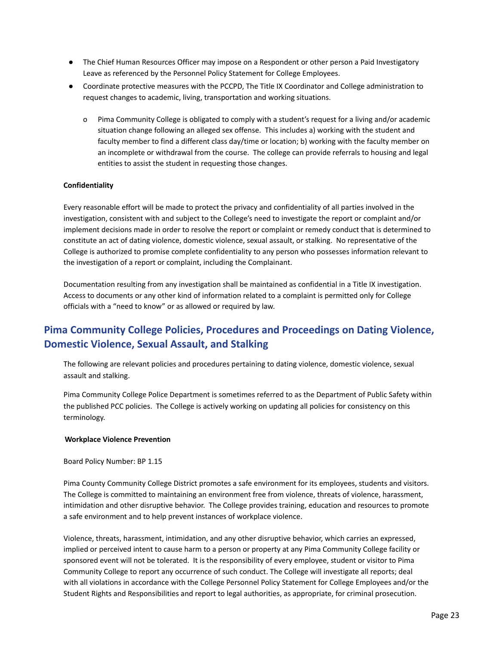- The Chief Human Resources Officer may impose on a Respondent or other person a Paid Investigatory Leave as referenced by the Personnel Policy Statement for College Employees.
- Coordinate protective measures with the PCCPD, The Title IX Coordinator and College administration to request changes to academic, living, transportation and working situations.
	- o Pima Community College is obligated to comply with a student's request for a living and/or academic situation change following an alleged sex offense. This includes a) working with the student and faculty member to find a different class day/time or location; b) working with the faculty member on an incomplete or withdrawal from the course. The college can provide referrals to housing and legal entities to assist the student in requesting those changes.

### <span id="page-23-0"></span>**Confidentiality**

Every reasonable effort will be made to protect the privacy and confidentiality of all parties involved in the investigation, consistent with and subject to the College's need to investigate the report or complaint and/or implement decisions made in order to resolve the report or complaint or remedy conduct that is determined to constitute an act of dating violence, domestic violence, sexual assault, or stalking. No representative of the College is authorized to promise complete confidentiality to any person who possesses information relevant to the investigation of a report or complaint, including the Complainant.

Documentation resulting from any investigation shall be maintained as confidential in a Title IX investigation. Access to documents or any other kind of information related to a complaint is permitted only for College officials with a "need to know" or as allowed or required by law.

# <span id="page-23-1"></span>**Pima Community College Policies, Procedures and Proceedings on Dating Violence, Domestic Violence, Sexual Assault, and Stalking**

The following are relevant policies and procedures pertaining to dating violence, domestic violence, sexual assault and stalking.

Pima Community College Police Department is sometimes referred to as the Department of Public Safety within the published PCC policies. The College is actively working on updating all policies for consistency on this terminology.

### <span id="page-23-2"></span>**Workplace Violence Prevention**

Board Policy Number: BP 1.15

Pima County Community College District promotes a safe environment for its employees, students and visitors. The College is committed to maintaining an environment free from violence, threats of violence, harassment, intimidation and other disruptive behavior. The College provides training, education and resources to promote a safe environment and to help prevent instances of workplace violence.

Violence, threats, harassment, intimidation, and any other disruptive behavior, which carries an expressed, implied or perceived intent to cause harm to a person or property at any Pima Community College facility or sponsored event will not be tolerated. It is the responsibility of every employee, student or visitor to Pima Community College to report any occurrence of such conduct. The College will investigate all reports; deal with all violations in accordance with the College Personnel Policy Statement for College Employees and/or the Student Rights and Responsibilities and report to legal authorities, as appropriate, for criminal prosecution.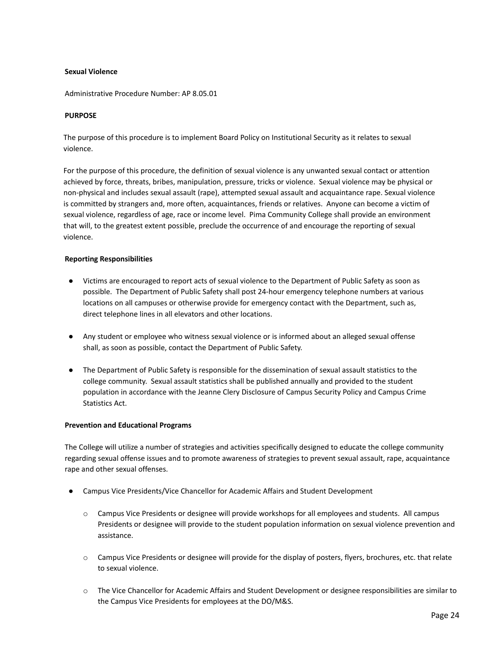### <span id="page-24-0"></span>**Sexual Violence**

Administrative Procedure Number: AP 8.05.01

### **PURPOSE**

The purpose of this procedure is to implement Board Policy on Institutional Security as it relates to sexual violence.

For the purpose of this procedure, the definition of sexual violence is any unwanted sexual contact or attention achieved by force, threats, bribes, manipulation, pressure, tricks or violence. Sexual violence may be physical or non-physical and includes sexual assault (rape), attempted sexual assault and acquaintance rape. Sexual violence is committed by strangers and, more often, acquaintances, friends or relatives. Anyone can become a victim of sexual violence, regardless of age, race or income level. Pima Community College shall provide an environment that will, to the greatest extent possible, preclude the occurrence of and encourage the reporting of sexual violence.

### <span id="page-24-1"></span>**Reporting Responsibilities**

- Victims are encouraged to report acts of sexual violence to the Department of Public Safety as soon as possible. The Department of Public Safety shall post 24-hour emergency telephone numbers at various locations on all campuses or otherwise provide for emergency contact with the Department, such as, direct telephone lines in all elevators and other locations.
- Any student or employee who witness sexual violence or is informed about an alleged sexual offense shall, as soon as possible, contact the Department of Public Safety.
- The Department of Public Safety is responsible for the dissemination of sexual assault statistics to the college community. Sexual assault statistics shall be published annually and provided to the student population in accordance with the Jeanne Clery Disclosure of Campus Security Policy and Campus Crime Statistics Act.

### <span id="page-24-2"></span>**Prevention and Educational Programs**

The College will utilize a number of strategies and activities specifically designed to educate the college community regarding sexual offense issues and to promote awareness of strategies to prevent sexual assault, rape, acquaintance rape and other sexual offenses.

- Campus Vice Presidents/Vice Chancellor for Academic Affairs and Student Development
	- o Campus Vice Presidents or designee will provide workshops for all employees and students. All campus Presidents or designee will provide to the student population information on sexual violence prevention and assistance.
	- $\circ$  Campus Vice Presidents or designee will provide for the display of posters, flyers, brochures, etc. that relate to sexual violence.
	- o The Vice Chancellor for Academic Affairs and Student Development or designee responsibilities are similar to the Campus Vice Presidents for employees at the DO/M&S.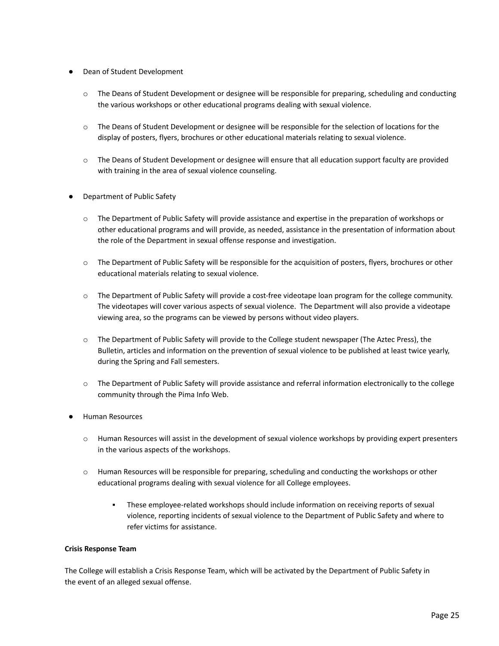- Dean of Student Development
	- o The Deans of Student Development or designee will be responsible for preparing, scheduling and conducting the various workshops or other educational programs dealing with sexual violence.
	- o The Deans of Student Development or designee will be responsible for the selection of locations for the display of posters, flyers, brochures or other educational materials relating to sexual violence.
	- o The Deans of Student Development or designee will ensure that all education support faculty are provided with training in the area of sexual violence counseling.
- Department of Public Safety
	- o The Department of Public Safety will provide assistance and expertise in the preparation of workshops or other educational programs and will provide, as needed, assistance in the presentation of information about the role of the Department in sexual offense response and investigation.
	- o The Department of Public Safety will be responsible for the acquisition of posters, flyers, brochures or other educational materials relating to sexual violence.
	- o The Department of Public Safety will provide a cost-free videotape loan program for the college community. The videotapes will cover various aspects of sexual violence. The Department will also provide a videotape viewing area, so the programs can be viewed by persons without video players.
	- o The Department of Public Safety will provide to the College student newspaper (The Aztec Press), the Bulletin, articles and information on the prevention of sexual violence to be published at least twice yearly, during the Spring and Fall semesters.
	- $\circ$  The Department of Public Safety will provide assistance and referral information electronically to the college community through the Pima Info Web.
- **Human Resources** 
	- o Human Resources will assist in the development of sexual violence workshops by providing expert presenters in the various aspects of the workshops.
	- o Human Resources will be responsible for preparing, scheduling and conducting the workshops or other educational programs dealing with sexual violence for all College employees.
		- These employee-related workshops should include information on receiving reports of sexual violence, reporting incidents of sexual violence to the Department of Public Safety and where to refer victims for assistance.

### <span id="page-25-0"></span>**Crisis Response Team**

The College will establish a Crisis Response Team, which will be activated by the Department of Public Safety in the event of an alleged sexual offense.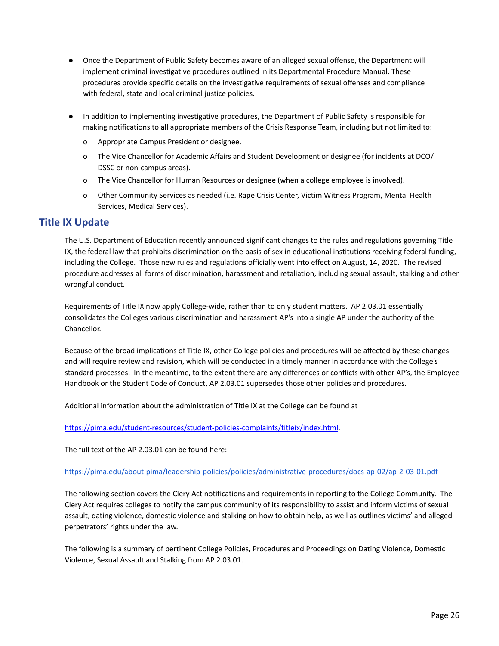- Once the Department of Public Safety becomes aware of an alleged sexual offense, the Department will implement criminal investigative procedures outlined in its Departmental Procedure Manual. These procedures provide specific details on the investigative requirements of sexual offenses and compliance with federal, state and local criminal justice policies.
- In addition to implementing investigative procedures, the Department of Public Safety is responsible for making notifications to all appropriate members of the Crisis Response Team, including but not limited to:
	- o Appropriate Campus President or designee.
	- o The Vice Chancellor for Academic Affairs and Student Development or designee (for incidents at DCO/ DSSC or non-campus areas).
	- o The Vice Chancellor for Human Resources or designee (when a college employee is involved).
	- o Other Community Services as needed (i.e. Rape Crisis Center, Victim Witness Program, Mental Health Services, Medical Services).

# <span id="page-26-0"></span>**Title IX Update**

The U.S. Department of Education recently announced significant changes to the rules and regulations governing Title IX, the federal law that prohibits discrimination on the basis of sex in educational institutions receiving federal funding, including the College. Those new rules and regulations officially went into effect on August, 14, 2020. The revised procedure addresses all forms of discrimination, harassment and retaliation, including sexual assault, stalking and other wrongful conduct.

Requirements of Title IX now apply College-wide, rather than to only student matters. AP 2.03.01 essentially consolidates the Colleges various discrimination and harassment AP's into a single AP under the authority of the Chancellor.

Because of the broad implications of Title IX, other College policies and procedures will be affected by these changes and will require review and revision, which will be conducted in a timely manner in accordance with the College's standard processes. In the meantime, to the extent there are any differences or conflicts with other AP's, the Employee Handbook or the Student Code of Conduct, AP 2.03.01 supersedes those other policies and procedures.

Additional information about the administration of Title IX at the College can be found at

<https://pima.edu/student-resources/student-policies-complaints/titleix/index.html>.

The full text of the AP 2.03.01 can be found here:

<https://pima.edu/about-pima/leadership-policies/policies/administrative-procedures/docs-ap-02/ap-2-03-01.pdf>

The following section covers the Clery Act notifications and requirements in reporting to the College Community. The Clery Act requires colleges to notify the campus community of its responsibility to assist and inform victims of sexual assault, dating violence, domestic violence and stalking on how to obtain help, as well as outlines victims' and alleged perpetrators' rights under the law.

The following is a summary of pertinent College Policies, Procedures and Proceedings on Dating Violence, Domestic Violence, Sexual Assault and Stalking from AP 2.03.01.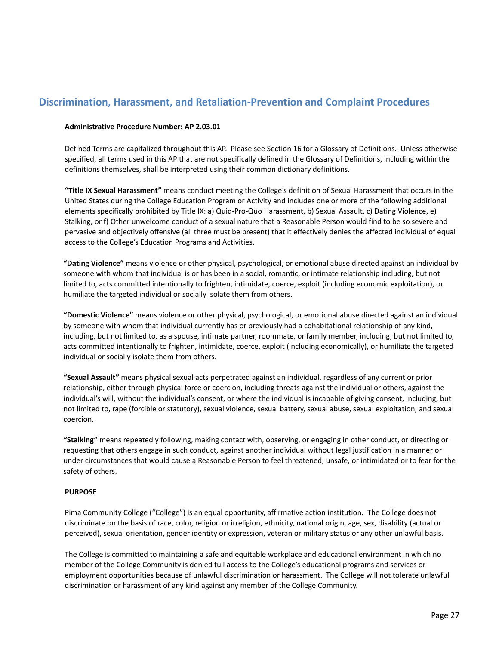# <span id="page-27-1"></span><span id="page-27-0"></span>**Discrimination, Harassment, and Retaliation-Prevention and Complaint Procedures**

### **Administrative Procedure Number: AP 2.03.01**

Defined Terms are capitalized throughout this AP. Please see Section 16 for a Glossary of Definitions. Unless otherwise specified, all terms used in this AP that are not specifically defined in the Glossary of Definitions, including within the definitions themselves, shall be interpreted using their common dictionary definitions.

**"Title IX Sexual Harassment"** means conduct meeting the College's definition of Sexual Harassment that occurs in the United States during the College Education Program or Activity and includes one or more of the following additional elements specifically prohibited by Title IX: a) Quid-Pro-Quo Harassment, b) Sexual Assault, c) Dating Violence, e) Stalking, or f) Other unwelcome conduct of a sexual nature that a Reasonable Person would find to be so severe and pervasive and objectively offensive (all three must be present) that it effectively denies the affected individual of equal access to the College's Education Programs and Activities.

**"Dating Violence"** means violence or other physical, psychological, or emotional abuse directed against an individual by someone with whom that individual is or has been in a social, romantic, or intimate relationship including, but not limited to, acts committed intentionally to frighten, intimidate, coerce, exploit (including economic exploitation), or humiliate the targeted individual or socially isolate them from others.

**"Domestic Violence"** means violence or other physical, psychological, or emotional abuse directed against an individual by someone with whom that individual currently has or previously had a cohabitational relationship of any kind, including, but not limited to, as a spouse, intimate partner, roommate, or family member, including, but not limited to, acts committed intentionally to frighten, intimidate, coerce, exploit (including economically), or humiliate the targeted individual or socially isolate them from others.

**"Sexual Assault"** means physical sexual acts perpetrated against an individual, regardless of any current or prior relationship, either through physical force or coercion, including threats against the individual or others, against the individual's will, without the individual's consent, or where the individual is incapable of giving consent, including, but not limited to, rape (forcible or statutory), sexual violence, sexual battery, sexual abuse, sexual exploitation, and sexual coercion.

**"Stalking"** means repeatedly following, making contact with, observing, or engaging in other conduct, or directing or requesting that others engage in such conduct, against another individual without legal justification in a manner or under circumstances that would cause a Reasonable Person to feel threatened, unsafe, or intimidated or to fear for the safety of others.

### **PURPOSE**

Pima Community College ("College") is an equal opportunity, affirmative action institution. The College does not discriminate on the basis of race, color, religion or irreligion, ethnicity, national origin, age, sex, disability (actual or perceived), sexual orientation, gender identity or expression, veteran or military status or any other unlawful basis.

The College is committed to maintaining a safe and equitable workplace and educational environment in which no member of the College Community is denied full access to the College's educational programs and services or employment opportunities because of unlawful discrimination or harassment. The College will not tolerate unlawful discrimination or harassment of any kind against any member of the College Community.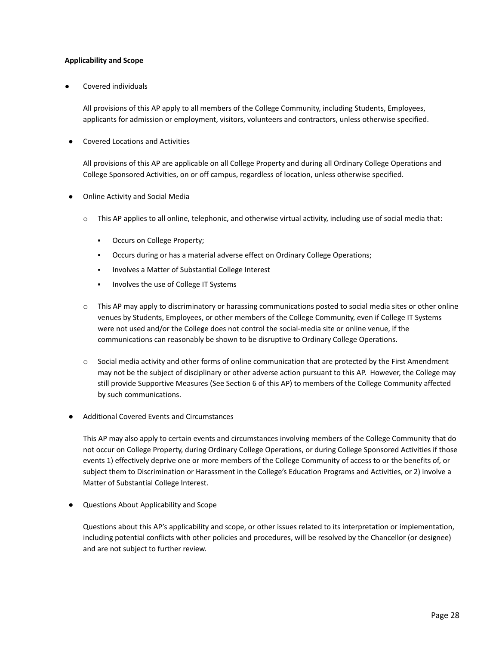### <span id="page-28-0"></span>**Applicability and Scope**

Covered individuals

All provisions of this AP apply to all members of the College Community, including Students, Employees, applicants for admission or employment, visitors, volunteers and contractors, unless otherwise specified.

● Covered Locations and Activities

All provisions of this AP are applicable on all College Property and during all Ordinary College Operations and College Sponsored Activities, on or off campus, regardless of location, unless otherwise specified.

- **Online Activity and Social Media** 
	- $\circ$  This AP applies to all online, telephonic, and otherwise virtual activity, including use of social media that:
		- Occurs on College Property;
		- Occurs during or has a material adverse effect on Ordinary College Operations;
		- Involves a Matter of Substantial College Interest
		- Involves the use of College IT Systems
	- $\circ$  This AP may apply to discriminatory or harassing communications posted to social media sites or other online venues by Students, Employees, or other members of the College Community, even if College IT Systems were not used and/or the College does not control the social-media site or online venue, if the communications can reasonably be shown to be disruptive to Ordinary College Operations.
	- $\circ$  Social media activity and other forms of online communication that are protected by the First Amendment may not be the subject of disciplinary or other adverse action pursuant to this AP. However, the College may still provide Supportive Measures (See Section 6 of this AP) to members of the College Community affected by such communications.
- Additional Covered Events and Circumstances

This AP may also apply to certain events and circumstances involving members of the College Community that do not occur on College Property, during Ordinary College Operations, or during College Sponsored Activities if those events 1) effectively deprive one or more members of the College Community of access to or the benefits of, or subject them to Discrimination or Harassment in the College's Education Programs and Activities, or 2) involve a Matter of Substantial College Interest.

Questions About Applicability and Scope

Questions about this AP's applicability and scope, or other issues related to its interpretation or implementation, including potential conflicts with other policies and procedures, will be resolved by the Chancellor (or designee) and are not subject to further review.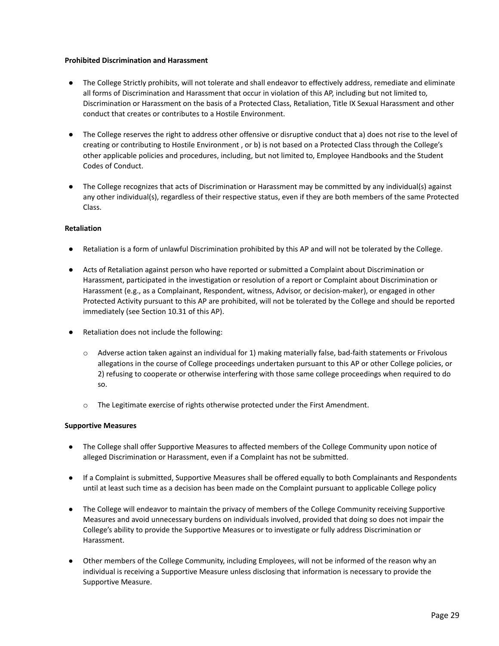### <span id="page-29-0"></span>**Prohibited Discrimination and Harassment**

- The College Strictly prohibits, will not tolerate and shall endeavor to effectively address, remediate and eliminate all forms of Discrimination and Harassment that occur in violation of this AP, including but not limited to, Discrimination or Harassment on the basis of a Protected Class, Retaliation, Title IX Sexual Harassment and other conduct that creates or contributes to a Hostile Environment.
- The College reserves the right to address other offensive or disruptive conduct that a) does not rise to the level of creating or contributing to Hostile Environment , or b) is not based on a Protected Class through the College's other applicable policies and procedures, including, but not limited to, Employee Handbooks and the Student Codes of Conduct.
- The College recognizes that acts of Discrimination or Harassment may be committed by any individual(s) against any other individual(s), regardless of their respective status, even if they are both members of the same Protected Class.

### <span id="page-29-1"></span>**Retaliation**

- Retaliation is a form of unlawful Discrimination prohibited by this AP and will not be tolerated by the College.
- Acts of Retaliation against person who have reported or submitted a Complaint about Discrimination or Harassment, participated in the investigation or resolution of a report or Complaint about Discrimination or Harassment (e.g., as a Complainant, Respondent, witness, Advisor, or decision-maker), or engaged in other Protected Activity pursuant to this AP are prohibited, will not be tolerated by the College and should be reported immediately (see Section 10.31 of this AP).
- Retaliation does not include the following:
	- $\circ$  Adverse action taken against an individual for 1) making materially false, bad-faith statements or Frivolous allegations in the course of College proceedings undertaken pursuant to this AP or other College policies, or 2) refusing to cooperate or otherwise interfering with those same college proceedings when required to do so.
	- o The Legitimate exercise of rights otherwise protected under the First Amendment.

### <span id="page-29-2"></span>**Supportive Measures**

- The College shall offer Supportive Measures to affected members of the College Community upon notice of alleged Discrimination or Harassment, even if a Complaint has not be submitted.
- If a Complaint is submitted, Supportive Measures shall be offered equally to both Complainants and Respondents until at least such time as a decision has been made on the Complaint pursuant to applicable College policy
- The College will endeavor to maintain the privacy of members of the College Community receiving Supportive Measures and avoid unnecessary burdens on individuals involved, provided that doing so does not impair the College's ability to provide the Supportive Measures or to investigate or fully address Discrimination or Harassment.
- Other members of the College Community, including Employees, will not be informed of the reason why an individual is receiving a Supportive Measure unless disclosing that information is necessary to provide the Supportive Measure.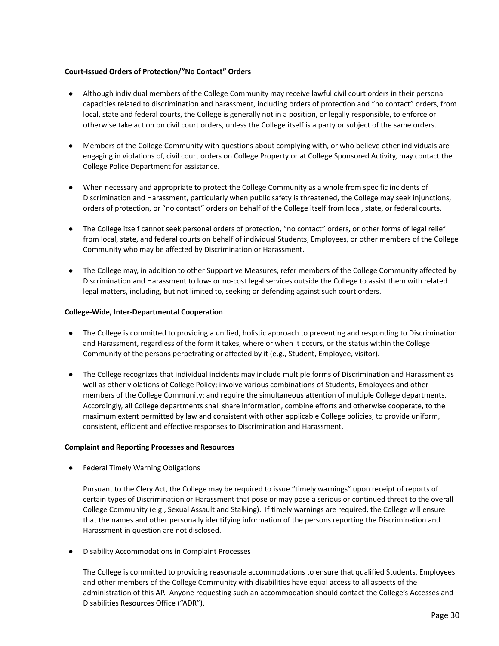### <span id="page-30-0"></span>**Court-Issued Orders of Protection/"No Contact" Orders**

- Although individual members of the College Community may receive lawful civil court orders in their personal capacities related to discrimination and harassment, including orders of protection and "no contact" orders, from local, state and federal courts, the College is generally not in a position, or legally responsible, to enforce or otherwise take action on civil court orders, unless the College itself is a party or subject of the same orders.
- Members of the College Community with questions about complying with, or who believe other individuals are engaging in violations of, civil court orders on College Property or at College Sponsored Activity, may contact the College Police Department for assistance.
- When necessary and appropriate to protect the College Community as a whole from specific incidents of Discrimination and Harassment, particularly when public safety is threatened, the College may seek injunctions, orders of protection, or "no contact" orders on behalf of the College itself from local, state, or federal courts.
- The College itself cannot seek personal orders of protection, "no contact" orders, or other forms of legal relief from local, state, and federal courts on behalf of individual Students, Employees, or other members of the College Community who may be affected by Discrimination or Harassment.
- The College may, in addition to other Supportive Measures, refer members of the College Community affected by Discrimination and Harassment to low- or no-cost legal services outside the College to assist them with related legal matters, including, but not limited to, seeking or defending against such court orders.

### <span id="page-30-1"></span>**College-Wide, Inter-Departmental Cooperation**

- The College is committed to providing a unified, holistic approach to preventing and responding to Discrimination and Harassment, regardless of the form it takes, where or when it occurs, or the status within the College Community of the persons perpetrating or affected by it (e.g., Student, Employee, visitor).
- The College recognizes that individual incidents may include multiple forms of Discrimination and Harassment as well as other violations of College Policy; involve various combinations of Students, Employees and other members of the College Community; and require the simultaneous attention of multiple College departments. Accordingly, all College departments shall share information, combine efforts and otherwise cooperate, to the maximum extent permitted by law and consistent with other applicable College policies, to provide uniform, consistent, efficient and effective responses to Discrimination and Harassment.

### <span id="page-30-2"></span>**Complaint and Reporting Processes and Resources**

**Federal Timely Warning Obligations** 

Pursuant to the Clery Act, the College may be required to issue "timely warnings" upon receipt of reports of certain types of Discrimination or Harassment that pose or may pose a serious or continued threat to the overall College Community (e.g., Sexual Assault and Stalking). If timely warnings are required, the College will ensure that the names and other personally identifying information of the persons reporting the Discrimination and Harassment in question are not disclosed.

**Disability Accommodations in Complaint Processes** 

The College is committed to providing reasonable accommodations to ensure that qualified Students, Employees and other members of the College Community with disabilities have equal access to all aspects of the administration of this AP. Anyone requesting such an accommodation should contact the College's Accesses and Disabilities Resources Office ("ADR").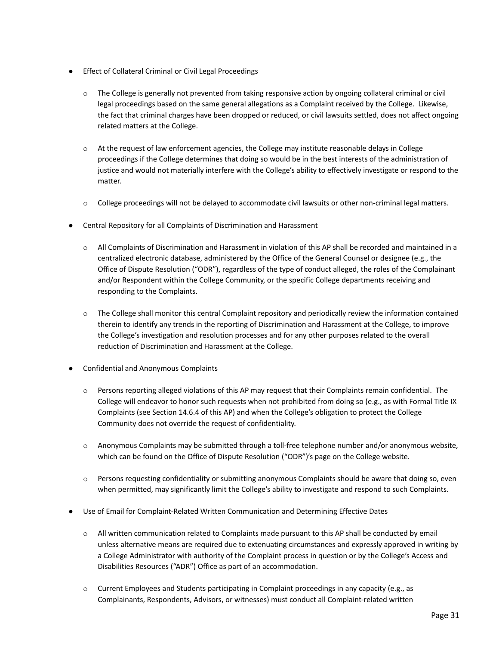- **Effect of Collateral Criminal or Civil Legal Proceedings** 
	- $\circ$  The College is generally not prevented from taking responsive action by ongoing collateral criminal or civil legal proceedings based on the same general allegations as a Complaint received by the College. Likewise, the fact that criminal charges have been dropped or reduced, or civil lawsuits settled, does not affect ongoing related matters at the College.
	- $\circ$  At the request of law enforcement agencies, the College may institute reasonable delays in College proceedings if the College determines that doing so would be in the best interests of the administration of justice and would not materially interfere with the College's ability to effectively investigate or respond to the matter.
	- $\circ$  College proceedings will not be delayed to accommodate civil lawsuits or other non-criminal legal matters.
- Central Repository for all Complaints of Discrimination and Harassment
	- $\circ$  All Complaints of Discrimination and Harassment in violation of this AP shall be recorded and maintained in a centralized electronic database, administered by the Office of the General Counsel or designee (e.g., the Office of Dispute Resolution ("ODR"), regardless of the type of conduct alleged, the roles of the Complainant and/or Respondent within the College Community, or the specific College departments receiving and responding to the Complaints.
	- $\circ$  The College shall monitor this central Complaint repository and periodically review the information contained therein to identify any trends in the reporting of Discrimination and Harassment at the College, to improve the College's investigation and resolution processes and for any other purposes related to the overall reduction of Discrimination and Harassment at the College.
- Confidential and Anonymous Complaints
	- $\circ$  Persons reporting alleged violations of this AP may request that their Complaints remain confidential. The College will endeavor to honor such requests when not prohibited from doing so (e.g., as with Formal Title IX Complaints (see Section 14.6.4 of this AP) and when the College's obligation to protect the College Community does not override the request of confidentiality.
	- $\circ$  Anonymous Complaints may be submitted through a toll-free telephone number and/or anonymous website, which can be found on the Office of Dispute Resolution ("ODR")'s page on the College website.
	- $\circ$  Persons requesting confidentiality or submitting anonymous Complaints should be aware that doing so, even when permitted, may significantly limit the College's ability to investigate and respond to such Complaints.
- Use of Email for Complaint-Related Written Communication and Determining Effective Dates
	- o All written communication related to Complaints made pursuant to this AP shall be conducted by email unless alternative means are required due to extenuating circumstances and expressly approved in writing by a College Administrator with authority of the Complaint process in question or by the College's Access and Disabilities Resources ("ADR") Office as part of an accommodation.
	- $\circ$  Current Employees and Students participating in Complaint proceedings in any capacity (e.g., as Complainants, Respondents, Advisors, or witnesses) must conduct all Complaint-related written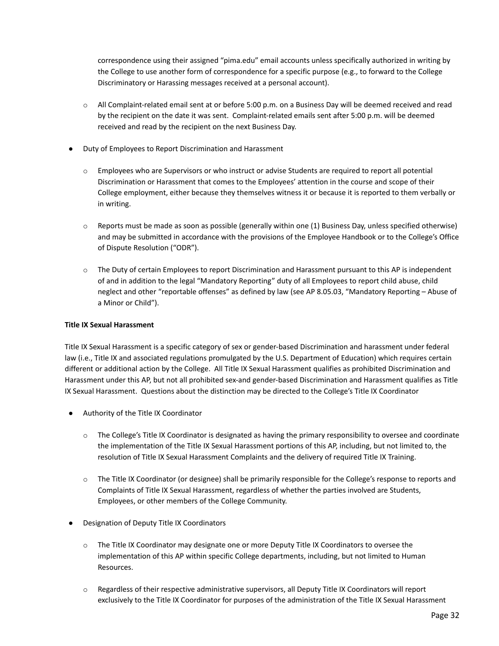correspondence using their assigned "pima.edu" email accounts unless specifically authorized in writing by the College to use another form of correspondence for a specific purpose (e.g., to forward to the College Discriminatory or Harassing messages received at a personal account).

- o All Complaint-related email sent at or before 5:00 p.m. on a Business Day will be deemed received and read by the recipient on the date it was sent. Complaint-related emails sent after 5:00 p.m. will be deemed received and read by the recipient on the next Business Day.
- Duty of Employees to Report Discrimination and Harassment
	- o Employees who are Supervisors or who instruct or advise Students are required to report all potential Discrimination or Harassment that comes to the Employees' attention in the course and scope of their College employment, either because they themselves witness it or because it is reported to them verbally or in writing.
	- $\circ$  Reports must be made as soon as possible (generally within one (1) Business Day, unless specified otherwise) and may be submitted in accordance with the provisions of the Employee Handbook or to the College's Office of Dispute Resolution ("ODR").
	- o The Duty of certain Employees to report Discrimination and Harassment pursuant to this AP is independent of and in addition to the legal "Mandatory Reporting" duty of all Employees to report child abuse, child neglect and other "reportable offenses" as defined by law (see AP 8.05.03, "Mandatory Reporting – Abuse of a Minor or Child").

### <span id="page-32-0"></span>**Title IX Sexual Harassment**

Title IX Sexual Harassment is a specific category of sex or gender-based Discrimination and harassment under federal law (i.e., Title IX and associated regulations promulgated by the U.S. Department of Education) which requires certain different or additional action by the College. All Title IX Sexual Harassment qualifies as prohibited Discrimination and Harassment under this AP, but not all prohibited sex-and gender-based Discrimination and Harassment qualifies as Title IX Sexual Harassment. Questions about the distinction may be directed to the College's Title IX Coordinator

- Authority of the Title IX Coordinator
	- $\circ$  The College's Title IX Coordinator is designated as having the primary responsibility to oversee and coordinate the implementation of the Title IX Sexual Harassment portions of this AP, including, but not limited to, the resolution of Title IX Sexual Harassment Complaints and the delivery of required Title IX Training.
	- o The Title IX Coordinator (or designee) shall be primarily responsible for the College's response to reports and Complaints of Title IX Sexual Harassment, regardless of whether the parties involved are Students, Employees, or other members of the College Community.
- **Designation of Deputy Title IX Coordinators** 
	- o The Title IX Coordinator may designate one or more Deputy Title IX Coordinators to oversee the implementation of this AP within specific College departments, including, but not limited to Human Resources.
	- o Regardless of their respective administrative supervisors, all Deputy Title IX Coordinators will report exclusively to the Title IX Coordinator for purposes of the administration of the Title IX Sexual Harassment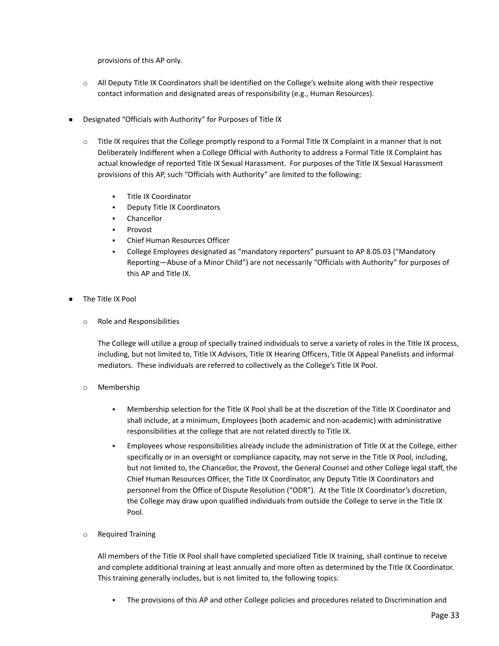provisions of this AP only.

- $\circ$  All Deputy Title IX Coordinators shall be identified on the College's website along with their respective contact information and designated areas of responsibility (e.g., Human Resources).
- Designated "Officials with Authority" for Purposes of Title IX
	- $\circ$  Title IX requires that the College promptly respond to a Formal Title IX Complaint in a manner that is not Deliberately Indifferent when a College Official with Authority to address a Formal Title IX Complaint has actual knowledge of reported Title IX Sexual Harassment. For purposes of the Title IX Sexual Harassment provisions of this AP, such "Officials with Authority" are limited to the following:
		- **Title IX Coordinator**
		- **Deputy Title IX Coordinators**
		- Chancellor
		- **Provost**
		- Chief Human Resources Officer
		- College Employees designated as "mandatory reporters" pursuant to AP 8.05.03 ("Mandatory Reporting—Abuse of a Minor Child") are not necessarily "Officials with Authority" for purposes of this AP and Title IX.
- The Title IX Pool
	- o Role and Responsibilities

The College will utilize a group of specially trained individuals to serve a variety of roles in the Title IX process, including, but not limited to, Title IX Advisors, Title IX Hearing Officers, Title IX Appeal Panelists and informal mediators. These individuals are referred to collectively as the College's Title IX Pool.

- o Membership
	- Membership selection for the Title IX Pool shall be at the discretion of the Title IX Coordinator and shall include, at a minimum, Employees (both academic and non-academic) with administrative responsibilities at the college that are not related directly to Title IX.
	- Employees whose responsibilities already include the administration of Title IX at the College, either specifically or in an oversight or compliance capacity, may not serve in the Title IX Pool, including, but not limited to, the Chancellor, the Provost, the General Counsel and other College legal staff, the Chief Human Resources Officer, the Title IX Coordinator, any Deputy Title IX Coordinators and personnel from the Office of Dispute Resolution ("ODR"). At the Title IX Coordinator's discretion, the College may draw upon qualified individuals from outside the College to serve in the Title IX Pool.
- o Required Training

All members of the Title IX Pool shall have completed specialized Title IX training, shall continue to receive and complete additional training at least annually and more often as determined by the Title IX Coordinator. This training generally includes, but is not limited to, the following topics:

The provisions of this AP and other College policies and procedures related to Discrimination and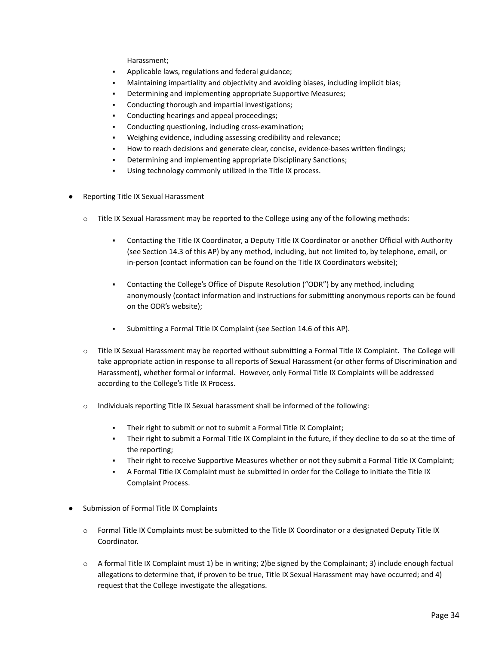Harassment;

- Applicable laws, regulations and federal guidance;
- Maintaining impartiality and objectivity and avoiding biases, including implicit bias;
- Determining and implementing appropriate Supportive Measures;
- Conducting thorough and impartial investigations;
- Conducting hearings and appeal proceedings;
- Conducting questioning, including cross-examination;
- Weighing evidence, including assessing credibility and relevance;
- How to reach decisions and generate clear, concise, evidence-bases written findings;
- Determining and implementing appropriate Disciplinary Sanctions;
- Using technology commonly utilized in the Title IX process.
- Reporting Title IX Sexual Harassment
	- $\circ$  Title IX Sexual Harassment may be reported to the College using any of the following methods:
		- Contacting the Title IX Coordinator, a Deputy Title IX Coordinator or another Official with Authority (see Section 14.3 of this AP) by any method, including, but not limited to, by telephone, email, or in-person (contact information can be found on the Title IX Coordinators website);
		- Contacting the College's Office of Dispute Resolution ("ODR") by any method, including anonymously (contact information and instructions for submitting anonymous reports can be found on the ODR's website);
		- Submitting a Formal Title IX Complaint (see Section 14.6 of this AP).
	- o Title IX Sexual Harassment may be reported without submitting a Formal Title IX Complaint. The College will take appropriate action in response to all reports of Sexual Harassment (or other forms of Discrimination and Harassment), whether formal or informal. However, only Formal Title IX Complaints will be addressed according to the College's Title IX Process.
	- $\circ$  Individuals reporting Title IX Sexual harassment shall be informed of the following:
		- Their right to submit or not to submit a Formal Title IX Complaint;
		- Their right to submit a Formal Title IX Complaint in the future, if they decline to do so at the time of the reporting;
		- Their right to receive Supportive Measures whether or not they submit a Formal Title IX Complaint;
		- A Formal Title IX Complaint must be submitted in order for the College to initiate the Title IX Complaint Process.
- Submission of Formal Title IX Complaints
	- o Formal Title IX Complaints must be submitted to the Title IX Coordinator or a designated Deputy Title IX Coordinator.
	- $\circ$  A formal Title IX Complaint must 1) be in writing; 2)be signed by the Complainant; 3) include enough factual allegations to determine that, if proven to be true, Title IX Sexual Harassment may have occurred; and 4) request that the College investigate the allegations.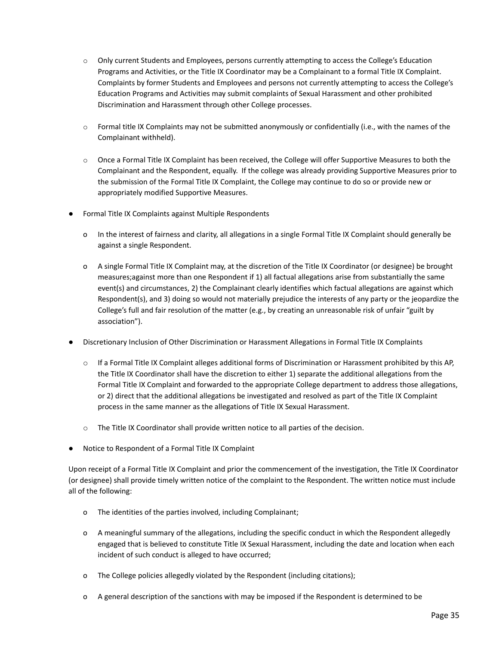- $\circ$  Only current Students and Employees, persons currently attempting to access the College's Education Programs and Activities, or the Title IX Coordinator may be a Complainant to a formal Title IX Complaint. Complaints by former Students and Employees and persons not currently attempting to access the College's Education Programs and Activities may submit complaints of Sexual Harassment and other prohibited Discrimination and Harassment through other College processes.
- $\circ$  Formal title IX Complaints may not be submitted anonymously or confidentially (i.e., with the names of the Complainant withheld).
- $\circ$  Once a Formal Title IX Complaint has been received, the College will offer Supportive Measures to both the Complainant and the Respondent, equally. If the college was already providing Supportive Measures prior to the submission of the Formal Title IX Complaint, the College may continue to do so or provide new or appropriately modified Supportive Measures.
- Formal Title IX Complaints against Multiple Respondents
	- o In the interest of fairness and clarity, all allegations in a single Formal Title IX Complaint should generally be against a single Respondent.
	- o A single Formal Title IX Complaint may, at the discretion of the Title IX Coordinator (or designee) be brought measures;against more than one Respondent if 1) all factual allegations arise from substantially the same event(s) and circumstances, 2) the Complainant clearly identifies which factual allegations are against which Respondent(s), and 3) doing so would not materially prejudice the interests of any party or the jeopardize the College's full and fair resolution of the matter (e.g., by creating an unreasonable risk of unfair "guilt by association").
- Discretionary Inclusion of Other Discrimination or Harassment Allegations in Formal Title IX Complaints
	- o If a Formal Title IX Complaint alleges additional forms of Discrimination or Harassment prohibited by this AP, the Title IX Coordinator shall have the discretion to either 1) separate the additional allegations from the Formal Title IX Complaint and forwarded to the appropriate College department to address those allegations, or 2) direct that the additional allegations be investigated and resolved as part of the Title IX Complaint process in the same manner as the allegations of Title IX Sexual Harassment.
	- o The Title IX Coordinator shall provide written notice to all parties of the decision.
- Notice to Respondent of a Formal Title IX Complaint

Upon receipt of a Formal Title IX Complaint and prior the commencement of the investigation, the Title IX Coordinator (or designee) shall provide timely written notice of the complaint to the Respondent. The written notice must include all of the following:

- o The identities of the parties involved, including Complainant;
- o A meaningful summary of the allegations, including the specific conduct in which the Respondent allegedly engaged that is believed to constitute Title IX Sexual Harassment, including the date and location when each incident of such conduct is alleged to have occurred;
- o The College policies allegedly violated by the Respondent (including citations);
- o A general description of the sanctions with may be imposed if the Respondent is determined to be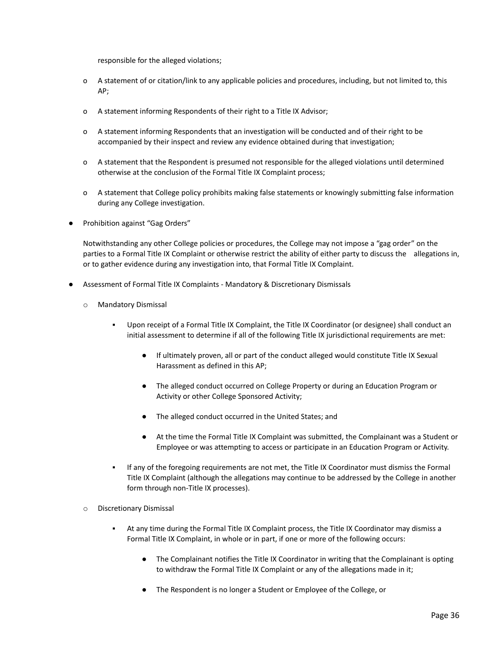responsible for the alleged violations;

- o A statement of or citation/link to any applicable policies and procedures, including, but not limited to, this AP;
- o A statement informing Respondents of their right to a Title IX Advisor;
- o A statement informing Respondents that an investigation will be conducted and of their right to be accompanied by their inspect and review any evidence obtained during that investigation;
- o A statement that the Respondent is presumed not responsible for the alleged violations until determined otherwise at the conclusion of the Formal Title IX Complaint process;
- o A statement that College policy prohibits making false statements or knowingly submitting false information during any College investigation.
- Prohibition against "Gag Orders"

Notwithstanding any other College policies or procedures, the College may not impose a "gag order" on the parties to a Formal Title IX Complaint or otherwise restrict the ability of either party to discuss the allegations in, or to gather evidence during any investigation into, that Formal Title IX Complaint.

- Assessment of Formal Title IX Complaints Mandatory & Discretionary Dismissals
	- o Mandatory Dismissal
		- Upon receipt of a Formal Title IX Complaint, the Title IX Coordinator (or designee) shall conduct an initial assessment to determine if all of the following Title IX jurisdictional requirements are met:
			- If ultimately proven, all or part of the conduct alleged would constitute Title IX Sexual Harassment as defined in this AP;
			- The alleged conduct occurred on College Property or during an Education Program or Activity or other College Sponsored Activity;
			- The alleged conduct occurred in the United States; and
			- At the time the Formal Title IX Complaint was submitted, the Complainant was a Student or Employee or was attempting to access or participate in an Education Program or Activity.
		- If any of the foregoing requirements are not met, the Title IX Coordinator must dismiss the Formal Title IX Complaint (although the allegations may continue to be addressed by the College in another form through non-Title IX processes).
	- o Discretionary Dismissal
		- At any time during the Formal Title IX Complaint process, the Title IX Coordinator may dismiss a Formal Title IX Complaint, in whole or in part, if one or more of the following occurs:
			- The Complainant notifies the Title IX Coordinator in writing that the Complainant is opting to withdraw the Formal Title IX Complaint or any of the allegations made in it;
			- The Respondent is no longer a Student or Employee of the College, or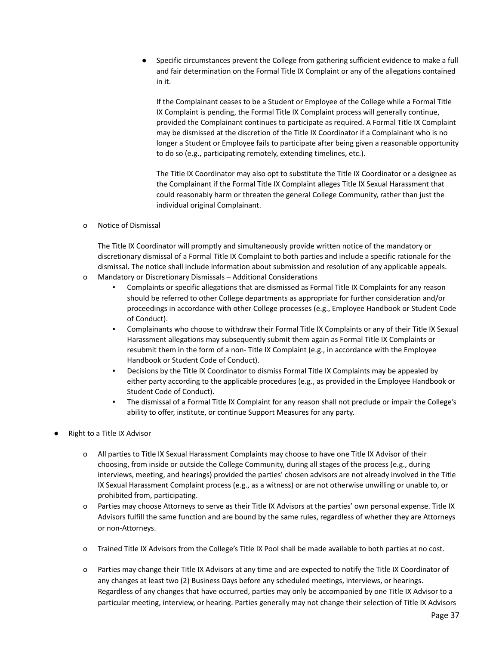● Specific circumstances prevent the College from gathering sufficient evidence to make a full and fair determination on the Formal Title IX Complaint or any of the allegations contained in it.

If the Complainant ceases to be a Student or Employee of the College while a Formal Title IX Complaint is pending, the Formal Title IX Complaint process will generally continue, provided the Complainant continues to participate as required. A Formal Title IX Complaint may be dismissed at the discretion of the Title IX Coordinator if a Complainant who is no longer a Student or Employee fails to participate after being given a reasonable opportunity to do so (e.g., participating remotely, extending timelines, etc.).

The Title IX Coordinator may also opt to substitute the Title IX Coordinator or a designee as the Complainant if the Formal Title IX Complaint alleges Title IX Sexual Harassment that could reasonably harm or threaten the general College Community, rather than just the individual original Complainant.

o Notice of Dismissal

The Title IX Coordinator will promptly and simultaneously provide written notice of the mandatory or discretionary dismissal of a Formal Title IX Complaint to both parties and include a specific rationale for the dismissal. The notice shall include information about submission and resolution of any applicable appeals.

- o Mandatory or Discretionary Dismissals Additional Considerations
	- Complaints or specific allegations that are dismissed as Formal Title IX Complaints for any reason should be referred to other College departments as appropriate for further consideration and/or proceedings in accordance with other College processes (e.g., Employee Handbook or Student Code of Conduct).
	- Complainants who choose to withdraw their Formal Title IX Complaints or any of their Title IX Sexual Harassment allegations may subsequently submit them again as Formal Title IX Complaints or resubmit them in the form of a non- Title IX Complaint (e.g., in accordance with the Employee Handbook or Student Code of Conduct).
	- Decisions by the Title IX Coordinator to dismiss Formal Title IX Complaints may be appealed by either party according to the applicable procedures (e.g., as provided in the Employee Handbook or Student Code of Conduct).
	- The dismissal of a Formal Title IX Complaint for any reason shall not preclude or impair the College's ability to offer, institute, or continue Support Measures for any party.
- Right to a Title IX Advisor
	- o All parties to Title IX Sexual Harassment Complaints may choose to have one Title IX Advisor of their choosing, from inside or outside the College Community, during all stages of the process (e.g., during interviews, meeting, and hearings) provided the parties' chosen advisors are not already involved in the Title IX Sexual Harassment Complaint process (e.g., as a witness) or are not otherwise unwilling or unable to, or prohibited from, participating.
	- o Parties may choose Attorneys to serve as their Title IX Advisors at the parties' own personal expense. Title IX Advisors fulfill the same function and are bound by the same rules, regardless of whether they are Attorneys or non-Attorneys.
	- o Trained Title IX Advisors from the College's Title IX Pool shall be made available to both parties at no cost.
	- o Parties may change their Title IX Advisors at any time and are expected to notify the Title IX Coordinator of any changes at least two (2) Business Days before any scheduled meetings, interviews, or hearings. Regardless of any changes that have occurred, parties may only be accompanied by one Title IX Advisor to a particular meeting, interview, or hearing. Parties generally may not change their selection of Title IX Advisors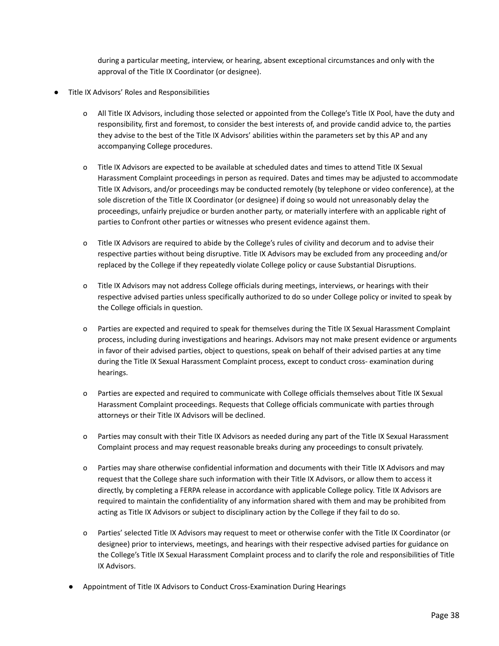during a particular meeting, interview, or hearing, absent exceptional circumstances and only with the approval of the Title IX Coordinator (or designee).

- Title IX Advisors' Roles and Responsibilities
	- o All Title IX Advisors, including those selected or appointed from the College's Title IX Pool, have the duty and responsibility, first and foremost, to consider the best interests of, and provide candid advice to, the parties they advise to the best of the Title IX Advisors' abilities within the parameters set by this AP and any accompanying College procedures.
	- o Title IX Advisors are expected to be available at scheduled dates and times to attend Title IX Sexual Harassment Complaint proceedings in person as required. Dates and times may be adjusted to accommodate Title IX Advisors, and/or proceedings may be conducted remotely (by telephone or video conference), at the sole discretion of the Title IX Coordinator (or designee) if doing so would not unreasonably delay the proceedings, unfairly prejudice or burden another party, or materially interfere with an applicable right of parties to Confront other parties or witnesses who present evidence against them.
	- o Title IX Advisors are required to abide by the College's rules of civility and decorum and to advise their respective parties without being disruptive. Title IX Advisors may be excluded from any proceeding and/or replaced by the College if they repeatedly violate College policy or cause Substantial Disruptions.
	- o Title IX Advisors may not address College officials during meetings, interviews, or hearings with their respective advised parties unless specifically authorized to do so under College policy or invited to speak by the College officials in question.
	- o Parties are expected and required to speak for themselves during the Title IX Sexual Harassment Complaint process, including during investigations and hearings. Advisors may not make present evidence or arguments in favor of their advised parties, object to questions, speak on behalf of their advised parties at any time during the Title IX Sexual Harassment Complaint process, except to conduct cross- examination during hearings.
	- o Parties are expected and required to communicate with College officials themselves about Title IX Sexual Harassment Complaint proceedings. Requests that College officials communicate with parties through attorneys or their Title IX Advisors will be declined.
	- o Parties may consult with their Title IX Advisors as needed during any part of the Title IX Sexual Harassment Complaint process and may request reasonable breaks during any proceedings to consult privately.
	- o Parties may share otherwise confidential information and documents with their Title IX Advisors and may request that the College share such information with their Title IX Advisors, or allow them to access it directly, by completing a FERPA release in accordance with applicable College policy. Title IX Advisors are required to maintain the confidentiality of any information shared with them and may be prohibited from acting as Title IX Advisors or subject to disciplinary action by the College if they fail to do so.
	- o Parties' selected Title IX Advisors may request to meet or otherwise confer with the Title IX Coordinator (or designee) prior to interviews, meetings, and hearings with their respective advised parties for guidance on the College's Title IX Sexual Harassment Complaint process and to clarify the role and responsibilities of Title IX Advisors.
	- Appointment of Title IX Advisors to Conduct Cross-Examination During Hearings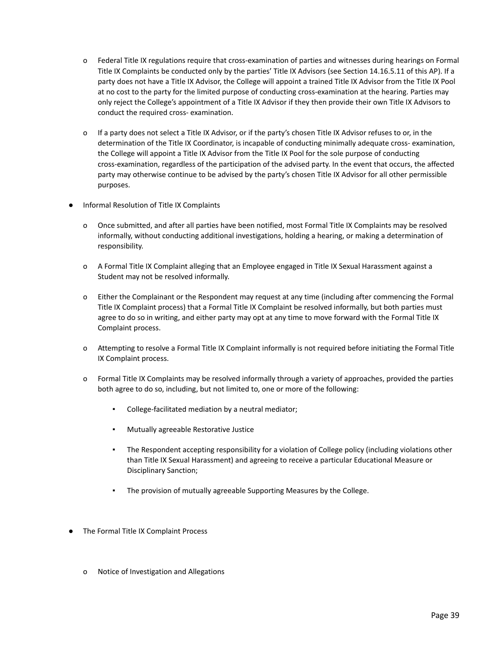- o Federal Title IX regulations require that cross-examination of parties and witnesses during hearings on Formal Title IX Complaints be conducted only by the parties' Title IX Advisors (see Section 14.16.5.11 of this AP). If a party does not have a Title IX Advisor, the College will appoint a trained Title IX Advisor from the Title IX Pool at no cost to the party for the limited purpose of conducting cross-examination at the hearing. Parties may only reject the College's appointment of a Title IX Advisor if they then provide their own Title IX Advisors to conduct the required cross- examination.
- o If a party does not select a Title IX Advisor, or if the party's chosen Title IX Advisor refuses to or, in the determination of the Title IX Coordinator, is incapable of conducting minimally adequate cross- examination, the College will appoint a Title IX Advisor from the Title IX Pool for the sole purpose of conducting cross-examination, regardless of the participation of the advised party. In the event that occurs, the affected party may otherwise continue to be advised by the party's chosen Title IX Advisor for all other permissible purposes.
- Informal Resolution of Title IX Complaints
	- o Once submitted, and after all parties have been notified, most Formal Title IX Complaints may be resolved informally, without conducting additional investigations, holding a hearing, or making a determination of responsibility.
	- o A Formal Title IX Complaint alleging that an Employee engaged in Title IX Sexual Harassment against a Student may not be resolved informally.
	- o Either the Complainant or the Respondent may request at any time (including after commencing the Formal Title IX Complaint process) that a Formal Title IX Complaint be resolved informally, but both parties must agree to do so in writing, and either party may opt at any time to move forward with the Formal Title IX Complaint process.
	- o Attempting to resolve a Formal Title IX Complaint informally is not required before initiating the Formal Title IX Complaint process.
	- o Formal Title IX Complaints may be resolved informally through a variety of approaches, provided the parties both agree to do so, including, but not limited to, one or more of the following:
		- College-facilitated mediation by a neutral mediator;
		- **Mutually agreeable Restorative Justice**
		- The Respondent accepting responsibility for a violation of College policy (including violations other than Title IX Sexual Harassment) and agreeing to receive a particular Educational Measure or Disciplinary Sanction;
		- The provision of mutually agreeable Supporting Measures by the College.
- The Formal Title IX Complaint Process
	- o Notice of Investigation and Allegations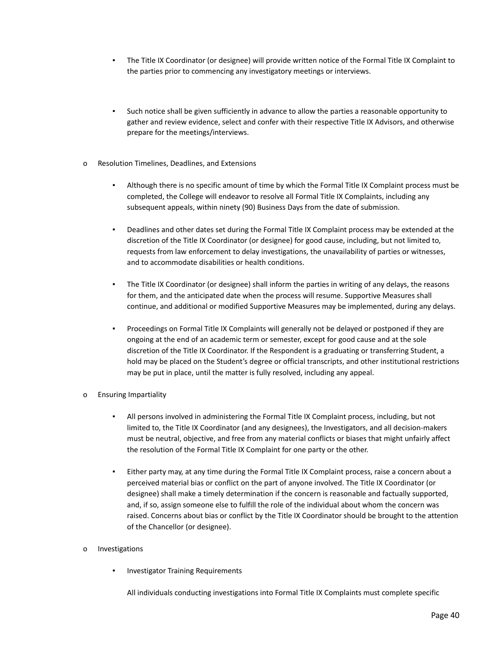- The Title IX Coordinator (or designee) will provide written notice of the Formal Title IX Complaint to the parties prior to commencing any investigatory meetings or interviews.
- Such notice shall be given sufficiently in advance to allow the parties a reasonable opportunity to gather and review evidence, select and confer with their respective Title IX Advisors, and otherwise prepare for the meetings/interviews.
- o Resolution Timelines, Deadlines, and Extensions
	- Although there is no specific amount of time by which the Formal Title IX Complaint process must be completed, the College will endeavor to resolve all Formal Title IX Complaints, including any subsequent appeals, within ninety (90) Business Days from the date of submission.
	- Deadlines and other dates set during the Formal Title IX Complaint process may be extended at the discretion of the Title IX Coordinator (or designee) for good cause, including, but not limited to, requests from law enforcement to delay investigations, the unavailability of parties or witnesses, and to accommodate disabilities or health conditions.
	- The Title IX Coordinator (or designee) shall inform the parties in writing of any delays, the reasons for them, and the anticipated date when the process will resume. Supportive Measures shall continue, and additional or modified Supportive Measures may be implemented, during any delays.
	- Proceedings on Formal Title IX Complaints will generally not be delayed or postponed if they are ongoing at the end of an academic term or semester, except for good cause and at the sole discretion of the Title IX Coordinator. If the Respondent is a graduating or transferring Student, a hold may be placed on the Student's degree or official transcripts, and other institutional restrictions may be put in place, until the matter is fully resolved, including any appeal.
- o Ensuring Impartiality
	- All persons involved in administering the Formal Title IX Complaint process, including, but not limited to, the Title IX Coordinator (and any designees), the Investigators, and all decision-makers must be neutral, objective, and free from any material conflicts or biases that might unfairly affect the resolution of the Formal Title IX Complaint for one party or the other.
	- Either party may, at any time during the Formal Title IX Complaint process, raise a concern about a perceived material bias or conflict on the part of anyone involved. The Title IX Coordinator (or designee) shall make a timely determination if the concern is reasonable and factually supported, and, if so, assign someone else to fulfill the role of the individual about whom the concern was raised. Concerns about bias or conflict by the Title IX Coordinator should be brought to the attention of the Chancellor (or designee).
- o Investigations
	- **Investigator Training Requirements**

All individuals conducting investigations into Formal Title IX Complaints must complete specific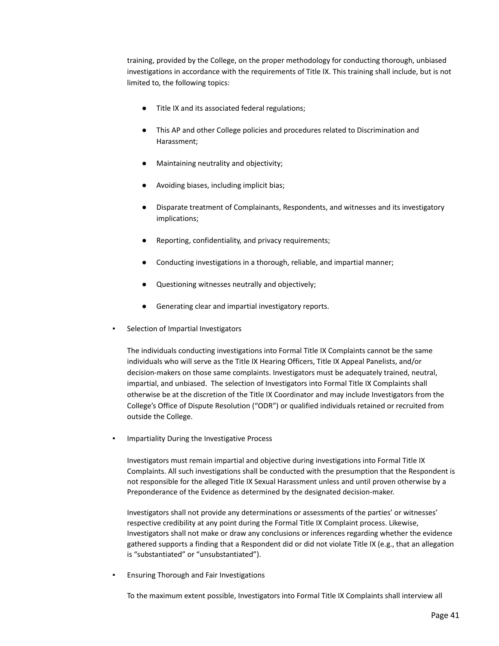training, provided by the College, on the proper methodology for conducting thorough, unbiased investigations in accordance with the requirements of Title IX. This training shall include, but is not limited to, the following topics:

- Title IX and its associated federal regulations;
- This AP and other College policies and procedures related to Discrimination and Harassment;
- Maintaining neutrality and objectivity;
- Avoiding biases, including implicit bias;
- Disparate treatment of Complainants, Respondents, and witnesses and its investigatory implications;
- Reporting, confidentiality, and privacy requirements;
- Conducting investigations in a thorough, reliable, and impartial manner;
- Questioning witnesses neutrally and objectively;
- Generating clear and impartial investigatory reports.
- Selection of Impartial Investigators

The individuals conducting investigations into Formal Title IX Complaints cannot be the same individuals who will serve as the Title IX Hearing Officers, Title IX Appeal Panelists, and/or decision-makers on those same complaints. Investigators must be adequately trained, neutral, impartial, and unbiased. The selection of Investigators into Formal Title IX Complaints shall otherwise be at the discretion of the Title IX Coordinator and may include Investigators from the College's Office of Dispute Resolution ("ODR") or qualified individuals retained or recruited from outside the College.

Impartiality During the Investigative Process

Investigators must remain impartial and objective during investigations into Formal Title IX Complaints. All such investigations shall be conducted with the presumption that the Respondent is not responsible for the alleged Title IX Sexual Harassment unless and until proven otherwise by a Preponderance of the Evidence as determined by the designated decision-maker.

Investigators shall not provide any determinations or assessments of the parties' or witnesses' respective credibility at any point during the Formal Title IX Complaint process. Likewise, Investigators shall not make or draw any conclusions or inferences regarding whether the evidence gathered supports a finding that a Respondent did or did not violate Title IX (e.g., that an allegation is "substantiated" or "unsubstantiated").

**Ensuring Thorough and Fair Investigations** 

To the maximum extent possible, Investigators into Formal Title IX Complaints shall interview all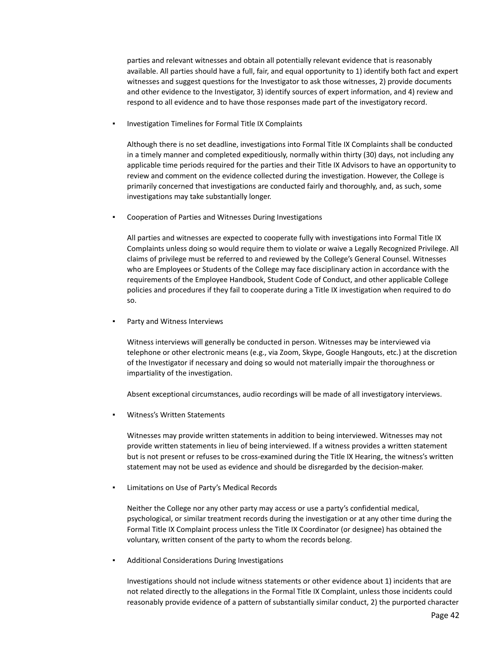parties and relevant witnesses and obtain all potentially relevant evidence that is reasonably available. All parties should have a full, fair, and equal opportunity to 1) identify both fact and expert witnesses and suggest questions for the Investigator to ask those witnesses, 2) provide documents and other evidence to the Investigator, 3) identify sources of expert information, and 4) review and respond to all evidence and to have those responses made part of the investigatory record.

Investigation Timelines for Formal Title IX Complaints

Although there is no set deadline, investigations into Formal Title IX Complaints shall be conducted in a timely manner and completed expeditiously, normally within thirty (30) days, not including any applicable time periods required for the parties and their Title IX Advisors to have an opportunity to review and comment on the evidence collected during the investigation. However, the College is primarily concerned that investigations are conducted fairly and thoroughly, and, as such, some investigations may take substantially longer.

Cooperation of Parties and Witnesses During Investigations

All parties and witnesses are expected to cooperate fully with investigations into Formal Title IX Complaints unless doing so would require them to violate or waive a Legally Recognized Privilege. All claims of privilege must be referred to and reviewed by the College's General Counsel. Witnesses who are Employees or Students of the College may face disciplinary action in accordance with the requirements of the Employee Handbook, Student Code of Conduct, and other applicable College policies and procedures if they fail to cooperate during a Title IX investigation when required to do so.

Party and Witness Interviews

Witness interviews will generally be conducted in person. Witnesses may be interviewed via telephone or other electronic means (e.g., via Zoom, Skype, Google Hangouts, etc.) at the discretion of the Investigator if necessary and doing so would not materially impair the thoroughness or impartiality of the investigation.

Absent exceptional circumstances, audio recordings will be made of all investigatory interviews.

Witness's Written Statements

Witnesses may provide written statements in addition to being interviewed. Witnesses may not provide written statements in lieu of being interviewed. If a witness provides a written statement but is not present or refuses to be cross-examined during the Title IX Hearing, the witness's written statement may not be used as evidence and should be disregarded by the decision-maker.

Limitations on Use of Party's Medical Records

Neither the College nor any other party may access or use a party's confidential medical, psychological, or similar treatment records during the investigation or at any other time during the Formal Title IX Complaint process unless the Title IX Coordinator (or designee) has obtained the voluntary, written consent of the party to whom the records belong.

Additional Considerations During Investigations

Investigations should not include witness statements or other evidence about 1) incidents that are not related directly to the allegations in the Formal Title IX Complaint, unless those incidents could reasonably provide evidence of a pattern of substantially similar conduct, 2) the purported character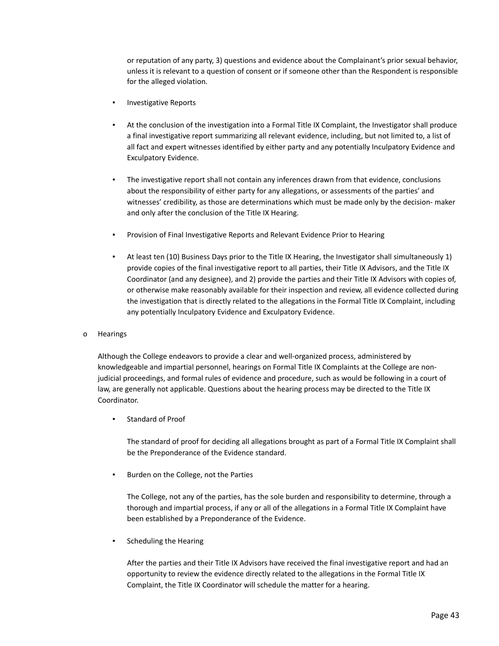or reputation of any party, 3) questions and evidence about the Complainant's prior sexual behavior, unless it is relevant to a question of consent or if someone other than the Respondent is responsible for the alleged violation.

- **Investigative Reports**
- At the conclusion of the investigation into a Formal Title IX Complaint, the Investigator shall produce a final investigative report summarizing all relevant evidence, including, but not limited to, a list of all fact and expert witnesses identified by either party and any potentially Inculpatory Evidence and Exculpatory Evidence.
- The investigative report shall not contain any inferences drawn from that evidence, conclusions about the responsibility of either party for any allegations, or assessments of the parties' and witnesses' credibility, as those are determinations which must be made only by the decision- maker and only after the conclusion of the Title IX Hearing.
- Provision of Final Investigative Reports and Relevant Evidence Prior to Hearing
- At least ten (10) Business Days prior to the Title IX Hearing, the Investigator shall simultaneously 1) provide copies of the final investigative report to all parties, their Title IX Advisors, and the Title IX Coordinator (and any designee), and 2) provide the parties and their Title IX Advisors with copies of, or otherwise make reasonably available for their inspection and review, all evidence collected during the investigation that is directly related to the allegations in the Formal Title IX Complaint, including any potentially Inculpatory Evidence and Exculpatory Evidence.
- o Hearings

Although the College endeavors to provide a clear and well-organized process, administered by knowledgeable and impartial personnel, hearings on Formal Title IX Complaints at the College are nonjudicial proceedings, and formal rules of evidence and procedure, such as would be following in a court of law, are generally not applicable. Questions about the hearing process may be directed to the Title IX Coordinator.

Standard of Proof

The standard of proof for deciding all allegations brought as part of a Formal Title IX Complaint shall be the Preponderance of the Evidence standard.

Burden on the College, not the Parties

The College, not any of the parties, has the sole burden and responsibility to determine, through a thorough and impartial process, if any or all of the allegations in a Formal Title IX Complaint have been established by a Preponderance of the Evidence.

Scheduling the Hearing

After the parties and their Title IX Advisors have received the final investigative report and had an opportunity to review the evidence directly related to the allegations in the Formal Title IX Complaint, the Title IX Coordinator will schedule the matter for a hearing.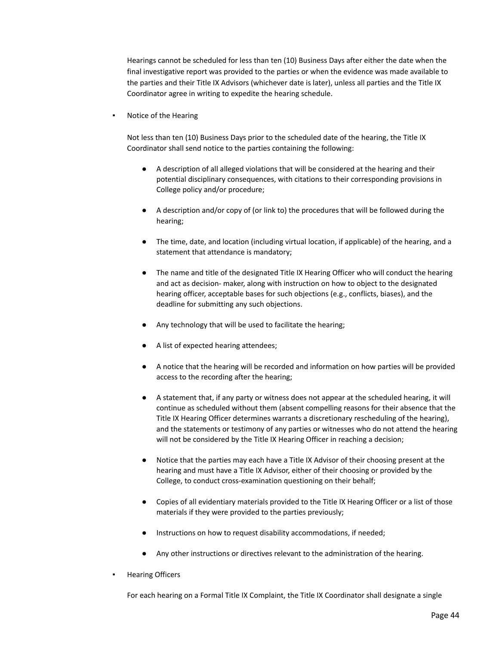Hearings cannot be scheduled for less than ten (10) Business Days after either the date when the final investigative report was provided to the parties or when the evidence was made available to the parties and their Title IX Advisors (whichever date is later), unless all parties and the Title IX Coordinator agree in writing to expedite the hearing schedule.

#### Notice of the Hearing

Not less than ten (10) Business Days prior to the scheduled date of the hearing, the Title IX Coordinator shall send notice to the parties containing the following:

- A description of all alleged violations that will be considered at the hearing and their potential disciplinary consequences, with citations to their corresponding provisions in College policy and/or procedure;
- A description and/or copy of (or link to) the procedures that will be followed during the hearing;
- The time, date, and location (including virtual location, if applicable) of the hearing, and a statement that attendance is mandatory;
- The name and title of the designated Title IX Hearing Officer who will conduct the hearing and act as decision- maker, along with instruction on how to object to the designated hearing officer, acceptable bases for such objections (e.g., conflicts, biases), and the deadline for submitting any such objections.
- Any technology that will be used to facilitate the hearing;
- A list of expected hearing attendees;
- A notice that the hearing will be recorded and information on how parties will be provided access to the recording after the hearing;
- A statement that, if any party or witness does not appear at the scheduled hearing, it will continue as scheduled without them (absent compelling reasons for their absence that the Title IX Hearing Officer determines warrants a discretionary rescheduling of the hearing), and the statements or testimony of any parties or witnesses who do not attend the hearing will not be considered by the Title IX Hearing Officer in reaching a decision;
- Notice that the parties may each have a Title IX Advisor of their choosing present at the hearing and must have a Title IX Advisor, either of their choosing or provided by the College, to conduct cross-examination questioning on their behalf;
- Copies of all evidentiary materials provided to the Title IX Hearing Officer or a list of those materials if they were provided to the parties previously;
- Instructions on how to request disability accommodations, if needed;
- Any other instructions or directives relevant to the administration of the hearing.
- **Hearing Officers**

For each hearing on a Formal Title IX Complaint, the Title IX Coordinator shall designate a single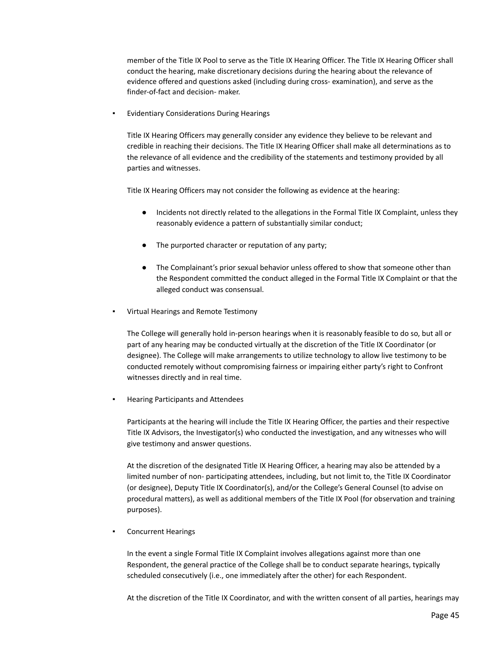member of the Title IX Pool to serve as the Title IX Hearing Officer. The Title IX Hearing Officer shall conduct the hearing, make discretionary decisions during the hearing about the relevance of evidence offered and questions asked (including during cross- examination), and serve as the finder-of-fact and decision- maker.

**Evidentiary Considerations During Hearings** 

Title IX Hearing Officers may generally consider any evidence they believe to be relevant and credible in reaching their decisions. The Title IX Hearing Officer shall make all determinations as to the relevance of all evidence and the credibility of the statements and testimony provided by all parties and witnesses.

Title IX Hearing Officers may not consider the following as evidence at the hearing:

- Incidents not directly related to the allegations in the Formal Title IX Complaint, unless they reasonably evidence a pattern of substantially similar conduct;
- The purported character or reputation of any party;
- The Complainant's prior sexual behavior unless offered to show that someone other than the Respondent committed the conduct alleged in the Formal Title IX Complaint or that the alleged conduct was consensual.
- Virtual Hearings and Remote Testimony

The College will generally hold in-person hearings when it is reasonably feasible to do so, but all or part of any hearing may be conducted virtually at the discretion of the Title IX Coordinator (or designee). The College will make arrangements to utilize technology to allow live testimony to be conducted remotely without compromising fairness or impairing either party's right to Confront witnesses directly and in real time.

**Hearing Participants and Attendees** 

Participants at the hearing will include the Title IX Hearing Officer, the parties and their respective Title IX Advisors, the Investigator(s) who conducted the investigation, and any witnesses who will give testimony and answer questions.

At the discretion of the designated Title IX Hearing Officer, a hearing may also be attended by a limited number of non- participating attendees, including, but not limit to, the Title IX Coordinator (or designee), Deputy Title IX Coordinator(s), and/or the College's General Counsel (to advise on procedural matters), as well as additional members of the Title IX Pool (for observation and training purposes).

▪ Concurrent Hearings

In the event a single Formal Title IX Complaint involves allegations against more than one Respondent, the general practice of the College shall be to conduct separate hearings, typically scheduled consecutively (i.e., one immediately after the other) for each Respondent.

At the discretion of the Title IX Coordinator, and with the written consent of all parties, hearings may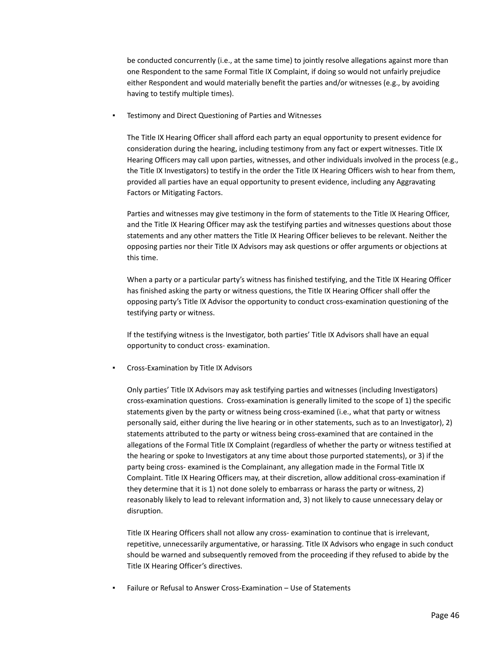be conducted concurrently (i.e., at the same time) to jointly resolve allegations against more than one Respondent to the same Formal Title IX Complaint, if doing so would not unfairly prejudice either Respondent and would materially benefit the parties and/or witnesses (e.g., by avoiding having to testify multiple times).

Testimony and Direct Questioning of Parties and Witnesses

The Title IX Hearing Officer shall afford each party an equal opportunity to present evidence for consideration during the hearing, including testimony from any fact or expert witnesses. Title IX Hearing Officers may call upon parties, witnesses, and other individuals involved in the process (e.g., the Title IX Investigators) to testify in the order the Title IX Hearing Officers wish to hear from them, provided all parties have an equal opportunity to present evidence, including any Aggravating Factors or Mitigating Factors.

Parties and witnesses may give testimony in the form of statements to the Title IX Hearing Officer, and the Title IX Hearing Officer may ask the testifying parties and witnesses questions about those statements and any other matters the Title IX Hearing Officer believes to be relevant. Neither the opposing parties nor their Title IX Advisors may ask questions or offer arguments or objections at this time.

When a party or a particular party's witness has finished testifying, and the Title IX Hearing Officer has finished asking the party or witness questions, the Title IX Hearing Officer shall offer the opposing party's Title IX Advisor the opportunity to conduct cross-examination questioning of the testifying party or witness.

If the testifying witness is the Investigator, both parties' Title IX Advisors shall have an equal opportunity to conduct cross- examination.

Cross-Examination by Title IX Advisors

Only parties' Title IX Advisors may ask testifying parties and witnesses (including Investigators) cross-examination questions. Cross-examination is generally limited to the scope of 1) the specific statements given by the party or witness being cross-examined (i.e., what that party or witness personally said, either during the live hearing or in other statements, such as to an Investigator), 2) statements attributed to the party or witness being cross-examined that are contained in the allegations of the Formal Title IX Complaint (regardless of whether the party or witness testified at the hearing or spoke to Investigators at any time about those purported statements), or 3) if the party being cross- examined is the Complainant, any allegation made in the Formal Title IX Complaint. Title IX Hearing Officers may, at their discretion, allow additional cross-examination if they determine that it is 1) not done solely to embarrass or harass the party or witness, 2) reasonably likely to lead to relevant information and, 3) not likely to cause unnecessary delay or disruption.

Title IX Hearing Officers shall not allow any cross- examination to continue that is irrelevant, repetitive, unnecessarily argumentative, or harassing. Title IX Advisors who engage in such conduct should be warned and subsequently removed from the proceeding if they refused to abide by the Title IX Hearing Officer's directives.

Failure or Refusal to Answer Cross-Examination - Use of Statements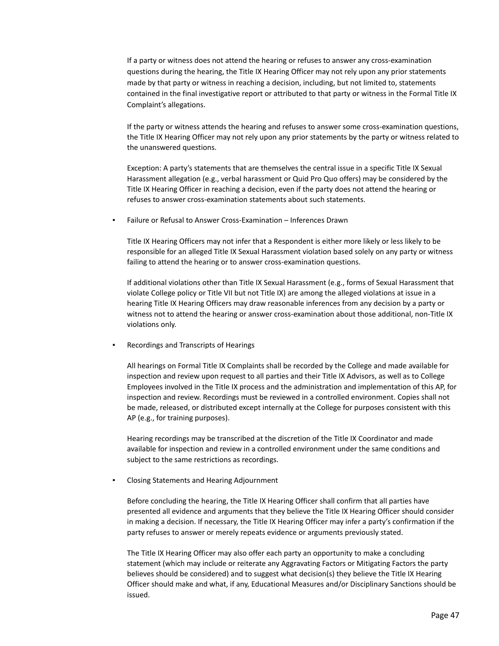If a party or witness does not attend the hearing or refuses to answer any cross-examination questions during the hearing, the Title IX Hearing Officer may not rely upon any prior statements made by that party or witness in reaching a decision, including, but not limited to, statements contained in the final investigative report or attributed to that party or witness in the Formal Title IX Complaint's allegations.

If the party or witness attends the hearing and refuses to answer some cross-examination questions, the Title IX Hearing Officer may not rely upon any prior statements by the party or witness related to the unanswered questions.

Exception: A party's statements that are themselves the central issue in a specific Title IX Sexual Harassment allegation (e.g., verbal harassment or Quid Pro Quo offers) may be considered by the Title IX Hearing Officer in reaching a decision, even if the party does not attend the hearing or refuses to answer cross-examination statements about such statements.

Failure or Refusal to Answer Cross-Examination – Inferences Drawn

Title IX Hearing Officers may not infer that a Respondent is either more likely or less likely to be responsible for an alleged Title IX Sexual Harassment violation based solely on any party or witness failing to attend the hearing or to answer cross-examination questions.

If additional violations other than Title IX Sexual Harassment (e.g., forms of Sexual Harassment that violate College policy or Title VII but not Title IX) are among the alleged violations at issue in a hearing Title IX Hearing Officers may draw reasonable inferences from any decision by a party or witness not to attend the hearing or answer cross-examination about those additional, non-Title IX violations only.

Recordings and Transcripts of Hearings

All hearings on Formal Title IX Complaints shall be recorded by the College and made available for inspection and review upon request to all parties and their Title IX Advisors, as well as to College Employees involved in the Title IX process and the administration and implementation of this AP, for inspection and review. Recordings must be reviewed in a controlled environment. Copies shall not be made, released, or distributed except internally at the College for purposes consistent with this AP (e.g., for training purposes).

Hearing recordings may be transcribed at the discretion of the Title IX Coordinator and made available for inspection and review in a controlled environment under the same conditions and subject to the same restrictions as recordings.

**Closing Statements and Hearing Adjournment** 

Before concluding the hearing, the Title IX Hearing Officer shall confirm that all parties have presented all evidence and arguments that they believe the Title IX Hearing Officer should consider in making a decision. If necessary, the Title IX Hearing Officer may infer a party's confirmation if the party refuses to answer or merely repeats evidence or arguments previously stated.

The Title IX Hearing Officer may also offer each party an opportunity to make a concluding statement (which may include or reiterate any Aggravating Factors or Mitigating Factors the party believes should be considered) and to suggest what decision(s) they believe the Title IX Hearing Officer should make and what, if any, Educational Measures and/or Disciplinary Sanctions should be issued.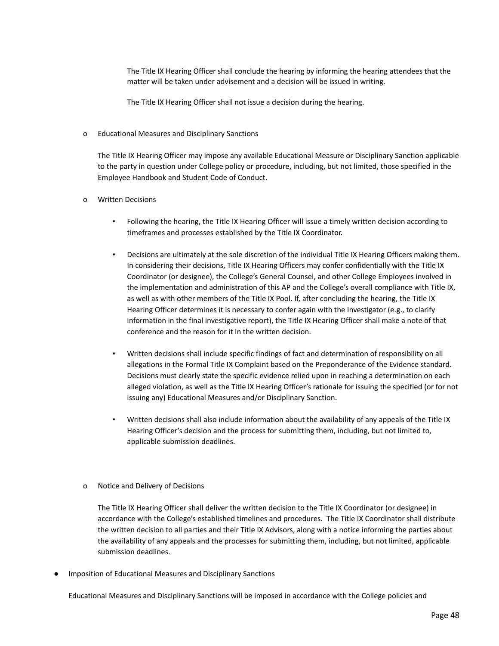The Title IX Hearing Officer shall conclude the hearing by informing the hearing attendees that the matter will be taken under advisement and a decision will be issued in writing.

The Title IX Hearing Officer shall not issue a decision during the hearing.

#### o Educational Measures and Disciplinary Sanctions

The Title IX Hearing Officer may impose any available Educational Measure or Disciplinary Sanction applicable to the party in question under College policy or procedure, including, but not limited, those specified in the Employee Handbook and Student Code of Conduct.

# o Written Decisions

- Following the hearing, the Title IX Hearing Officer will issue a timely written decision according to timeframes and processes established by the Title IX Coordinator.
- Decisions are ultimately at the sole discretion of the individual Title IX Hearing Officers making them. In considering their decisions, Title IX Hearing Officers may confer confidentially with the Title IX Coordinator (or designee), the College's General Counsel, and other College Employees involved in the implementation and administration of this AP and the College's overall compliance with Title IX, as well as with other members of the Title IX Pool. If, after concluding the hearing, the Title IX Hearing Officer determines it is necessary to confer again with the Investigator (e.g., to clarify information in the final investigative report), the Title IX Hearing Officer shall make a note of that conference and the reason for it in the written decision.
- Written decisions shall include specific findings of fact and determination of responsibility on all allegations in the Formal Title IX Complaint based on the Preponderance of the Evidence standard. Decisions must clearly state the specific evidence relied upon in reaching a determination on each alleged violation, as well as the Title IX Hearing Officer's rationale for issuing the specified (or for not issuing any) Educational Measures and/or Disciplinary Sanction.
- Written decisions shall also include information about the availability of any appeals of the Title IX Hearing Officer's decision and the process for submitting them, including, but not limited to, applicable submission deadlines.

#### o Notice and Delivery of Decisions

The Title IX Hearing Officer shall deliver the written decision to the Title IX Coordinator (or designee) in accordance with the College's established timelines and procedures. The Title IX Coordinator shall distribute the written decision to all parties and their Title IX Advisors, along with a notice informing the parties about the availability of any appeals and the processes for submitting them, including, but not limited, applicable submission deadlines.

Imposition of Educational Measures and Disciplinary Sanctions

Educational Measures and Disciplinary Sanctions will be imposed in accordance with the College policies and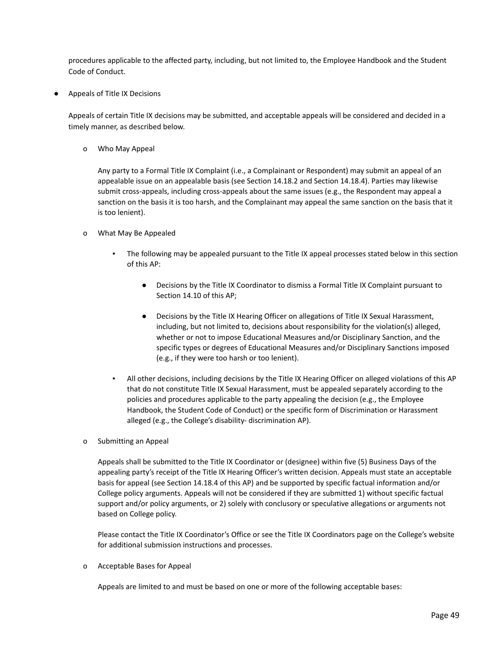procedures applicable to the affected party, including, but not limited to, the Employee Handbook and the Student Code of Conduct.

Appeals of Title IX Decisions

Appeals of certain Title IX decisions may be submitted, and acceptable appeals will be considered and decided in a timely manner, as described below.

o Who May Appeal

Any party to a Formal Title IX Complaint (i.e., a Complainant or Respondent) may submit an appeal of an appealable issue on an appealable basis (see Section 14.18.2 and Section 14.18.4). Parties may likewise submit cross-appeals, including cross-appeals about the same issues (e.g., the Respondent may appeal a sanction on the basis it is too harsh, and the Complainant may appeal the same sanction on the basis that it is too lenient).

- o What May Be Appealed
	- The following may be appealed pursuant to the Title IX appeal processes stated below in this section of this AP:
		- Decisions by the Title IX Coordinator to dismiss a Formal Title IX Complaint pursuant to Section 14.10 of this AP;
		- Decisions by the Title IX Hearing Officer on allegations of Title IX Sexual Harassment, including, but not limited to, decisions about responsibility for the violation(s) alleged, whether or not to impose Educational Measures and/or Disciplinary Sanction, and the specific types or degrees of Educational Measures and/or Disciplinary Sanctions imposed (e.g., if they were too harsh or too lenient).
	- All other decisions, including decisions by the Title IX Hearing Officer on alleged violations of this AP that do not constitute Title IX Sexual Harassment, must be appealed separately according to the policies and procedures applicable to the party appealing the decision (e.g., the Employee Handbook, the Student Code of Conduct) or the specific form of Discrimination or Harassment alleged (e.g., the College's disability- discrimination AP).
- o Submitting an Appeal

Appeals shall be submitted to the Title IX Coordinator or (designee) within five (5) Business Days of the appealing party's receipt of the Title IX Hearing Officer's written decision. Appeals must state an acceptable basis for appeal (see Section 14.18.4 of this AP) and be supported by specific factual information and/or College policy arguments. Appeals will not be considered if they are submitted 1) without specific factual support and/or policy arguments, or 2) solely with conclusory or speculative allegations or arguments not based on College policy.

Please contact the Title IX Coordinator's Office or see the Title IX Coordinators page on the College's website for additional submission instructions and processes.

o Acceptable Bases for Appeal

Appeals are limited to and must be based on one or more of the following acceptable bases: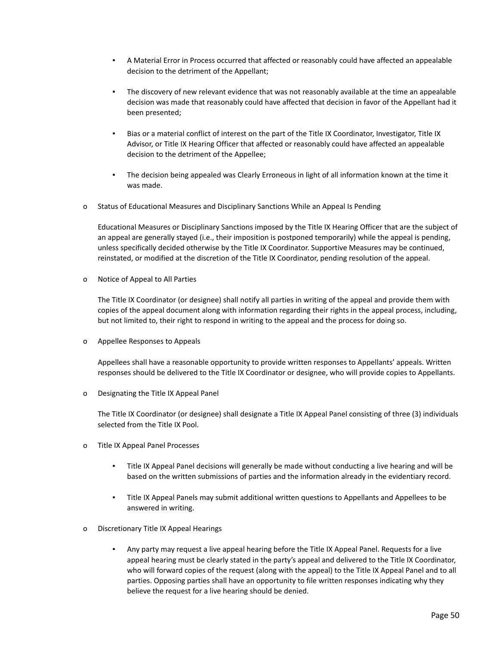- A Material Error in Process occurred that affected or reasonably could have affected an appealable decision to the detriment of the Appellant;
- The discovery of new relevant evidence that was not reasonably available at the time an appealable decision was made that reasonably could have affected that decision in favor of the Appellant had it been presented;
- Bias or a material conflict of interest on the part of the Title IX Coordinator, Investigator, Title IX Advisor, or Title IX Hearing Officer that affected or reasonably could have affected an appealable decision to the detriment of the Appellee;
- The decision being appealed was Clearly Erroneous in light of all information known at the time it was made.
- o Status of Educational Measures and Disciplinary Sanctions While an Appeal Is Pending

Educational Measures or Disciplinary Sanctions imposed by the Title IX Hearing Officer that are the subject of an appeal are generally stayed (i.e., their imposition is postponed temporarily) while the appeal is pending, unless specifically decided otherwise by the Title IX Coordinator. Supportive Measures may be continued, reinstated, or modified at the discretion of the Title IX Coordinator, pending resolution of the appeal.

o Notice of Appeal to All Parties

The Title IX Coordinator (or designee) shall notify all parties in writing of the appeal and provide them with copies of the appeal document along with information regarding their rights in the appeal process, including, but not limited to, their right to respond in writing to the appeal and the process for doing so.

o Appellee Responses to Appeals

Appellees shall have a reasonable opportunity to provide written responses to Appellants' appeals. Written responses should be delivered to the Title IX Coordinator or designee, who will provide copies to Appellants.

o Designating the Title IX Appeal Panel

The Title IX Coordinator (or designee) shall designate a Title IX Appeal Panel consisting of three (3) individuals selected from the Title IX Pool.

- o Title IX Appeal Panel Processes
	- Title IX Appeal Panel decisions will generally be made without conducting a live hearing and will be based on the written submissions of parties and the information already in the evidentiary record.
	- Title IX Appeal Panels may submit additional written questions to Appellants and Appellees to be answered in writing.
- o Discretionary Title IX Appeal Hearings
	- Any party may request a live appeal hearing before the Title IX Appeal Panel. Requests for a live appeal hearing must be clearly stated in the party's appeal and delivered to the Title IX Coordinator, who will forward copies of the request (along with the appeal) to the Title IX Appeal Panel and to all parties. Opposing parties shall have an opportunity to file written responses indicating why they believe the request for a live hearing should be denied.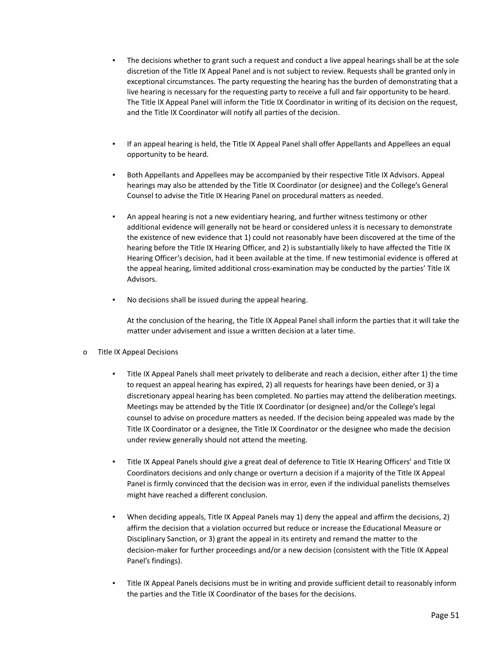- The decisions whether to grant such a request and conduct a live appeal hearings shall be at the sole discretion of the Title IX Appeal Panel and is not subject to review. Requests shall be granted only in exceptional circumstances. The party requesting the hearing has the burden of demonstrating that a live hearing is necessary for the requesting party to receive a full and fair opportunity to be heard. The Title IX Appeal Panel will inform the Title IX Coordinator in writing of its decision on the request, and the Title IX Coordinator will notify all parties of the decision.
- If an appeal hearing is held, the Title IX Appeal Panel shall offer Appellants and Appellees an equal opportunity to be heard.
- Both Appellants and Appellees may be accompanied by their respective Title IX Advisors. Appeal hearings may also be attended by the Title IX Coordinator (or designee) and the College's General Counsel to advise the Title IX Hearing Panel on procedural matters as needed.
- An appeal hearing is not a new evidentiary hearing, and further witness testimony or other additional evidence will generally not be heard or considered unless it is necessary to demonstrate the existence of new evidence that 1) could not reasonably have been discovered at the time of the hearing before the Title IX Hearing Officer, and 2) is substantially likely to have affected the Title IX Hearing Officer's decision, had it been available at the time. If new testimonial evidence is offered at the appeal hearing, limited additional cross-examination may be conducted by the parties' Title IX Advisors.
- No decisions shall be issued during the appeal hearing.

At the conclusion of the hearing, the Title IX Appeal Panel shall inform the parties that it will take the matter under advisement and issue a written decision at a later time.

# o Title IX Appeal Decisions

- Title IX Appeal Panels shall meet privately to deliberate and reach a decision, either after 1) the time to request an appeal hearing has expired, 2) all requests for hearings have been denied, or 3) a discretionary appeal hearing has been completed. No parties may attend the deliberation meetings. Meetings may be attended by the Title IX Coordinator (or designee) and/or the College's legal counsel to advise on procedure matters as needed. If the decision being appealed was made by the Title IX Coordinator or a designee, the Title IX Coordinator or the designee who made the decision under review generally should not attend the meeting.
- Title IX Appeal Panels should give a great deal of deference to Title IX Hearing Officers' and Title IX Coordinators decisions and only change or overturn a decision if a majority of the Title IX Appeal Panel is firmly convinced that the decision was in error, even if the individual panelists themselves might have reached a different conclusion.
- When deciding appeals, Title IX Appeal Panels may 1) deny the appeal and affirm the decisions, 2) affirm the decision that a violation occurred but reduce or increase the Educational Measure or Disciplinary Sanction, or 3) grant the appeal in its entirety and remand the matter to the decision-maker for further proceedings and/or a new decision (consistent with the Title IX Appeal Panel's findings).
- Title IX Appeal Panels decisions must be in writing and provide sufficient detail to reasonably inform the parties and the Title IX Coordinator of the bases for the decisions.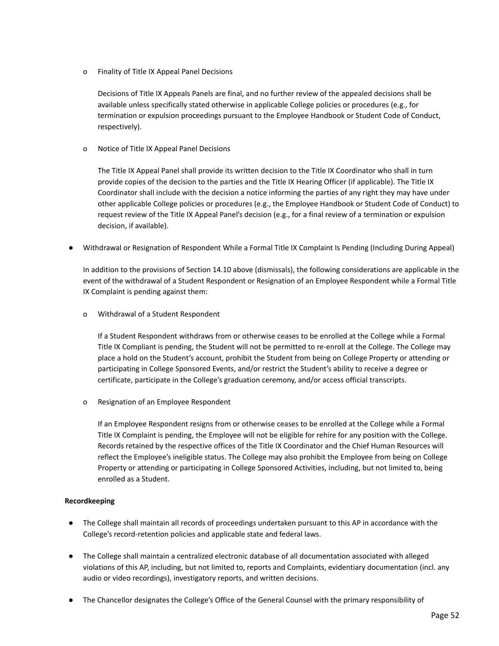o Finality of Title IX Appeal Panel Decisions

Decisions of Title IX Appeals Panels are final, and no further review of the appealed decisions shall be available unless specifically stated otherwise in applicable College policies or procedures (e.g., for termination or expulsion proceedings pursuant to the Employee Handbook or Student Code of Conduct, respectively).

o Notice of Title IX Appeal Panel Decisions

The Title IX Appeal Panel shall provide its written decision to the Title IX Coordinator who shall in turn provide copies of the decision to the parties and the Title IX Hearing Officer (if applicable). The Title IX Coordinator shall include with the decision a notice informing the parties of any right they may have under other applicable College policies or procedures (e.g., the Employee Handbook or Student Code of Conduct) to request review of the Title IX Appeal Panel's decision (e.g., for a final review of a termination or expulsion decision, if available).

Withdrawal or Resignation of Respondent While a Formal Title IX Complaint Is Pending (Including During Appeal)

In addition to the provisions of Section 14.10 above (dismissals), the following considerations are applicable in the event of the withdrawal of a Student Respondent or Resignation of an Employee Respondent while a Formal Title IX Complaint is pending against them:

o Withdrawal of a Student Respondent

If a Student Respondent withdraws from or otherwise ceases to be enrolled at the College while a Formal Title IX Compliant is pending, the Student will not be permitted to re-enroll at the College. The College may place a hold on the Student's account, prohibit the Student from being on College Property or attending or participating in College Sponsored Events, and/or restrict the Student's ability to receive a degree or certificate, participate in the College's graduation ceremony, and/or access official transcripts.

o Resignation of an Employee Respondent

If an Employee Respondent resigns from or otherwise ceases to be enrolled at the College while a Formal Title IX Complaint is pending, the Employee will not be eligible for rehire for any position with the College. Records retained by the respective offices of the Title IX Coordinator and the Chief Human Resources will reflect the Employee's ineligible status. The College may also prohibit the Employee from being on College Property or attending or participating in College Sponsored Activities, including, but not limited to, being enrolled as a Student.

# **Recordkeeping**

- The College shall maintain all records of proceedings undertaken pursuant to this AP in accordance with the College's record-retention policies and applicable state and federal laws.
- The College shall maintain a centralized electronic database of all documentation associated with alleged violations of this AP, including, but not limited to, reports and Complaints, evidentiary documentation (incl. any audio or video recordings), investigatory reports, and written decisions.
- The Chancellor designates the College's Office of the General Counsel with the primary responsibility of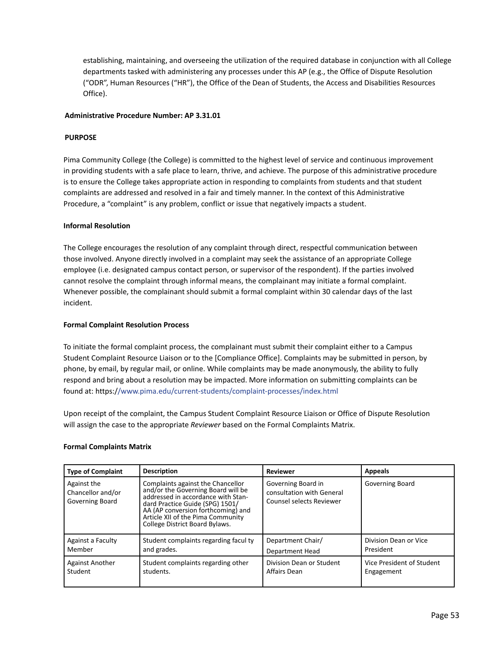establishing, maintaining, and overseeing the utilization of the required database in conjunction with all College departments tasked with administering any processes under this AP (e.g., the Office of Dispute Resolution ("ODR", Human Resources ("HR"), the Office of the Dean of Students, the Access and Disabilities Resources Office).

### **Administrative Procedure Number: AP 3.31.01**

### **PURPOSE**

Pima Community College (the College) is committed to the highest level of service and continuous improvement in providing students with a safe place to learn, thrive, and achieve. The purpose of this administrative procedure is to ensure the College takes appropriate action in responding to complaints from students and that student complaints are addressed and resolved in a fair and timely manner. In the context of this Administrative Procedure, a "complaint" is any problem, conflict or issue that negatively impacts a student.

#### **Informal Resolution**

The College encourages the resolution of any complaint through direct, respectful communication between those involved. Anyone directly involved in a complaint may seek the assistance of an appropriate College employee (i.e. designated campus contact person, or supervisor of the respondent). If the parties involved cannot resolve the complaint through informal means, the complainant may initiate a formal complaint. Whenever possible, the complainant should submit a formal complaint within 30 calendar days of the last incident.

#### **Formal Complaint Resolution Process**

To initiate the formal complaint process, the complainant must submit their complaint either to a Campus Student Complaint Resource Liaison or to the [Compliance Office]. Complaints may be submitted in person, by phone, by email, by regular mail, or online. While complaints may be made anonymously, the ability to fully respond and bring about a resolution may be impacted. More information on submitting complaints can be found at: https:[//www.pima.edu/current-students/complaint-processes/index.html](http://www.pima.edu/current-students/complaint-processes/index.html)

Upon receipt of the complaint, the Campus Student Complaint Resource Liaison or Office of Dispute Resolution will assign the case to the appropriate *Reviewer* based on the Formal Complaints Matrix.

#### **Formal Complaints Matrix**

| <b>Type of Complaint</b>                            | <b>Description</b>                                                                                                                                                                                                                                            | <b>Reviewer</b>                                                             | <b>Appeals</b>            |
|-----------------------------------------------------|---------------------------------------------------------------------------------------------------------------------------------------------------------------------------------------------------------------------------------------------------------------|-----------------------------------------------------------------------------|---------------------------|
| Against the<br>Chancellor and/or<br>Governing Board | Complaints against the Chancellor<br>and/or the Governing Board will be<br>addressed in accordance with Stan-<br>dard Practice Guide (SPG) 1501/<br>AA (AP conversion forthcoming) and<br>Article XII of the Pima Community<br>College District Board Bylaws. | Governing Board in<br>consultation with General<br>Counsel selects Reviewer | <b>Governing Board</b>    |
| Against a Faculty                                   | Student complaints regarding facul ty                                                                                                                                                                                                                         | Department Chair/                                                           | Division Dean or Vice     |
| Member                                              | and grades.                                                                                                                                                                                                                                                   | Department Head                                                             | President                 |
| <b>Against Another</b>                              | Student complaints regarding other                                                                                                                                                                                                                            | Division Dean or Student                                                    | Vice President of Student |
| Student                                             | students.                                                                                                                                                                                                                                                     | Affairs Dean                                                                | Engagement                |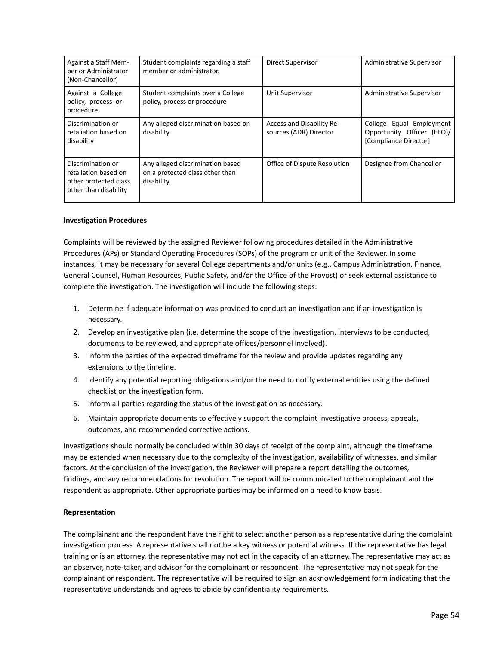| Against a Staff Mem-<br>ber or Administrator<br>(Non-Chancellor)                            | Student complaints regarding a staff<br>member or administrator.                   | Direct Supervisor                                   | Administrative Supervisor                                                       |
|---------------------------------------------------------------------------------------------|------------------------------------------------------------------------------------|-----------------------------------------------------|---------------------------------------------------------------------------------|
| Against a College<br>policy, process or<br>procedure                                        | Student complaints over a College<br>policy, process or procedure                  | <b>Unit Supervisor</b>                              | <b>Administrative Supervisor</b>                                                |
| Discrimination or<br>retaliation based on<br>disability                                     | Any alleged discrimination based on<br>disability.                                 | Access and Disability Re-<br>sources (ADR) Director | College Equal Employment<br>Opportunity Officer (EEO)/<br>[Compliance Director] |
| Discrimination or<br>retaliation based on<br>other protected class<br>other than disability | Any alleged discrimination based<br>on a protected class other than<br>disability. | Office of Dispute Resolution                        | Designee from Chancellor                                                        |

#### **Investigation Procedures**

Complaints will be reviewed by the assigned Reviewer following procedures detailed in the Administrative Procedures (APs) or Standard Operating Procedures (SOPs) of the program or unit of the Reviewer. In some instances, it may be necessary for several College departments and/or units (e.g., Campus Administration, Finance, General Counsel, Human Resources, Public Safety, and/or the Office of the Provost) or seek external assistance to complete the investigation. The investigation will include the following steps:

- 1. Determine if adequate information was provided to conduct an investigation and if an investigation is necessary.
- 2. Develop an investigative plan (i.e. determine the scope of the investigation, interviews to be conducted, documents to be reviewed, and appropriate offices/personnel involved).
- 3. Inform the parties of the expected timeframe for the review and provide updates regarding any extensions to the timeline.
- 4. Identify any potential reporting obligations and/or the need to notify external entities using the defined checklist on the investigation form.
- 5. Inform all parties regarding the status of the investigation as necessary.
- 6. Maintain appropriate documents to effectively support the complaint investigative process, appeals, outcomes, and recommended corrective actions.

Investigations should normally be concluded within 30 days of receipt of the complaint, although the timeframe may be extended when necessary due to the complexity of the investigation, availability of witnesses, and similar factors. At the conclusion of the investigation, the Reviewer will prepare a report detailing the outcomes, findings, and any recommendations for resolution. The report will be communicated to the complainant and the respondent as appropriate. Other appropriate parties may be informed on a need to know basis.

#### **Representation**

The complainant and the respondent have the right to select another person as a representative during the complaint investigation process. A representative shall not be a key witness or potential witness. If the representative has legal training or is an attorney, the representative may not act in the capacity of an attorney. The representative may act as an observer, note-taker, and advisor for the complainant or respondent. The representative may not speak for the complainant or respondent. The representative will be required to sign an acknowledgement form indicating that the representative understands and agrees to abide by confidentiality requirements.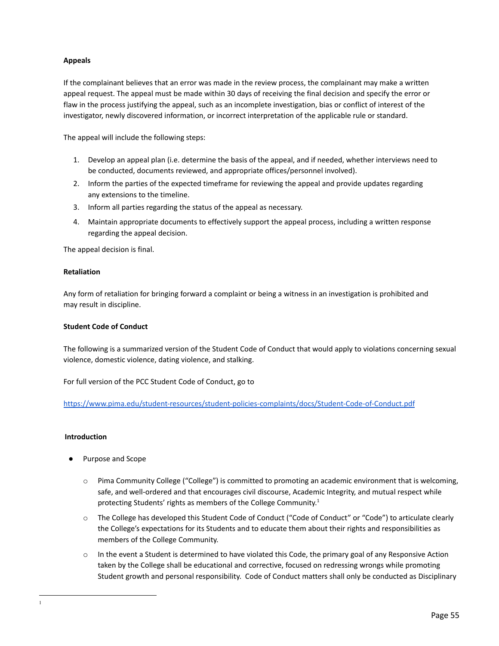# **Appeals**

If the complainant believes that an error was made in the review process, the complainant may make a written appeal request. The appeal must be made within 30 days of receiving the final decision and specify the error or flaw in the process justifying the appeal, such as an incomplete investigation, bias or conflict of interest of the investigator, newly discovered information, or incorrect interpretation of the applicable rule or standard.

The appeal will include the following steps:

- 1. Develop an appeal plan (i.e. determine the basis of the appeal, and if needed, whether interviews need to be conducted, documents reviewed, and appropriate offices/personnel involved).
- 2. Inform the parties of the expected timeframe for reviewing the appeal and provide updates regarding any extensions to the timeline.
- 3. Inform all parties regarding the status of the appeal as necessary.
- 4. Maintain appropriate documents to effectively support the appeal process, including a written response regarding the appeal decision.

The appeal decision is final.

# **Retaliation**

Any form of retaliation for bringing forward a complaint or being a witness in an investigation is prohibited and may result in discipline.

### **Student Code of Conduct**

The following is a summarized version of the Student Code of Conduct that would apply to violations concerning sexual violence, domestic violence, dating violence, and stalking.

For full version of the PCC Student Code of Conduct, go to

<https://www.pima.edu/student-resources/student-policies-complaints/docs/Student-Code-of-Conduct.pdf>

# **Introduction**

- Purpose and Scope
	- o Pima Community College ("College") is committed to promoting an academic environment that is welcoming, safe, and well-ordered and that encourages civil discourse, Academic Integrity, and mutual respect while protecting Students' rights as members of the College Community.<sup>1</sup>
	- o The College has developed this Student Code of Conduct ("Code of Conduct" or "Code") to articulate clearly the College's expectations for its Students and to educate them about their rights and responsibilities as members of the College Community.
	- $\circ$  In the event a Student is determined to have violated this Code, the primary goal of any Responsive Action taken by the College shall be educational and corrective, focused on redressing wrongs while promoting Student growth and personal responsibility. Code of Conduct matters shall only be conducted as Disciplinary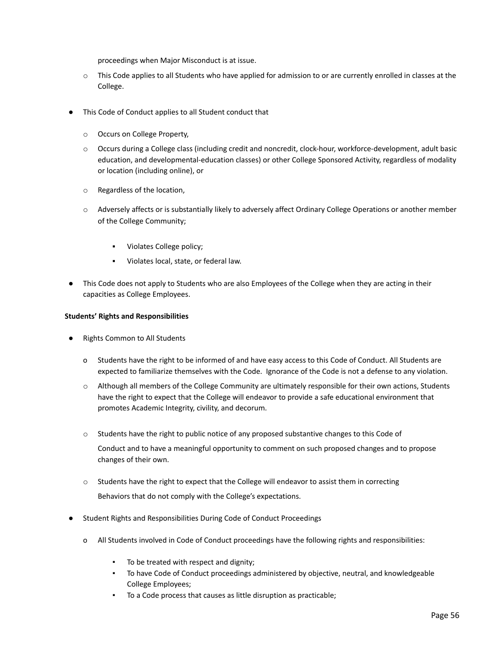proceedings when Major Misconduct is at issue.

- $\circ$  This Code applies to all Students who have applied for admission to or are currently enrolled in classes at the College.
- This Code of Conduct applies to all Student conduct that
	- o Occurs on College Property,
	- o Occurs during a College class (including credit and noncredit, clock-hour, workforce-development, adult basic education, and developmental-education classes) or other College Sponsored Activity, regardless of modality or location (including online), or
	- o Regardless of the location,
	- o Adversely affects or is substantially likely to adversely affect Ordinary College Operations or another member of the College Community;
		- Violates College policy;
		- Violates local, state, or federal law.
- This Code does not apply to Students who are also Employees of the College when they are acting in their capacities as College Employees.

# **Students' Rights and Responsibilities**

- **Rights Common to All Students** 
	- o Students have the right to be informed of and have easy access to this Code of Conduct. All Students are expected to familiarize themselves with the Code. Ignorance of the Code is not a defense to any violation.
	- o Although all members of the College Community are ultimately responsible for their own actions, Students have the right to expect that the College will endeavor to provide a safe educational environment that promotes Academic Integrity, civility, and decorum.
	- $\circ$  Students have the right to public notice of any proposed substantive changes to this Code of Conduct and to have a meaningful opportunity to comment on such proposed changes and to propose changes of their own.
	- o Students have the right to expect that the College will endeavor to assist them in correcting Behaviors that do not comply with the College's expectations.
- Student Rights and Responsibilities During Code of Conduct Proceedings
	- o All Students involved in Code of Conduct proceedings have the following rights and responsibilities:
		- To be treated with respect and dignity;
		- To have Code of Conduct proceedings administered by objective, neutral, and knowledgeable College Employees;
		- To a Code process that causes as little disruption as practicable;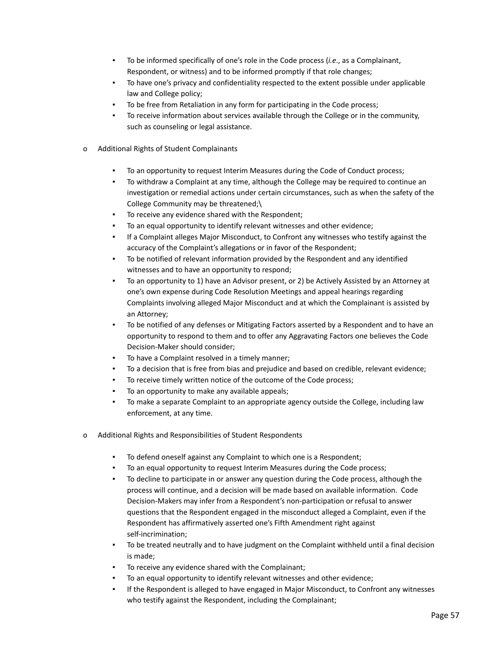- To be informed specifically of one's role in the Code process (*i.e.*, as a Complainant, Respondent, or witness) and to be informed promptly if that role changes;
- To have one's privacy and confidentiality respected to the extent possible under applicable law and College policy;
- To be free from Retaliation in any form for participating in the Code process;
- To receive information about services available through the College or in the community, such as counseling or legal assistance.
- o Additional Rights of Student Complainants
	- To an opportunity to request Interim Measures during the Code of Conduct process;
	- To withdraw a Complaint at any time, although the College may be required to continue an investigation or remedial actions under certain circumstances, such as when the safety of the College Community may be threatened;\
	- To receive any evidence shared with the Respondent;
	- To an equal opportunity to identify relevant witnesses and other evidence;
	- If a Complaint alleges Major Misconduct, to Confront any witnesses who testify against the accuracy of the Complaint's allegations or in favor of the Respondent;
	- To be notified of relevant information provided by the Respondent and any identified witnesses and to have an opportunity to respond;
	- To an opportunity to 1) have an Advisor present, or 2) be Actively Assisted by an Attorney at one's own expense during Code Resolution Meetings and appeal hearings regarding Complaints involving alleged Major Misconduct and at which the Complainant is assisted by an Attorney;
	- To be notified of any defenses or Mitigating Factors asserted by a Respondent and to have an opportunity to respond to them and to offer any Aggravating Factors one believes the Code Decision-Maker should consider;
	- To have a Complaint resolved in a timely manner;
	- To a decision that is free from bias and prejudice and based on credible, relevant evidence;
	- To receive timely written notice of the outcome of the Code process;
	- To an opportunity to make any available appeals;
	- To make a separate Complaint to an appropriate agency outside the College, including law enforcement, at any time.
- o Additional Rights and Responsibilities of Student Respondents
	- To defend oneself against any Complaint to which one is a Respondent;
	- To an equal opportunity to request Interim Measures during the Code process;
	- To decline to participate in or answer any question during the Code process, although the process will continue, and a decision will be made based on available information. Code Decision-Makers may infer from a Respondent's non-participation or refusal to answer questions that the Respondent engaged in the misconduct alleged a Complaint, even if the Respondent has affirmatively asserted one's Fifth Amendment right against self-incrimination;
	- To be treated neutrally and to have judgment on the Complaint withheld until a final decision is made;
	- To receive any evidence shared with the Complainant;
	- To an equal opportunity to identify relevant witnesses and other evidence;
	- If the Respondent is alleged to have engaged in Major Misconduct, to Confront any witnesses who testify against the Respondent, including the Complainant;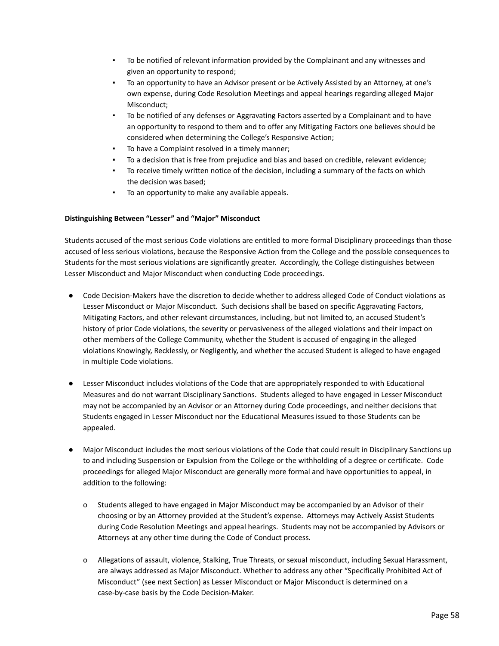- To be notified of relevant information provided by the Complainant and any witnesses and given an opportunity to respond;
- To an opportunity to have an Advisor present or be Actively Assisted by an Attorney, at one's own expense, during Code Resolution Meetings and appeal hearings regarding alleged Major Misconduct;
- To be notified of any defenses or Aggravating Factors asserted by a Complainant and to have an opportunity to respond to them and to offer any Mitigating Factors one believes should be considered when determining the College's Responsive Action;
- To have a Complaint resolved in a timely manner;
- To a decision that is free from prejudice and bias and based on credible, relevant evidence;
- To receive timely written notice of the decision, including a summary of the facts on which the decision was based;
- To an opportunity to make any available appeals.

#### **Distinguishing Between "Lesser" and "Major" Misconduct**

Students accused of the most serious Code violations are entitled to more formal Disciplinary proceedings than those accused of less serious violations, because the Responsive Action from the College and the possible consequences to Students for the most serious violations are significantly greater. Accordingly, the College distinguishes between Lesser Misconduct and Major Misconduct when conducting Code proceedings.

- Code Decision-Makers have the discretion to decide whether to address alleged Code of Conduct violations as Lesser Misconduct or Major Misconduct. Such decisions shall be based on specific Aggravating Factors, Mitigating Factors, and other relevant circumstances, including, but not limited to, an accused Student's history of prior Code violations, the severity or pervasiveness of the alleged violations and their impact on other members of the College Community, whether the Student is accused of engaging in the alleged violations Knowingly, Recklessly, or Negligently, and whether the accused Student is alleged to have engaged in multiple Code violations.
- Lesser Misconduct includes violations of the Code that are appropriately responded to with Educational Measures and do not warrant Disciplinary Sanctions. Students alleged to have engaged in Lesser Misconduct may not be accompanied by an Advisor or an Attorney during Code proceedings, and neither decisions that Students engaged in Lesser Misconduct nor the Educational Measures issued to those Students can be appealed.
- Major Misconduct includes the most serious violations of the Code that could result in Disciplinary Sanctions up to and including Suspension or Expulsion from the College or the withholding of a degree or certificate. Code proceedings for alleged Major Misconduct are generally more formal and have opportunities to appeal, in addition to the following:
	- o Students alleged to have engaged in Major Misconduct may be accompanied by an Advisor of their choosing or by an Attorney provided at the Student's expense. Attorneys may Actively Assist Students during Code Resolution Meetings and appeal hearings. Students may not be accompanied by Advisors or Attorneys at any other time during the Code of Conduct process.
	- o Allegations of assault, violence, Stalking, True Threats, or sexual misconduct, including Sexual Harassment, are always addressed as Major Misconduct. Whether to address any other "Specifically Prohibited Act of Misconduct" (see next Section) as Lesser Misconduct or Major Misconduct is determined on a case-by-case basis by the Code Decision-Maker.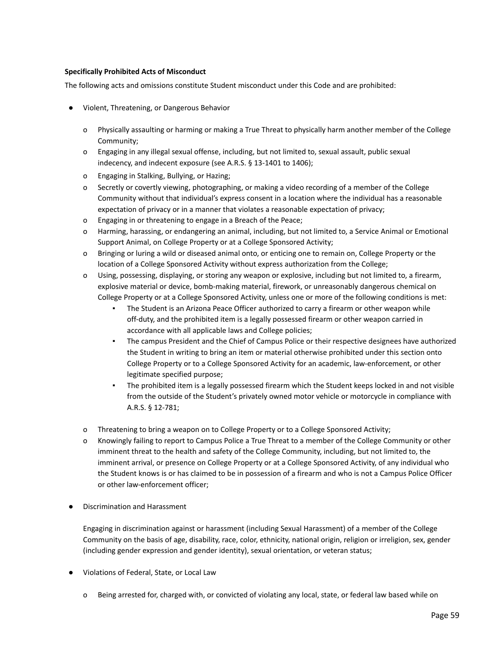# **Specifically Prohibited Acts of Misconduct**

The following acts and omissions constitute Student misconduct under this Code and are prohibited:

- Violent, Threatening, or Dangerous Behavior
	- o Physically assaulting or harming or making a True Threat to physically harm another member of the College Community;
	- o Engaging in any illegal sexual offense, including, but not limited to, sexual assault, public sexual indecency, and indecent exposure (see A.R.S. § 13-1401 to 1406);
	- o Engaging in Stalking, Bullying, or Hazing;
	- o Secretly or covertly viewing, photographing, or making a video recording of a member of the College Community without that individual's express consent in a location where the individual has a reasonable expectation of privacy or in a manner that violates a reasonable expectation of privacy;
	- o Engaging in or threatening to engage in a Breach of the Peace;
	- o Harming, harassing, or endangering an animal, including, but not limited to, a Service Animal or Emotional Support Animal, on College Property or at a College Sponsored Activity;
	- o Bringing or luring a wild or diseased animal onto, or enticing one to remain on, College Property or the location of a College Sponsored Activity without express authorization from the College;
	- o Using, possessing, displaying, or storing any weapon or explosive, including but not limited to, a firearm, explosive material or device, bomb-making material, firework, or unreasonably dangerous chemical on College Property or at a College Sponsored Activity, unless one or more of the following conditions is met:
		- The Student is an Arizona Peace Officer authorized to carry a firearm or other weapon while off-duty, and the prohibited item is a legally possessed firearm or other weapon carried in accordance with all applicable laws and College policies;
		- The campus President and the Chief of Campus Police or their respective designees have authorized the Student in writing to bring an item or material otherwise prohibited under this section onto College Property or to a College Sponsored Activity for an academic, law-enforcement, or other legitimate specified purpose;
		- The prohibited item is a legally possessed firearm which the Student keeps locked in and not visible from the outside of the Student's privately owned motor vehicle or motorcycle in compliance with A.R.S. § 12-781;
	- o Threatening to bring a weapon on to College Property or to a College Sponsored Activity;
	- o Knowingly failing to report to Campus Police a True Threat to a member of the College Community or other imminent threat to the health and safety of the College Community, including, but not limited to, the imminent arrival, or presence on College Property or at a College Sponsored Activity, of any individual who the Student knows is or has claimed to be in possession of a firearm and who is not a Campus Police Officer or other law-enforcement officer;
- Discrimination and Harassment

Engaging in discrimination against or harassment (including Sexual Harassment) of a member of the College Community on the basis of age, disability, race, color, ethnicity, national origin, religion or irreligion, sex, gender (including gender expression and gender identity), sexual orientation, or veteran status;

- Violations of Federal, State, or Local Law
	- o Being arrested for, charged with, or convicted of violating any local, state, or federal law based while on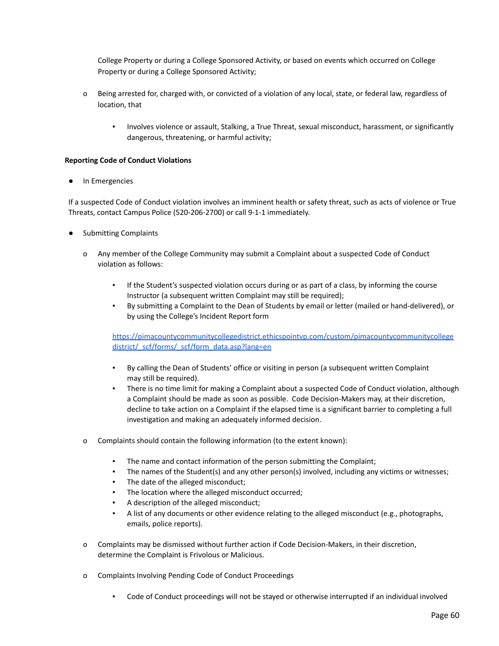College Property or during a College Sponsored Activity, or based on events which occurred on College Property or during a College Sponsored Activity;

- o Being arrested for, charged with, or convicted of a violation of any local, state, or federal law, regardless of location, that
	- Involves violence or assault, Stalking, a True Threat, sexual misconduct, harassment, or significantly dangerous, threatening, or harmful activity;

### **Reporting Code of Conduct Violations**

In Emergencies

If a suspected Code of Conduct violation involves an imminent health or safety threat, such as acts of violence or True Threats, contact Campus Police (520-206-2700) or call 9-1-1 immediately.

- **Submitting Complaints** 
	- o Any member of the College Community may submit a Complaint about a suspected Code of Conduct violation as follows:
		- If the Student's suspected violation occurs during or as part of a class, by informing the course Instructor (a subsequent written Complaint may still be required);
		- By submitting a Complaint to the Dean of Students by email or letter (mailed or hand-delivered), or by using the College's Incident Report form

[https://pimacountycommunitycollegedistrict.ethicspointvp.com/custom/pimacountycommunitycollege](https://pimacountycommunitycollegedistrict.ethicspointvp.com/custom/pimacountycommunitycollegedistrict/_scf/forms/_scf/form_data.asp?lang=en) [district/\\_scf/forms/\\_scf/form\\_data.asp?lang=en](https://pimacountycommunitycollegedistrict.ethicspointvp.com/custom/pimacountycommunitycollegedistrict/_scf/forms/_scf/form_data.asp?lang=en)

- By calling the Dean of Students' office or visiting in person (a subsequent written Complaint may still be required).
- There is no time limit for making a Complaint about a suspected Code of Conduct violation, although a Complaint should be made as soon as possible. Code Decision-Makers may, at their discretion, decline to take action on a Complaint if the elapsed time is a significant barrier to completing a full investigation and making an adequately informed decision.
- o Complaints should contain the following information (to the extent known):
	- The name and contact information of the person submitting the Complaint;
	- The names of the Student(s) and any other person(s) involved, including any victims or witnesses;
	- The date of the alleged misconduct;
	- The location where the alleged misconduct occurred;
	- A description of the alleged misconduct;
	- A list of any documents or other evidence relating to the alleged misconduct (e.g., photographs, emails, police reports).
- o Complaints may be dismissed without further action if Code Decision-Makers, in their discretion, determine the Complaint is Frivolous or Malicious.
- o Complaints Involving Pending Code of Conduct Proceedings
	- Code of Conduct proceedings will not be stayed or otherwise interrupted if an individual involved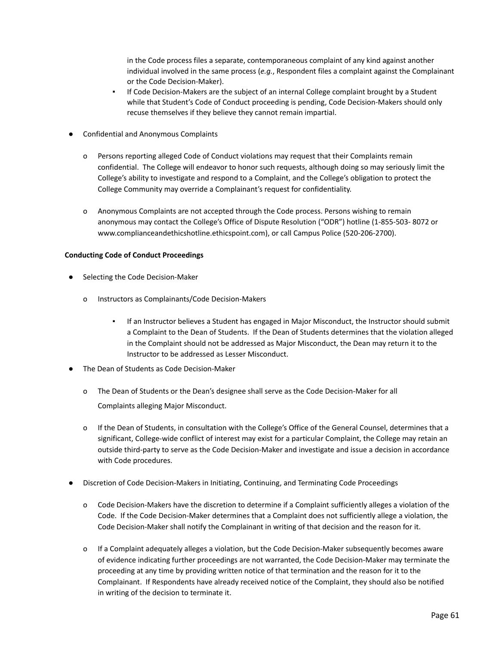in the Code process files a separate, contemporaneous complaint of any kind against another individual involved in the same process (*e.g.*, Respondent files a complaint against the Complainant or the Code Decision-Maker).

- If Code Decision-Makers are the subject of an internal College complaint brought by a Student while that Student's Code of Conduct proceeding is pending, Code Decision-Makers should only recuse themselves if they believe they cannot remain impartial.
- Confidential and Anonymous Complaints
	- o Persons reporting alleged Code of Conduct violations may request that their Complaints remain confidential. The College will endeavor to honor such requests, although doing so may seriously limit the College's ability to investigate and respond to a Complaint, and the College's obligation to protect the College Community may override a Complainant's request for confidentiality.
	- o Anonymous Complaints are not accepted through the Code process. Persons wishing to remain anonymous may contact the College's Office of Dispute Resolution ("ODR") hotline (1-855-503- 8072 or [www.complianceandethicshotline.ethicspoint.com\)](http://www.complianceandethicshotline.ethicspoint.com/), or call Campus Police (520-206-2700).

# **Conducting Code of Conduct Proceedings**

- Selecting the Code Decision-Maker
	- o Instructors as Complainants/Code Decision-Makers
		- If an Instructor believes a Student has engaged in Major Misconduct, the Instructor should submit a Complaint to the Dean of Students. If the Dean of Students determines that the violation alleged in the Complaint should not be addressed as Major Misconduct, the Dean may return it to the Instructor to be addressed as Lesser Misconduct.
- The Dean of Students as Code Decision-Maker
	- o The Dean of Students or the Dean's designee shall serve as the Code Decision-Maker for all Complaints alleging Major Misconduct.
	- o If the Dean of Students, in consultation with the College's Office of the General Counsel, determines that a significant, College-wide conflict of interest may exist for a particular Complaint, the College may retain an outside third-party to serve as the Code Decision-Maker and investigate and issue a decision in accordance with Code procedures.
- Discretion of Code Decision-Makers in Initiating, Continuing, and Terminating Code Proceedings
	- o Code Decision-Makers have the discretion to determine if a Complaint sufficiently alleges a violation of the Code. If the Code Decision-Maker determines that a Complaint does not sufficiently allege a violation, the Code Decision-Maker shall notify the Complainant in writing of that decision and the reason for it.
	- o If a Complaint adequately alleges a violation, but the Code Decision-Maker subsequently becomes aware of evidence indicating further proceedings are not warranted, the Code Decision-Maker may terminate the proceeding at any time by providing written notice of that termination and the reason for it to the Complainant. If Respondents have already received notice of the Complaint, they should also be notified in writing of the decision to terminate it.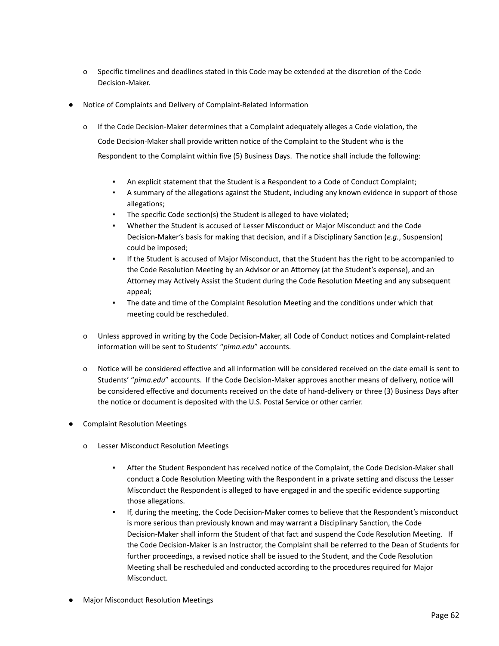- o Specific timelines and deadlines stated in this Code may be extended at the discretion of the Code Decision-Maker.
- Notice of Complaints and Delivery of Complaint-Related Information
	- o If the Code Decision-Maker determines that a Complaint adequately alleges a Code violation, the Code Decision-Maker shall provide written notice of the Complaint to the Student who is the Respondent to the Complaint within five (5) Business Days. The notice shall include the following:
		- An explicit statement that the Student is a Respondent to a Code of Conduct Complaint;
		- A summary of the allegations against the Student, including any known evidence in support of those allegations;
		- The specific Code section(s) the Student is alleged to have violated;
		- Whether the Student is accused of Lesser Misconduct or Major Misconduct and the Code Decision-Maker's basis for making that decision, and if a Disciplinary Sanction (*e.g.*, Suspension) could be imposed;
		- If the Student is accused of Major Misconduct, that the Student has the right to be accompanied to the Code Resolution Meeting by an Advisor or an Attorney (at the Student's expense), and an Attorney may Actively Assist the Student during the Code Resolution Meeting and any subsequent appeal;
		- The date and time of the Complaint Resolution Meeting and the conditions under which that meeting could be rescheduled.
	- o Unless approved in writing by the Code Decision-Maker, all Code of Conduct notices and Complaint-related information will be sent to Students' "*pima.edu*" accounts.
	- o Notice will be considered effective and all information will be considered received on the date email is sent to Students' "*pima.edu*" accounts. If the Code Decision-Maker approves another means of delivery, notice will be considered effective and documents received on the date of hand-delivery or three (3) Business Days after the notice or document is deposited with the U.S. Postal Service or other carrier.
- **Complaint Resolution Meetings** 
	- o Lesser Misconduct Resolution Meetings
		- After the Student Respondent has received notice of the Complaint, the Code Decision-Maker shall conduct a Code Resolution Meeting with the Respondent in a private setting and discuss the Lesser Misconduct the Respondent is alleged to have engaged in and the specific evidence supporting those allegations.
		- If, during the meeting, the Code Decision-Maker comes to believe that the Respondent's misconduct is more serious than previously known and may warrant a Disciplinary Sanction, the Code Decision-Maker shall inform the Student of that fact and suspend the Code Resolution Meeting. If the Code Decision-Maker is an Instructor, the Complaint shall be referred to the Dean of Students for further proceedings, a revised notice shall be issued to the Student, and the Code Resolution Meeting shall be rescheduled and conducted according to the procedures required for Major Misconduct.
- **Major Misconduct Resolution Meetings**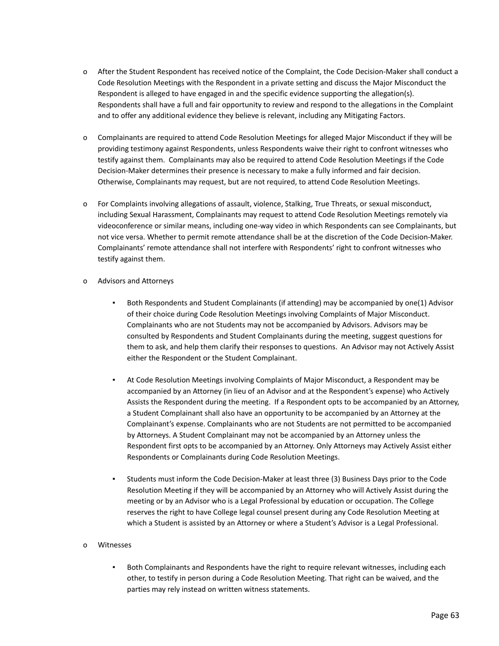- o After the Student Respondent has received notice of the Complaint, the Code Decision-Maker shall conduct a Code Resolution Meetings with the Respondent in a private setting and discuss the Major Misconduct the Respondent is alleged to have engaged in and the specific evidence supporting the allegation(s). Respondents shall have a full and fair opportunity to review and respond to the allegations in the Complaint and to offer any additional evidence they believe is relevant, including any Mitigating Factors.
- o Complainants are required to attend Code Resolution Meetings for alleged Major Misconduct if they will be providing testimony against Respondents, unless Respondents waive their right to confront witnesses who testify against them. Complainants may also be required to attend Code Resolution Meetings if the Code Decision-Maker determines their presence is necessary to make a fully informed and fair decision. Otherwise, Complainants may request, but are not required, to attend Code Resolution Meetings.
- o For Complaints involving allegations of assault, violence, Stalking, True Threats, or sexual misconduct, including Sexual Harassment, Complainants may request to attend Code Resolution Meetings remotely via videoconference or similar means, including one-way video in which Respondents can see Complainants, but not vice versa. Whether to permit remote attendance shall be at the discretion of the Code Decision-Maker. Complainants' remote attendance shall not interfere with Respondents' right to confront witnesses who testify against them.

# o Advisors and Attorneys

- Both Respondents and Student Complainants (if attending) may be accompanied by one(1) Advisor of their choice during Code Resolution Meetings involving Complaints of Major Misconduct. Complainants who are not Students may not be accompanied by Advisors. Advisors may be consulted by Respondents and Student Complainants during the meeting, suggest questions for them to ask, and help them clarify their responses to questions. An Advisor may not Actively Assist either the Respondent or the Student Complainant.
- At Code Resolution Meetings involving Complaints of Major Misconduct, a Respondent may be accompanied by an Attorney (in lieu of an Advisor and at the Respondent's expense) who Actively Assists the Respondent during the meeting. If a Respondent opts to be accompanied by an Attorney, a Student Complainant shall also have an opportunity to be accompanied by an Attorney at the Complainant's expense. Complainants who are not Students are not permitted to be accompanied by Attorneys. A Student Complainant may not be accompanied by an Attorney unless the Respondent first opts to be accompanied by an Attorney. Only Attorneys may Actively Assist either Respondents or Complainants during Code Resolution Meetings.
- Students must inform the Code Decision-Maker at least three (3) Business Days prior to the Code Resolution Meeting if they will be accompanied by an Attorney who will Actively Assist during the meeting or by an Advisor who is a Legal Professional by education or occupation. The College reserves the right to have College legal counsel present during any Code Resolution Meeting at which a Student is assisted by an Attorney or where a Student's Advisor is a Legal Professional.

# o Witnesses

Both Complainants and Respondents have the right to require relevant witnesses, including each other, to testify in person during a Code Resolution Meeting. That right can be waived, and the parties may rely instead on written witness statements.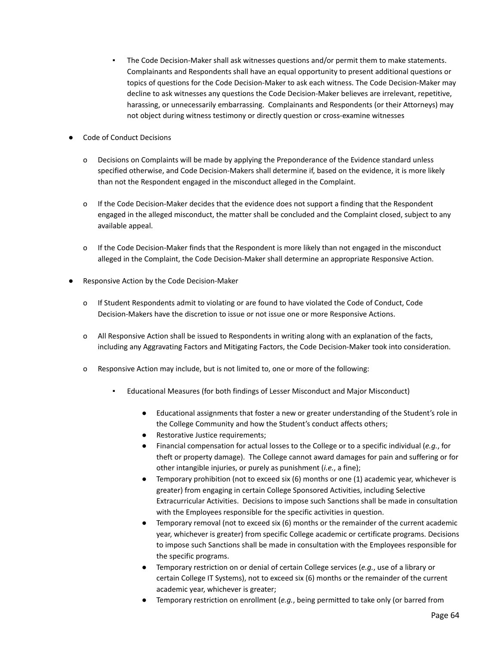- The Code Decision-Maker shall ask witnesses questions and/or permit them to make statements. Complainants and Respondents shall have an equal opportunity to present additional questions or topics of questions for the Code Decision-Maker to ask each witness. The Code Decision-Maker may decline to ask witnesses any questions the Code Decision-Maker believes are irrelevant, repetitive, harassing, or unnecessarily embarrassing. Complainants and Respondents (or their Attorneys) may not object during witness testimony or directly question or cross-examine witnesses
- **Code of Conduct Decisions** 
	- o Decisions on Complaints will be made by applying the Preponderance of the Evidence standard unless specified otherwise, and Code Decision-Makers shall determine if, based on the evidence, it is more likely than not the Respondent engaged in the misconduct alleged in the Complaint.
	- o If the Code Decision-Maker decides that the evidence does not support a finding that the Respondent engaged in the alleged misconduct, the matter shall be concluded and the Complaint closed, subject to any available appeal.
	- o If the Code Decision-Maker finds that the Respondent is more likely than not engaged in the misconduct alleged in the Complaint, the Code Decision-Maker shall determine an appropriate Responsive Action.
- Responsive Action by the Code Decision-Maker
	- o If Student Respondents admit to violating or are found to have violated the Code of Conduct, Code Decision-Makers have the discretion to issue or not issue one or more Responsive Actions.
	- o All Responsive Action shall be issued to Respondents in writing along with an explanation of the facts, including any Aggravating Factors and Mitigating Factors, the Code Decision-Maker took into consideration.
	- o Responsive Action may include, but is not limited to, one or more of the following:
		- Educational Measures (for both findings of Lesser Misconduct and Major Misconduct)
			- Educational assignments that foster a new or greater understanding of the Student's role in the College Community and how the Student's conduct affects others;
			- Restorative Justice requirements;
			- Financial compensation for actual losses to the College or to a specific individual (*e.g.*, for theft or property damage). The College cannot award damages for pain and suffering or for other intangible injuries, or purely as punishment (*i.e.*, a fine);
			- Temporary prohibition (not to exceed six (6) months or one (1) academic year, whichever is greater) from engaging in certain College Sponsored Activities, including Selective Extracurricular Activities. Decisions to impose such Sanctions shall be made in consultation with the Employees responsible for the specific activities in question.
			- Temporary removal (not to exceed six (6) months or the remainder of the current academic year, whichever is greater) from specific College academic or certificate programs. Decisions to impose such Sanctions shall be made in consultation with the Employees responsible for the specific programs.
			- Temporary restriction on or denial of certain College services (*e.g.*, use of a library or certain College IT Systems), not to exceed six (6) months or the remainder of the current academic year, whichever is greater;
			- Temporary restriction on enrollment (*e.g.*, being permitted to take only (or barred from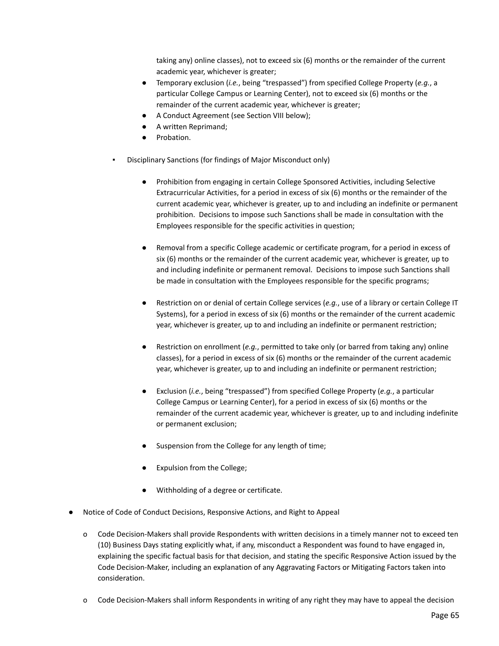taking any) online classes), not to exceed six (6) months or the remainder of the current academic year, whichever is greater;

- Temporary exclusion (*i.e.*, being "trespassed") from specified College Property (*e.g.*, a particular College Campus or Learning Center), not to exceed six (6) months or the remainder of the current academic year, whichever is greater;
- A Conduct Agreement (see Section VIII below);
- A written Reprimand;
- Probation.
- Disciplinary Sanctions (for findings of Major Misconduct only)
	- Prohibition from engaging in certain College Sponsored Activities, including Selective Extracurricular Activities, for a period in excess of six (6) months or the remainder of the current academic year, whichever is greater, up to and including an indefinite or permanent prohibition. Decisions to impose such Sanctions shall be made in consultation with the Employees responsible for the specific activities in question;
	- Removal from a specific College academic or certificate program, for a period in excess of six (6) months or the remainder of the current academic year, whichever is greater, up to and including indefinite or permanent removal. Decisions to impose such Sanctions shall be made in consultation with the Employees responsible for the specific programs;
	- Restriction on or denial of certain College services (*e.g.*, use of a library or certain College IT Systems), for a period in excess of six (6) months or the remainder of the current academic year, whichever is greater, up to and including an indefinite or permanent restriction;
	- Restriction on enrollment (*e.g.*, permitted to take only (or barred from taking any) online classes), for a period in excess of six (6) months or the remainder of the current academic year, whichever is greater, up to and including an indefinite or permanent restriction;
	- Exclusion (*i.e.*, being "trespassed") from specified College Property (*e.g.*, a particular College Campus or Learning Center), for a period in excess of six (6) months or the remainder of the current academic year, whichever is greater, up to and including indefinite or permanent exclusion;
	- Suspension from the College for any length of time;
	- Expulsion from the College;
	- Withholding of a degree or certificate.
- Notice of Code of Conduct Decisions, Responsive Actions, and Right to Appeal
	- o Code Decision-Makers shall provide Respondents with written decisions in a timely manner not to exceed ten (10) Business Days stating explicitly what, if any, misconduct a Respondent was found to have engaged in, explaining the specific factual basis for that decision, and stating the specific Responsive Action issued by the Code Decision-Maker, including an explanation of any Aggravating Factors or Mitigating Factors taken into consideration.
	- o Code Decision-Makers shall inform Respondents in writing of any right they may have to appeal the decision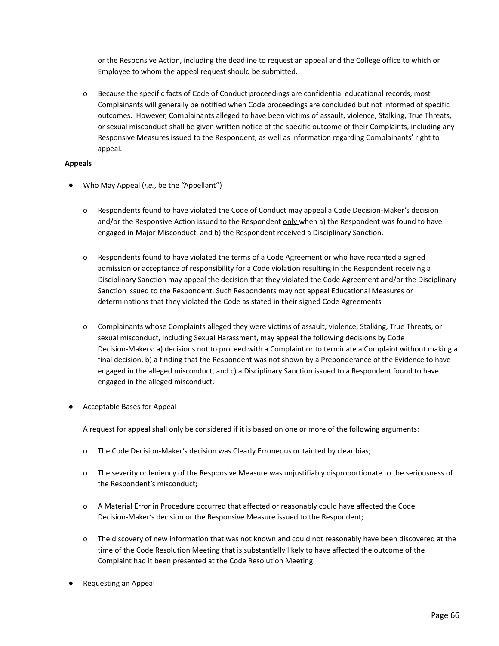or the Responsive Action, including the deadline to request an appeal and the College office to which or Employee to whom the appeal request should be submitted.

o Because the specific facts of Code of Conduct proceedings are confidential educational records, most Complainants will generally be notified when Code proceedings are concluded but not informed of specific outcomes. However, Complainants alleged to have been victims of assault, violence, Stalking, True Threats, or sexual misconduct shall be given written notice of the specific outcome of their Complaints, including any Responsive Measures issued to the Respondent, as well as information regarding Complainants' right to appeal.

### **Appeals**

- Who May Appeal *(i.e.*, be the "Appellant")
	- o Respondents found to have violated the Code of Conduct may appeal a Code Decision-Maker's decision and/or the Responsive Action issued to the Respondent only when a) the Respondent was found to have engaged in Major Misconduct, and b) the Respondent received a Disciplinary Sanction.
	- o Respondents found to have violated the terms of a Code Agreement or who have recanted a signed admission or acceptance of responsibility for a Code violation resulting in the Respondent receiving a Disciplinary Sanction may appeal the decision that they violated the Code Agreement and/or the Disciplinary Sanction issued to the Respondent. Such Respondents may not appeal Educational Measures or determinations that they violated the Code as stated in their signed Code Agreements
	- o Complainants whose Complaints alleged they were victims of assault, violence, Stalking, True Threats, or sexual misconduct, including Sexual Harassment, may appeal the following decisions by Code Decision-Makers: a) decisions not to proceed with a Complaint or to terminate a Complaint without making a final decision, b) a finding that the Respondent was not shown by a Preponderance of the Evidence to have engaged in the alleged misconduct, and c) a Disciplinary Sanction issued to a Respondent found to have engaged in the alleged misconduct.
- Acceptable Bases for Appeal

A request for appeal shall only be considered if it is based on one or more of the following arguments:

- o The Code Decision-Maker's decision was Clearly Erroneous or tainted by clear bias;
- o The severity or leniency of the Responsive Measure was unjustifiably disproportionate to the seriousness of the Respondent's misconduct;
- o A Material Error in Procedure occurred that affected or reasonably could have affected the Code Decision-Maker's decision or the Responsive Measure issued to the Respondent;
- o The discovery of new information that was not known and could not reasonably have been discovered at the time of the Code Resolution Meeting that is substantially likely to have affected the outcome of the Complaint had it been presented at the Code Resolution Meeting.
- **Requesting an Appeal**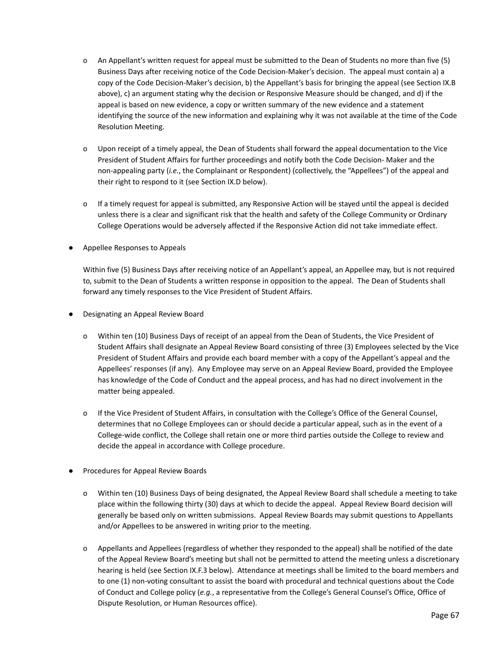- o An Appellant's written request for appeal must be submitted to the Dean of Students no more than five (5) Business Days after receiving notice of the Code Decision-Maker's decision. The appeal must contain a) a copy of the Code Decision-Maker's decision, b) the Appellant's basis for bringing the appeal (see Section IX.B above), c) an argument stating why the decision or Responsive Measure should be changed, and d) if the appeal is based on new evidence, a copy or written summary of the new evidence and a statement identifying the source of the new information and explaining why it was not available at the time of the Code Resolution Meeting.
- o Upon receipt of a timely appeal, the Dean of Students shall forward the appeal documentation to the Vice President of Student Affairs for further proceedings and notify both the Code Decision- Maker and the non-appealing party (*i.e.*, the Complainant or Respondent) (collectively, the "Appellees") of the appeal and their right to respond to it (see Section IX.D below).
- o If a timely request for appeal is submitted, any Responsive Action will be stayed until the appeal is decided unless there is a clear and significant risk that the health and safety of the College Community or Ordinary College Operations would be adversely affected if the Responsive Action did not take immediate effect.
- Appellee Responses to Appeals

Within five (5) Business Days after receiving notice of an Appellant's appeal, an Appellee may, but is not required to, submit to the Dean of Students a written response in opposition to the appeal. The Dean of Students shall forward any timely responses to the Vice President of Student Affairs.

- Designating an Appeal Review Board
	- o Within ten (10) Business Days of receipt of an appeal from the Dean of Students, the Vice President of Student Affairs shall designate an Appeal Review Board consisting of three (3) Employees selected by the Vice President of Student Affairs and provide each board member with a copy of the Appellant's appeal and the Appellees' responses (if any). Any Employee may serve on an Appeal Review Board, provided the Employee has knowledge of the Code of Conduct and the appeal process, and has had no direct involvement in the matter being appealed.
	- o If the Vice President of Student Affairs, in consultation with the College's Office of the General Counsel, determines that no College Employees can or should decide a particular appeal, such as in the event of a College-wide conflict, the College shall retain one or more third parties outside the College to review and decide the appeal in accordance with College procedure.
- Procedures for Appeal Review Boards
	- o Within ten (10) Business Days of being designated, the Appeal Review Board shall schedule a meeting to take place within the following thirty (30) days at which to decide the appeal. Appeal Review Board decision will generally be based only on written submissions. Appeal Review Boards may submit questions to Appellants and/or Appellees to be answered in writing prior to the meeting.
	- o Appellants and Appellees (regardless of whether they responded to the appeal) shall be notified of the date of the Appeal Review Board's meeting but shall not be permitted to attend the meeting unless a discretionary hearing is held (see Section IX.F.3 below). Attendance at meetings shall be limited to the board members and to one (1) non-voting consultant to assist the board with procedural and technical questions about the Code of Conduct and College policy (*e.g.*, a representative from the College's General Counsel's Office, Office of Dispute Resolution, or Human Resources office).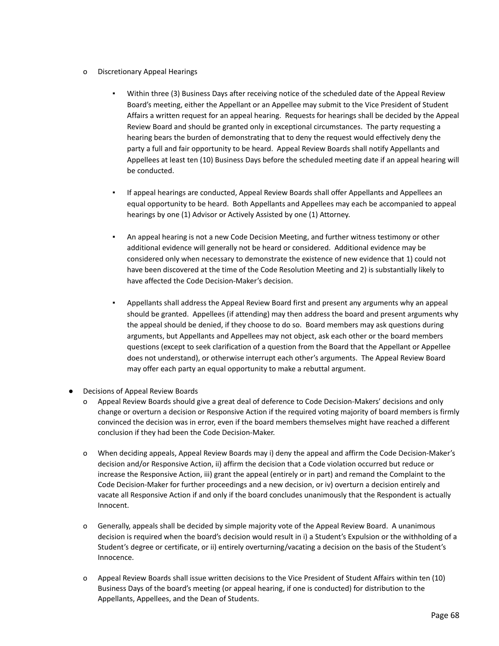- o Discretionary Appeal Hearings
	- Within three (3) Business Days after receiving notice of the scheduled date of the Appeal Review Board's meeting, either the Appellant or an Appellee may submit to the Vice President of Student Affairs a written request for an appeal hearing. Requests for hearings shall be decided by the Appeal Review Board and should be granted only in exceptional circumstances. The party requesting a hearing bears the burden of demonstrating that to deny the request would effectively deny the party a full and fair opportunity to be heard. Appeal Review Boards shall notify Appellants and Appellees at least ten (10) Business Days before the scheduled meeting date if an appeal hearing will be conducted.
	- If appeal hearings are conducted, Appeal Review Boards shall offer Appellants and Appellees an equal opportunity to be heard. Both Appellants and Appellees may each be accompanied to appeal hearings by one (1) Advisor or Actively Assisted by one (1) Attorney.
	- An appeal hearing is not a new Code Decision Meeting, and further witness testimony or other additional evidence will generally not be heard or considered. Additional evidence may be considered only when necessary to demonstrate the existence of new evidence that 1) could not have been discovered at the time of the Code Resolution Meeting and 2) is substantially likely to have affected the Code Decision-Maker's decision.
	- Appellants shall address the Appeal Review Board first and present any arguments why an appeal should be granted. Appellees (if attending) may then address the board and present arguments why the appeal should be denied, if they choose to do so. Board members may ask questions during arguments, but Appellants and Appellees may not object, ask each other or the board members questions (except to seek clarification of a question from the Board that the Appellant or Appellee does not understand), or otherwise interrupt each other's arguments. The Appeal Review Board may offer each party an equal opportunity to make a rebuttal argument.
- **Decisions of Appeal Review Boards** 
	- o Appeal Review Boards should give a great deal of deference to Code Decision-Makers' decisions and only change or overturn a decision or Responsive Action if the required voting majority of board members is firmly convinced the decision was in error, even if the board members themselves might have reached a different conclusion if they had been the Code Decision-Maker.
	- o When deciding appeals, Appeal Review Boards may i) deny the appeal and affirm the Code Decision-Maker's decision and/or Responsive Action, ii) affirm the decision that a Code violation occurred but reduce or increase the Responsive Action, iii) grant the appeal (entirely or in part) and remand the Complaint to the Code Decision-Maker for further proceedings and a new decision, or iv) overturn a decision entirely and vacate all Responsive Action if and only if the board concludes unanimously that the Respondent is actually Innocent.
	- o Generally, appeals shall be decided by simple majority vote of the Appeal Review Board. A unanimous decision is required when the board's decision would result in i) a Student's Expulsion or the withholding of a Student's degree or certificate, or ii) entirely overturning/vacating a decision on the basis of the Student's Innocence.
	- o Appeal Review Boards shall issue written decisions to the Vice President of Student Affairs within ten (10) Business Days of the board's meeting (or appeal hearing, if one is conducted) for distribution to the Appellants, Appellees, and the Dean of Students.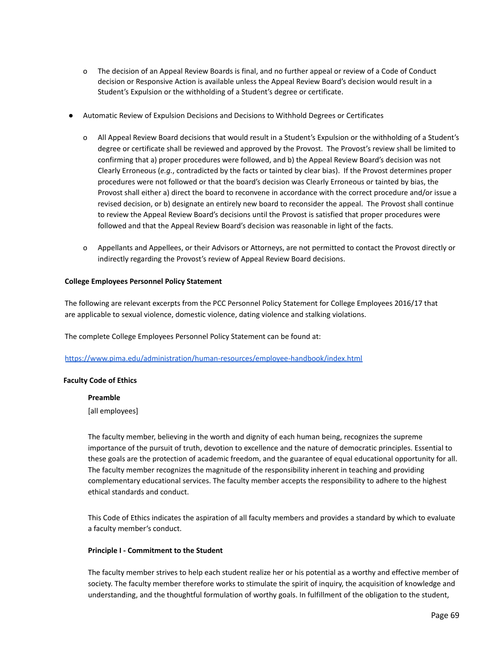- o The decision of an Appeal Review Boards is final, and no further appeal or review of a Code of Conduct decision or Responsive Action is available unless the Appeal Review Board's decision would result in a Student's Expulsion or the withholding of a Student's degree or certificate.
- Automatic Review of Expulsion Decisions and Decisions to Withhold Degrees or Certificates
	- o All Appeal Review Board decisions that would result in a Student's Expulsion or the withholding of a Student's degree or certificate shall be reviewed and approved by the Provost. The Provost's review shall be limited to confirming that a) proper procedures were followed, and b) the Appeal Review Board's decision was not Clearly Erroneous (*e.g.*, contradicted by the facts or tainted by clear bias). If the Provost determines proper procedures were not followed or that the board's decision was Clearly Erroneous or tainted by bias, the Provost shall either a) direct the board to reconvene in accordance with the correct procedure and/or issue a revised decision, or b) designate an entirely new board to reconsider the appeal. The Provost shall continue to review the Appeal Review Board's decisions until the Provost is satisfied that proper procedures were followed and that the Appeal Review Board's decision was reasonable in light of the facts.
	- o Appellants and Appellees, or their Advisors or Attorneys, are not permitted to contact the Provost directly or indirectly regarding the Provost's review of Appeal Review Board decisions.

#### **College Employees Personnel Policy Statement**

The following are relevant excerpts from the PCC Personnel Policy Statement for College Employees 2016/17 that are applicable to sexual violence, domestic violence, dating violence and stalking violations.

The complete College Employees Personnel Policy Statement can be found at:

<https://www.pima.edu/administration/human-resources/employee-handbook/index.html>

#### **Faculty Code of Ethics**

#### **Preamble**

[all employees]

The faculty member, believing in the worth and dignity of each human being, recognizes the supreme importance of the pursuit of truth, devotion to excellence and the nature of democratic principles. Essential to these goals are the protection of academic freedom, and the guarantee of equal educational opportunity for all. The faculty member recognizes the magnitude of the responsibility inherent in teaching and providing complementary educational services. The faculty member accepts the responsibility to adhere to the highest ethical standards and conduct.

This Code of Ethics indicates the aspiration of all faculty members and provides a standard by which to evaluate a faculty member's conduct.

#### **Principle I - Commitment to the Student**

The faculty member strives to help each student realize her or his potential as a worthy and effective member of society. The faculty member therefore works to stimulate the spirit of inquiry, the acquisition of knowledge and understanding, and the thoughtful formulation of worthy goals. In fulfillment of the obligation to the student,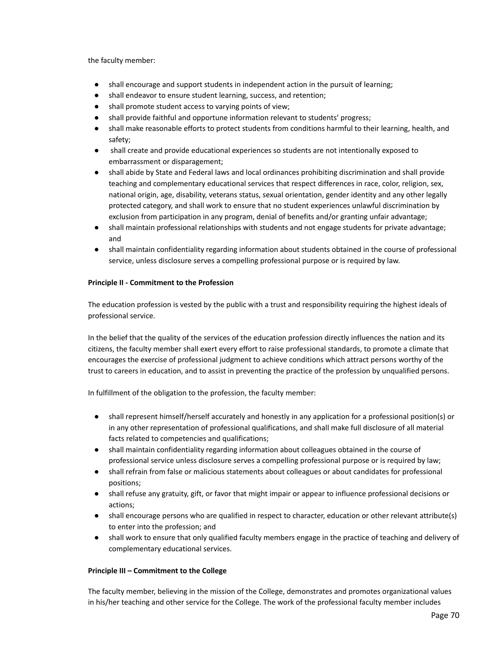the faculty member:

- shall encourage and support students in independent action in the pursuit of learning;
- shall endeavor to ensure student learning, success, and retention;
- shall promote student access to varying points of view;
- shall provide faithful and opportune information relevant to students' progress;
- shall make reasonable efforts to protect students from conditions harmful to their learning, health, and safety;
- shall create and provide educational experiences so students are not intentionally exposed to embarrassment or disparagement;
- shall abide by State and Federal laws and local ordinances prohibiting discrimination and shall provide teaching and complementary educational services that respect differences in race, color, religion, sex, national origin, age, disability, veterans status, sexual orientation, gender identity and any other legally protected category, and shall work to ensure that no student experiences unlawful discrimination by exclusion from participation in any program, denial of benefits and/or granting unfair advantage;
- shall maintain professional relationships with students and not engage students for private advantage; and
- shall maintain confidentiality regarding information about students obtained in the course of professional service, unless disclosure serves a compelling professional purpose or is required by law.

# **Principle II - Commitment to the Profession**

The education profession is vested by the public with a trust and responsibility requiring the highest ideals of professional service.

In the belief that the quality of the services of the education profession directly influences the nation and its citizens, the faculty member shall exert every effort to raise professional standards, to promote a climate that encourages the exercise of professional judgment to achieve conditions which attract persons worthy of the trust to careers in education, and to assist in preventing the practice of the profession by unqualified persons.

In fulfillment of the obligation to the profession, the faculty member:

- shall represent himself/herself accurately and honestly in any application for a professional position(s) or in any other representation of professional qualifications, and shall make full disclosure of all material facts related to competencies and qualifications;
- shall maintain confidentiality regarding information about colleagues obtained in the course of professional service unless disclosure serves a compelling professional purpose or is required by law;
- shall refrain from false or malicious statements about colleagues or about candidates for professional positions;
- shall refuse any gratuity, gift, or favor that might impair or appear to influence professional decisions or actions;
- shall encourage persons who are qualified in respect to character, education or other relevant attribute(s) to enter into the profession; and
- shall work to ensure that only qualified faculty members engage in the practice of teaching and delivery of complementary educational services.

# **Principle III – Commitment to the College**

The faculty member, believing in the mission of the College, demonstrates and promotes organizational values in his/her teaching and other service for the College. The work of the professional faculty member includes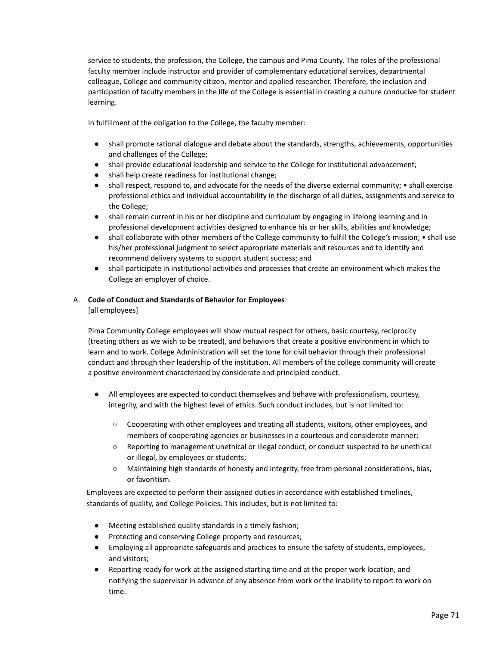service to students, the profession, the College, the campus and Pima County. The roles of the professional faculty member include instructor and provider of complementary educational services, departmental colleague, College and community citizen, mentor and applied researcher. Therefore, the inclusion and participation of faculty members in the life of the College is essential in creating a culture conducive for student learning.

In fulfillment of the obligation to the College, the faculty member:

- shall promote rational dialogue and debate about the standards, strengths, achievements, opportunities and challenges of the College;
- shall provide educational leadership and service to the College for institutional advancement;
- shall help create readiness for institutional change;
- shall respect, respond to, and advocate for the needs of the diverse external community; shall exercise professional ethics and individual accountability in the discharge of all duties, assignments and service to the College;
- shall remain current in his or her discipline and curriculum by engaging in lifelong learning and in professional development activities designed to enhance his or her skills, abilities and knowledge;
- shall collaborate with other members of the College community to fulfill the College's mission; shall use his/her professional judgment to select appropriate materials and resources and to identify and recommend delivery systems to support student success; and
- shall participate in institutional activities and processes that create an environment which makes the College an employer of choice.

# A. **Code of Conduct and Standards of Behavior for Employees**

[all employees]

Pima Community College employees will show mutual respect for others, basic courtesy, reciprocity (treating others as we wish to be treated), and behaviors that create a positive environment in which to learn and to work. College Administration will set the tone for civil behavior through their professional conduct and through their leadership of the institution. All members of the college community will create a positive environment characterized by considerate and principled conduct.

- All employees are expected to conduct themselves and behave with professionalism, courtesy, integrity, and with the highest level of ethics. Such conduct includes, but is not limited to:
	- Cooperating with other employees and treating all students, visitors, other employees, and members of cooperating agencies or businesses in a courteous and considerate manner;
	- Reporting to management unethical or illegal conduct, or conduct suspected to be unethical or illegal, by employees or students;
	- Maintaining high standards of honesty and integrity, free from personal considerations, bias, or favoritism.

Employees are expected to perform their assigned duties in accordance with established timelines, standards of quality, and College Policies. This includes, but is not limited to:

- Meeting established quality standards in a timely fashion;
- Protecting and conserving College property and resources;
- Employing all appropriate safeguards and practices to ensure the safety of students, employees, and visitors;
- Reporting ready for work at the assigned starting time and at the proper work location, and notifying the supervisor in advance of any absence from work or the inability to report to work on time.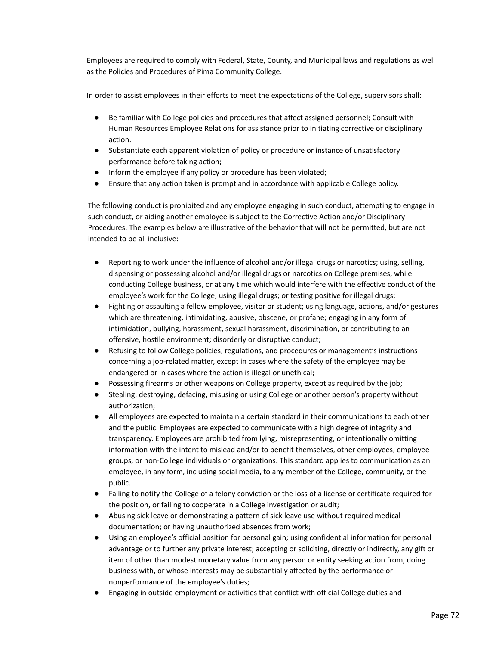Employees are required to comply with Federal, State, County, and Municipal laws and regulations as well as the Policies and Procedures of Pima Community College.

In order to assist employees in their efforts to meet the expectations of the College, supervisors shall:

- Be familiar with College policies and procedures that affect assigned personnel; Consult with Human Resources Employee Relations for assistance prior to initiating corrective or disciplinary action.
- Substantiate each apparent violation of policy or procedure or instance of unsatisfactory performance before taking action;
- Inform the employee if any policy or procedure has been violated;
- Ensure that any action taken is prompt and in accordance with applicable College policy.

The following conduct is prohibited and any employee engaging in such conduct, attempting to engage in such conduct, or aiding another employee is subject to the Corrective Action and/or Disciplinary Procedures. The examples below are illustrative of the behavior that will not be permitted, but are not intended to be all inclusive:

- Reporting to work under the influence of alcohol and/or illegal drugs or narcotics; using, selling, dispensing or possessing alcohol and/or illegal drugs or narcotics on College premises, while conducting College business, or at any time which would interfere with the effective conduct of the employee's work for the College; using illegal drugs; or testing positive for illegal drugs;
- Fighting or assaulting a fellow employee, visitor or student; using language, actions, and/or gestures which are threatening, intimidating, abusive, obscene, or profane; engaging in any form of intimidation, bullying, harassment, sexual harassment, discrimination, or contributing to an offensive, hostile environment; disorderly or disruptive conduct;
- Refusing to follow College policies, regulations, and procedures or management's instructions concerning a job-related matter, except in cases where the safety of the employee may be endangered or in cases where the action is illegal or unethical;
- Possessing firearms or other weapons on College property, except as required by the job;
- Stealing, destroying, defacing, misusing or using College or another person's property without authorization;
- All employees are expected to maintain a certain standard in their communications to each other and the public. Employees are expected to communicate with a high degree of integrity and transparency. Employees are prohibited from lying, misrepresenting, or intentionally omitting information with the intent to mislead and/or to benefit themselves, other employees, employee groups, or non-College individuals or organizations. This standard applies to communication as an employee, in any form, including social media, to any member of the College, community, or the public.
- Failing to notify the College of a felony conviction or the loss of a license or certificate required for the position, or failing to cooperate in a College investigation or audit;
- Abusing sick leave or demonstrating a pattern of sick leave use without required medical documentation; or having unauthorized absences from work;
- Using an employee's official position for personal gain; using confidential information for personal advantage or to further any private interest; accepting or soliciting, directly or indirectly, any gift or item of other than modest monetary value from any person or entity seeking action from, doing business with, or whose interests may be substantially affected by the performance or nonperformance of the employee's duties;
- Engaging in outside employment or activities that conflict with official College duties and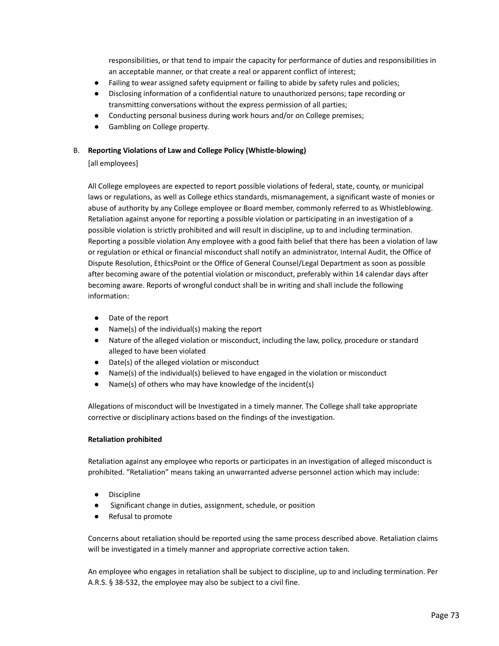responsibilities, or that tend to impair the capacity for performance of duties and responsibilities in an acceptable manner, or that create a real or apparent conflict of interest;

- Failing to wear assigned safety equipment or failing to abide by safety rules and policies;
- Disclosing information of a confidential nature to unauthorized persons; tape recording or transmitting conversations without the express permission of all parties;
- Conducting personal business during work hours and/or on College premises;
- Gambling on College property.

# B. **Reporting Violations of Law and College Policy (Whistle-blowing)**

# [all employees]

All College employees are expected to report possible violations of federal, state, county, or municipal laws or regulations, as well as College ethics standards, mismanagement, a significant waste of monies or abuse of authority by any College employee or Board member, commonly referred to as Whistleblowing. Retaliation against anyone for reporting a possible violation or participating in an investigation of a possible violation is strictly prohibited and will result in discipline, up to and including termination. Reporting a possible violation Any employee with a good faith belief that there has been a violation of law or regulation or ethical or financial misconduct shall notify an administrator, Internal Audit, the Office of Dispute Resolution, EthicsPoint or the Office of General Counsel/Legal Department as soon as possible after becoming aware of the potential violation or misconduct, preferably within 14 calendar days after becoming aware. Reports of wrongful conduct shall be in writing and shall include the following information:

- Date of the report
- Name(s) of the individual(s) making the report
- Nature of the alleged violation or misconduct, including the law, policy, procedure or standard alleged to have been violated
- Date(s) of the alleged violation or misconduct
- Name(s) of the individual(s) believed to have engaged in the violation or misconduct
- Name(s) of others who may have knowledge of the incident(s)

Allegations of misconduct will be Investigated in a timely manner. The College shall take appropriate corrective or disciplinary actions based on the findings of the investigation.

# **Retaliation prohibited**

Retaliation against any employee who reports or participates in an investigation of alleged misconduct is prohibited. "Retaliation" means taking an unwarranted adverse personnel action which may include:

- **Discipline**
- Significant change in duties, assignment, schedule, or position
- Refusal to promote

Concerns about retaliation should be reported using the same process described above. Retaliation claims will be investigated in a timely manner and appropriate corrective action taken.

An employee who engages in retaliation shall be subject to discipline, up to and including termination. Per A.R.S. § 38-532, the employee may also be subject to a civil fine.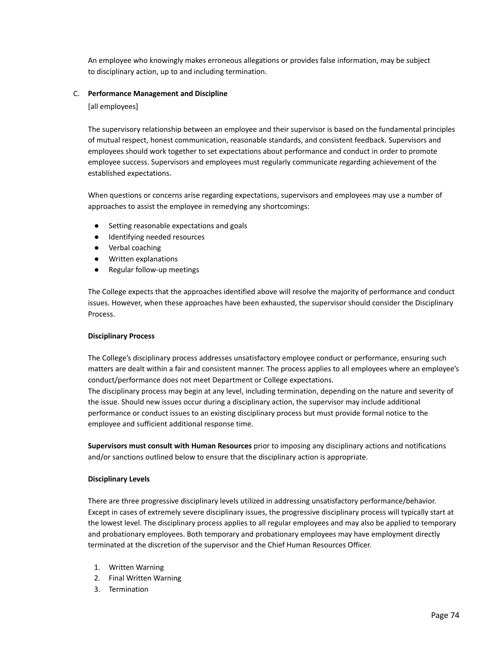An employee who knowingly makes erroneous allegations or provides false information, may be subject to disciplinary action, up to and including termination.

### C. **Performance Management and Discipline**

[all employees]

The supervisory relationship between an employee and their supervisor is based on the fundamental principles of mutual respect, honest communication, reasonable standards, and consistent feedback. Supervisors and employees should work together to set expectations about performance and conduct in order to promote employee success. Supervisors and employees must regularly communicate regarding achievement of the established expectations.

When questions or concerns arise regarding expectations, supervisors and employees may use a number of approaches to assist the employee in remedying any shortcomings:

- Setting reasonable expectations and goals
- Identifying needed resources
- Verbal coaching
- Written explanations
- Regular follow-up meetings

The College expects that the approaches identified above will resolve the majority of performance and conduct issues. However, when these approaches have been exhausted, the supervisor should consider the Disciplinary Process.

# **Disciplinary Process**

The College's disciplinary process addresses unsatisfactory employee conduct or performance, ensuring such matters are dealt within a fair and consistent manner. The process applies to all employees where an employee's conduct/performance does not meet Department or College expectations. The disciplinary process may begin at any level, including termination, depending on the nature and severity of the issue. Should new issues occur during a disciplinary action, the supervisor may include additional performance or conduct issues to an existing disciplinary process but must provide formal notice to the employee and sufficient additional response time.

**Supervisors must consult with Human Resources** prior to imposing any disciplinary actions and notifications and/or sanctions outlined below to ensure that the disciplinary action is appropriate.

# **Disciplinary Levels**

There are three progressive disciplinary levels utilized in addressing unsatisfactory performance/behavior. Except in cases of extremely severe disciplinary issues, the progressive disciplinary process will typically start at the lowest level. The disciplinary process applies to all regular employees and may also be applied to temporary and probationary employees. Both temporary and probationary employees may have employment directly terminated at the discretion of the supervisor and the Chief Human Resources Officer.

- 1. Written Warning
- 2. Final Written Warning
- 3. Termination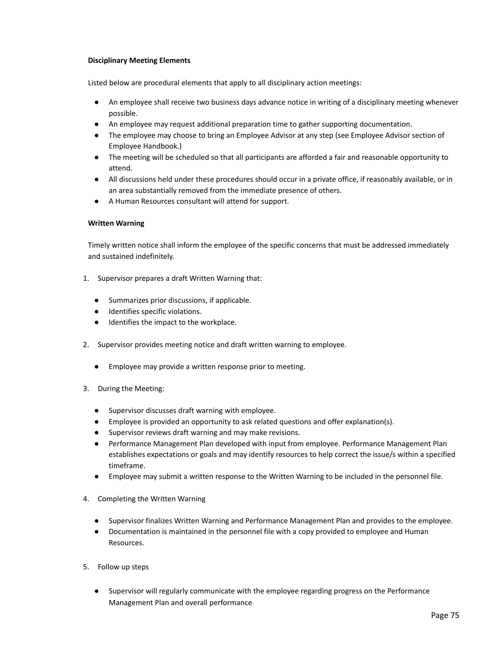# **Disciplinary Meeting Elements**

Listed below are procedural elements that apply to all disciplinary action meetings:

- An employee shall receive two business days advance notice in writing of a disciplinary meeting whenever possible.
- An employee may request additional preparation time to gather supporting documentation.
- The employee may choose to bring an Employee Advisor at any step (see Employee Advisor section of Employee Handbook.)
- The meeting will be scheduled so that all participants are afforded a fair and reasonable opportunity to attend.
- All discussions held under these procedures should occur in a private office, if reasonably available, or in an area substantially removed from the immediate presence of others.
- A Human Resources consultant will attend for support.

# **Written Warning**

Timely written notice shall inform the employee of the specific concerns that must be addressed immediately and sustained indefinitely.

- 1. Supervisor prepares a draft Written Warning that:
	- Summarizes prior discussions, if applicable.
	- Identifies specific violations.
	- Identifies the impact to the workplace.
- 2. Supervisor provides meeting notice and draft written warning to employee.
	- Employee may provide a written response prior to meeting.
- 3. During the Meeting:
	- Supervisor discusses draft warning with employee.
	- Employee is provided an opportunity to ask related questions and offer explanation(s).
	- Supervisor reviews draft warning and may make revisions.
	- Performance Management Plan developed with input from employee. Performance Management Plan establishes expectations or goals and may identify resources to help correct the issue/s within a specified timeframe.
	- Employee may submit a written response to the Written Warning to be included in the personnel file.
- 4. Completing the Written Warning
	- Supervisor finalizes Written Warning and Performance Management Plan and provides to the employee.
	- Documentation is maintained in the personnel file with a copy provided to employee and Human Resources.
- 5. Follow up steps
	- Supervisor will regularly communicate with the employee regarding progress on the Performance Management Plan and overall performance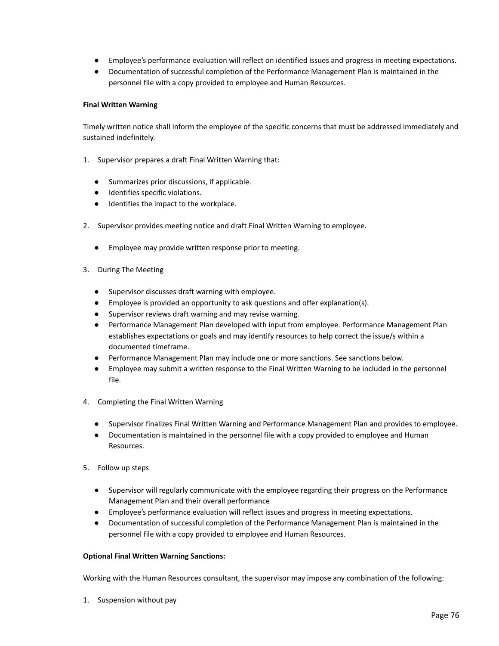- Employee's performance evaluation will reflect on identified issues and progress in meeting expectations.
- Documentation of successful completion of the Performance Management Plan is maintained in the personnel file with a copy provided to employee and Human Resources.

# **Final Written Warning**

Timely written notice shall inform the employee of the specific concerns that must be addressed immediately and sustained indefinitely.

- 1. Supervisor prepares a draft Final Written Warning that:
	- Summarizes prior discussions, if applicable.
	- Identifies specific violations.
	- Identifies the impact to the workplace.
- 2. Supervisor provides meeting notice and draft Final Written Warning to employee.
	- Employee may provide written response prior to meeting.
- 3. During The Meeting
	- Supervisor discusses draft warning with employee.
	- Employee is provided an opportunity to ask questions and offer explanation(s).
	- Supervisor reviews draft warning and may revise warning.
	- Performance Management Plan developed with input from employee. Performance Management Plan establishes expectations or goals and may identify resources to help correct the issue/s within a documented timeframe.
	- Performance Management Plan may include one or more sanctions. See sanctions below.
	- Employee may submit a written response to the Final Written Warning to be included in the personnel file.
- 4. Completing the Final Written Warning
	- Supervisor finalizes Final Written Warning and Performance Management Plan and provides to employee.
	- Documentation is maintained in the personnel file with a copy provided to employee and Human Resources.
- 5. Follow up steps
	- Supervisor will regularly communicate with the employee regarding their progress on the Performance Management Plan and their overall performance
	- Employee's performance evaluation will reflect issues and progress in meeting expectations.
	- Documentation of successful completion of the Performance Management Plan is maintained in the personnel file with a copy provided to employee and Human Resources.

# **Optional Final Written Warning Sanctions:**

Working with the Human Resources consultant, the supervisor may impose any combination of the following:

1. Suspension without pay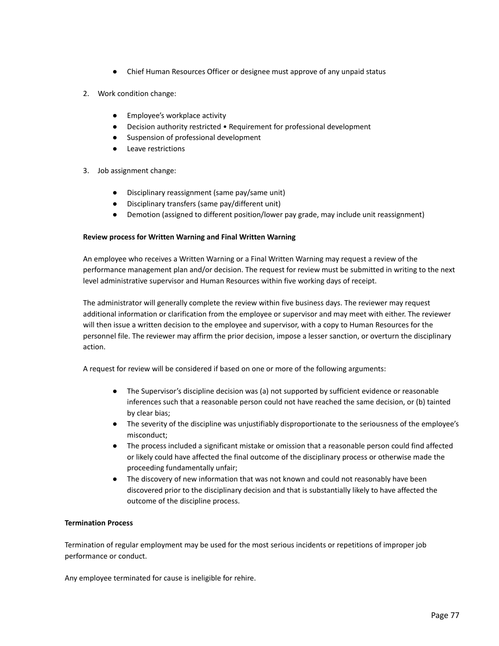- Chief Human Resources Officer or designee must approve of any unpaid status
- 2. Work condition change:
	- Employee's workplace activity
	- Decision authority restricted Requirement for professional development
	- Suspension of professional development
	- Leave restrictions
- 3. Job assignment change:
	- Disciplinary reassignment (same pay/same unit)
	- Disciplinary transfers (same pay/different unit)
	- Demotion (assigned to different position/lower pay grade, may include unit reassignment)

# **Review process for Written Warning and Final Written Warning**

An employee who receives a Written Warning or a Final Written Warning may request a review of the performance management plan and/or decision. The request for review must be submitted in writing to the next level administrative supervisor and Human Resources within five working days of receipt.

The administrator will generally complete the review within five business days. The reviewer may request additional information or clarification from the employee or supervisor and may meet with either. The reviewer will then issue a written decision to the employee and supervisor, with a copy to Human Resources for the personnel file. The reviewer may affirm the prior decision, impose a lesser sanction, or overturn the disciplinary action.

A request for review will be considered if based on one or more of the following arguments:

- The Supervisor's discipline decision was (a) not supported by sufficient evidence or reasonable inferences such that a reasonable person could not have reached the same decision, or (b) tainted by clear bias;
- The severity of the discipline was unjustifiably disproportionate to the seriousness of the employee's misconduct;
- The process included a significant mistake or omission that a reasonable person could find affected or likely could have affected the final outcome of the disciplinary process or otherwise made the proceeding fundamentally unfair;
- The discovery of new information that was not known and could not reasonably have been discovered prior to the disciplinary decision and that is substantially likely to have affected the outcome of the discipline process.

# **Termination Process**

Termination of regular employment may be used for the most serious incidents or repetitions of improper job performance or conduct.

Any employee terminated for cause is ineligible for rehire.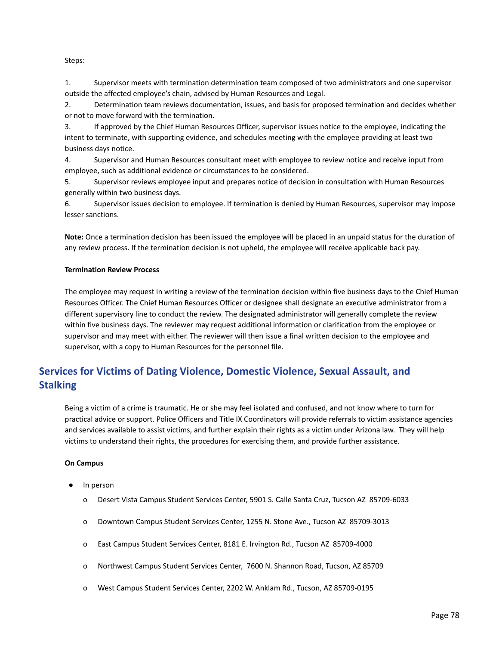### Steps:

1. Supervisor meets with termination determination team composed of two administrators and one supervisor outside the affected employee's chain, advised by Human Resources and Legal.

2. Determination team reviews documentation, issues, and basis for proposed termination and decides whether or not to move forward with the termination.

3. If approved by the Chief Human Resources Officer, supervisor issues notice to the employee, indicating the intent to terminate, with supporting evidence, and schedules meeting with the employee providing at least two business days notice.

4. Supervisor and Human Resources consultant meet with employee to review notice and receive input from employee, such as additional evidence or circumstances to be considered.

5. Supervisor reviews employee input and prepares notice of decision in consultation with Human Resources generally within two business days.

6. Supervisor issues decision to employee. If termination is denied by Human Resources, supervisor may impose lesser sanctions.

**Note:** Once a termination decision has been issued the employee will be placed in an unpaid status for the duration of any review process. If the termination decision is not upheld, the employee will receive applicable back pay.

#### **Termination Review Process**

The employee may request in writing a review of the termination decision within five business days to the Chief Human Resources Officer. The Chief Human Resources Officer or designee shall designate an executive administrator from a different supervisory line to conduct the review. The designated administrator will generally complete the review within five business days. The reviewer may request additional information or clarification from the employee or supervisor and may meet with either. The reviewer will then issue a final written decision to the employee and supervisor, with a copy to Human Resources for the personnel file.

# **Services for Victims of Dating Violence, Domestic Violence, Sexual Assault, and Stalking**

Being a victim of a crime is traumatic. He or she may feel isolated and confused, and not know where to turn for practical advice or support. Police Officers and Title IX Coordinators will provide referrals to victim assistance agencies and services available to assist victims, and further explain their rights as a victim under Arizona law. They will help victims to understand their rights, the procedures for exercising them, and provide further assistance.

#### **On Campus**

- In person
	- o Desert Vista Campus Student Services Center, 5901 S. Calle Santa Cruz, Tucson AZ 85709-6033
	- o Downtown Campus Student Services Center, 1255 N. Stone Ave., Tucson AZ 85709-3013
	- o East Campus Student Services Center, 8181 E. Irvington Rd., Tucson AZ 85709-4000
	- o Northwest Campus Student Services Center, 7600 N. Shannon Road, Tucson, AZ 85709
	- o West Campus Student Services Center, 2202 W. Anklam Rd., Tucson, AZ 85709-0195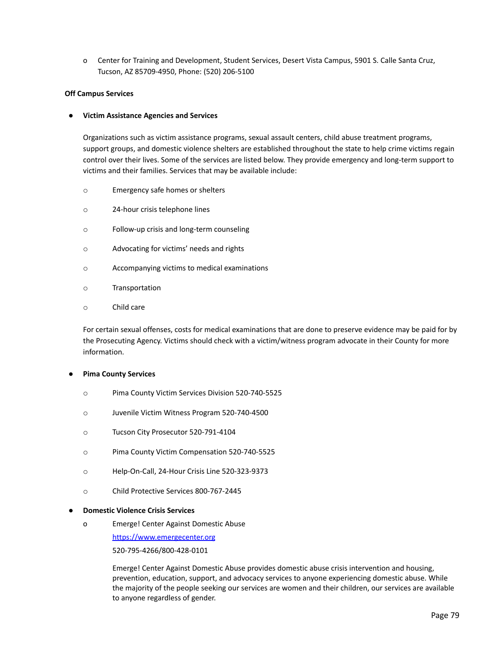o Center for Training and Development, Student Services, Desert Vista Campus, 5901 S. Calle Santa Cruz, Tucson, AZ 85709-4950, Phone: (520) 206-5100

### **Off Campus Services**

#### **● Victim Assistance Agencies and Services**

Organizations such as victim assistance programs, sexual assault centers, child abuse treatment programs, support groups, and domestic violence shelters are established throughout the state to help crime victims regain control over their lives. Some of the services are listed below. They provide emergency and long-term support to victims and their families. Services that may be available include:

- o Emergency safe homes or shelters
- o 24-hour crisis telephone lines
- o Follow-up crisis and long-term counseling
- o Advocating for victims' needs and rights
- o Accompanying victims to medical examinations
- o Transportation
- o Child care

For certain sexual offenses, costs for medical examinations that are done to preserve evidence may be paid for by the Prosecuting Agency. Victims should check with a victim/witness program advocate in their County for more information.

#### **● Pima County Services**

- o Pima County Victim Services Division 520-740-5525
- o Juvenile Victim Witness Program 520-740-4500
- o Tucson City Prosecutor 520-791-4104
- o Pima County Victim Compensation 520-740-5525
- o Help-On-Call, 24-Hour Crisis Line 520-323-9373
- o Child Protective Services 800-767-2445

#### **● Domestic Violence Crisis Services**

o Emerge! Center Against Domestic Abuse

[https://www.emergecenter.org](http://www.emergecenter.org/)

520-795-4266/800-428-0101

Emerge! Center Against Domestic Abuse provides domestic abuse crisis intervention and housing, prevention, education, support, and advocacy services to anyone experiencing domestic abuse. While the majority of the people seeking our services are women and their children, our services are available to anyone regardless of gender.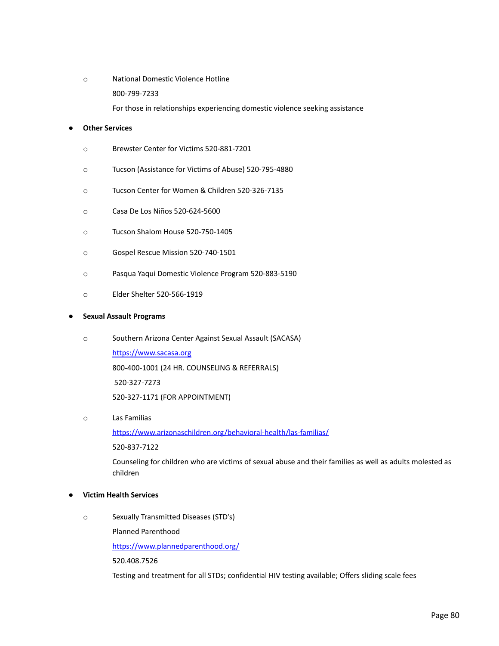o National Domestic Violence Hotline 800-799-7233 For those in relationships experiencing domestic violence seeking assistance

# **● Other Services**

- o Brewster Center for Victims 520-881-7201
- o Tucson (Assistance for Victims of Abuse) 520-795-4880
- o Tucson Center for Women & Children 520-326-7135
- o Casa De Los Niños 520-624-5600
- o Tucson Shalom House 520-750-1405
- o Gospel Rescue Mission 520-740-1501
- o Pasqua Yaqui Domestic Violence Program 520-883-5190
- o Elder Shelter 520-566-1919

#### **● Sexual Assault Programs**

o Southern Arizona Center Against Sexual Assault (SACASA)

[https://www.sacasa.org](http://www.sacasa.org/) 800-400-1001 (24 HR. COUNSELING & REFERRALS) 520-327-7273 520-327-1171 (FOR APPOINTMENT)

o Las Familias

<https://www.arizonaschildren.org/behavioral-health/las-familias/>

520-837-7122

Counseling for children who are victims of sexual abuse and their families as well as adults molested as children

# **● Victim Health Services**

o Sexually Transmitted Diseases (STD's)

Planned Parenthood

<https://www.plannedparenthood.org/>

520.408.7526

Testing and treatment for all STDs; confidential HIV testing available; Offers sliding scale fees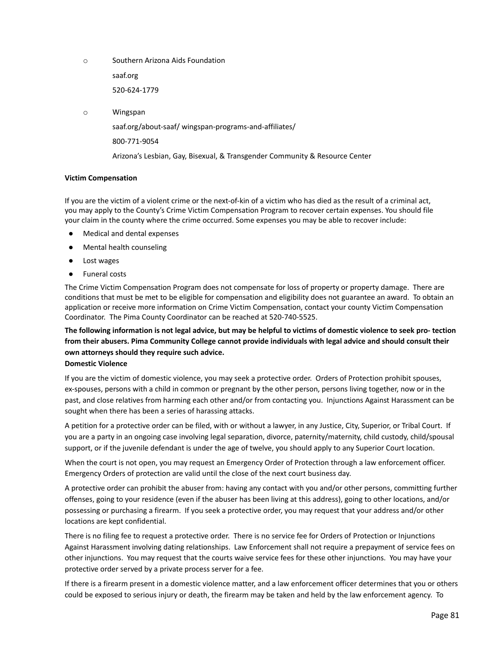o Southern Arizona Aids Foundation

saaf.org

520-624-1779

o Wingspan

saaf.org/about-saaf/ wingspan-programs-and-affiliates/

800-771-9054

Arizona's Lesbian, Gay, Bisexual, & Transgender Community & Resource Center

# **Victim Compensation**

If you are the victim of a violent crime or the next-of-kin of a victim who has died as the result of a criminal act, you may apply to the County's Crime Victim Compensation Program to recover certain expenses. You should file your claim in the county where the crime occurred. Some expenses you may be able to recover include:

- Medical and dental expenses
- Mental health counseling
- Lost wages
- **Funeral costs**

The Crime Victim Compensation Program does not compensate for loss of property or property damage. There are conditions that must be met to be eligible for compensation and eligibility does not guarantee an award. To obtain an application or receive more information on Crime Victim Compensation, contact your county Victim Compensation Coordinator. The Pima County Coordinator can be reached at 520-740-5525.

The following information is not legal advice, but may be helpful to victims of domestic violence to seek pro-tection **from their abusers. Pima Community College cannot provide individuals with legal advice and should consult their own attorneys should they require such advice.**

# **Domestic Violence**

If you are the victim of domestic violence, you may seek a protective order. Orders of Protection prohibit spouses, ex-spouses, persons with a child in common or pregnant by the other person, persons living together, now or in the past, and close relatives from harming each other and/or from contacting you. Injunctions Against Harassment can be sought when there has been a series of harassing attacks.

A petition for a protective order can be filed, with or without a lawyer, in any Justice, City, Superior, or Tribal Court. If you are a party in an ongoing case involving legal separation, divorce, paternity/maternity, child custody, child/spousal support, or if the juvenile defendant is under the age of twelve, you should apply to any Superior Court location.

When the court is not open, you may request an Emergency Order of Protection through a law enforcement officer. Emergency Orders of protection are valid until the close of the next court business day.

A protective order can prohibit the abuser from: having any contact with you and/or other persons, committing further offenses, going to your residence (even if the abuser has been living at this address), going to other locations, and/or possessing or purchasing a firearm. If you seek a protective order, you may request that your address and/or other locations are kept confidential.

There is no filing fee to request a protective order. There is no service fee for Orders of Protection or Injunctions Against Harassment involving dating relationships. Law Enforcement shall not require a prepayment of service fees on other injunctions. You may request that the courts waive service fees for these other injunctions. You may have your protective order served by a private process server for a fee.

If there is a firearm present in a domestic violence matter, and a law enforcement officer determines that you or others could be exposed to serious injury or death, the firearm may be taken and held by the law enforcement agency. To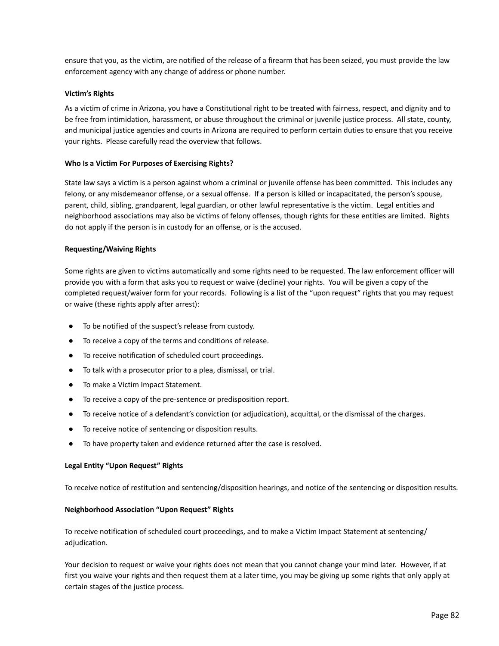ensure that you, as the victim, are notified of the release of a firearm that has been seized, you must provide the law enforcement agency with any change of address or phone number.

#### **Victim's Rights**

As a victim of crime in Arizona, you have a Constitutional right to be treated with fairness, respect, and dignity and to be free from intimidation, harassment, or abuse throughout the criminal or juvenile justice process. All state, county, and municipal justice agencies and courts in Arizona are required to perform certain duties to ensure that you receive your rights. Please carefully read the overview that follows.

#### **Who Is a Victim For Purposes of Exercising Rights?**

State law says a victim is a person against whom a criminal or juvenile offense has been committed. This includes any felony, or any misdemeanor offense, or a sexual offense. If a person is killed or incapacitated, the person's spouse, parent, child, sibling, grandparent, legal guardian, or other lawful representative is the victim. Legal entities and neighborhood associations may also be victims of felony offenses, though rights for these entities are limited. Rights do not apply if the person is in custody for an offense, or is the accused.

#### **Requesting/Waiving Rights**

Some rights are given to victims automatically and some rights need to be requested. The law enforcement officer will provide you with a form that asks you to request or waive (decline) your rights. You will be given a copy of the completed request/waiver form for your records. Following is a list of the "upon request" rights that you may request or waive (these rights apply after arrest):

- To be notified of the suspect's release from custody.
- To receive a copy of the terms and conditions of release.
- To receive notification of scheduled court proceedings.
- To talk with a prosecutor prior to a plea, dismissal, or trial.
- To make a Victim Impact Statement.
- To receive a copy of the pre-sentence or predisposition report.
- To receive notice of a defendant's conviction (or adjudication), acquittal, or the dismissal of the charges.
- To receive notice of sentencing or disposition results.
- To have property taken and evidence returned after the case is resolved.

#### **Legal Entity "Upon Request" Rights**

To receive notice of restitution and sentencing/disposition hearings, and notice of the sentencing or disposition results.

#### **Neighborhood Association "Upon Request" Rights**

To receive notification of scheduled court proceedings, and to make a Victim Impact Statement at sentencing/ adjudication.

Your decision to request or waive your rights does not mean that you cannot change your mind later. However, if at first you waive your rights and then request them at a later time, you may be giving up some rights that only apply at certain stages of the justice process.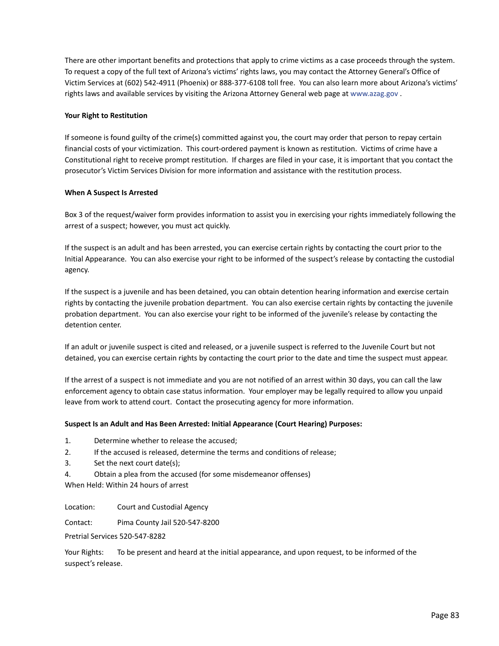There are other important benefits and protections that apply to crime victims as a case proceeds through the system. To request a copy of the full text of Arizona's victims' rights laws, you may contact the Attorney General's Office of Victim Services at (602) 542-4911 (Phoenix) or 888-377-6108 toll free. You can also learn more about Arizona's victims' rights laws and available services by visiting the Arizona Attorney General web page at [www.azag.gov](http://www.azag.gov/) .

### **Your Right to Restitution**

If someone is found guilty of the crime(s) committed against you, the court may order that person to repay certain financial costs of your victimization. This court-ordered payment is known as restitution. Victims of crime have a Constitutional right to receive prompt restitution. If charges are filed in your case, it is important that you contact the prosecutor's Victim Services Division for more information and assistance with the restitution process.

#### **When A Suspect Is Arrested**

Box 3 of the request/waiver form provides information to assist you in exercising your rights immediately following the arrest of a suspect; however, you must act quickly.

If the suspect is an adult and has been arrested, you can exercise certain rights by contacting the court prior to the Initial Appearance. You can also exercise your right to be informed of the suspect's release by contacting the custodial agency.

If the suspect is a juvenile and has been detained, you can obtain detention hearing information and exercise certain rights by contacting the juvenile probation department. You can also exercise certain rights by contacting the juvenile probation department. You can also exercise your right to be informed of the juvenile's release by contacting the detention center.

If an adult or juvenile suspect is cited and released, or a juvenile suspect is referred to the Juvenile Court but not detained, you can exercise certain rights by contacting the court prior to the date and time the suspect must appear.

If the arrest of a suspect is not immediate and you are not notified of an arrest within 30 days, you can call the law enforcement agency to obtain case status information. Your employer may be legally required to allow you unpaid leave from work to attend court. Contact the prosecuting agency for more information.

# **Suspect Is an Adult and Has Been Arrested: Initial Appearance (Court Hearing) Purposes:**

- 1. Determine whether to release the accused;
- 2. If the accused is released, determine the terms and conditions of release;
- 3. Set the next court date(s);
- 4. Obtain a plea from the accused (for some misdemeanor offenses)

When Held: Within 24 hours of arrest

Location: Court and Custodial Agency

Contact: Pima County Jail 520-547-8200

Pretrial Services 520-547-8282

Your Rights: To be present and heard at the initial appearance, and upon request, to be informed of the suspect's release.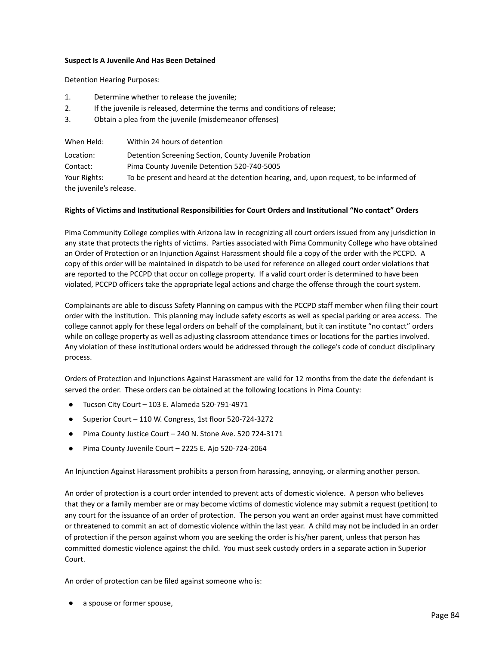#### **Suspect Is A Juvenile And Has Been Detained**

Detention Hearing Purposes:

- 1. Determine whether to release the juvenile;
- 2. If the juvenile is released, determine the terms and conditions of release;
- 3. Obtain a plea from the juvenile (misdemeanor offenses)

| When Held:              | Within 24 hours of detention                                                           |
|-------------------------|----------------------------------------------------------------------------------------|
| Location:               | Detention Screening Section, County Juvenile Probation                                 |
| Contact:                | Pima County Juvenile Detention 520-740-5005                                            |
| Your Rights:            | To be present and heard at the detention hearing, and, upon request, to be informed of |
| the juvenile's release. |                                                                                        |

# **Rights of Victims and Institutional Responsibilities for Court Orders and Institutional "No contact" Orders**

Pima Community College complies with Arizona law in recognizing all court orders issued from any jurisdiction in any state that protects the rights of victims. Parties associated with Pima Community College who have obtained an Order of Protection or an Injunction Against Harassment should file a copy of the order with the PCCPD. A copy of this order will be maintained in dispatch to be used for reference on alleged court order violations that are reported to the PCCPD that occur on college property. If a valid court order is determined to have been violated, PCCPD officers take the appropriate legal actions and charge the offense through the court system.

Complainants are able to discuss Safety Planning on campus with the PCCPD staff member when filing their court order with the institution. This planning may include safety escorts as well as special parking or area access. The college cannot apply for these legal orders on behalf of the complainant, but it can institute "no contact" orders while on college property as well as adjusting classroom attendance times or locations for the parties involved. Any violation of these institutional orders would be addressed through the college's code of conduct disciplinary process.

Orders of Protection and Injunctions Against Harassment are valid for 12 months from the date the defendant is served the order. These orders can be obtained at the following locations in Pima County:

- Tucson City Court 103 E. Alameda 520-791-4971
- Superior Court 110 W. Congress, 1st floor 520-724-3272
- Pima County Justice Court 240 N. Stone Ave. 520 724-3171
- Pima County Juvenile Court 2225 E. Ajo 520-724-2064

An Injunction Against Harassment prohibits a person from harassing, annoying, or alarming another person.

An order of protection is a court order intended to prevent acts of domestic violence. A person who believes that they or a family member are or may become victims of domestic violence may submit a request (petition) to any court for the issuance of an order of protection. The person you want an order against must have committed or threatened to commit an act of domestic violence within the last year. A child may not be included in an order of protection if the person against whom you are seeking the order is his/her parent, unless that person has committed domestic violence against the child. You must seek custody orders in a separate action in Superior Court.

An order of protection can be filed against someone who is:

a spouse or former spouse,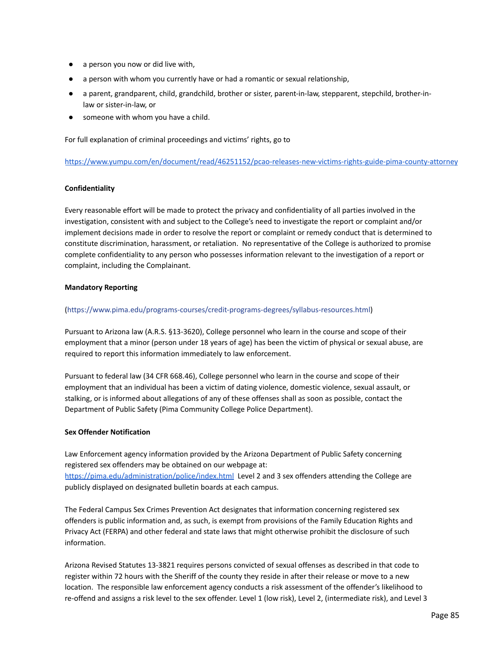- a person you now or did live with,
- a person with whom you currently have or had a romantic or sexual relationship,
- a parent, grandparent, child, grandchild, brother or sister, parent-in-law, stepparent, stepchild, brother-inlaw or sister-in-law, or
- someone with whom you have a child.

For full explanation of criminal proceedings and victims' rights, go to

<https://www.yumpu.com/en/document/read/46251152/pcao-releases-new-victims-rights-guide-pima-county-attorney>

# **Confidentiality**

Every reasonable effort will be made to protect the privacy and confidentiality of all parties involved in the investigation, consistent with and subject to the College's need to investigate the report or complaint and/or implement decisions made in order to resolve the report or complaint or remedy conduct that is determined to constitute discrimination, harassment, or retaliation. No representative of the College is authorized to promise complete confidentiality to any person who possesses information relevant to the investigation of a report or complaint, including the Complainant.

# **Mandatory Reporting**

# ([https://www.pima.edu/programs-courses/credit-programs-degrees/syllabus-resources.html\)](https://www.pima.edu/programs-courses/credit-programs-degrees/syllabus-resources.html)

Pursuant to Arizona law (A.R.S. §13-3620), College personnel who learn in the course and scope of their employment that a minor (person under 18 years of age) has been the victim of physical or sexual abuse, are required to report this information immediately to law enforcement.

Pursuant to federal law (34 CFR 668.46), College personnel who learn in the course and scope of their employment that an individual has been a victim of dating violence, domestic violence, sexual assault, or stalking, or is informed about allegations of any of these offenses shall as soon as possible, contact the Department of Public Safety (Pima Community College Police Department).

# **Sex Offender Notification**

Law Enforcement agency information provided by the Arizona Department of Public Safety concerning registered sex offenders may be obtained on our webpage at: <https://pima.edu/administration/police/index.html> Level 2 and 3 sex offenders attending the College are publicly displayed on designated bulletin boards at each campus.

The Federal Campus Sex Crimes Prevention Act designates that information concerning registered sex offenders is public information and, as such, is exempt from provisions of the Family Education Rights and Privacy Act (FERPA) and other federal and state laws that might otherwise prohibit the disclosure of such information.

Arizona Revised Statutes 13-3821 requires persons convicted of sexual offenses as described in that code to register within 72 hours with the Sheriff of the county they reside in after their release or move to a new location. The responsible law enforcement agency conducts a risk assessment of the offender's likelihood to re-offend and assigns a risk level to the sex offender. Level 1 (low risk), Level 2, (intermediate risk), and Level 3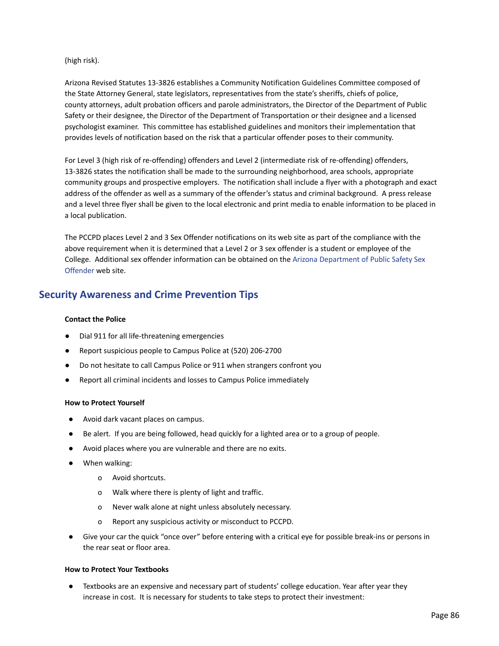(high risk).

Arizona Revised Statutes 13-3826 establishes a Community Notification Guidelines Committee composed of the State Attorney General, state legislators, representatives from the state's sheriffs, chiefs of police, county attorneys, adult probation officers and parole administrators, the Director of the Department of Public Safety or their designee, the Director of the Department of Transportation or their designee and a licensed psychologist examiner. This committee has established guidelines and monitors their implementation that provides levels of notification based on the risk that a particular offender poses to their community.

For Level 3 (high risk of re-offending) offenders and Level 2 (intermediate risk of re-offending) offenders, 13-3826 states the notification shall be made to the surrounding neighborhood, area schools, appropriate community groups and prospective employers. The notification shall include a flyer with a photograph and exact address of the offender as well as a summary of the offender's status and criminal background. A press release and a level three flyer shall be given to the local electronic and print media to enable information to be placed in a local publication.

The PCCPD places Level 2 and 3 Sex Offender notifications on its web site as part of the compliance with the above requirement when it is determined that a Level 2 or 3 sex offender is a student or employee of the College. Additional sex offender information can be obtained on the Arizona [Department](http://www.azdps.gov/Services/Sex_Offender/) of Public Safety Sex [Offender](http://www.azdps.gov/Services/Sex_Offender/) web site.

# **Security Awareness and Crime Prevention Tips**

### **Contact the Police**

- Dial 911 for all life-threatening emergencies
- Report suspicious people to Campus Police at (520) 206-2700
- Do not hesitate to call Campus Police or 911 when strangers confront you
- Report all criminal incidents and losses to Campus Police immediately

# **How to Protect Yourself**

- Avoid dark vacant places on campus.
- Be alert. If you are being followed, head quickly for a lighted area or to a group of people.
- Avoid places where you are vulnerable and there are no exits.
- When walking:
	- o Avoid shortcuts.
	- o Walk where there is plenty of light and traffic.
	- o Never walk alone at night unless absolutely necessary.
	- o Report any suspicious activity or misconduct to PCCPD.
- Give your car the quick "once over" before entering with a critical eye for possible break-ins or persons in the rear seat or floor area.

# **How to Protect Your Textbooks**

● Textbooks are an expensive and necessary part of students' college education. Year after year they increase in cost. It is necessary for students to take steps to protect their investment: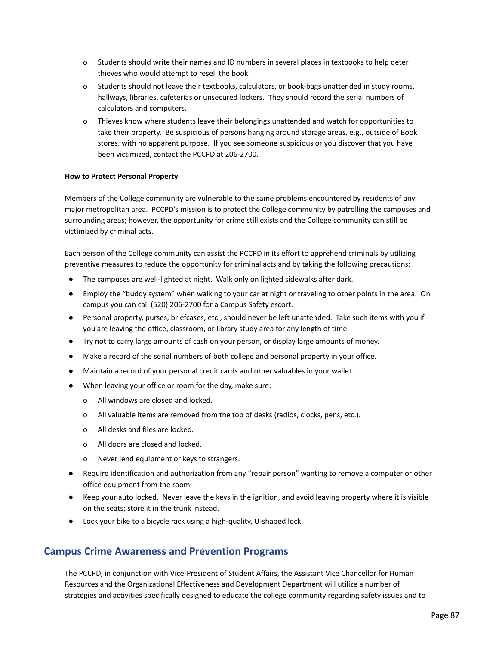- o Students should write their names and ID numbers in several places in textbooks to help deter thieves who would attempt to resell the book.
- o Students should not leave their textbooks, calculators, or book-bags unattended in study rooms, hallways, libraries, cafeterias or unsecured lockers. They should record the serial numbers of calculators and computers.
- o Thieves know where students leave their belongings unattended and watch for opportunities to take their property. Be suspicious of persons hanging around storage areas, e.g., outside of Book stores, with no apparent purpose. If you see someone suspicious or you discover that you have been victimized, contact the PCCPD at 206-2700.

# **How to Protect Personal Property**

Members of the College community are vulnerable to the same problems encountered by residents of any major metropolitan area. PCCPD's mission is to protect the College community by patrolling the campuses and surrounding areas; however, the opportunity for crime still exists and the College community can still be victimized by criminal acts.

Each person of the College community can assist the PCCPD in its effort to apprehend criminals by utilizing preventive measures to reduce the opportunity for criminal acts and by taking the following precautions:

- The campuses are well-lighted at night. Walk only on lighted sidewalks after dark.
- Employ the "buddy system" when walking to your car at night or traveling to other points in the area. On campus you can call (520) 206-2700 for a Campus Safety escort.
- Personal property, purses, briefcases, etc., should never be left unattended. Take such items with you if you are leaving the office, classroom, or library study area for any length of time.
- Try not to carry large amounts of cash on your person, or display large amounts of money.
- Make a record of the serial numbers of both college and personal property in your office.
- Maintain a record of your personal credit cards and other valuables in your wallet.
- When leaving your office or room for the day, make sure:
	- o All windows are closed and locked.
	- o All valuable items are removed from the top of desks (radios, clocks, pens, etc.).
	- o All desks and files are locked.
	- o All doors are closed and locked.
	- o Never lend equipment or keys to strangers.
- Require identification and authorization from any "repair person" wanting to remove a computer or other office equipment from the room.
- Keep your auto locked. Never leave the keys in the ignition, and avoid leaving property where it is visible on the seats; store it in the trunk instead.
- Lock your bike to a bicycle rack using a high-quality, U-shaped lock.

# **Campus Crime Awareness and Prevention Programs**

The PCCPD, in conjunction with Vice-President of Student Affairs, the Assistant Vice Chancellor for Human Resources and the Organizational Effectiveness and Development Department will utilize a number of strategies and activities specifically designed to educate the college community regarding safety issues and to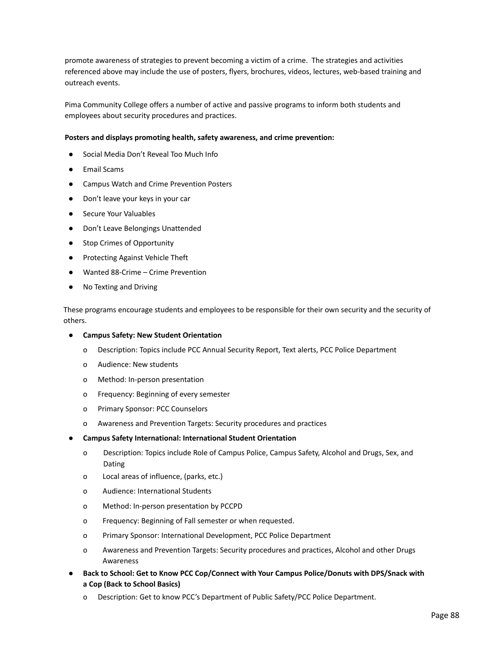promote awareness of strategies to prevent becoming a victim of a crime. The strategies and activities referenced above may include the use of posters, flyers, brochures, videos, lectures, web-based training and outreach events.

Pima Community College offers a number of active and passive programs to inform both students and employees about security procedures and practices.

#### **Posters and displays promoting health, safety awareness, and crime prevention:**

- Social Media Don't Reveal Too Much Info
- **Email Scams**
- Campus Watch and Crime Prevention Posters
- Don't leave your keys in your car
- Secure Your Valuables
- Don't Leave Belongings Unattended
- **Stop Crimes of Opportunity**
- Protecting Against Vehicle Theft
- Wanted 88-Crime Crime Prevention
- No Texting and Driving

These programs encourage students and employees to be responsible for their own security and the security of others.

- **Campus Safety: New Student Orientation**
	- o Description: Topics include PCC Annual Security Report, Text alerts, PCC Police Department
	- o Audience: New students
	- o Method: In-person presentation
	- o Frequency: Beginning of every semester
	- o Primary Sponsor: PCC Counselors
	- o Awareness and Prevention Targets: Security procedures and practices
- **Campus Safety International: International Student Orientation**
	- o Description: Topics include Role of Campus Police, Campus Safety, Alcohol and Drugs, Sex, and Dating
	- o Local areas of influence, (parks, etc.)
	- o Audience: International Students
	- o Method: In-person presentation by PCCPD
	- o Frequency: Beginning of Fall semester or when requested.
	- o Primary Sponsor: International Development, PCC Police Department
	- o Awareness and Prevention Targets: Security procedures and practices, Alcohol and other Drugs Awareness
- **Back to School: Get to Know PCC Cop/Connect with Your Campus Police/Donuts with DPS/Snack with a Cop (Back to School Basics)**
	- o Description: Get to know PCC's Department of Public Safety/PCC Police Department.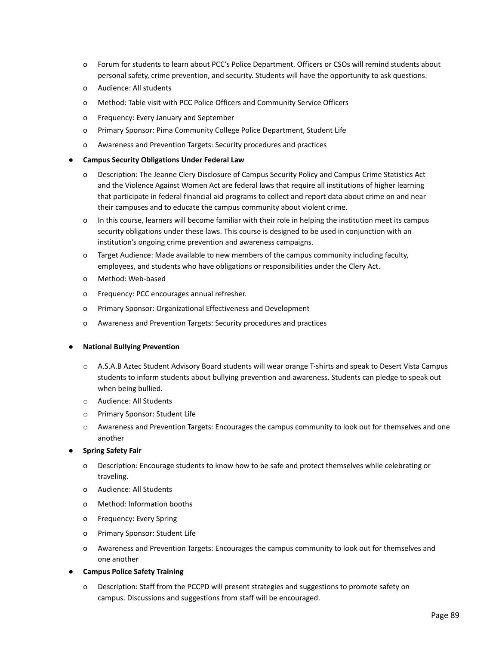- o Forum for students to learn about PCC's Police Department. Officers or CSOs will remind students about personal safety, crime prevention, and security. Students will have the opportunity to ask questions.
- o Audience: All students
- o Method: Table visit with PCC Police Officers and Community Service Officers
- o Frequency: Every January and September
- o Primary Sponsor: Pima Community College Police Department, Student Life
- o Awareness and Prevention Targets: Security procedures and practices
- **Campus Security Obligations Under Federal Law**
	- o Description: The Jeanne Clery Disclosure of Campus Security Policy and Campus Crime Statistics Act and the Violence Against Women Act are federal laws that require all institutions of higher learning that participate in federal financial aid programs to collect and report data about crime on and near their campuses and to educate the campus community about violent crime.
	- o In this course, learners will become familiar with their role in helping the institution meet its campus security obligations under these laws. This course is designed to be used in conjunction with an institution's ongoing crime prevention and awareness campaigns.
	- o Target Audience: Made available to new members of the campus community including faculty, employees, and students who have obligations or responsibilities under the Clery Act.
	- o Method: Web-based
	- o Frequency: PCC encourages annual refresher.
	- o Primary Sponsor: Organizational Effectiveness and Development
	- o Awareness and Prevention Targets: Security procedures and practices

#### **● National Bullying Prevention**

- o A.S.A.B Aztec Student Advisory Board students will wear orange T-shirts and speak to Desert Vista Campus students to inform students about bullying prevention and awareness. Students can pledge to speak out when being bullied.
- o Audience: All Students
- o Primary Sponsor: Student Life
- o Awareness and Prevention Targets: Encourages the campus community to look out for themselves and one another

# ● **Spring Safety Fair**

- o Description: Encourage students to know how to be safe and protect themselves while celebrating or traveling.
- o Audience: All Students
- o Method: Information booths
- o Frequency: Every Spring
- o Primary Sponsor: Student Life
- o Awareness and Prevention Targets: Encourages the campus community to look out for themselves and one another
- **Campus Police Safety Training**
	- o Description: Staff from the PCCPD will present strategies and suggestions to promote safety on campus. Discussions and suggestions from staff will be encouraged.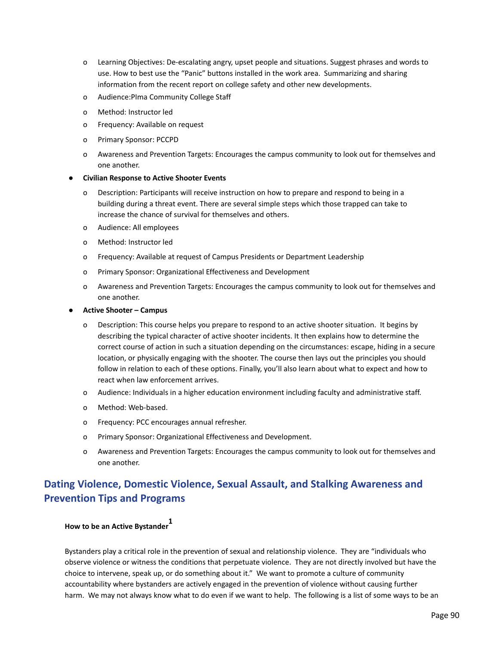- o Learning Objectives: De-escalating angry, upset people and situations. Suggest phrases and words to use. How to best use the "Panic" buttons installed in the work area. Summarizing and sharing information from the recent report on college safety and other new developments.
- o Audience:PIma Community College Staff
- o Method: Instructor led
- o Frequency: Available on request
- o Primary Sponsor: PCCPD
- o Awareness and Prevention Targets: Encourages the campus community to look out for themselves and one another.

#### ● **Civilian Response to Active Shooter Events**

- o Description: Participants will receive instruction on how to prepare and respond to being in a building during a threat event. There are several simple steps which those trapped can take to increase the chance of survival for themselves and others.
- o Audience: All employees
- o Method: Instructor led
- o Frequency: Available at request of Campus Presidents or Department Leadership
- o Primary Sponsor: Organizational Effectiveness and Development
- o Awareness and Prevention Targets: Encourages the campus community to look out for themselves and one another.
- **Active Shooter – Campus**
	- Description: This course helps you prepare to respond to an active shooter situation. It begins by describing the typical character of active shooter incidents. It then explains how to determine the correct course of action in such a situation depending on the circumstances: escape, hiding in a secure location, or physically engaging with the shooter. The course then lays out the principles you should follow in relation to each of these options. Finally, you'll also learn about what to expect and how to react when law enforcement arrives.
	- o Audience: Individuals in a higher education environment including faculty and administrative staff.
	- o Method: Web-based.
	- o Frequency: PCC encourages annual refresher.
	- o Primary Sponsor: Organizational Effectiveness and Development.
	- o Awareness and Prevention Targets: Encourages the campus community to look out for themselves and one another.

# **Dating Violence, Domestic Violence, Sexual Assault, and Stalking Awareness and Prevention Tips and Programs**

# **How to be an Active Bystander 1**

Bystanders play a critical role in the prevention of sexual and relationship violence. They are "individuals who observe violence or witness the conditions that perpetuate violence. They are not directly involved but have the choice to intervene, speak up, or do something about it." We want to promote a culture of community accountability where bystanders are actively engaged in the prevention of violence without causing further harm. We may not always know what to do even if we want to help. The following is a list of some ways to be an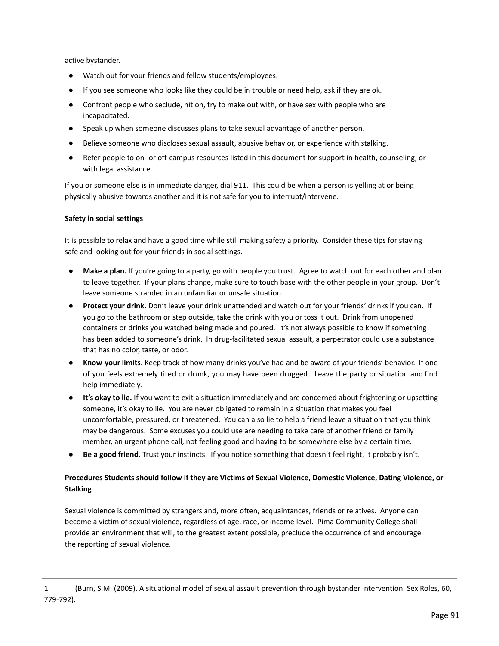active bystander.

- Watch out for your friends and fellow students/employees.
- If you see someone who looks like they could be in trouble or need help, ask if they are ok.
- Confront people who seclude, hit on, try to make out with, or have sex with people who are incapacitated.
- Speak up when someone discusses plans to take sexual advantage of another person.
- Believe someone who discloses sexual assault, abusive behavior, or experience with stalking.
- Refer people to on- or off-campus resources listed in this document for support in health, counseling, or with legal assistance.

If you or someone else is in immediate danger, dial 911. This could be when a person is yelling at or being physically abusive towards another and it is not safe for you to interrupt/intervene.

# **Safety in social settings**

It is possible to relax and have a good time while still making safety a priority. Consider these tips for staying safe and looking out for your friends in social settings.

- **Make a plan.** If you're going to a party, go with people you trust. Agree to watch out for each other and plan to leave together. If your plans change, make sure to touch base with the other people in your group. Don't leave someone stranded in an unfamiliar or unsafe situation.
- **Protect your drink.** Don't leave your drink unattended and watch out for your friends' drinks if you can. If you go to the bathroom or step outside, take the drink with you or toss it out. Drink from unopened containers or drinks you watched being made and poured. It's not always possible to know if something has been added to someone's drink. In drug-facilitated sexual assault, a perpetrator could use a substance that has no color, taste, or odor.
- **Know your limits.** Keep track of how many drinks you've had and be aware of your friends' behavior. If one of you feels extremely tired or drunk, you may have been drugged. Leave the party or situation and find help immediately.
- **It's okay to lie.** If you want to exit a situation immediately and are concerned about frightening or upsetting someone, it's okay to lie. You are never obligated to remain in a situation that makes you feel uncomfortable, pressured, or threatened. You can also lie to help a friend leave a situation that you think may be dangerous. Some excuses you could use are needing to take care of another friend or family member, an urgent phone call, not feeling good and having to be somewhere else by a certain time.
- **Be a good friend.** Trust your instincts. If you notice something that doesn't feel right, it probably isn't.

# **Procedures Students should follow if they are Victims of Sexual Violence, Domestic Violence, Dating Violence, or Stalking**

Sexual violence is committed by strangers and, more often, acquaintances, friends or relatives. Anyone can become a victim of sexual violence, regardless of age, race, or income level. Pima Community College shall provide an environment that will, to the greatest extent possible, preclude the occurrence of and encourage the reporting of sexual violence.

<sup>1</sup> (Burn, S.M. (2009). A situational model of sexual assault prevention through bystander intervention. Sex Roles, 60, 779-792).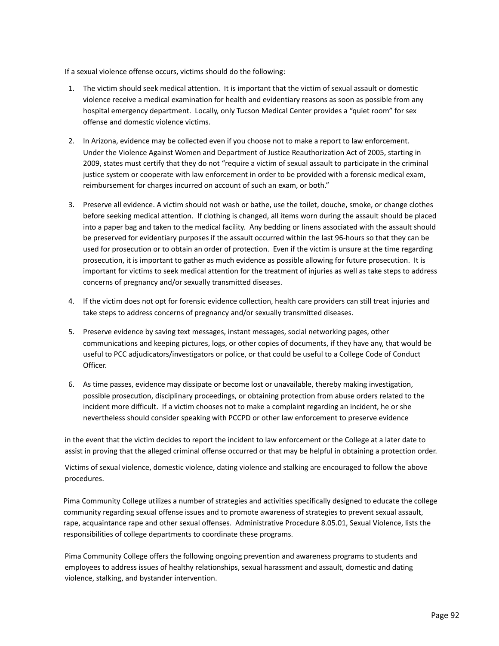If a sexual violence offense occurs, victims should do the following:

- 1. The victim should seek medical attention. It is important that the victim of sexual assault or domestic violence receive a medical examination for health and evidentiary reasons as soon as possible from any hospital emergency department. Locally, only Tucson Medical Center provides a "quiet room" for sex offense and domestic violence victims.
- 2. In Arizona, evidence may be collected even if you choose not to make a report to law enforcement. Under the Violence Against Women and Department of Justice Reauthorization Act of 2005, starting in 2009, states must certify that they do not "require a victim of sexual assault to participate in the criminal justice system or cooperate with law enforcement in order to be provided with a forensic medical exam, reimbursement for charges incurred on account of such an exam, or both."
- 3. Preserve all evidence. A victim should not wash or bathe, use the toilet, douche, smoke, or change clothes before seeking medical attention. If clothing is changed, all items worn during the assault should be placed into a paper bag and taken to the medical facility. Any bedding or linens associated with the assault should be preserved for evidentiary purposes if the assault occurred within the last 96-hours so that they can be used for prosecution or to obtain an order of protection. Even if the victim is unsure at the time regarding prosecution, it is important to gather as much evidence as possible allowing for future prosecution. It is important for victims to seek medical attention for the treatment of injuries as well as take steps to address concerns of pregnancy and/or sexually transmitted diseases.
- 4. If the victim does not opt for forensic evidence collection, health care providers can still treat injuries and take steps to address concerns of pregnancy and/or sexually transmitted diseases.
- 5. Preserve evidence by saving text messages, instant messages, social networking pages, other communications and keeping pictures, logs, or other copies of documents, if they have any, that would be useful to PCC adjudicators/investigators or police, or that could be useful to a College Code of Conduct Officer.
- 6. As time passes, evidence may dissipate or become lost or unavailable, thereby making investigation, possible prosecution, disciplinary proceedings, or obtaining protection from abuse orders related to the incident more difficult. If a victim chooses not to make a complaint regarding an incident, he or she nevertheless should consider speaking with PCCPD or other law enforcement to preserve evidence

in the event that the victim decides to report the incident to law enforcement or the College at a later date to assist in proving that the alleged criminal offense occurred or that may be helpful in obtaining a protection order.

Victims of sexual violence, domestic violence, dating violence and stalking are encouraged to follow the above procedures.

Pima Community College utilizes a number of strategies and activities specifically designed to educate the college community regarding sexual offense issues and to promote awareness of strategies to prevent sexual assault, rape, acquaintance rape and other sexual offenses. Administrative Procedure 8.05.01, Sexual Violence, lists the responsibilities of college departments to coordinate these programs.

Pima Community College offers the following ongoing prevention and awareness programs to students and employees to address issues of healthy relationships, sexual harassment and assault, domestic and dating violence, stalking, and bystander intervention.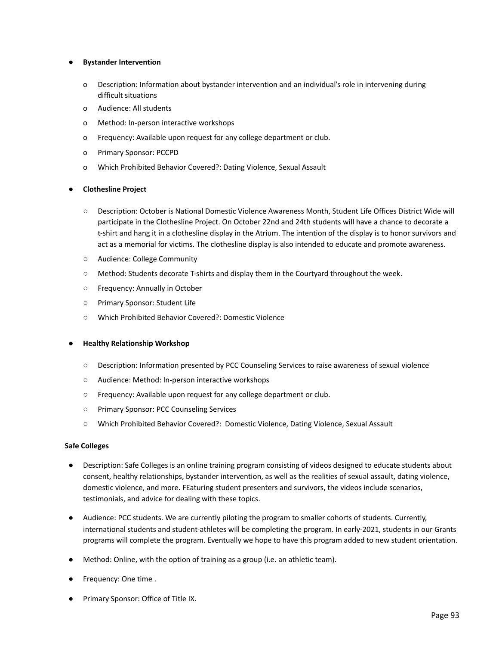# **● Bystander Intervention**

- o Description: Information about bystander intervention and an individual's role in intervening during difficult situations
- o Audience: All students
- o Method: In-person interactive workshops
- o Frequency: Available upon request for any college department or club.
- o Primary Sponsor: PCCPD
- o Which Prohibited Behavior Covered?: Dating Violence, Sexual Assault

#### **● Clothesline Project**

- Description: October is National Domestic Violence Awareness Month, Student Life Offices District Wide will participate in the Clothesline Project. On October 22nd and 24th students will have a chance to decorate a t-shirt and hang it in a clothesline display in the Atrium. The intention of the display is to honor survivors and act as a memorial for victims. The clothesline display is also intended to educate and promote awareness.
- Audience: College Community
- Method: Students decorate T-shirts and display them in the Courtyard throughout the week.
- Frequency: Annually in October
- Primary Sponsor: Student Life
- Which Prohibited Behavior Covered?: Domestic Violence

#### **● Healthy Relationship Workshop**

- Description: Information presented by PCC Counseling Services to raise awareness of sexual violence
- Audience: Method: In-person interactive workshops
- Frequency: Available upon request for any college department or club.
- Primary Sponsor: PCC Counseling Services
- Which Prohibited Behavior Covered?: Domestic Violence, Dating Violence, Sexual Assault

#### **Safe Colleges**

- Description: Safe Colleges is an online training program consisting of videos designed to educate students about consent, healthy relationships, bystander intervention, as well as the realities of sexual assault, dating violence, domestic violence, and more. FEaturing student presenters and survivors, the videos include scenarios, testimonials, and advice for dealing with these topics.
- Audience: PCC students. We are currently piloting the program to smaller cohorts of students. Currently, international students and student-athletes will be completing the program. In early-2021, students in our Grants programs will complete the program. Eventually we hope to have this program added to new student orientation.
- Method: Online, with the option of training as a group (i.e. an athletic team).
- Frequency: One time .
- Primary Sponsor: Office of Title IX.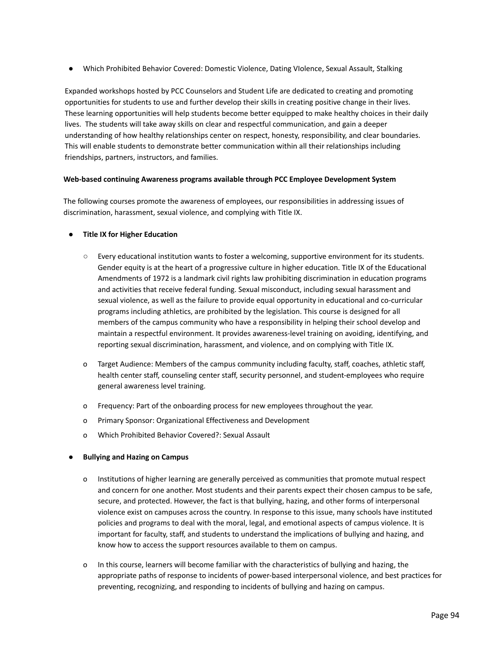● Which Prohibited Behavior Covered: Domestic Violence, Dating VIolence, Sexual Assault, Stalking

Expanded workshops hosted by PCC Counselors and Student Life are dedicated to creating and promoting opportunities for students to use and further develop their skills in creating positive change in their lives. These learning opportunities will help students become better equipped to make healthy choices in their daily lives. The students will take away skills on clear and respectful communication, and gain a deeper understanding of how healthy relationships center on respect, honesty, responsibility, and clear boundaries. This will enable students to demonstrate better communication within all their relationships including friendships, partners, instructors, and families.

# **Web-based continuing Awareness programs available through PCC Employee Development System**

The following courses promote the awareness of employees, our responsibilities in addressing issues of discrimination, harassment, sexual violence, and complying with Title IX.

# **● Title IX for Higher Education**

- **○** Every educational institution wants to foster a welcoming, supportive environment for its students. Gender equity is at the heart of a progressive culture in higher education. Title IX of the Educational Amendments of 1972 is a landmark civil rights law prohibiting discrimination in education programs and activities that receive federal funding. Sexual misconduct, including sexual harassment and sexual violence, as well as the failure to provide equal opportunity in educational and co-curricular programs including athletics, are prohibited by the legislation. This course is designed for all members of the campus community who have a responsibility in helping their school develop and maintain a respectful environment. It provides awareness-level training on avoiding, identifying, and reporting sexual discrimination, harassment, and violence, and on complying with Title IX.
- o Target Audience: Members of the campus community including faculty, staff, coaches, athletic staff, health center staff, counseling center staff, security personnel, and student-employees who require general awareness level training.
- o Frequency: Part of the onboarding process for new employees throughout the year.
- o Primary Sponsor: Organizational Effectiveness and Development
- o Which Prohibited Behavior Covered?: Sexual Assault

# **● Bullying and Hazing on Campus**

- o Institutions of higher learning are generally perceived as communities that promote mutual respect and concern for one another. Most students and their parents expect their chosen campus to be safe, secure, and protected. However, the fact is that bullying, hazing, and other forms of interpersonal violence exist on campuses across the country. In response to this issue, many schools have instituted policies and programs to deal with the moral, legal, and emotional aspects of campus violence. It is important for faculty, staff, and students to understand the implications of bullying and hazing, and know how to access the support resources available to them on campus.
- o In this course, learners will become familiar with the characteristics of bullying and hazing, the appropriate paths of response to incidents of power-based interpersonal violence, and best practices for preventing, recognizing, and responding to incidents of bullying and hazing on campus.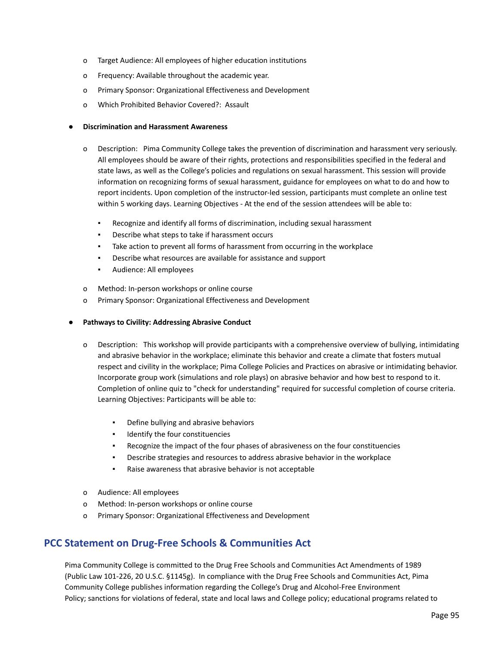- o Target Audience: All employees of higher education institutions
- o Frequency: Available throughout the academic year.
- o Primary Sponsor: Organizational Effectiveness and Development
- o Which Prohibited Behavior Covered?: Assault

#### **● Discrimination and Harassment Awareness**

- o Description: Pima Community College takes the prevention of discrimination and harassment very seriously. All employees should be aware of their rights, protections and responsibilities specified in the federal and state laws, as well as the College's policies and regulations on sexual harassment. This session will provide information on recognizing forms of sexual harassment, guidance for employees on what to do and how to report incidents. Upon completion of the instructor-led session, participants must complete an online test within 5 working days. Learning Objectives - At the end of the session attendees will be able to:
	- Recognize and identify all forms of discrimination, including sexual harassment
	- Describe what steps to take if harassment occurs
	- Take action to prevent all forms of harassment from occurring in the workplace
	- Describe what resources are available for assistance and support
	- Audience: All employees
- o Method: In-person workshops or online course
- o Primary Sponsor: Organizational Effectiveness and Development
- **● Pathways to Civility: Addressing Abrasive Conduct**
	- o Description: This workshop will provide participants with a comprehensive overview of bullying, intimidating and abrasive behavior in the workplace; eliminate this behavior and create a climate that fosters mutual respect and civility in the workplace; Pima College Policies and Practices on abrasive or intimidating behavior. Incorporate group work (simulations and role plays) on abrasive behavior and how best to respond to it. Completion of online quiz to "check for understanding" required for successful completion of course criteria. Learning Objectives: Participants will be able to:
		- Define bullying and abrasive behaviors
		- Identify the four constituencies
		- Recognize the impact of the four phases of abrasiveness on the four constituencies
		- Describe strategies and resources to address abrasive behavior in the workplace
		- Raise awareness that abrasive behavior is not acceptable
	- o Audience: All employees
	- o Method: In-person workshops or online course
	- o Primary Sponsor: Organizational Effectiveness and Development

# **PCC Statement on Drug‐Free Schools & Communities Act**

Pima Community College is committed to the Drug Free Schools and Communities Act Amendments of 1989 (Public Law 101-226, 20 U.S.C. §1145g). In compliance with the Drug Free Schools and Communities Act, Pima Community College publishes information regarding the College's Drug and Alcohol-Free Environment Policy; sanctions for violations of federal, state and local laws and College policy; educational programs related to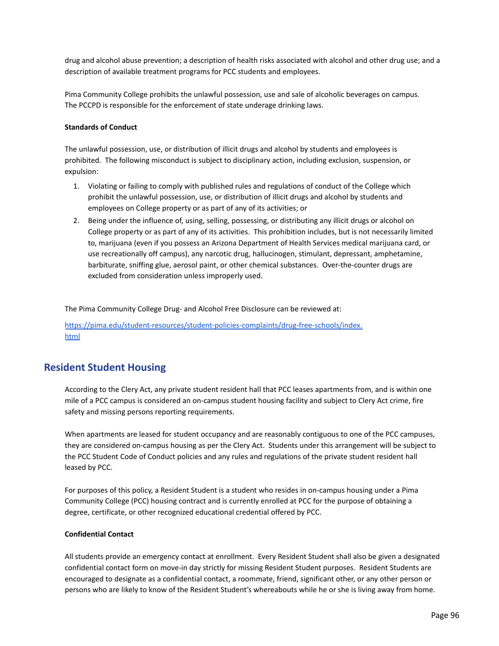drug and alcohol abuse prevention; a description of health risks associated with alcohol and other drug use; and a description of available treatment programs for PCC students and employees.

Pima Community College prohibits the unlawful possession, use and sale of alcoholic beverages on campus. The PCCPD is responsible for the enforcement of state underage drinking laws.

#### **Standards of Conduct**

The unlawful possession, use, or distribution of illicit drugs and alcohol by students and employees is prohibited. The following misconduct is subject to disciplinary action, including exclusion, suspension, or expulsion:

- 1. Violating or failing to comply with published rules and regulations of conduct of the College which prohibit the unlawful possession, use, or distribution of illicit drugs and alcohol by students and employees on College property or as part of any of its activities; or
- 2. Being under the influence of, using, selling, possessing, or distributing any illicit drugs or alcohol on College property or as part of any of its activities. This prohibition includes, but is not necessarily limited to, marijuana (even if you possess an Arizona Department of Health Services medical marijuana card, or use recreationally off campus), any narcotic drug, hallucinogen, stimulant, depressant, amphetamine, barbiturate, sniffing glue, aerosol paint, or other chemical substances. Over-the-counter drugs are excluded from consideration unless improperly used.

The Pima Community College Drug- and Alcohol Free Disclosure can be reviewed at:

[https://pima.edu/student-resources/student-policies-complaints/drug-free-schools/index.](https://pima.edu/student-resources/student-policies-complaints/drug-free-schools/index.html) [html](https://pima.edu/student-resources/student-policies-complaints/drug-free-schools/index.html)

# **Resident Student Housing**

According to the Clery Act, any private student resident hall that PCC leases apartments from, and is within one mile of a PCC campus is considered an on-campus student housing facility and subject to Clery Act crime, fire safety and missing persons reporting requirements.

When apartments are leased for student occupancy and are reasonably contiguous to one of the PCC campuses, they are considered on-campus housing as per the Clery Act. Students under this arrangement will be subject to the PCC Student Code of Conduct policies and any rules and regulations of the private student resident hall leased by PCC.

For purposes of this policy, a Resident Student is a student who resides in on-campus housing under a Pima Community College (PCC) housing contract and is currently enrolled at PCC for the purpose of obtaining a degree, certificate, or other recognized educational credential offered by PCC.

# **Confidential Contact**

All students provide an emergency contact at enrollment. Every Resident Student shall also be given a designated confidential contact form on move-in day strictly for missing Resident Student purposes. Resident Students are encouraged to designate as a confidential contact, a roommate, friend, significant other, or any other person or persons who are likely to know of the Resident Student's whereabouts while he or she is living away from home.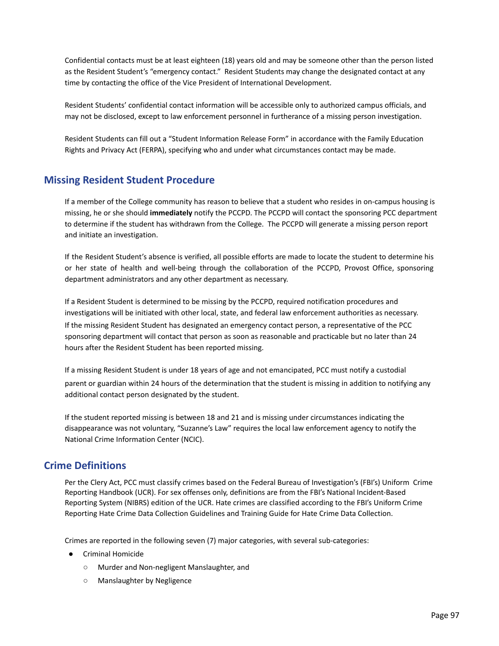Confidential contacts must be at least eighteen (18) years old and may be someone other than the person listed as the Resident Student's "emergency contact." Resident Students may change the designated contact at any time by contacting the office of the Vice President of International Development.

Resident Students' confidential contact information will be accessible only to authorized campus officials, and may not be disclosed, except to law enforcement personnel in furtherance of a missing person investigation.

Resident Students can fill out a "Student Information Release Form" in accordance with the Family Education Rights and Privacy Act (FERPA), specifying who and under what circumstances contact may be made.

# **Missing Resident Student Procedure**

If a member of the College community has reason to believe that a student who resides in on-campus housing is missing, he or she should **immediately** notify the PCCPD. The PCCPD will contact the sponsoring PCC department to determine if the student has withdrawn from the College. The PCCPD will generate a missing person report and initiate an investigation.

If the Resident Student's absence is verified, all possible efforts are made to locate the student to determine his or her state of health and well-being through the collaboration of the PCCPD, Provost Office, sponsoring department administrators and any other department as necessary.

If a Resident Student is determined to be missing by the PCCPD, required notification procedures and investigations will be initiated with other local, state, and federal law enforcement authorities as necessary. If the missing Resident Student has designated an emergency contact person, a representative of the PCC sponsoring department will contact that person as soon as reasonable and practicable but no later than 24 hours after the Resident Student has been reported missing.

If a missing Resident Student is under 18 years of age and not emancipated, PCC must notify a custodial parent or guardian within 24 hours of the determination that the student is missing in addition to notifying any additional contact person designated by the student.

If the student reported missing is between 18 and 21 and is missing under circumstances indicating the disappearance was not voluntary, "Suzanne's Law" requires the local law enforcement agency to notify the National Crime Information Center (NCIC).

# **Crime Definitions**

Per the Clery Act, PCC must classify crimes based on the Federal Bureau of Investigation's (FBI's) Uniform Crime Reporting Handbook (UCR). For sex offenses only, definitions are from the FBI's National Incident-Based Reporting System (NIBRS) edition of the UCR. Hate crimes are classified according to the FBI's Uniform Crime Reporting Hate Crime Data Collection Guidelines and Training Guide for Hate Crime Data Collection.

Crimes are reported in the following seven (7) major categories, with several sub-categories:

- Criminal Homicide
	- Murder and Non-negligent Manslaughter, and
	- Manslaughter by Negligence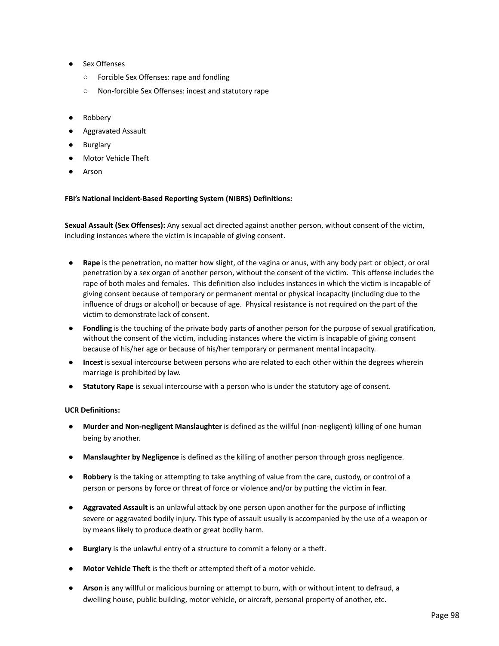- Sex Offenses
	- Forcible Sex Offenses: rape and fondling
	- Non-forcible Sex Offenses: incest and statutory rape
- **Robbery**
- Aggravated Assault
- **Burglary**
- Motor Vehicle Theft
- Arson

# **FBI's National Incident-Based Reporting System (NIBRS) Definitions:**

**Sexual Assault (Sex Offenses):** Any sexual act directed against another person, without consent of the victim, including instances where the victim is incapable of giving consent.

- **Rape** is the penetration, no matter how slight, of the vagina or anus, with any body part or object, or oral penetration by a sex organ of another person, without the consent of the victim. This offense includes the rape of both males and females. This definition also includes instances in which the victim is incapable of giving consent because of temporary or permanent mental or physical incapacity (including due to the influence of drugs or alcohol) or because of age. Physical resistance is not required on the part of the victim to demonstrate lack of consent.
- **Fondling** is the touching of the private body parts of another person for the purpose of sexual gratification, without the consent of the victim, including instances where the victim is incapable of giving consent because of his/her age or because of his/her temporary or permanent mental incapacity.
- **Incest** is sexual intercourse between persons who are related to each other within the degrees wherein marriage is prohibited by law.
- **Statutory Rape** is sexual intercourse with a person who is under the statutory age of consent.

# **UCR Definitions:**

- **Murder and Non‐negligent Manslaughter** is defined as the willful (non-negligent) killing of one human being by another.
- **Manslaughter by Negligence** is defined as the killing of another person through gross negligence.
- **Robbery** is the taking or attempting to take anything of value from the care, custody, or control of a person or persons by force or threat of force or violence and/or by putting the victim in fear.
- **Aggravated Assault** is an unlawful attack by one person upon another for the purpose of inflicting severe or aggravated bodily injury. This type of assault usually is accompanied by the use of a weapon or by means likely to produce death or great bodily harm.
- **Burglary** is the unlawful entry of a structure to commit a felony or a theft.
- **Motor Vehicle Theft** is the theft or attempted theft of a motor vehicle.
- **Arson** is any willful or malicious burning or attempt to burn, with or without intent to defraud, a dwelling house, public building, motor vehicle, or aircraft, personal property of another, etc.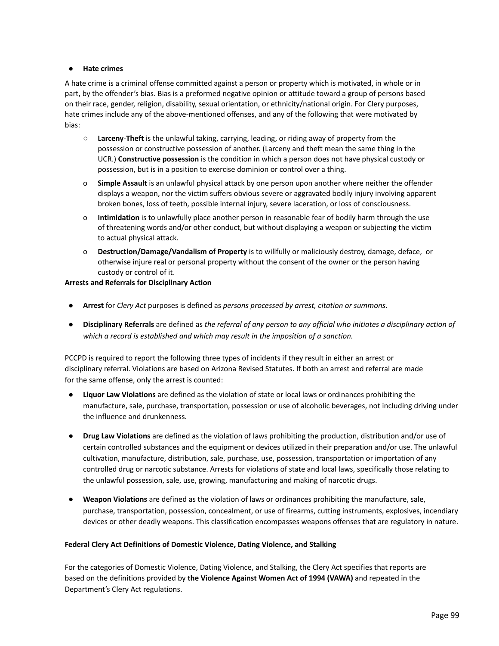#### **● Hate crimes**

A hate crime is a criminal offense committed against a person or property which is motivated, in whole or in part, by the offender's bias. Bias is a preformed negative opinion or attitude toward a group of persons based on their race, gender, religion, disability, sexual orientation, or ethnicity/national origin. For Clery purposes, hate crimes include any of the above-mentioned offenses, and any of the following that were motivated by bias:

- **○ Larceny**-**Theft** is the unlawful taking, carrying, leading, or riding away of property from the possession or constructive possession of another. (Larceny and theft mean the same thing in the UCR.) **Constructive possession** is the condition in which a person does not have physical custody or possession, but is in a position to exercise dominion or control over a thing.
- o **Simple Assault** is an unlawful physical attack by one person upon another where neither the offender displays a weapon, nor the victim suffers obvious severe or aggravated bodily injury involving apparent broken bones, loss of teeth, possible internal injury, severe laceration, or loss of consciousness.
- o **Intimidation** is to unlawfully place another person in reasonable fear of bodily harm through the use of threatening words and/or other conduct, but without displaying a weapon or subjecting the victim to actual physical attack.
- o **Destruction/Damage/Vandalism of Property** is to willfully or maliciously destroy, damage, deface, or otherwise injure real or personal property without the consent of the owner or the person having custody or control of it.

# **Arrests and Referrals for Disciplinary Action**

- **Arrest** for *Clery Act* purposes is defined as *persons processed by arrest, citation or summons.*
- **Disciplinary Referrals** are defined as the referral of any person to any official who initiates a disciplinary action of *which a record is established and which may result in the imposition of a sanction.*

PCCPD is required to report the following three types of incidents if they result in either an arrest or disciplinary referral. Violations are based on Arizona Revised Statutes. If both an arrest and referral are made for the same offense, only the arrest is counted:

- **Liquor Law Violations** are defined as the violation of state or local laws or ordinances prohibiting the manufacture, sale, purchase, transportation, possession or use of alcoholic beverages, not including driving under the influence and drunkenness.
- **Drug Law Violations** are defined as the violation of laws prohibiting the production, distribution and/or use of certain controlled substances and the equipment or devices utilized in their preparation and/or use. The unlawful cultivation, manufacture, distribution, sale, purchase, use, possession, transportation or importation of any controlled drug or narcotic substance. Arrests for violations of state and local laws, specifically those relating to the unlawful possession, sale, use, growing, manufacturing and making of narcotic drugs.
- **Weapon Violations** are defined as the violation of laws or ordinances prohibiting the manufacture, sale, purchase, transportation, possession, concealment, or use of firearms, cutting instruments, explosives, incendiary devices or other deadly weapons. This classification encompasses weapons offenses that are regulatory in nature.

# **Federal Clery Act Definitions of Domestic Violence, Dating Violence, and Stalking**

For the categories of Domestic Violence, Dating Violence, and Stalking, the Clery Act specifies that reports are based on the definitions provided by **the Violence Against Women Act of 1994 (VAWA)** and repeated in the Department's Clery Act regulations.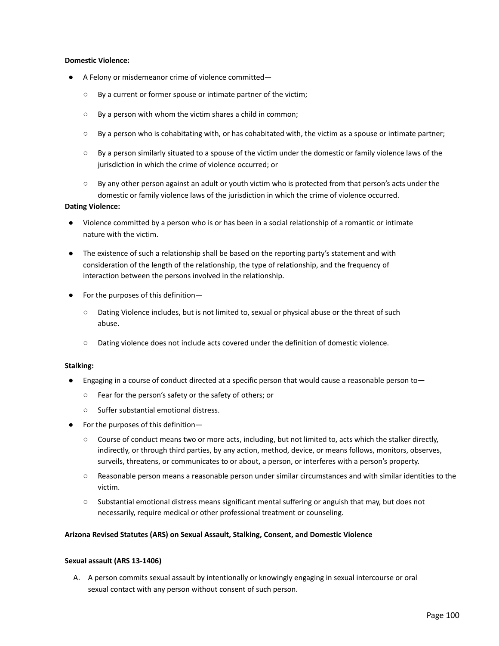#### **Domestic Violence:**

- A Felony or misdemeanor crime of violence committed—
	- By a current or former spouse or intimate partner of the victim;
	- By a person with whom the victim shares a child in common;
	- By a person who is cohabitating with, or has cohabitated with, the victim as a spouse or intimate partner;
	- By a person similarly situated to a spouse of the victim under the domestic or family violence laws of the jurisdiction in which the crime of violence occurred; or
	- By any other person against an adult or youth victim who is protected from that person's acts under the domestic or family violence laws of the jurisdiction in which the crime of violence occurred.

#### **Dating Violence:**

- Violence committed by a person who is or has been in a social relationship of a romantic or intimate nature with the victim.
- The existence of such a relationship shall be based on the reporting party's statement and with consideration of the length of the relationship, the type of relationship, and the frequency of interaction between the persons involved in the relationship.
- For the purposes of this definition—
	- Dating Violence includes, but is not limited to, sexual or physical abuse or the threat of such abuse.
	- Dating violence does not include acts covered under the definition of domestic violence.

#### **Stalking:**

- Engaging in a course of conduct directed at a specific person that would cause a reasonable person to $-$ 
	- Fear for the person's safety or the safety of others; or
	- Suffer substantial emotional distress.
- For the purposes of this definition—
	- Course of conduct means two or more acts, including, but not limited to, acts which the stalker directly, indirectly, or through third parties, by any action, method, device, or means follows, monitors, observes, surveils, threatens, or communicates to or about, a person, or interferes with a person's property.
	- Reasonable person means a reasonable person under similar circumstances and with similar identities to the victim.
	- Substantial emotional distress means significant mental suffering or anguish that may, but does not necessarily, require medical or other professional treatment or counseling.

# **Arizona Revised Statutes (ARS) on Sexual Assault, Stalking, Consent, and Domestic Violence**

#### **Sexual assault (ARS 13-1406)**

A. A person commits sexual assault by intentionally or knowingly engaging in sexual intercourse or oral sexual contact with any person without consent of such person.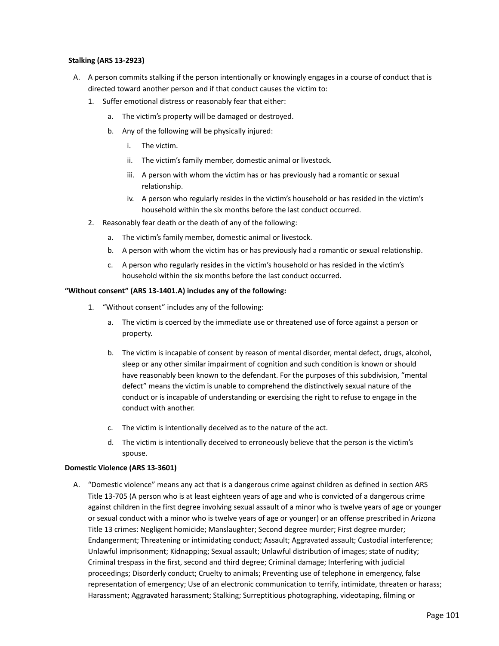### **Stalking (ARS 13-2923)**

- A. A person commits stalking if the person intentionally or knowingly engages in a course of conduct that is directed toward another person and if that conduct causes the victim to:
	- 1. Suffer emotional distress or reasonably fear that either:
		- a. The victim's property will be damaged or destroyed.
		- b. Any of the following will be physically injured:
			- i. The victim.
			- ii. The victim's family member, domestic animal or livestock.
			- iii. A person with whom the victim has or has previously had a romantic or sexual relationship.
			- iv. A person who regularly resides in the victim's household or has resided in the victim's household within the six months before the last conduct occurred.
	- 2. Reasonably fear death or the death of any of the following:
		- a. The victim's family member, domestic animal or livestock.
		- b. A person with whom the victim has or has previously had a romantic or sexual relationship.
		- c. A person who regularly resides in the victim's household or has resided in the victim's household within the six months before the last conduct occurred.

#### **"Without consent" (ARS 13-1401.A) includes any of the following:**

- 1. "Without consent" includes any of the following:
	- a. The victim is coerced by the immediate use or threatened use of force against a person or property.
	- b. The victim is incapable of consent by reason of mental disorder, mental defect, drugs, alcohol, sleep or any other similar impairment of cognition and such condition is known or should have reasonably been known to the defendant. For the purposes of this subdivision, "mental defect" means the victim is unable to comprehend the distinctively sexual nature of the conduct or is incapable of understanding or exercising the right to refuse to engage in the conduct with another.
	- c. The victim is intentionally deceived as to the nature of the act.
	- d. The victim is intentionally deceived to erroneously believe that the person is the victim's spouse.

#### **Domestic Violence (ARS 13-3601)**

A. "Domestic violence" means any act that is a dangerous crime against children as defined in section ARS Title 13-705 (A person who is at least eighteen years of age and who is convicted of a dangerous crime against children in the first degree involving sexual assault of a minor who is twelve years of age or younger or sexual conduct with a minor who is twelve years of age or younger) or an offense prescribed in Arizona Title 13 crimes: Negligent homicide; Manslaughter; Second degree murder; First degree murder; Endangerment; Threatening or intimidating conduct; Assault; Aggravated assault; Custodial interference; Unlawful imprisonment; Kidnapping; Sexual assault; Unlawful distribution of images; state of nudity; Criminal trespass in the first, second and third degree; Criminal damage; Interfering with judicial proceedings; Disorderly conduct; Cruelty to animals; Preventing use of telephone in emergency, false representation of emergency; Use of an electronic communication to terrify, intimidate, threaten or harass; Harassment; Aggravated harassment; Stalking; Surreptitious photographing, videotaping, filming or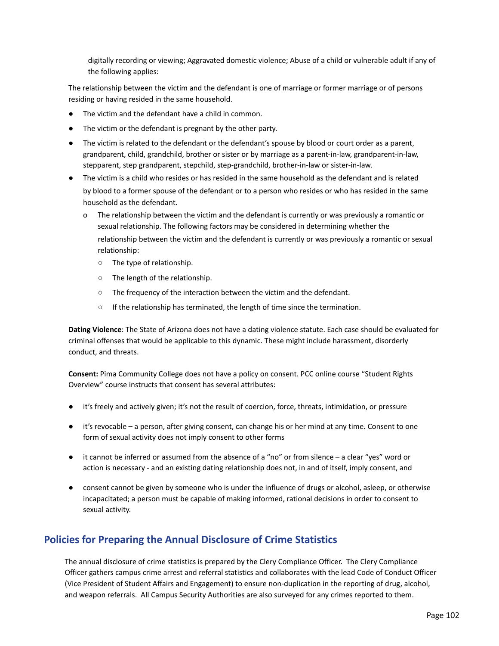digitally recording or viewing; Aggravated domestic violence; Abuse of a child or vulnerable adult if any of the following applies:

The relationship between the victim and the defendant is one of marriage or former marriage or of persons residing or having resided in the same household.

- The victim and the defendant have a child in common.
- The victim or the defendant is pregnant by the other party.
- The victim is related to the defendant or the defendant's spouse by blood or court order as a parent, grandparent, child, grandchild, brother or sister or by marriage as a parent-in-law, grandparent-in-law, stepparent, step grandparent, stepchild, step-grandchild, brother-in-law or sister-in-law.
- The victim is a child who resides or has resided in the same household as the defendant and is related by blood to a former spouse of the defendant or to a person who resides or who has resided in the same household as the defendant.
	- The relationship between the victim and the defendant is currently or was previously a romantic or sexual relationship. The following factors may be considered in determining whether the relationship between the victim and the defendant is currently or was previously a romantic or sexual relationship:
		- The type of relationship.
		- The length of the relationship.
		- The frequency of the interaction between the victim and the defendant.
		- If the relationship has terminated, the length of time since the termination.

**Dating Violence**: The State of Arizona does not have a dating violence statute. Each case should be evaluated for criminal offenses that would be applicable to this dynamic. These might include harassment, disorderly conduct, and threats.

**Consent:** Pima Community College does not have a policy on consent. PCC online course "Student Rights Overview" course instructs that consent has several attributes:

- it's freely and actively given; it's not the result of coercion, force, threats, intimidation, or pressure
- it's revocable a person, after giving consent, can change his or her mind at any time. Consent to one form of sexual activity does not imply consent to other forms
- it cannot be inferred or assumed from the absence of a "no" or from silence a clear "yes" word or action is necessary - and an existing dating relationship does not, in and of itself, imply consent, and
- consent cannot be given by someone who is under the influence of drugs or alcohol, asleep, or otherwise incapacitated; a person must be capable of making informed, rational decisions in order to consent to sexual activity.

# **Policies for Preparing the Annual Disclosure of Crime Statistics**

The annual disclosure of crime statistics is prepared by the Clery Compliance Officer. The Clery Compliance Officer gathers campus crime arrest and referral statistics and collaborates with the lead Code of Conduct Officer (Vice President of Student Affairs and Engagement) to ensure non-duplication in the reporting of drug, alcohol, and weapon referrals. All Campus Security Authorities are also surveyed for any crimes reported to them.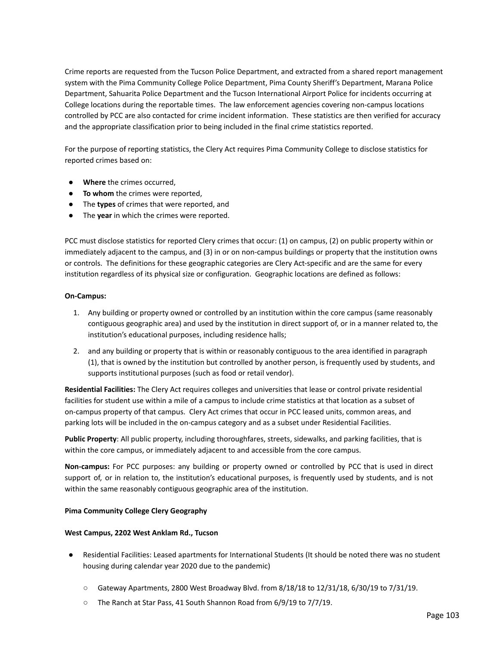Crime reports are requested from the Tucson Police Department, and extracted from a shared report management system with the Pima Community College Police Department, Pima County Sheriff's Department, Marana Police Department, Sahuarita Police Department and the Tucson International Airport Police for incidents occurring at College locations during the reportable times. The law enforcement agencies covering non-campus locations controlled by PCC are also contacted for crime incident information. These statistics are then verified for accuracy and the appropriate classification prior to being included in the final crime statistics reported.

For the purpose of reporting statistics, the Clery Act requires Pima Community College to disclose statistics for reported crimes based on:

- **Where** the crimes occurred,
- **To whom** the crimes were reported,
- The **types** of crimes that were reported, and
- The **year** in which the crimes were reported.

PCC must disclose statistics for reported Clery crimes that occur: (1) on campus, (2) on public property within or immediately adjacent to the campus, and (3) in or on non-campus buildings or property that the institution owns or controls. The definitions for these geographic categories are Clery Act-specific and are the same for every institution regardless of its physical size or configuration. Geographic locations are defined as follows:

# **On‐Campus:**

- 1. Any building or property owned or controlled by an institution within the core campus (same reasonably contiguous geographic area) and used by the institution in direct support of, or in a manner related to, the institution's educational purposes, including residence halls;
- 2. and any building or property that is within or reasonably contiguous to the area identified in paragraph (1), that is owned by the institution but controlled by another person, is frequently used by students, and supports institutional purposes (such as food or retail vendor).

**Residential Facilities:** The Clery Act requires colleges and universities that lease or control private residential facilities for student use within a mile of a campus to include crime statistics at that location as a subset of on-campus property of that campus. Clery Act crimes that occur in PCC leased units, common areas, and parking lots will be included in the on-campus category and as a subset under Residential Facilities.

**Public Property**: All public property, including thoroughfares, streets, sidewalks, and parking facilities, that is within the core campus, or immediately adjacent to and accessible from the core campus.

**Non‐campus:** For PCC purposes: any building or property owned or controlled by PCC that is used in direct support of, or in relation to, the institution's educational purposes, is frequently used by students, and is not within the same reasonably contiguous geographic area of the institution.

# **Pima Community College Clery Geography**

# **West Campus, 2202 West Anklam Rd., Tucson**

- Residential Facilities: Leased apartments for International Students (It should be noted there was no student housing during calendar year 2020 due to the pandemic)
	- $\circ$  Gateway Apartments, 2800 West Broadway Blvd. from 8/18/18 to 12/31/18, 6/30/19 to 7/31/19.
	- The Ranch at Star Pass, 41 South Shannon Road from 6/9/19 to 7/7/19.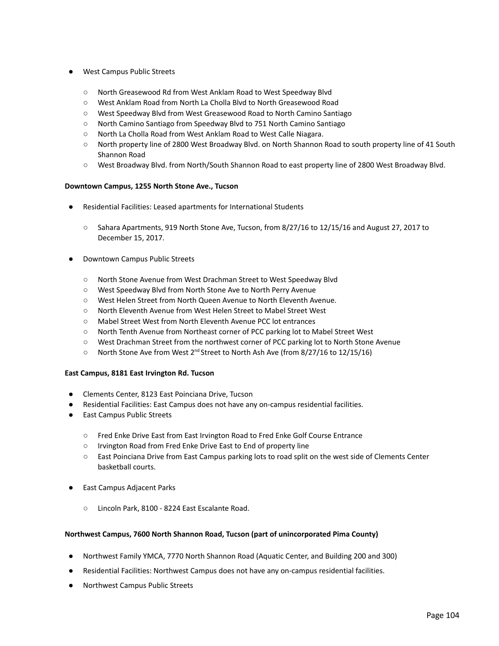- West Campus Public Streets
	- North Greasewood Rd from West Anklam Road to West Speedway Blvd
	- West Anklam Road from North La Cholla Blvd to North Greasewood Road
	- West Speedway Blvd from West Greasewood Road to North Camino Santiago
	- North Camino Santiago from Speedway Blvd to 751 North Camino Santiago
	- North La Cholla Road from West Anklam Road to West Calle Niagara.
	- North property line of 2800 West Broadway Blvd. on North Shannon Road to south property line of 41 South Shannon Road
	- West Broadway Blvd. from North/South Shannon Road to east property line of 2800 West Broadway Blvd.

# **Downtown Campus, 1255 North Stone Ave., Tucson**

- Residential Facilities: Leased apartments for International Students
	- Sahara Apartments, 919 North Stone Ave, Tucson, from 8/27/16 to 12/15/16 and August 27, 2017 to December 15, 2017.
- **Downtown Campus Public Streets** 
	- North Stone Avenue from West Drachman Street to West Speedway Blvd
	- West Speedway Blvd from North Stone Ave to North Perry Avenue
	- West Helen Street from North Queen Avenue to North Eleventh Avenue.
	- North Eleventh Avenue from West Helen Street to Mabel Street West
	- Mabel Street West from North Eleventh Avenue PCC lot entrances
	- North Tenth Avenue from Northeast corner of PCC parking lot to Mabel Street West
	- West Drachman Street from the northwest corner of PCC parking lot to North Stone Avenue
	- North Stone Ave from West 2<sup>nd</sup> Street to North Ash Ave (from 8/27/16 to 12/15/16)

#### **East Campus, 8181 East Irvington Rd. Tucson**

- Clements Center, 8123 East Poinciana Drive, Tucson
- Residential Facilities: East Campus does not have any on-campus residential facilities.
- East Campus Public Streets
	- Fred Enke Drive East from East Irvington Road to Fred Enke Golf Course Entrance
	- Irvington Road from Fred Enke Drive East to End of property line
	- East Poinciana Drive from East Campus parking lots to road split on the west side of Clements Center basketball courts.
- East Campus Adjacent Parks
	- Lincoln Park, 8100 8224 East Escalante Road.

#### **Northwest Campus, 7600 North Shannon Road, Tucson (part of unincorporated Pima County)**

- Northwest Family YMCA, 7770 North Shannon Road (Aquatic Center, and Building 200 and 300)
- Residential Facilities: Northwest Campus does not have any on-campus residential facilities.
- Northwest Campus Public Streets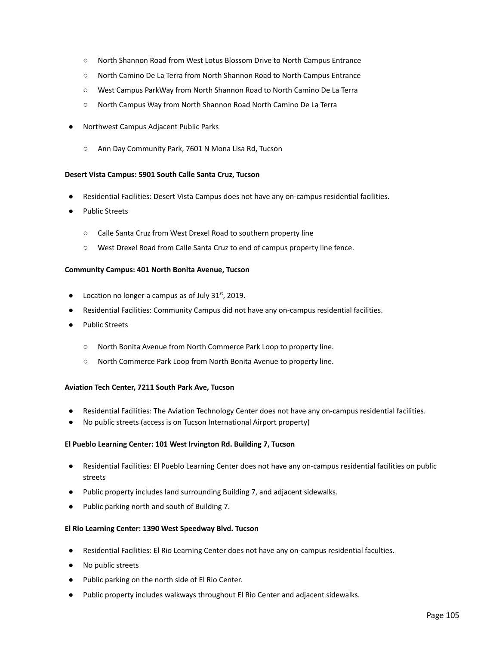- North Shannon Road from West Lotus Blossom Drive to North Campus Entrance
- North Camino De La Terra from North Shannon Road to North Campus Entrance
- West Campus ParkWay from North Shannon Road to North Camino De La Terra
- North Campus Way from North Shannon Road North Camino De La Terra
- Northwest Campus Adjacent Public Parks
	- Ann Day Community Park, 7601 N Mona Lisa Rd, Tucson

#### **Desert Vista Campus: 5901 South Calle Santa Cruz, Tucson**

- Residential Facilities: Desert Vista Campus does not have any on-campus residential facilities.
- Public Streets
	- Calle Santa Cruz from West Drexel Road to southern property line
	- West Drexel Road from Calle Santa Cruz to end of campus property line fence.

#### **Community Campus: 401 North Bonita Avenue, Tucson**

- $\bullet$  Location no longer a campus as of July 31<sup>st</sup>, 2019.
- Residential Facilities: Community Campus did not have any on-campus residential facilities.
- Public Streets
	- North Bonita Avenue from North Commerce Park Loop to property line.
	- North Commerce Park Loop from North Bonita Avenue to property line.

# **Aviation Tech Center, 7211 South Park Ave, Tucson**

- Residential Facilities: The Aviation Technology Center does not have any on-campus residential facilities.
- No public streets (access is on Tucson International Airport property)

#### **El Pueblo Learning Center: 101 West Irvington Rd. Building 7, Tucson**

- Residential Facilities: El Pueblo Learning Center does not have any on-campus residential facilities on public streets
- Public property includes land surrounding Building 7, and adjacent sidewalks.
- Public parking north and south of Building 7.

#### **El Rio Learning Center: 1390 West Speedway Blvd. Tucson**

- Residential Facilities: El Rio Learning Center does not have any on-campus residential faculties.
- No public streets
- Public parking on the north side of El Rio Center.
- Public property includes walkways throughout El Rio Center and adjacent sidewalks.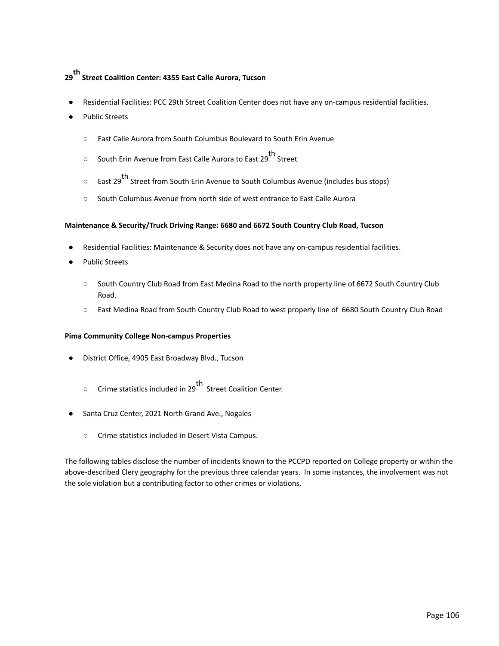# **29 th Street Coalition Center: 4355 East Calle Aurora, Tucson**

- Residential Facilities: PCC 29th Street Coalition Center does not have any on-campus residential facilities.
- Public Streets
	- East Calle Aurora from South Columbus Boulevard to South Erin Avenue
	- South Erin Avenue from East Calle Aurora to East 29 th Street
	- East 29<sup>th</sup> Street from South Erin Avenue to South Columbus Avenue (includes bus stops)
	- South Columbus Avenue from north side of west entrance to East Calle Aurora

#### **Maintenance & Security/Truck Driving Range: 6680 and 6672 South Country Club Road, Tucson**

- Residential Facilities: Maintenance & Security does not have any on-campus residential facilities.
- Public Streets
	- South Country Club Road from East Medina Road to the north property line of 6672 South Country Club Road.
	- East Medina Road from South Country Club Road to west properly line of 6680 South Country Club Road

#### **Pima Community College Non-campus Properties**

- District Office, 4905 East Broadway Blvd., Tucson
	- Crime statistics included in 29<sup>th</sup> Street Coalition Center.
- Santa Cruz Center, 2021 North Grand Ave., Nogales
	- Crime statistics included in Desert Vista Campus.

The following tables disclose the number of incidents known to the PCCPD reported on College property or within the above-described Clery geography for the previous three calendar years. In some instances, the involvement was not the sole violation but a contributing factor to other crimes or violations.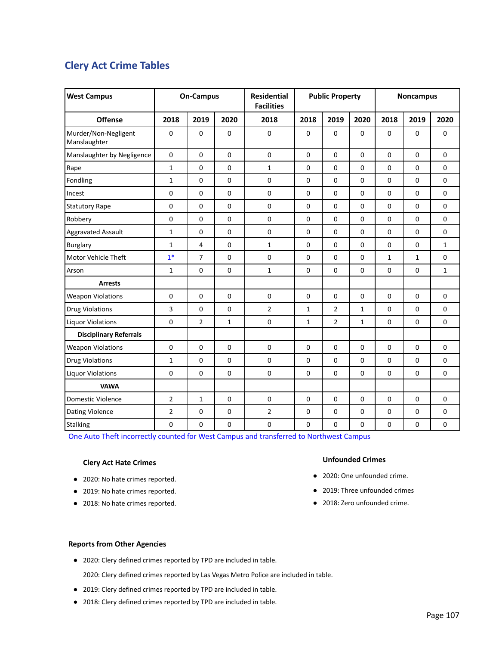# **Clery Act Crime Tables**

| <b>West Campus</b>                   | <b>On-Campus</b> |                |                | <b>Residential</b><br><b>Facilities</b> | <b>Public Property</b> |                |              | <b>Noncampus</b> |              |              |
|--------------------------------------|------------------|----------------|----------------|-----------------------------------------|------------------------|----------------|--------------|------------------|--------------|--------------|
| <b>Offense</b>                       | 2018             | 2019           | 2020           | 2018                                    | 2018                   | 2019           | 2020         | 2018             | 2019         | 2020         |
| Murder/Non-Negligent<br>Manslaughter | 0                | $\mathbf 0$    | 0              | 0                                       | $\mathbf 0$            | 0              | 0            | $\mathbf 0$      | $\mathbf 0$  | 0            |
| Manslaughter by Negligence           | 0                | $\Omega$       | 0              | $\mathbf 0$                             | $\mathbf 0$            | 0              | 0            | $\mathbf 0$      | $\mathbf 0$  | $\Omega$     |
| Rape                                 | $\mathbf{1}$     | $\mathbf 0$    | 0              | $\mathbf{1}$                            | $\mathbf 0$            | 0              | 0            | $\pmb{0}$        | 0            | $\mathbf 0$  |
| Fondling                             | $\mathbf{1}$     | $\mathbf 0$    | 0              | 0                                       | 0                      | 0              | 0            | $\mathbf 0$      | $\mathbf 0$  | 0            |
| Incest                               | 0                | $\mathbf 0$    | 0              | $\pmb{0}$                               | $\mathbf 0$            | 0              | 0            | $\mathbf 0$      | 0            | $\mathbf 0$  |
| <b>Statutory Rape</b>                | 0                | $\Omega$       | $\overline{0}$ | 0                                       | $\mathbf 0$            | $\overline{0}$ | 0            | $\Omega$         | $\Omega$     | $\Omega$     |
| Robbery                              | 0                | $\pmb{0}$      | 0              | 0                                       | $\pmb{0}$              | 0              | 0            | $\pmb{0}$        | $\mathbf 0$  | $\pmb{0}$    |
| <b>Aggravated Assault</b>            | $\mathbf{1}$     | $\mathbf 0$    | 0              | $\mathbf 0$                             | 0                      | 0              | 0            | $\mathbf 0$      | $\mathbf 0$  | $\Omega$     |
| Burglary                             | $\mathbf{1}$     | $\overline{4}$ | 0              | $\mathbf{1}$                            | $\mathbf 0$            | 0              | 0            | $\mathbf 0$      | 0            | $\mathbf{1}$ |
| Motor Vehicle Theft                  | $1*$             | $\overline{7}$ | 0              | 0                                       | $\mathbf 0$            | 0              | 0            | $\mathbf{1}$     | $\mathbf{1}$ | $\pmb{0}$    |
| Arson                                | $\mathbf{1}$     | $\mathbf 0$    | 0              | $\mathbf{1}$                            | $\mathbf 0$            | 0              | 0            | $\mathbf 0$      | 0            | $\mathbf{1}$ |
| <b>Arrests</b>                       |                  |                |                |                                         |                        |                |              |                  |              |              |
| <b>Weapon Violations</b>             | 0                | $\Omega$       | 0              | $\mathbf 0$                             | $\Omega$               | 0              | 0            | $\pmb{0}$        | $\Omega$     | $\Omega$     |
| <b>Drug Violations</b>               | 3                | $\mathbf 0$    | 0              | $\overline{2}$                          | $\mathbf{1}$           | $\overline{2}$ | 1            | $\mathbf 0$      | $\mathbf 0$  | $\mathbf{0}$ |
| <b>Liquor Violations</b>             | 0                | $\overline{2}$ | $\mathbf{1}$   | 0                                       | $\mathbf{1}$           | $\overline{2}$ | $\mathbf{1}$ | $\pmb{0}$        | 0            | $\Omega$     |
| <b>Disciplinary Referrals</b>        |                  |                |                |                                         |                        |                |              |                  |              |              |
| <b>Weapon Violations</b>             | 0                | $\mathbf 0$    | 0              | $\mathbf 0$                             | $\pmb{0}$              | 0              | 0            | $\pmb{0}$        | 0            | $\pmb{0}$    |
| <b>Drug Violations</b>               | $\mathbf{1}$     | $\Omega$       | 0              | 0                                       | 0                      | $\overline{0}$ | 0            | $\mathbf 0$      | $\Omega$     | $\Omega$     |
| <b>Liquor Violations</b>             | 0                | $\mathbf 0$    | 0              | $\pmb{0}$                               | $\mathbf 0$            | 0              | 0            | $\mathbf 0$      | 0            | $\mathbf 0$  |
| <b>VAWA</b>                          |                  |                |                |                                         |                        |                |              |                  |              |              |
| Domestic Violence                    | $\overline{2}$   | $\mathbf{1}$   | 0              | $\pmb{0}$                               | $\mathbf 0$            | 0              | 0            | $\pmb{0}$        | $\mathbf{0}$ | $\mathbf{0}$ |
| <b>Dating Violence</b>               | $\overline{2}$   | $\mathbf 0$    | 0              | $\overline{2}$                          | 0                      | 0              | 0            | $\pmb{0}$        | 0            | $\mathbf 0$  |
| Stalking                             | 0                | $\mathbf 0$    | 0              | $\pmb{0}$                               | $\pmb{0}$              | 0              | 0            | $\pmb{0}$        | 0            | $\pmb{0}$    |

One Auto Theft incorrectly counted for West Campus and transferred to Northwest Campus

### **Clery Act Hate Crimes**

- 2020: No hate crimes reported.
- 2019: No hate crimes reported.
- 2018: No hate crimes reported.

#### **Unfounded Crimes**

- 2020: One unfounded crime.
- 2019: Three unfounded crimes
- 2018: Zero unfounded crime.

#### **Reports from Other Agencies**

● 2020: Clery defined crimes reported by TPD are included in table.

2020: Clery defined crimes reported by Las Vegas Metro Police are included in table.

- 2019: Clery defined crimes reported by TPD are included in table.
- 2018: Clery defined crimes reported by TPD are included in table.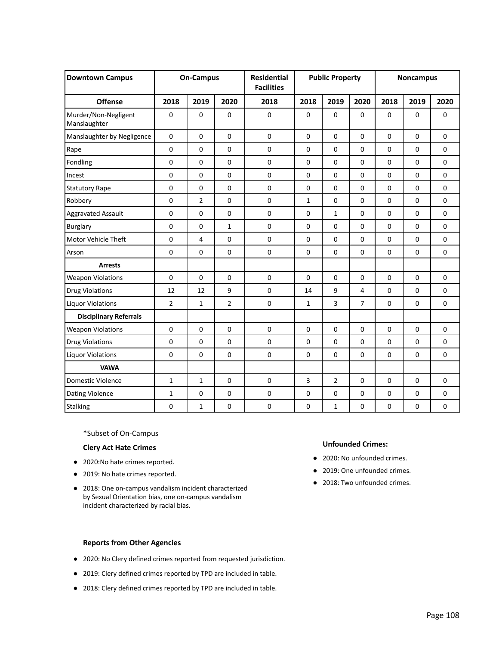| <b>Downtown Campus</b>               |                | <b>On-Campus</b> |                | <b>Residential</b><br><b>Facilities</b> | <b>Public Property</b> |                |                     |             | <b>Noncampus</b> |             |
|--------------------------------------|----------------|------------------|----------------|-----------------------------------------|------------------------|----------------|---------------------|-------------|------------------|-------------|
| <b>Offense</b>                       | 2018           | 2019             | 2020           | 2018                                    | 2018                   | 2019           | 2020                | 2018        | 2019             | 2020        |
| Murder/Non-Negligent<br>Manslaughter | 0              | $\mathbf 0$      | 0              | $\pmb{0}$                               | $\mathbf 0$            | $\pmb{0}$      | $\mathbf 0$         | $\mathbf 0$ | $\mathbf 0$      | $\mathbf 0$ |
| Manslaughter by Negligence           | 0              | $\Omega$         | 0              | $\mathbf 0$                             | $\Omega$               | $\mathbf 0$    | $\mathbf 0$         | $\mathbf 0$ | $\Omega$         | $\Omega$    |
| Rape                                 | 0              | $\pmb{0}$        | 0              | $\pmb{0}$                               | $\pmb{0}$              | $\pmb{0}$      | $\pmb{0}$           | $\pmb{0}$   | $\mathbf 0$      | $\pmb{0}$   |
| Fondling                             | 0              | $\mathbf 0$      | 0              | 0                                       | 0                      | 0              | 0                   | $\mathbf 0$ | $\mathbf 0$      | $\mathbf 0$ |
| Incest                               | 0              | $\mathbf 0$      | $\mathbf 0$    | $\pmb{0}$                               | $\pmb{0}$              | $\pmb{0}$      | $\pmb{0}$           | $\mathbf 0$ | $\Omega$         | $\pmb{0}$   |
| <b>Statutory Rape</b>                | 0              | $\Omega$         | $\overline{0}$ | $\mathbf 0$                             | $\Omega$               | $\Omega$       | $\Omega$            | $\Omega$    | $\Omega$         | $\Omega$    |
| Robbery                              | 0              | $\overline{2}$   | 0              | $\pmb{0}$                               | $\mathbf{1}$           | 0              | $\pmb{0}$           | $\pmb{0}$   | $\mathbf 0$      | $\mathbf 0$ |
| <b>Aggravated Assault</b>            | 0              | $\mathbf 0$      | 0              | $\pmb{0}$                               | $\pmb{0}$              | $\mathbf{1}$   | $\pmb{0}$           | $\pmb{0}$   | $\pmb{0}$        | $\mathbf 0$ |
| Burglary                             | 0              | $\mathbf 0$      | $\mathbf{1}$   | 0                                       | 0                      | $\mathbf 0$    | 0                   | $\mathbf 0$ | $\Omega$         | $\mathbf 0$ |
| Motor Vehicle Theft                  | 0              | 4                | $\mathbf 0$    | $\pmb{0}$                               | $\mathbf 0$            | $\mathbf 0$    | $\mathbf 0$         | $\Omega$    | $\Omega$         | $\Omega$    |
| Arson                                | 0              | $\mathbf 0$      | 0              | $\pmb{0}$                               | $\mathbf 0$            | $\mathbf 0$    | $\mathbf 0$         | $\mathbf 0$ | $\mathbf 0$      | $\mathbf 0$ |
| <b>Arrests</b>                       |                |                  |                |                                         |                        |                |                     |             |                  |             |
| <b>Weapon Violations</b>             | 0              | $\mathbf 0$      | 0              | $\pmb{0}$                               | $\pmb{0}$              | $\pmb{0}$      | $\pmb{0}$           | $\mathbf 0$ | $\mathbf 0$      | $\mathbf 0$ |
| <b>Drug Violations</b>               | 12             | 12               | 9              | 0                                       | 14                     | 9              | 4                   | $\mathbf 0$ | $\mathbf 0$      | $\mathbf 0$ |
| <b>Liquor Violations</b>             | $\overline{2}$ | $\mathbf{1}$     | $\overline{2}$ | $\pmb{0}$                               | $\mathbf 1$            | 3              | $\overline{7}$      | 0           | $\mathbf 0$      | $\mathbf 0$ |
| <b>Disciplinary Referrals</b>        |                |                  |                |                                         |                        |                |                     |             |                  |             |
| <b>Weapon Violations</b>             | 0              | $\mathbf 0$      | 0              | $\pmb{0}$                               | $\mathbf 0$            | $\pmb{0}$      | $\mathbf 0$         | $\mathbf 0$ | $\mathbf 0$      | $\mathbf 0$ |
| <b>Drug Violations</b>               | 0              | $\Omega$         | 0              | 0                                       | 0                      | 0              | $\mathbf 0$         | $\mathbf 0$ | $\mathbf 0$      | $\Omega$    |
| <b>Liquor Violations</b>             | 0              | $\mathbf 0$      | 0              | 0                                       | $\mathbf 0$            | 0              | 0                   | 0           | $\mathbf 0$      | $\mathbf 0$ |
| <b>VAWA</b>                          |                |                  |                |                                         |                        |                |                     |             |                  |             |
| Domestic Violence                    | $\mathbf{1}$   | $\mathbf{1}$     | 0              | $\mathbf 0$                             | 3                      | $\overline{2}$ | $\pmb{0}$           | $\mathbf 0$ | $\Omega$         | $\Omega$    |
| Dating Violence                      | $\mathbf{1}$   | $\mathbf 0$      | 0              | $\pmb{0}$                               | $\mathbf 0$            | $\pmb{0}$      | $\mathsf{O}\xspace$ | $\pmb{0}$   | $\mathbf 0$      | $\mathbf 0$ |
| Stalking                             | 0              | $\mathbf{1}$     | 0              | $\mathbf 0$                             | $\mathbf 0$            | $\mathbf{1}$   | 0                   | 0           | $\mathbf 0$      | $\mathbf 0$ |

\*Subset of On-Campus

#### **Clery Act Hate Crimes**

- 2020:No hate crimes reported.
- 2019: No hate crimes reported.
- 2018: One on-campus vandalism incident characterized by Sexual Orientation bias, one on-campus vandalism incident characterized by racial bias.

# **Unfounded Crimes:**

- 2020: No unfounded crimes.
- 2019: One unfounded crimes.
- 2018: Two unfounded crimes.

- 2020: No Clery defined crimes reported from requested jurisdiction.
- 2019: Clery defined crimes reported by TPD are included in table.
- 2018: Clery defined crimes reported by TPD are included in table.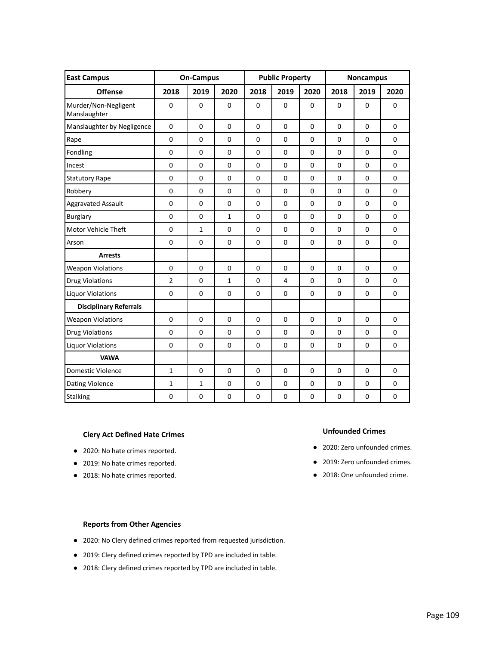| <b>East Campus</b>                   |                | <b>On-Campus</b> |              | <b>Public Property</b> |             |             |             | <b>Noncampus</b> |             |
|--------------------------------------|----------------|------------------|--------------|------------------------|-------------|-------------|-------------|------------------|-------------|
| <b>Offense</b>                       | 2018           | 2019             | 2020         | 2018                   | 2019        | 2020        | 2018        | 2019             | 2020        |
| Murder/Non-Negligent<br>Manslaughter | $\mathbf 0$    | $\mathbf 0$      | $\mathbf 0$  | $\mathbf 0$            | 0           | $\mathbf 0$ | $\mathbf 0$ | $\Omega$         | $\mathbf 0$ |
| Manslaughter by Negligence           | $\pmb{0}$      | $\Omega$         | $\Omega$     | $\Omega$               | $\Omega$    | $\Omega$    | $\Omega$    | $\Omega$         | $\Omega$    |
| Rape                                 | $\mathbf 0$    | $\Omega$         | $\Omega$     | $\mathbf 0$            | $\mathbf 0$ | $\mathbf 0$ | $\Omega$    | $\Omega$         | $\Omega$    |
| Fondling                             | $\Omega$       | $\overline{0}$   | $\Omega$     | $\Omega$               | $\Omega$    | $\Omega$    | $\Omega$    | $\Omega$         | $\Omega$    |
| Incest                               | $\Omega$       | $\Omega$         | $\mathbf 0$  | $\mathbf 0$            | $\mathbf 0$ | $\mathbf 0$ | $\Omega$    | $\Omega$         | $\Omega$    |
| <b>Statutory Rape</b>                | $\mathbf 0$    | $\mathbf 0$      | $\mathbf 0$  | $\mathbf 0$            | 0           | $\mathbf 0$ | $\mathbf 0$ | $\mathbf 0$      | $\mathbf 0$ |
| Robbery                              | $\mathbf 0$    | $\mathbf 0$      | $\mathbf 0$  | $\mathbf 0$            | 0           | $\mathbf 0$ | $\mathbf 0$ | $\mathbf 0$      | $\mathbf 0$ |
| <b>Aggravated Assault</b>            | $\mathbf 0$    | $\Omega$         | $\Omega$     | $\mathbf{0}$           | $\Omega$    | $\Omega$    | $\Omega$    | $\Omega$         | $\Omega$    |
| <b>Burglary</b>                      | $\mathbf 0$    | $\Omega$         | $\mathbf{1}$ | $\mathbf 0$            | $\mathbf 0$ | $\Omega$    | $\Omega$    | $\Omega$         | $\Omega$    |
| Motor Vehicle Theft                  | $\mathbf 0$    | $\mathbf{1}$     | $\mathbf 0$  | $\mathbf 0$            | $\mathbf 0$ | $\mathbf 0$ | $\mathbf 0$ | $\Omega$         | $\mathbf 0$ |
| Arson                                | $\mathbf 0$    | $\mathbf 0$      | $\mathbf 0$  | $\mathbf 0$            | $\mathbf 0$ | $\mathbf 0$ | $\mathbf 0$ | $\mathbf 0$      | $\mathbf 0$ |
| <b>Arrests</b>                       |                |                  |              |                        |             |             |             |                  |             |
| <b>Weapon Violations</b>             | $\mathbf 0$    | $\Omega$         | $\mathbf 0$  | $\mathbf 0$            | $\mathbf 0$ | $\mathbf 0$ | $\Omega$    | $\Omega$         | $\Omega$    |
| <b>Drug Violations</b>               | $\overline{2}$ | $\mathbf 0$      | $\mathbf{1}$ | $\mathbf 0$            | 4           | $\mathbf 0$ | $\mathbf 0$ | $\mathbf 0$      | $\mathbf 0$ |
| <b>Liquor Violations</b>             | $\mathbf 0$    | $\mathbf 0$      | $\mathbf 0$  | $\mathbf 0$            | 0           | 0           | $\mathbf 0$ | $\mathbf 0$      | 0           |
| <b>Disciplinary Referrals</b>        |                |                  |              |                        |             |             |             |                  |             |
| <b>Weapon Violations</b>             | $\mathbf 0$    | $\Omega$         | $\mathbf 0$  | $\mathbf 0$            | 0           | 0           | $\Omega$    | $\Omega$         | $\Omega$    |
| <b>Drug Violations</b>               | $\mathbf 0$    | $\Omega$         | $\Omega$     | $\mathbf 0$            | 0           | 0           | $\mathbf 0$ | $\Omega$         | $\mathbf 0$ |
| <b>Liquor Violations</b>             | $\mathbf 0$    | $\mathbf 0$      | $\mathbf 0$  | $\mathbf 0$            | 0           | $\mathbf 0$ | $\mathbf 0$ | $\mathbf 0$      | $\mathbf 0$ |
| <b>VAWA</b>                          |                |                  |              |                        |             |             |             |                  |             |
| Domestic Violence                    | $\mathbf{1}$   | $\mathbf 0$      | $\mathbf 0$  | $\mathbf 0$            | 0           | $\mathbf 0$ | $\mathbf 0$ | $\Omega$         | $\mathbf 0$ |
| Dating Violence                      | $\mathbf{1}$   | $\mathbf{1}$     | $\mathbf 0$  | $\mathbf 0$            | 0           | 0           | $\mathbf 0$ | $\mathbf 0$      | 0           |
| <b>Stalking</b>                      | 0              | $\mathbf 0$      | 0            | $\mathbf 0$            | 0           | $\pmb{0}$   | 0           | $\mathbf 0$      | $\pmb{0}$   |

#### **Clery Act Defined Hate Crimes**

- 2020: No hate crimes reported.
- 2019: No hate crimes reported.
- 2018: No hate crimes reported.

# **Unfounded Crimes**

- 2020: Zero unfounded crimes.
- 2019: Zero unfounded crimes.
- 2018: One unfounded crime.

- 2020: No Clery defined crimes reported from requested jurisdiction.
- 2019: Clery defined crimes reported by TPD are included in table.
- 2018: Clery defined crimes reported by TPD are included in table.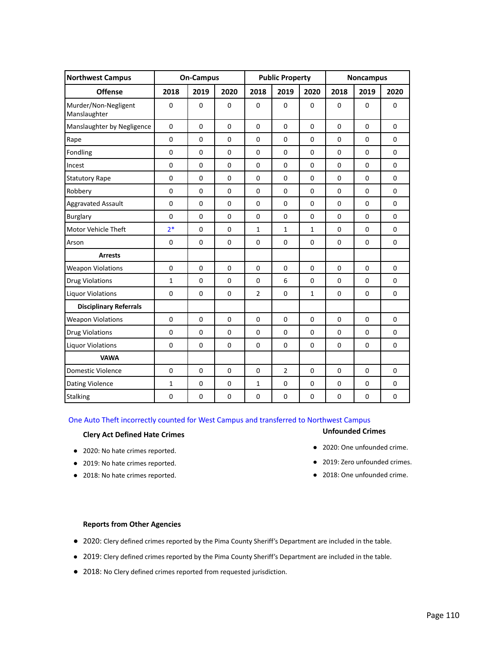| <b>Northwest Campus</b>              |                | <b>On-Campus</b> |                | <b>Public Property</b> |                |                |                | <b>Noncampus</b> |              |
|--------------------------------------|----------------|------------------|----------------|------------------------|----------------|----------------|----------------|------------------|--------------|
| <b>Offense</b>                       | 2018           | 2019             | 2020           | 2018                   | 2019           | 2020           | 2018           | 2019             | 2020         |
| Murder/Non-Negligent<br>Manslaughter | 0              | $\mathbf 0$      | $\mathbf 0$    | 0                      | 0              | $\mathbf 0$    | $\mathbf 0$    | $\mathbf 0$      | $\mathbf 0$  |
| Manslaughter by Negligence           | $\pmb{0}$      | $\Omega$         | $\Omega$       | $\Omega$               | $\mathbf 0$    | $\Omega$       | $\Omega$       | $\Omega$         | $\mathbf 0$  |
| Rape                                 | $\mathbf 0$    | $\mathbf 0$      | $\mathbf 0$    | $\mathbf 0$            | $\mathbf 0$    | $\mathbf 0$    | $\mathbf 0$    | $\mathbf 0$      | $\mathbf 0$  |
| Fondling                             | $\mathbf 0$    | $\mathbf 0$      | $\mathbf 0$    | $\mathbf 0$            | $\mathbf 0$    | $\mathbf 0$    | $\mathbf 0$    | $\mathbf 0$      | $\mathbf 0$  |
| Incest                               | $\overline{0}$ | $\Omega$         | $\overline{0}$ | $\Omega$               | $\mathbf 0$    | $\overline{0}$ | $\overline{0}$ | $\Omega$         | $\Omega$     |
| <b>Statutory Rape</b>                | $\mathbf 0$    | $\mathbf 0$      | $\mathbf 0$    | $\mathbf 0$            | $\mathbf 0$    | $\mathbf 0$    | $\mathbf 0$    | $\mathbf 0$      | $\mathbf 0$  |
| Robbery                              | $\pmb{0}$      | $\mathbf 0$      | $\mathbf 0$    | 0                      | 0              | $\mathbf 0$    | $\mathbf 0$    | $\mathbf 0$      | $\mathbf 0$  |
| <b>Aggravated Assault</b>            | $\mathbf 0$    | $\mathbf 0$      | $\mathbf 0$    | 0                      | 0              | $\mathbf 0$    | $\mathbf 0$    | $\mathbf 0$      | $\mathbf 0$  |
| <b>Burglary</b>                      | $\mathbf 0$    | 0                | $\mathbf 0$    | 0                      | 0              | $\mathbf 0$    | $\mathbf 0$    | $\mathbf 0$      | $\mathbf 0$  |
| Motor Vehicle Theft                  | $2*$           | $\mathbf 0$      | $\mathbf 0$    | $\mathbf{1}$           | $\mathbf{1}$   | $\mathbf{1}$   | $\mathbf 0$    | $\mathbf 0$      | $\mathbf 0$  |
| Arson                                | $\mathbf 0$    | $\Omega$         | $\mathbf 0$    | $\Omega$               | $\mathbf 0$    | $\mathbf 0$    | $\mathbf 0$    | $\Omega$         | $\mathbf 0$  |
| <b>Arrests</b>                       |                |                  |                |                        |                |                |                |                  |              |
| <b>Weapon Violations</b>             | $\Omega$       | $\Omega$         | $\Omega$       | $\Omega$               | $\Omega$       | $\mathbf{0}$   | $\Omega$       | $\Omega$         | $\Omega$     |
| <b>Drug Violations</b>               | $\mathbf{1}$   | $\mathbf 0$      | $\mathbf 0$    | 0                      | 6              | $\mathbf 0$    | $\mathbf 0$    | $\Omega$         | $\mathbf{0}$ |
| <b>Liquor Violations</b>             | $\mathbf 0$    | $\mathbf 0$      | $\mathbf 0$    | $\overline{2}$         | 0              | $\mathbf{1}$   | $\mathbf 0$    | $\mathbf 0$      | $\mathbf 0$  |
| <b>Disciplinary Referrals</b>        |                |                  |                |                        |                |                |                |                  |              |
| <b>Weapon Violations</b>             | $\mathbf 0$    | $\mathbf 0$      | $\mathbf 0$    | 0                      | 0              | $\mathbf 0$    | $\mathbf 0$    | $\mathbf 0$      | $\mathbf 0$  |
| <b>Drug Violations</b>               | $\mathbf 0$    | $\Omega$         | $\mathbf 0$    | 0                      | 0              | $\mathbf{0}$   | $\Omega$       | $\Omega$         | $\Omega$     |
| <b>Liquor Violations</b>             | $\mathbf 0$    | $\mathbf 0$      | $\mathbf 0$    | 0                      | 0              | $\mathbf 0$    | $\mathbf 0$    | $\mathbf 0$      | $\mathbf 0$  |
| <b>VAWA</b>                          |                |                  |                |                        |                |                |                |                  |              |
| <b>Domestic Violence</b>             | $\mathbf 0$    | $\mathbf 0$      | $\Omega$       | 0                      | $\overline{2}$ | $\mathbf{0}$   | $\Omega$       | $\Omega$         | $\Omega$     |
| Dating Violence                      | $\mathbf{1}$   | 0                | $\mathbf 0$    | $\mathbf{1}$           | 0              | $\mathbf 0$    | $\mathbf 0$    | $\mathbf 0$      | $\mathbf 0$  |
| <b>Stalking</b>                      | $\mathbf 0$    | $\mathbf 0$      | $\mathbf 0$    | $\mathbf 0$            | $\mathbf 0$    | $\mathbf 0$    | $\mathbf 0$    | $\mathbf 0$      | $\mathbf 0$  |

One Auto Theft incorrectly counted for West Campus and transferred to Northwest Campus

#### **Clery Act Defined Hate Crimes**

- 2020: No hate crimes reported.
- 2019: No hate crimes reported.
- 2018: No hate crimes reported.

#### **Unfounded Crimes**

- 2020: One unfounded crime.
- 2019: Zero unfounded crimes.
- 2018: One unfounded crime.

- 2020: Clery defined crimes reported by the Pima County Sheriff's Department are included in the table.
- 2019: Clery defined crimes reported by the Pima County Sheriff's Department are included in the table.
- 2018: No Clery defined crimes reported from requested jurisdiction.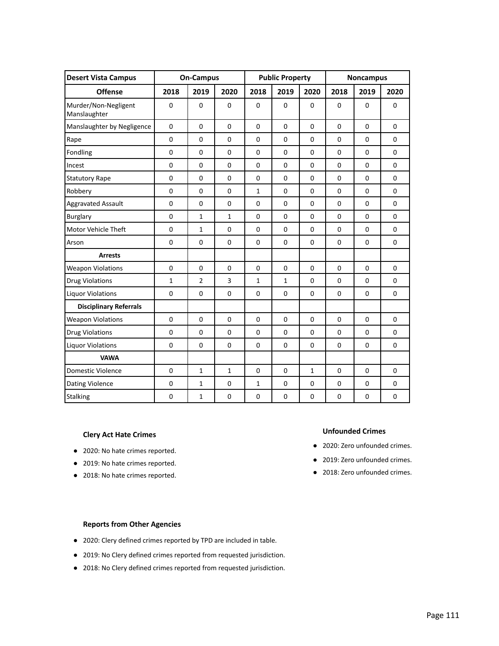| <b>Desert Vista Campus</b>           |              | <b>On-Campus</b> |                | <b>Public Property</b> |                |                  | <b>Noncampus</b> |             |              |
|--------------------------------------|--------------|------------------|----------------|------------------------|----------------|------------------|------------------|-------------|--------------|
| <b>Offense</b>                       | 2018         | 2019             | 2020           | 2018                   | 2019           | 2020             | 2018             | 2019        | 2020         |
| Murder/Non-Negligent<br>Manslaughter | $\mathbf 0$  | $\mathbf 0$      | $\mathbf 0$    | 0                      | $\mathbf 0$    | $\mathbf 0$      | $\mathbf 0$      | $\Omega$    | $\mathbf 0$  |
| Manslaughter by Negligence           | $\mathbf 0$  | $\Omega$         | $\overline{0}$ | $\Omega$               | $\mathbf 0$    | $\overline{0}$   | $\Omega$         | $\Omega$    | $\Omega$     |
| Rape                                 | $\Omega$     | $\Omega$         | $\Omega$       | $\Omega$               | $\overline{0}$ | $\mathbf{0}$     | $\Omega$         | $\Omega$    | $\Omega$     |
| Fondling                             | $\mathbf 0$  | $\Omega$         | $\Omega$       | $\mathbf 0$            | $\mathbf 0$    | $\mathbf{0}$     | $\Omega$         | $\Omega$    | $\Omega$     |
| Incest                               | $\mathbf 0$  | $\mathbf 0$      | $\mathbf 0$    | $\mathbf 0$            | $\mathbf 0$    | $\mathbf 0$      | $\mathbf 0$      | $\mathbf 0$ | $\mathbf{0}$ |
| <b>Statutory Rape</b>                | $\mathbf 0$  | $\mathbf 0$      | $\mathbf 0$    | 0                      | 0              | $\mathbf 0$      | $\mathbf 0$      | $\mathbf 0$ | $\mathbf 0$  |
| Robbery                              | 0            | 0                | $\mathbf 0$    | $\mathbf{1}$           | 0              | $\mathbf 0$      | $\mathbf 0$      | $\mathbf 0$ | $\mathbf 0$  |
| <b>Aggravated Assault</b>            | $\mathbf 0$  | $\mathbf 0$      | $\mathbf 0$    | $\mathbf 0$            | 0              | $\mathbf 0$      | $\mathbf 0$      | $\Omega$    | $\mathbf 0$  |
| <b>Burglary</b>                      | $\mathbf 0$  | $\mathbf{1}$     | $\mathbf{1}$   | 0                      | 0              | $\mathbf 0$      | $\Omega$         | $\Omega$    | $\mathbf 0$  |
| Motor Vehicle Theft                  | $\mathbf 0$  | $\mathbf{1}$     | $\mathbf 0$    | 0                      | 0              | $\mathbf 0$      | $\mathbf 0$      | $\mathbf 0$ | $\mathbf 0$  |
| Arson                                | $\mathbf 0$  | $\mathbf 0$      | $\mathbf 0$    | $\mathbf 0$            | $\mathbf 0$    | $\mathbf 0$      | $\mathbf 0$      | $\mathbf 0$ | $\mathbf 0$  |
| <b>Arrests</b>                       |              |                  |                |                        |                |                  |                  |             |              |
| <b>Weapon Violations</b>             | $\mathbf 0$  | $\mathbf 0$      | $\mathbf 0$    | $\mathbf 0$            | $\mathbf 0$    | $\mathbf 0$      | $\mathbf 0$      | $\mathbf 0$ | $\mathbf 0$  |
| <b>Drug Violations</b>               | $\mathbf{1}$ | $\overline{2}$   | $\overline{3}$ | 1                      | $\mathbf{1}$   | $\mathbf 0$      | $\mathbf 0$      | $\mathbf 0$ | $\mathbf 0$  |
| <b>Liquor Violations</b>             | 0            | $\mathbf 0$      | $\mathbf 0$    | 0                      | 0              | $\mathbf 0$      | $\mathbf 0$      | $\mathbf 0$ | $\mathbf 0$  |
| <b>Disciplinary Referrals</b>        |              |                  |                |                        |                |                  |                  |             |              |
| <b>Weapon Violations</b>             | $\mathbf 0$  | $\Omega$         | $\mathbf 0$    | $\mathbf 0$            | $\mathbf 0$    | $\mathbf 0$      | $\Omega$         | $\Omega$    | $\Omega$     |
| <b>Drug Violations</b>               | $\mathbf 0$  | $\mathbf 0$      | $\mathbf 0$    | 0                      | 0              | $\mathbf 0$      | $\mathbf 0$      | $\Omega$    | $\mathbf 0$  |
| <b>Liquor Violations</b>             | $\mathbf 0$  | $\mathbf 0$      | $\mathbf 0$    | $\mathbf 0$            | $\mathbf 0$    | $\mathbf 0$      | $\mathbf 0$      | $\mathbf 0$ | $\mathbf 0$  |
| <b>VAWA</b>                          |              |                  |                |                        |                |                  |                  |             |              |
| Domestic Violence                    | $\mathbf 0$  | $\mathbf{1}$     | $\mathbf{1}$   | 0                      | 0              | $\mathbf{1}$     | $\Omega$         | $\Omega$    | $\Omega$     |
| <b>Dating Violence</b>               | $\mathbf 0$  | $\mathbf{1}$     | $\mathbf 0$    | 1                      | 0              | $\mathbf 0$      | $\mathbf 0$      | $\mathbf 0$ | $\mathbf{0}$ |
| <b>Stalking</b>                      | $\mathbf 0$  | $\mathbf{1}$     | $\mathbf 0$    | 0                      | 0              | $\boldsymbol{0}$ | $\mathbf 0$      | $\mathbf 0$ | 0            |

- 2020: No hate crimes reported.
- 2019: No hate crimes reported.
- 2018: No hate crimes reported.

#### **Unfounded Crimes**

- 2020: Zero unfounded crimes.
- 2019: Zero unfounded crimes.
- 2018: Zero unfounded crimes.

- 2020: Clery defined crimes reported by TPD are included in table.
- 2019: No Clery defined crimes reported from requested jurisdiction.
- 2018: No Clery defined crimes reported from requested jurisdiction.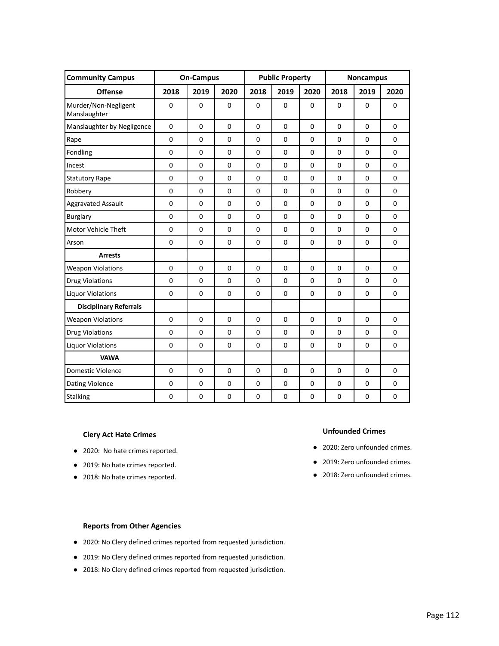| <b>Community Campus</b>              |             | <b>On-Campus</b> |                | <b>Public Property</b> |                |                  | <b>Noncampus</b> |             |              |
|--------------------------------------|-------------|------------------|----------------|------------------------|----------------|------------------|------------------|-------------|--------------|
| <b>Offense</b>                       | 2018        | 2019             | 2020           | 2018                   | 2019           | 2020             | 2018             | 2019        | 2020         |
| Murder/Non-Negligent<br>Manslaughter | $\mathbf 0$ | $\mathbf 0$      | $\mathbf 0$    | 0                      | $\mathbf 0$    | $\mathbf 0$      | $\mathbf 0$      | $\mathbf 0$ | $\mathbf 0$  |
| Manslaughter by Negligence           | $\mathbf 0$ | $\Omega$         | $\overline{0}$ | $\Omega$               | $\mathbf 0$    | $\overline{0}$   | $\Omega$         | $\Omega$    | $\Omega$     |
| Rape                                 | $\mathbf 0$ | $\Omega$         | $\Omega$       | $\Omega$               | $\overline{0}$ | $\mathbf{0}$     | $\Omega$         | $\Omega$    | $\Omega$     |
| Fondling                             | $\mathbf 0$ | $\Omega$         | $\mathbf 0$    | $\mathbf 0$            | $\mathbf 0$    | $\mathbf{0}$     | $\Omega$         | $\Omega$    | $\Omega$     |
| Incest                               | $\mathbf 0$ | $\mathbf 0$      | $\mathbf 0$    | $\mathbf 0$            | $\mathbf 0$    | $\mathbf 0$      | $\mathbf 0$      | $\mathbf 0$ | $\mathbf{0}$ |
| <b>Statutory Rape</b>                | $\mathbf 0$ | $\mathbf 0$      | $\mathbf 0$    | 0                      | 0              | $\mathbf 0$      | $\mathbf 0$      | $\mathbf 0$ | $\mathbf 0$  |
| Robbery                              | 0           | 0                | $\mathbf 0$    | 0                      | 0              | $\mathbf 0$      | $\mathbf 0$      | $\mathbf 0$ | $\mathbf 0$  |
| <b>Aggravated Assault</b>            | $\mathbf 0$ | $\mathbf 0$      | $\mathbf 0$    | $\mathbf 0$            | 0              | $\mathbf 0$      | $\mathbf 0$      | $\Omega$    | $\mathbf 0$  |
| <b>Burglary</b>                      | $\mathbf 0$ | $\mathbf 0$      | $\mathbf 0$    | 0                      | 0              | $\mathbf 0$      | $\mathbf 0$      | $\Omega$    | $\mathbf 0$  |
| Motor Vehicle Theft                  | $\mathbf 0$ | $\mathbf 0$      | $\mathbf 0$    | 0                      | 0              | $\mathbf 0$      | $\mathbf 0$      | $\mathbf 0$ | $\mathbf 0$  |
| Arson                                | $\mathbf 0$ | $\mathbf 0$      | $\mathbf 0$    | $\mathbf 0$            | $\mathbf 0$    | $\mathbf 0$      | $\mathbf 0$      | $\mathbf 0$ | $\mathbf 0$  |
| <b>Arrests</b>                       |             |                  |                |                        |                |                  |                  |             |              |
| <b>Weapon Violations</b>             | $\mathbf 0$ | $\mathbf 0$      | $\mathbf 0$    | $\mathbf 0$            | $\mathbf 0$    | $\mathbf 0$      | $\mathbf 0$      | $\mathbf 0$ | $\mathbf 0$  |
| <b>Drug Violations</b>               | $\mathbf 0$ | $\mathbf 0$      | $\mathbf 0$    | 0                      | 0              | $\mathbf 0$      | $\mathbf 0$      | $\mathbf 0$ | $\mathbf 0$  |
| <b>Liquor Violations</b>             | $\mathbf 0$ | $\mathbf 0$      | $\mathbf 0$    | 0                      | 0              | $\mathbf 0$      | $\mathbf 0$      | $\mathbf 0$ | $\mathbf 0$  |
| <b>Disciplinary Referrals</b>        |             |                  |                |                        |                |                  |                  |             |              |
| <b>Weapon Violations</b>             | $\mathbf 0$ | $\Omega$         | $\mathbf 0$    | $\mathbf 0$            | $\mathbf 0$    | $\mathbf 0$      | $\Omega$         | $\Omega$    | $\Omega$     |
| <b>Drug Violations</b>               | $\mathbf 0$ | $\mathbf 0$      | $\mathbf 0$    | 0                      | 0              | $\mathbf 0$      | $\mathbf 0$      | $\Omega$    | $\mathbf 0$  |
| <b>Liquor Violations</b>             | $\mathbf 0$ | $\mathbf 0$      | $\mathbf 0$    | $\mathbf 0$            | $\mathbf 0$    | $\mathbf 0$      | $\mathbf 0$      | $\mathbf 0$ | $\mathbf 0$  |
| <b>VAWA</b>                          |             |                  |                |                        |                |                  |                  |             |              |
| Domestic Violence                    | $\mathbf 0$ | $\mathbf 0$      | $\mathbf 0$    | 0                      | 0              | $\mathbf 0$      | $\Omega$         | $\Omega$    | $\Omega$     |
| <b>Dating Violence</b>               | $\mathbf 0$ | $\mathbf 0$      | $\mathbf 0$    | 0                      | 0              | $\mathbf 0$      | $\mathbf 0$      | $\mathbf 0$ | 0            |
| <b>Stalking</b>                      | $\mathbf 0$ | 0                | $\pmb{0}$      | 0                      | 0              | $\boldsymbol{0}$ | $\mathbf 0$      | $\mathbf 0$ | 0            |

- 2020: No hate crimes reported.
- 2019: No hate crimes reported.
- 2018: No hate crimes reported.

#### **Unfounded Crimes**

- 2020: Zero unfounded crimes.
- 2019: Zero unfounded crimes.
- 2018: Zero unfounded crimes.

- 2020: No Clery defined crimes reported from requested jurisdiction.
- 2019: No Clery defined crimes reported from requested jurisdiction.
- 2018: No Clery defined crimes reported from requested jurisdiction.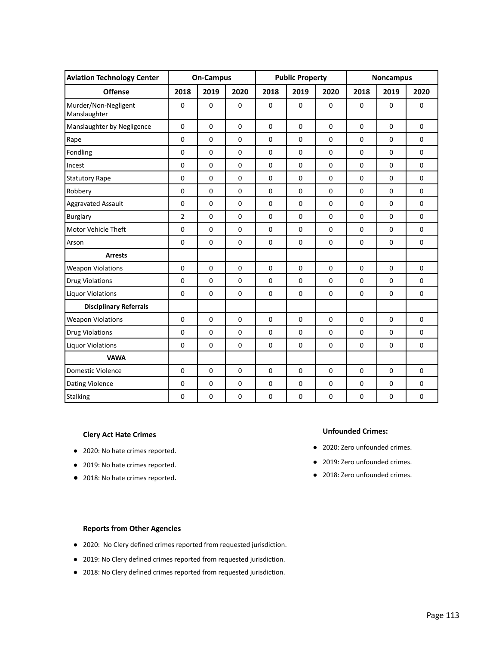| <b>Aviation Technology Center</b>    |                | <b>On-Campus</b> |             | <b>Public Property</b> |             |             |                | <b>Noncampus</b> |             |
|--------------------------------------|----------------|------------------|-------------|------------------------|-------------|-------------|----------------|------------------|-------------|
| <b>Offense</b>                       | 2018           | 2019             | 2020        | 2018                   | 2019        | 2020        | 2018           | 2019             | 2020        |
| Murder/Non-Negligent<br>Manslaughter | 0              | $\mathbf 0$      | $\pmb{0}$   | $\pmb{0}$              | $\mathbf 0$ | $\pmb{0}$   | $\mathbf 0$    | $\mathbf 0$      | $\mathbf 0$ |
| Manslaughter by Negligence           | $\mathbf 0$    | $\mathbf 0$      | 0           | $\pmb{0}$              | $\mathbf 0$ | $\mathbf 0$ | $\mathbf 0$    | $\mathbf 0$      | $\mathbf 0$ |
| Rape                                 | $\mathbf 0$    | $\mathbf 0$      | $\mathbf 0$ | $\mathbf 0$            | $\mathbf 0$ | $\mathbf 0$ | $\mathbf 0$    | $\mathbf 0$      | $\mathbf 0$ |
| Fondling                             | $\mathbf 0$    | $\mathbf 0$      | $\mathbf 0$ | $\mathbf 0$            | $\mathbf 0$ | $\mathbf 0$ | $\Omega$       | $\Omega$         | $\mathbf 0$ |
| Incest                               | $\mathbf 0$    | $\mathbf 0$      | $\pmb{0}$   | $\mathbf 0$            | $\mathbf 0$ | $\mathbf 0$ | $\mathbf 0$    | $\mathbf 0$      | $\mathbf 0$ |
| <b>Statutory Rape</b>                | $\pmb{0}$      | $\mathbf 0$      | $\pmb{0}$   | $\mathbf 0$            | $\pmb{0}$   | $\mathbf 0$ | $\mathbf 0$    | 0                | $\mathbf 0$ |
| Robbery                              | $\mathbf 0$    | $\mathbf 0$      | 0           | $\mathbf 0$            | $\mathbf 0$ | $\mathbf 0$ | $\mathbf 0$    | 0                | $\mathbf 0$ |
| <b>Aggravated Assault</b>            | $\mathbf 0$    | $\mathbf 0$      | $\pmb{0}$   | $\pmb{0}$              | $\pmb{0}$   | $\pmb{0}$   | $\mathbf 0$    | $\mathbf 0$      | $\pmb{0}$   |
| <b>Burglary</b>                      | $\overline{2}$ | $\Omega$         | $\mathbf 0$ | $\mathbf 0$            | $\Omega$    | $\mathbf 0$ | $\Omega$       | $\mathbf 0$      | $\mathbf 0$ |
| Motor Vehicle Theft                  | $\mathbf 0$    | $\Omega$         | $\mathbf 0$ | $\mathbf 0$            | $\mathbf 0$ | $\mathbf 0$ | $\mathbf 0$    | $\mathbf 0$      | $\mathbf 0$ |
| Arson                                | $\mathbf 0$    | $\mathbf 0$      | $\pmb{0}$   | $\mathbf 0$            | $\mathbf 0$ | $\mathbf 0$ | $\mathbf 0$    | 0                | $\pmb{0}$   |
| <b>Arrests</b>                       |                |                  |             |                        |             |             |                |                  |             |
| <b>Weapon Violations</b>             | $\mathbf 0$    | $\mathbf 0$      | $\pmb{0}$   | $\mathbf 0$            | $\mathbf 0$ | $\pmb{0}$   | $\mathbf 0$    | $\mathbf 0$      | $\pmb{0}$   |
| <b>Drug Violations</b>               | $\mathbf 0$    | $\mathbf 0$      | $\mathbf 0$ | $\mathbf 0$            | $\mathbf 0$ | $\mathbf 0$ | $\Omega$       | $\mathbf 0$      | $\mathbf 0$ |
| <b>Liquor Violations</b>             | $\mathbf 0$    | $\mathbf 0$      | $\pmb{0}$   | $\mathbf 0$            | $\mathbf 0$ | $\pmb{0}$   | $\mathbf 0$    | $\mathbf 0$      | $\pmb{0}$   |
| <b>Disciplinary Referrals</b>        |                |                  |             |                        |             |             |                |                  |             |
| <b>Weapon Violations</b>             | $\mathbf 0$    | $\mathbf 0$      | $\pmb{0}$   | $\pmb{0}$              | $\mathbf 0$ | $\pmb{0}$   | $\mathbf 0$    | 0                | $\mathbf 0$ |
| <b>Drug Violations</b>               | $\mathbf 0$    | $\mathbf 0$      | $\pmb{0}$   | $\mathbf 0$            | $\mathbf 0$ | $\pmb{0}$   | $\mathbf 0$    | $\mathbf 0$      | $\mathbf 0$ |
| <b>Liquor Violations</b>             | $\mathbf 0$    | $\Omega$         | $\mathbf 0$ | $\mathbf 0$            | $\mathbf 0$ | $\mathbf 0$ | $\mathbf 0$    | $\mathbf 0$      | $\mathbf 0$ |
| <b>VAWA</b>                          |                |                  |             |                        |             |             |                |                  |             |
| <b>Domestic Violence</b>             | $\Omega$       | $\Omega$         | $\mathbf 0$ | $\mathbf 0$            | $\mathbf 0$ | $\mathbf 0$ | $\overline{0}$ | $\overline{0}$   | $\mathbf 0$ |
| Dating Violence                      | $\mathbf 0$    | 0                | 0           | $\mathbf 0$            | $\mathbf 0$ | $\mathbf 0$ | $\mathbf 0$    | 0                | $\mathbf 0$ |
| <b>Stalking</b>                      | $\pmb{0}$      | 0                | 0           | $\pmb{0}$              | $\pmb{0}$   | $\pmb{0}$   | $\pmb{0}$      | $\pmb{0}$        | $\pmb{0}$   |

- 2020: No hate crimes reported.
- 2019: No hate crimes reported.
- 2018: No hate crimes reported.

#### **Unfounded Crimes:**

- 2020: Zero unfounded crimes.
- 2019: Zero unfounded crimes.
- 2018: Zero unfounded crimes.

- 2020: No Clery defined crimes reported from requested jurisdiction.
- 2019: No Clery defined crimes reported from requested jurisdiction.
- 2018: No Clery defined crimes reported from requested jurisdiction.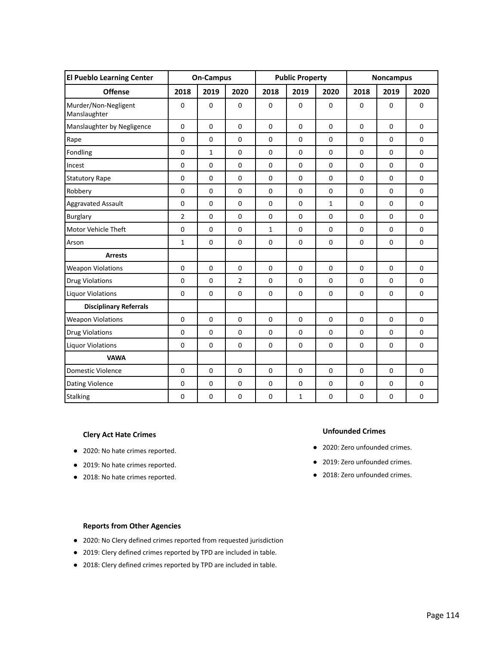| <b>El Pueblo Learning Center</b>     |                | <b>On-Campus</b> |                | <b>Public Property</b> |                |             | <b>Noncampus</b> |                |             |
|--------------------------------------|----------------|------------------|----------------|------------------------|----------------|-------------|------------------|----------------|-------------|
| <b>Offense</b>                       | 2018           | 2019             | 2020           | 2018                   | 2019           | 2020        | 2018             | 2019           | 2020        |
| Murder/Non-Negligent<br>Manslaughter | $\pmb{0}$      | $\mathbf 0$      | $\pmb{0}$      | $\mathbf 0$            | $\mathbf 0$    | $\mathbf 0$ | $\mathbf 0$      | $\mathbf 0$    | $\mathbf 0$ |
| Manslaughter by Negligence           | $\pmb{0}$      | $\mathbf 0$      | $\mathbf 0$    | $\mathbf 0$            | $\mathbf 0$    | $\mathbf 0$ | $\mathbf 0$      | $\mathbf 0$    | $\mathbf 0$ |
| Rape                                 | $\Omega$       | $\Omega$         | $\Omega$       | $\Omega$               | $\overline{0}$ | $\mathbf 0$ | $\Omega$         | $\Omega$       | $\Omega$    |
| Fondling                             | $\mathbf 0$    | $\mathbf{1}$     | $\mathbf 0$    | $\mathbf 0$            | $\mathbf 0$    | $\mathbf 0$ | $\mathbf 0$      | $\mathbf 0$    | $\mathbf 0$ |
| Incest                               | $\pmb{0}$      | $\mathbf 0$      | $\pmb{0}$      | $\mathbf 0$            | $\mathbf 0$    | $\mathbf 0$ | $\mathbf 0$      | $\mathbf 0$    | $\mathbf 0$ |
| <b>Statutory Rape</b>                | $\mathbf 0$    | $\mathbf 0$      | 0              | $\mathbf 0$            | $\mathbf 0$    | $\mathbf 0$ | 0                | 0              | $\mathbf 0$ |
| Robbery                              | $\mathbf 0$    | $\mathbf 0$      | $\pmb{0}$      | $\mathbf 0$            | $\mathbf 0$    | $\mathbf 0$ | $\mathbf 0$      | $\mathbf 0$    | $\mathbf 0$ |
| <b>Aggravated Assault</b>            | $\mathbf 0$    | $\mathbf 0$      | $\mathbf 0$    | $\mathbf 0$            | $\mathbf 0$    | 1           | $\mathbf 0$      | $\mathbf 0$    | $\mathbf 0$ |
| <b>Burglary</b>                      | $\overline{2}$ | $\mathbf 0$      | $\mathbf 0$    | $\mathbf 0$            | $\mathbf 0$    | $\mathbf 0$ | $\mathbf 0$      | $\mathbf 0$    | $\mathbf 0$ |
| Motor Vehicle Theft                  | $\pmb{0}$      | $\mathbf 0$      | $\pmb{0}$      | $\mathbf{1}$           | $\mathbf 0$    | $\mathbf 0$ | $\mathbf 0$      | $\mathbf 0$    | $\pmb{0}$   |
| Arson                                | $\mathbf{1}$   | $\mathbf 0$      | $\mathbf 0$    | $\mathbf 0$            | $\mathbf 0$    | $\mathbf 0$ | $\mathbf 0$      | $\mathbf 0$    | $\mathbf 0$ |
| <b>Arrests</b>                       |                |                  |                |                        |                |             |                  |                |             |
| <b>Weapon Violations</b>             | $\mathbf 0$    | $\mathbf 0$      | $\pmb{0}$      | $\mathbf 0$            | $\mathbf 0$    | $\mathbf 0$ | $\mathbf 0$      | $\mathbf 0$    | $\mathbf 0$ |
| <b>Drug Violations</b>               | $\pmb{0}$      | $\pmb{0}$        | $\overline{2}$ | $\mathbf 0$            | $\mathbf 0$    | $\mathbf 0$ | 0                | 0              | $\pmb{0}$   |
| <b>Liquor Violations</b>             | $\pmb{0}$      | $\pmb{0}$        | $\pmb{0}$      | $\pmb{0}$              | $\pmb{0}$      | $\pmb{0}$   | $\pmb{0}$        | $\pmb{0}$      | $\pmb{0}$   |
| <b>Disciplinary Referrals</b>        |                |                  |                |                        |                |             |                  |                |             |
| <b>Weapon Violations</b>             | $\mathbf 0$    | $\mathbf 0$      | $\mathbf 0$    | $\mathbf 0$            | $\mathbf 0$    | $\pmb{0}$   | $\mathbf 0$      | 0              | $\mathbf 0$ |
| <b>Drug Violations</b>               | $\mathbf 0$    | $\mathbf 0$      | $\pmb{0}$      | $\mathbf 0$            | $\mathbf 0$    | $\mathbf 0$ | 0                | 0              | $\mathbf 0$ |
| <b>Liquor Violations</b>             | $\mathbf 0$    | $\mathbf 0$      | $\pmb{0}$      | $\pmb{0}$              | $\pmb{0}$      | $\pmb{0}$   | $\pmb{0}$        | $\pmb{0}$      | $\pmb{0}$   |
| <b>VAWA</b>                          |                |                  |                |                        |                |             |                  |                |             |
| <b>Domestic Violence</b>             | $\Omega$       | $\Omega$         | $\mathbf 0$    | $\mathbf 0$            | $\mathbf 0$    | $\mathbf 0$ | $\overline{0}$   | $\overline{0}$ | $\mathbf 0$ |
| Dating Violence                      | $\mathbf 0$    | 0                | 0              | $\mathbf 0$            | $\mathbf 0$    | $\mathbf 0$ | $\mathbf 0$      | 0              | $\mathbf 0$ |
| <b>Stalking</b>                      | $\pmb{0}$      | 0                | 0              | $\pmb{0}$              | $\mathbf{1}$   | $\pmb{0}$   | $\pmb{0}$        | $\pmb{0}$      | $\pmb{0}$   |

- 2020: No hate crimes reported.
- 2019: No hate crimes reported.
- 2018: No hate crimes reported.

#### **Unfounded Crimes**

- 2020: Zero unfounded crimes.
- 2019: Zero unfounded crimes.
- 2018: Zero unfounded crimes.

- 2020: No Clery defined crimes reported from requested jurisdiction
- 2019: Clery defined crimes reported by TPD are included in table.
- 2018: Clery defined crimes reported by TPD are included in table.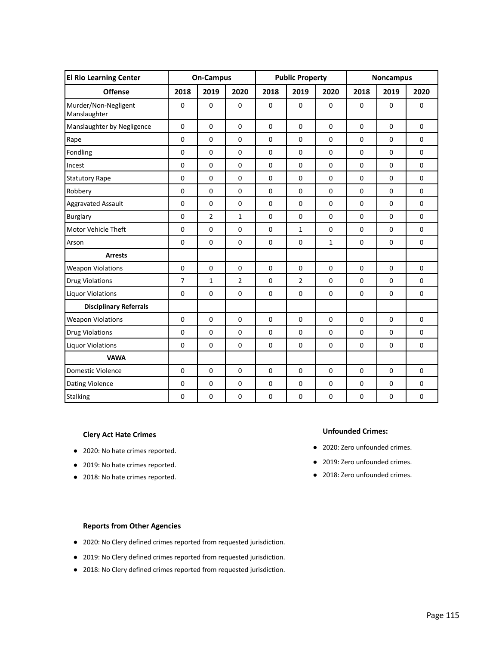| <b>El Rio Learning Center</b>        |                | <b>On-Campus</b> |                | <b>Public Property</b> |                |              | <b>Noncampus</b> |                |             |
|--------------------------------------|----------------|------------------|----------------|------------------------|----------------|--------------|------------------|----------------|-------------|
| <b>Offense</b>                       | 2018           | 2019             | 2020           | 2018                   | 2019           | 2020         | 2018             | 2019           | 2020        |
| Murder/Non-Negligent<br>Manslaughter | $\mathbf 0$    | $\mathbf 0$      | $\mathbf 0$    | $\mathbf 0$            | $\mathbf 0$    | $\mathbf 0$  | $\mathbf 0$      | $\mathbf 0$    | $\mathbf 0$ |
| Manslaughter by Negligence           | $\pmb{0}$      | $\mathbf 0$      | $\mathbf 0$    | $\mathbf 0$            | $\mathbf 0$    | $\mathbf 0$  | $\mathbf 0$      | $\mathbf 0$    | $\mathbf 0$ |
| Rape                                 | $\Omega$       | $\Omega$         | $\Omega$       | $\Omega$               | $\overline{0}$ | $\Omega$     | $\Omega$         | $\Omega$       | $\Omega$    |
| Fondling                             | $\mathbf 0$    | $\mathbf 0$      | $\mathbf 0$    | $\mathbf 0$            | $\mathbf 0$    | $\mathbf 0$  | $\mathbf 0$      | $\mathbf 0$    | $\mathbf 0$ |
| Incest                               | $\pmb{0}$      | $\mathbf 0$      | $\pmb{0}$      | $\mathbf 0$            | $\mathbf 0$    | $\mathbf 0$  | $\mathbf 0$      | $\mathbf 0$    | $\mathbf 0$ |
| <b>Statutory Rape</b>                | $\mathbf 0$    | $\mathbf 0$      | 0              | $\mathbf 0$            | $\mathbf 0$    | $\mathbf 0$  | 0                | 0              | $\mathbf 0$ |
| Robbery                              | $\mathbf 0$    | $\mathbf 0$      | $\pmb{0}$      | $\mathbf 0$            | $\mathbf 0$    | $\mathbf 0$  | $\mathbf 0$      | $\mathbf 0$    | $\mathbf 0$ |
| <b>Aggravated Assault</b>            | $\mathbf 0$    | $\mathbf 0$      | $\mathbf 0$    | $\mathbf 0$            | $\mathbf 0$    | $\mathbf 0$  | $\mathbf 0$      | $\mathbf 0$    | $\mathbf 0$ |
| <b>Burglary</b>                      | $\mathbf 0$    | $\overline{2}$   | $\mathbf{1}$   | $\mathbf 0$            | $\mathbf 0$    | $\mathbf 0$  | $\mathbf 0$      | $\mathbf 0$    | $\mathbf 0$ |
| Motor Vehicle Theft                  | $\mathbf 0$    | $\mathbf 0$      | $\pmb{0}$      | $\mathbf 0$            | $\mathbf{1}$   | $\mathbf 0$  | $\mathbf 0$      | $\mathbf 0$    | $\pmb{0}$   |
| Arson                                | $\mathbf 0$    | $\mathbf 0$      | $\mathbf 0$    | $\mathbf 0$            | $\mathbf 0$    | $\mathbf{1}$ | $\mathbf 0$      | $\mathbf 0$    | $\mathbf 0$ |
| <b>Arrests</b>                       |                |                  |                |                        |                |              |                  |                |             |
| <b>Weapon Violations</b>             | $\mathbf 0$    | $\mathbf 0$      | $\pmb{0}$      | $\mathbf 0$            | $\mathbf 0$    | $\mathbf 0$  | $\mathbf 0$      | $\mathbf 0$    | $\mathbf 0$ |
| <b>Drug Violations</b>               | $\overline{7}$ | $\mathbf{1}$     | $\overline{2}$ | $\mathbf 0$            | $\overline{2}$ | $\mathbf 0$  | 0                | $\mathbf 0$    | $\pmb{0}$   |
| <b>Liquor Violations</b>             | $\pmb{0}$      | $\pmb{0}$        | $\pmb{0}$      | $\pmb{0}$              | $\pmb{0}$      | $\pmb{0}$    | $\pmb{0}$        | $\pmb{0}$      | $\pmb{0}$   |
| <b>Disciplinary Referrals</b>        |                |                  |                |                        |                |              |                  |                |             |
| <b>Weapon Violations</b>             | $\mathbf 0$    | $\mathbf 0$      | $\mathbf 0$    | $\mathbf 0$            | $\mathbf 0$    | $\pmb{0}$    | $\mathbf 0$      | 0              | $\mathbf 0$ |
| <b>Drug Violations</b>               | $\mathbf 0$    | $\mathbf 0$      | $\pmb{0}$      | $\mathbf 0$            | $\mathbf 0$    | $\mathbf 0$  | $\mathbf 0$      | 0              | $\mathbf 0$ |
| <b>Liquor Violations</b>             | $\mathbf 0$    | $\mathbf 0$      | $\pmb{0}$      | $\pmb{0}$              | $\pmb{0}$      | $\pmb{0}$    | $\pmb{0}$        | $\pmb{0}$      | $\pmb{0}$   |
| <b>VAWA</b>                          |                |                  |                |                        |                |              |                  |                |             |
| <b>Domestic Violence</b>             | $\Omega$       | $\Omega$         | $\mathbf 0$    | $\mathbf 0$            | $\mathbf 0$    | $\mathbf 0$  | $\overline{0}$   | $\overline{0}$ | $\mathbf 0$ |
| Dating Violence                      | $\mathbf 0$    | 0                | 0              | $\mathbf 0$            | $\mathbf 0$    | $\mathbf 0$  | $\mathbf 0$      | 0              | $\mathbf 0$ |
| <b>Stalking</b>                      | $\pmb{0}$      | 0                | 0              | $\pmb{0}$              | $\pmb{0}$      | $\pmb{0}$    | $\pmb{0}$        | $\pmb{0}$      | $\pmb{0}$   |

- 2020: No hate crimes reported.
- 2019: No hate crimes reported.
- 2018: No hate crimes reported.

#### **Unfounded Crimes:**

- 2020: Zero unfounded crimes.
- 2019: Zero unfounded crimes.
- 2018: Zero unfounded crimes.

- 2020: No Clery defined crimes reported from requested jurisdiction.
- 2019: No Clery defined crimes reported from requested jurisdiction.
- 2018: No Clery defined crimes reported from requested jurisdiction.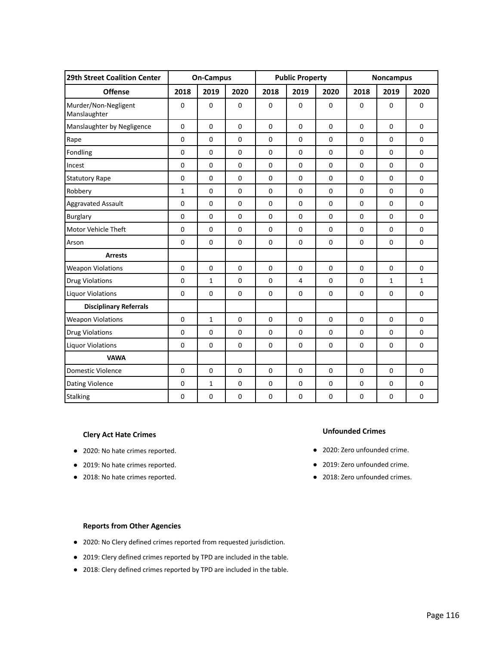| 29th Street Coalition Center         |              | <b>On-Campus</b> |             | <b>Public Property</b> |                |             |                | <b>Noncampus</b> |              |
|--------------------------------------|--------------|------------------|-------------|------------------------|----------------|-------------|----------------|------------------|--------------|
| <b>Offense</b>                       | 2018         | 2019             | 2020        | 2018                   | 2019           | 2020        | 2018           | 2019             | 2020         |
| Murder/Non-Negligent<br>Manslaughter | $\mathbf 0$  | $\mathbf 0$      | $\pmb{0}$   | $\mathbf 0$            | $\mathbf 0$    | $\mathbf 0$ | $\mathbf 0$    | $\mathbf 0$      | $\mathbf 0$  |
| Manslaughter by Negligence           | $\pmb{0}$    | $\mathbf 0$      | $\mathbf 0$ | $\mathbf 0$            | $\mathbf 0$    | $\mathbf 0$ | $\mathbf 0$    | $\mathbf 0$      | $\mathbf 0$  |
| Rape                                 | $\Omega$     | $\Omega$         | $\Omega$    | $\Omega$               | $\overline{0}$ | $\Omega$    | $\Omega$       | $\Omega$         | $\Omega$     |
| Fondling                             | $\mathbf 0$  | $\mathbf 0$      | $\mathbf 0$ | $\mathbf 0$            | $\mathbf 0$    | $\mathbf 0$ | $\mathbf 0$    | $\mathbf 0$      | $\mathbf 0$  |
| Incest                               | $\pmb{0}$    | $\mathbf 0$      | $\pmb{0}$   | $\mathbf 0$            | $\mathbf 0$    | $\mathbf 0$ | $\mathbf 0$    | $\mathbf 0$      | $\mathbf 0$  |
| <b>Statutory Rape</b>                | $\mathbf 0$  | $\mathbf 0$      | 0           | $\mathbf 0$            | $\mathbf 0$    | $\mathbf 0$ | 0              | 0                | $\mathbf 0$  |
| Robbery                              | $\mathbf{1}$ | $\mathbf 0$      | $\pmb{0}$   | $\mathbf 0$            | $\mathbf 0$    | $\mathbf 0$ | $\mathbf 0$    | $\mathbf 0$      | $\mathbf 0$  |
| <b>Aggravated Assault</b>            | $\mathbf 0$  | $\mathbf 0$      | $\mathbf 0$ | $\mathbf 0$            | $\mathbf 0$    | $\mathbf 0$ | $\mathbf 0$    | $\mathbf 0$      | $\mathbf 0$  |
| <b>Burglary</b>                      | $\mathbf 0$  | $\mathbf 0$      | $\mathbf 0$ | $\mathbf 0$            | $\mathbf 0$    | $\mathbf 0$ | $\mathbf 0$    | $\mathbf 0$      | $\mathbf 0$  |
| Motor Vehicle Theft                  | $\mathbf 0$  | $\mathbf 0$      | $\mathbf 0$ | $\mathbf 0$            | $\mathbf 0$    | $\mathbf 0$ | $\mathbf 0$    | $\mathbf 0$      | $\pmb{0}$    |
| Arson                                | $\mathbf 0$  | $\mathbf 0$      | $\mathbf 0$ | $\mathbf 0$            | $\mathbf 0$    | $\mathbf 0$ | $\mathbf 0$    | $\mathbf 0$      | $\mathbf 0$  |
| <b>Arrests</b>                       |              |                  |             |                        |                |             |                |                  |              |
| <b>Weapon Violations</b>             | $\mathbf 0$  | $\mathbf 0$      | $\mathbf 0$ | $\mathbf 0$            | $\mathbf 0$    | $\mathbf 0$ | $\mathbf 0$    | $\mathbf 0$      | $\mathbf 0$  |
| <b>Drug Violations</b>               | $\pmb{0}$    | $\mathbf{1}$     | $\pmb{0}$   | $\mathbf 0$            | $\overline{4}$ | $\mathbf 0$ | 0              | $\mathbf 1$      | $\mathbf{1}$ |
| <b>Liquor Violations</b>             | $\pmb{0}$    | $\pmb{0}$        | $\pmb{0}$   | $\pmb{0}$              | $\pmb{0}$      | $\pmb{0}$   | $\pmb{0}$      | $\pmb{0}$        | $\pmb{0}$    |
| <b>Disciplinary Referrals</b>        |              |                  |             |                        |                |             |                |                  |              |
| <b>Weapon Violations</b>             | $\mathbf 0$  | $\mathbf 1$      | $\mathbf 0$ | $\mathbf 0$            | $\mathbf 0$    | $\pmb{0}$   | $\mathbf 0$    | 0                | $\mathbf 0$  |
| <b>Drug Violations</b>               | $\mathbf 0$  | $\mathbf 0$      | $\pmb{0}$   | $\mathbf 0$            | $\mathbf 0$    | $\mathbf 0$ | 0              | 0                | $\mathbf 0$  |
| <b>Liquor Violations</b>             | $\mathbf 0$  | $\mathbf 0$      | $\pmb{0}$   | $\pmb{0}$              | $\pmb{0}$      | $\pmb{0}$   | $\pmb{0}$      | $\pmb{0}$        | $\pmb{0}$    |
| <b>VAWA</b>                          |              |                  |             |                        |                |             |                |                  |              |
| <b>Domestic Violence</b>             | $\Omega$     | $\Omega$         | $\mathbf 0$ | $\mathbf 0$            | $\mathbf 0$    | $\mathbf 0$ | $\overline{0}$ | $\overline{0}$   | $\Omega$     |
| Dating Violence                      | $\mathbf 0$  | $\mathbf{1}$     | 0           | $\mathbf 0$            | $\mathbf 0$    | $\mathbf 0$ | $\mathbf 0$    | 0                | $\mathbf 0$  |
| <b>Stalking</b>                      | $\pmb{0}$    | 0                | 0           | $\pmb{0}$              | $\pmb{0}$      | $\pmb{0}$   | $\pmb{0}$      | $\pmb{0}$        | $\pmb{0}$    |

- 2020: No hate crimes reported.
- 2019: No hate crimes reported.
- 2018: No hate crimes reported.

#### **Unfounded Crimes**

- 2020: Zero unfounded crime.
- 2019: Zero unfounded crime.
- 2018: Zero unfounded crimes.

- 2020: No Clery defined crimes reported from requested jurisdiction.
- 2019: Clery defined crimes reported by TPD are included in the table.
- 2018: Clery defined crimes reported by TPD are included in the table.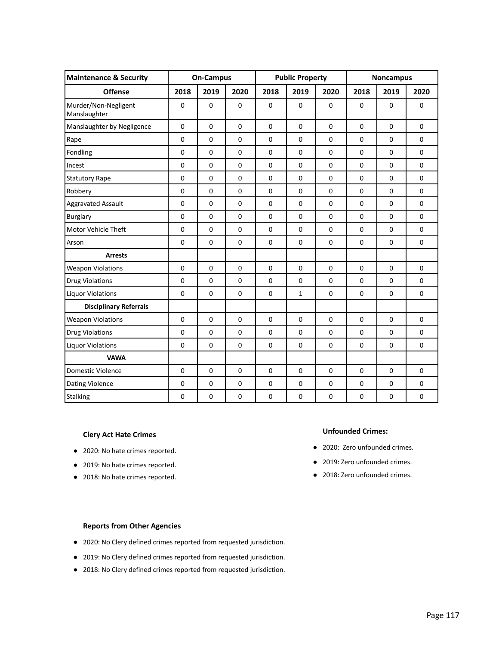| <b>Maintenance &amp; Security</b>    |             | <b>On-Campus</b> |             | <b>Public Property</b> |                |             | <b>Noncampus</b> |                |             |
|--------------------------------------|-------------|------------------|-------------|------------------------|----------------|-------------|------------------|----------------|-------------|
| <b>Offense</b>                       | 2018        | 2019             | 2020        | 2018                   | 2019           | 2020        | 2018             | 2019           | 2020        |
| Murder/Non-Negligent<br>Manslaughter | $\mathbf 0$ | $\mathbf 0$      | $\mathbf 0$ | $\mathbf 0$            | $\mathbf 0$    | $\mathbf 0$ | $\mathbf 0$      | $\mathbf 0$    | $\mathbf 0$ |
| Manslaughter by Negligence           | $\pmb{0}$   | $\mathbf 0$      | $\mathbf 0$ | $\mathbf 0$            | $\mathbf 0$    | $\mathbf 0$ | $\mathbf 0$      | $\mathbf 0$    | $\mathbf 0$ |
| Rape                                 | $\Omega$    | $\Omega$         | $\Omega$    | $\Omega$               | $\overline{0}$ | $\Omega$    | $\Omega$         | $\Omega$       | $\Omega$    |
| Fondling                             | $\mathbf 0$ | $\mathbf 0$      | $\mathbf 0$ | $\mathbf 0$            | $\mathbf 0$    | $\mathbf 0$ | $\mathbf 0$      | $\mathbf 0$    | $\mathbf 0$ |
| Incest                               | $\pmb{0}$   | $\mathbf 0$      | $\pmb{0}$   | $\mathbf 0$            | $\mathbf 0$    | $\mathbf 0$ | $\mathbf 0$      | $\mathbf 0$    | $\mathbf 0$ |
| <b>Statutory Rape</b>                | $\mathbf 0$ | $\mathbf 0$      | 0           | $\mathbf 0$            | $\mathbf 0$    | $\mathbf 0$ | 0                | 0              | $\mathbf 0$ |
| Robbery                              | $\mathbf 0$ | $\mathbf 0$      | $\pmb{0}$   | $\mathbf 0$            | $\mathbf 0$    | $\mathbf 0$ | $\mathbf 0$      | $\mathbf 0$    | $\mathbf 0$ |
| <b>Aggravated Assault</b>            | $\mathbf 0$ | $\mathbf 0$      | $\mathbf 0$ | $\mathbf 0$            | $\mathbf 0$    | $\mathbf 0$ | $\mathbf 0$      | $\mathbf 0$    | $\mathbf 0$ |
| <b>Burglary</b>                      | $\mathbf 0$ | $\mathbf 0$      | $\mathbf 0$ | $\mathbf 0$            | $\mathbf 0$    | $\mathbf 0$ | $\mathbf 0$      | $\mathbf 0$    | $\mathbf 0$ |
| Motor Vehicle Theft                  | $\mathbf 0$ | $\mathbf 0$      | $\mathbf 0$ | $\mathbf 0$            | $\mathbf 0$    | $\mathbf 0$ | $\mathbf 0$      | $\mathbf 0$    | $\pmb{0}$   |
| Arson                                | $\mathbf 0$ | $\mathbf 0$      | $\mathbf 0$ | $\mathbf 0$            | $\mathbf 0$    | $\mathbf 0$ | $\mathbf 0$      | $\mathbf 0$    | $\mathbf 0$ |
| <b>Arrests</b>                       |             |                  |             |                        |                |             |                  |                |             |
| <b>Weapon Violations</b>             | $\mathbf 0$ | $\mathbf 0$      | $\mathbf 0$ | $\mathbf 0$            | $\mathbf 0$    | $\mathbf 0$ | $\mathbf 0$      | $\mathbf 0$    | $\mathbf 0$ |
| <b>Drug Violations</b>               | $\pmb{0}$   | $\pmb{0}$        | $\pmb{0}$   | $\mathbf 0$            | $\mathbf 0$    | $\mathbf 0$ | $\mathbf 0$      | $\mathbf 0$    | $\pmb{0}$   |
| <b>Liquor Violations</b>             | $\pmb{0}$   | $\pmb{0}$        | $\pmb{0}$   | $\pmb{0}$              | $\mathbf 1$    | $\pmb{0}$   | $\pmb{0}$        | $\pmb{0}$      | $\pmb{0}$   |
| <b>Disciplinary Referrals</b>        |             |                  |             |                        |                |             |                  |                |             |
| <b>Weapon Violations</b>             | $\mathbf 0$ | $\mathbf 0$      | $\mathbf 0$ | $\mathbf 0$            | $\mathbf 0$    | $\pmb{0}$   | $\mathbf 0$      | 0              | $\mathbf 0$ |
| <b>Drug Violations</b>               | $\mathbf 0$ | $\mathbf 0$      | $\pmb{0}$   | $\mathbf 0$            | $\mathbf 0$    | $\mathbf 0$ | $\mathbf 0$      | 0              | $\mathbf 0$ |
| <b>Liquor Violations</b>             | $\mathbf 0$ | $\mathbf 0$      | $\pmb{0}$   | $\pmb{0}$              | $\pmb{0}$      | $\pmb{0}$   | $\pmb{0}$        | $\pmb{0}$      | $\pmb{0}$   |
| <b>VAWA</b>                          |             |                  |             |                        |                |             |                  |                |             |
| <b>Domestic Violence</b>             | $\Omega$    | $\Omega$         | $\mathbf 0$ | $\mathbf 0$            | $\mathbf 0$    | $\mathbf 0$ | $\overline{0}$   | $\overline{0}$ | $\Omega$    |
| Dating Violence                      | $\mathbf 0$ | 0                | 0           | $\mathbf 0$            | $\mathbf 0$    | $\mathbf 0$ | $\mathbf 0$      | 0              | $\mathbf 0$ |
| <b>Stalking</b>                      | $\pmb{0}$   | 0                | 0           | $\pmb{0}$              | $\pmb{0}$      | $\pmb{0}$   | $\pmb{0}$        | $\pmb{0}$      | $\pmb{0}$   |

- 2020: No hate crimes reported.
- 2019: No hate crimes reported.
- 2018: No hate crimes reported.

#### **Unfounded Crimes:**

- 2020: Zero unfounded crimes.
- 2019: Zero unfounded crimes.
- 2018: Zero unfounded crimes.

- 2020: No Clery defined crimes reported from requested jurisdiction.
- 2019: No Clery defined crimes reported from requested jurisdiction.
- 2018: No Clery defined crimes reported from requested jurisdiction.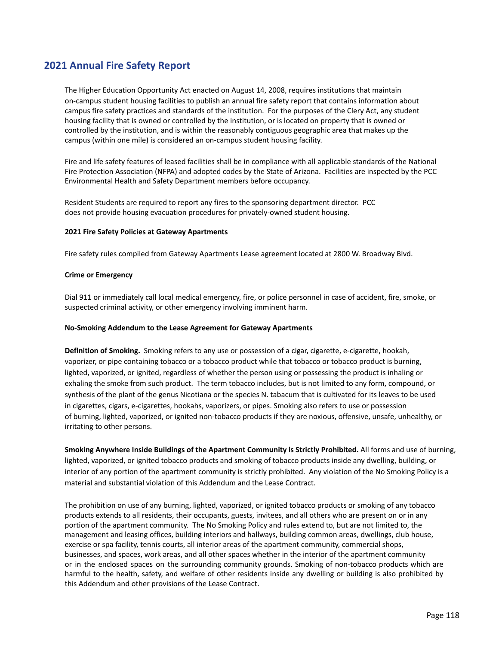# **2021 Annual Fire Safety Report**

The Higher Education Opportunity Act enacted on August 14, 2008, requires institutions that maintain on-campus student housing facilities to publish an annual fire safety report that contains information about campus fire safety practices and standards of the institution. For the purposes of the Clery Act, any student housing facility that is owned or controlled by the institution, or is located on property that is owned or controlled by the institution, and is within the reasonably contiguous geographic area that makes up the campus (within one mile) is considered an on-campus student housing facility.

Fire and life safety features of leased facilities shall be in compliance with all applicable standards of the National Fire Protection Association (NFPA) and adopted codes by the State of Arizona. Facilities are inspected by the PCC Environmental Health and Safety Department members before occupancy.

Resident Students are required to report any fires to the sponsoring department director. PCC does not provide housing evacuation procedures for privately-owned student housing.

#### **2021 Fire Safety Policies at Gateway Apartments**

Fire safety rules compiled from Gateway Apartments Lease agreement located at 2800 W. Broadway Blvd.

#### **Crime or Emergency**

Dial 911 or immediately call local medical emergency, fire, or police personnel in case of accident, fire, smoke, or suspected criminal activity, or other emergency involving imminent harm.

#### **No-Smoking Addendum to the Lease Agreement for Gateway Apartments**

**Definition of Smoking.** Smoking refers to any use or possession of a cigar, cigarette, e-cigarette, hookah, vaporizer, or pipe containing tobacco or a tobacco product while that tobacco or tobacco product is burning, lighted, vaporized, or ignited, regardless of whether the person using or possessing the product is inhaling or exhaling the smoke from such product. The term tobacco includes, but is not limited to any form, compound, or synthesis of the plant of the genus Nicotiana or the species N. tabacum that is cultivated for its leaves to be used in cigarettes, cigars, e-cigarettes, hookahs, vaporizers, or pipes. Smoking also refers to use or possession of burning, lighted, vaporized, or ignited non-tobacco products if they are noxious, offensive, unsafe, unhealthy, or irritating to other persons.

**Smoking Anywhere Inside Buildings of the Apartment Community is Strictly Prohibited.** All forms and use of burning, lighted, vaporized, or ignited tobacco products and smoking of tobacco products inside any dwelling, building, or interior of any portion of the apartment community is strictly prohibited. Any violation of the No Smoking Policy is a material and substantial violation of this Addendum and the Lease Contract.

The prohibition on use of any burning, lighted, vaporized, or ignited tobacco products or smoking of any tobacco products extends to all residents, their occupants, guests, invitees, and all others who are present on or in any portion of the apartment community. The No Smoking Policy and rules extend to, but are not limited to, the management and leasing offices, building interiors and hallways, building common areas, dwellings, club house, exercise or spa facility, tennis courts, all interior areas of the apartment community, commercial shops, businesses, and spaces, work areas, and all other spaces whether in the interior of the apartment community or in the enclosed spaces on the surrounding community grounds. Smoking of non-tobacco products which are harmful to the health, safety, and welfare of other residents inside any dwelling or building is also prohibited by this Addendum and other provisions of the Lease Contract.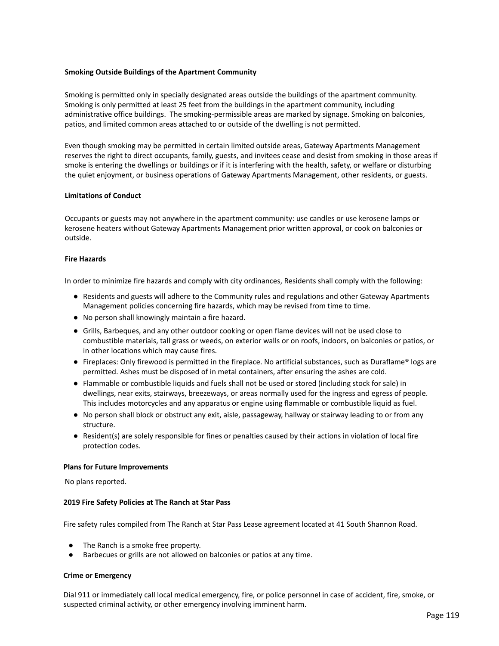#### **Smoking Outside Buildings of the Apartment Community**

Smoking is permitted only in specially designated areas outside the buildings of the apartment community. Smoking is only permitted at least 25 feet from the buildings in the apartment community, including administrative office buildings. The smoking-permissible areas are marked by signage. Smoking on balconies, patios, and limited common areas attached to or outside of the dwelling is not permitted.

Even though smoking may be permitted in certain limited outside areas, Gateway Apartments Management reserves the right to direct occupants, family, guests, and invitees cease and desist from smoking in those areas if smoke is entering the dwellings or buildings or if it is interfering with the health, safety, or welfare or disturbing the quiet enjoyment, or business operations of Gateway Apartments Management, other residents, or guests.

#### **Limitations of Conduct**

Occupants or guests may not anywhere in the apartment community: use candles or use kerosene lamps or kerosene heaters without Gateway Apartments Management prior written approval, or cook on balconies or outside.

#### **Fire Hazards**

In order to minimize fire hazards and comply with city ordinances, Residents shall comply with the following:

- Residents and guests will adhere to the Community rules and regulations and other Gateway Apartments Management policies concerning fire hazards, which may be revised from time to time.
- No person shall knowingly maintain a fire hazard.
- Grills, Barbeques, and any other outdoor cooking or open flame devices will not be used close to combustible materials, tall grass or weeds, on exterior walls or on roofs, indoors, on balconies or patios, or in other locations which may cause fires.
- Fireplaces: Only firewood is permitted in the fireplace. No artificial substances, such as Duraflame® logs are permitted. Ashes must be disposed of in metal containers, after ensuring the ashes are cold.
- Flammable or combustible liquids and fuels shall not be used or stored (including stock for sale) in dwellings, near exits, stairways, breezeways, or areas normally used for the ingress and egress of people. This includes motorcycles and any apparatus or engine using flammable or combustible liquid as fuel.
- No person shall block or obstruct any exit, aisle, passageway, hallway or stairway leading to or from any structure.
- Resident(s) are solely responsible for fines or penalties caused by their actions in violation of local fire protection codes.

#### **Plans for Future Improvements**

No plans reported.

#### **2019 Fire Safety Policies at The Ranch at Star Pass**

Fire safety rules compiled from The Ranch at Star Pass Lease agreement located at 41 South Shannon Road.

- The Ranch is a smoke free property.
- Barbecues or grills are not allowed on balconies or patios at any time.

#### **Crime or Emergency**

Dial 911 or immediately call local medical emergency, fire, or police personnel in case of accident, fire, smoke, or suspected criminal activity, or other emergency involving imminent harm.